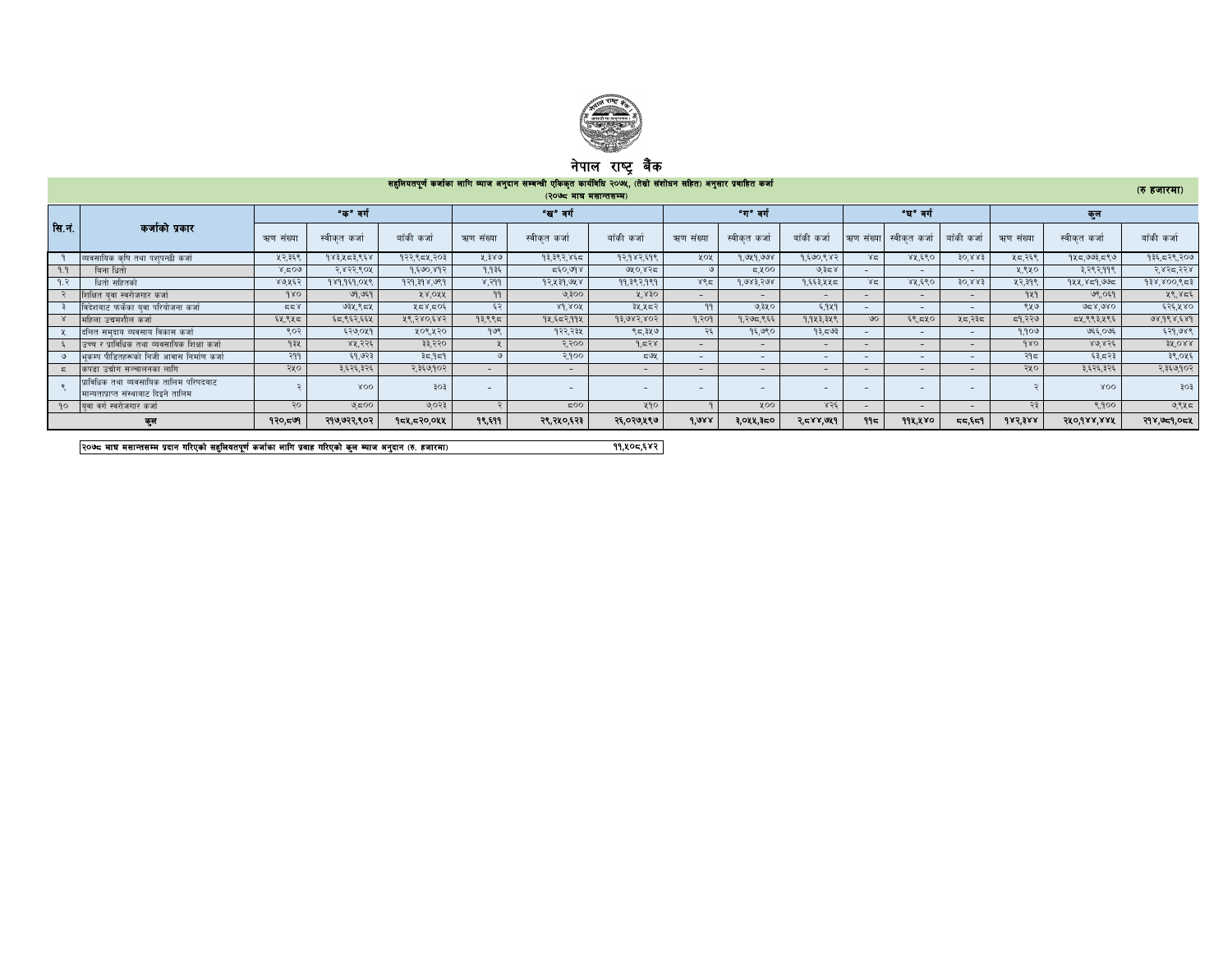

## नपाल राष्ट्र बक

## ;x'lnotk"0f{ shf{sf nflu Jofh cg'bfg ;DaGwL Plss[t sfo{ljlw @)&%, -t];|f] ;+zf]wg ;lxt\_ cg';f/ k|jflxt shf{ -? xhf/df\_ -@)&\* df3 d;fGt;Dd\_

|         |                                                                                |           |              |                          |           | (1000, 900, 900)         |              |                          |                          |             |                          |              |                           |           |                |             |
|---------|--------------------------------------------------------------------------------|-----------|--------------|--------------------------|-----------|--------------------------|--------------|--------------------------|--------------------------|-------------|--------------------------|--------------|---------------------------|-----------|----------------|-------------|
|         |                                                                                |           | "क" वर्ग     |                          |           | "ख" वर्ग                 |              |                          | "ग" वर्ग                 |             |                          | "घ" वर्ग     |                           |           | कल             |             |
| रिा.नं. | कर्जाको प्रकार                                                                 | ऋण संख्या | स्वीकत कर्जा | बाँकी कर्जा              | ऋण संख्या | स्वीकत कर्जा             | बाँकी कर्जा  | ऋण संख्या                | स्वीकृत कर्जा            | बाँकी कर्जा | ऋण संख्या                | स्वीकत कर्जा | बाँकी कर्जा               | ऋण संख्या | स्वीकत कर्जा   | बाँकी कर्जा |
|         | व्यवसायिक कृषि तथा पशुपन्छी कर्जा                                              | ५२,३६९    | १४३,५८३,९६४  | १२२,९८४,२०३              | ५.३४७     | १३,३९२,४६८               | १२,१४२,६१९   | ५०५                      | 9, ७५9, ७७४              | 9,500,882   | 85                       | ४५,६९०       | $30^{6}883$               | ५८,२६९    | १५८,७७३,८९७    | १३६,८२९,२०७ |
|         | बिना धितो                                                                      | 805.8     | २,४२२,९०५    | 9,590,892                | 9.935     | 56,098                   | ७५०,४२८      |                          | 5,400                    | ७.३८४       |                          | $\sim$       | $\sim$                    | ५.९५०     | ३,२९२,११९      | २,४२८,२२४   |
|         | धितो सहितको                                                                    | ४७,५६२    | 989,989,048  | $9,99,79$ $\times$ $989$ | 8,999     | 92, 439, 948             | 99, ३९२, १९१ | ४९८                      | 9,983,798                | १,६६३,५५८   | ४द्र                     | ४५,६९०       | $30^{\circ}$ $88^{\circ}$ | ५२,३१९    | 944.859.995    | १३४,४००,९८३ |
|         | शिक्षित यवा स्वरोजगार कर्जा                                                    | 980       | ७१,७६१       | XX.OXX                   | 99        | 9.300                    | $X^2830$     | $-$                      |                          |             | $\overline{\phantom{0}}$ |              | $\sim$                    | 929       | ७९.०६१         | ५९,४८६      |
|         | विदेशबाट फर्केका युवा परियोजना कर्जा                                           | 557       | ७३५,९८५      | ५८४,८०६                  | ೯೨        | $8d$ , $80f$             | ३५,५८२       | 99                       | ७,३५०                    | ६,१५१       |                          | $\sim$       | $\sim$                    | ९५७       | 928,980        | ६२६,५४०     |
|         | महिला उद्यमशील कर्जा                                                           | ६५,९५८    | ६८,९६२,६६५   | ४९,२४०,६४२               | १३.९९८    | १४,६८२,११४               | 93,983,803   | 9.309                    | १,२७८,९६६                | 9.943.348   | SO <sub>o</sub>          | ६९,८५०       | ५८,२३८                    | द9,२२७    | द्रप्र,९९३,५९६ | 98,988,589  |
|         | दलित समुदाय व्यवसाय विकास कर्जा                                                | ९०२       | ६२७,०५१      | ५०९,५२०                  | 908       | १२२,२३५                  | ९८,३५७       | ⊋೯                       | १६,७९०                   | १३,८७३      |                          |              | $\sim$                    | १,१०७     | ७६६,०७६        | ६२१,७४९     |
|         | उच्च र प्राविधिक तथा व्यवसायिक शिक्षा कर्जा                                    | 93x       | ४५,२२६       | ३३,२२०                   |           | २.२००                    | 9.538        | $\sim$                   | $\sim$                   |             | $\overline{\phantom{0}}$ | $\sim$       | $\sim$                    | 980       | 80.856         | 38.088      |
|         | भकम्प पीडितहरूको निजी आवास निर्माण कर्जा                                       | PPF       | ६१,७२३       | 35.959                   |           | २,१००                    | 59x          | $\overline{\phantom{a}}$ | $\overline{\phantom{a}}$ |             | $\overline{\phantom{a}}$ | $\sim$       | $\sim$                    | २१८       | ६३.८२३         | ३९,०५६      |
|         | कपडा उद्योग सञ्चालनका लागि                                                     | २५०       | ३,६२६,३२६    | २,३६७,१०२                |           | $\sim$                   | $ -$         | $\overline{\phantom{0}}$ | $\overline{\phantom{0}}$ | $\sim$      | $\overline{\phantom{0}}$ | $\sim$       | $\sim$                    | २५०       | ३,६२६,३२६      | २,३६७,१०२   |
|         | प्राविधिक तथा व्यवसायिक तालिम परिषदबाट<br>मान्यताप्राप्त संस्थाबाट दिइने तालिम |           | XOO          | 303                      |           | $\overline{\phantom{0}}$ |              | $\sim$                   | $\overline{\phantom{0}}$ |             | $\overline{\phantom{a}}$ |              | $\overline{\phantom{0}}$  |           | XOO            | ३०३         |
|         | १० विवा वर्ग स्वरोजगार कर्जा                                                   | २०        | ಅಧಾ          | ७,०२३                    |           | 500                      | ५१०          |                          | 200                      | 856         | $-$                      | $\sim$       | $-$                       | २३        | 8,900          | ७,९५८       |
|         | কুল                                                                            | १२० = ७१  | २१७,७२२,९०२  | १८९.०९२ १२१              | १९,६११    | २९,२५०,६२३               | २६,०२७,५९७   | 1,088                    | ३,०५५,३८०                | 5.588.061   | 915                      | ११५,५४०      | 55.77                     | 685388    | 580,988,888    | २१४,७८१,०८५ |

२०७८ माघ मसान्तसम्म प्रदान गरिएको सहुलियतपूर्ण कर्जाका सागि प्रवाह गरिएको कुल व्याज अनुदान (रु. हजारमा) त्या अ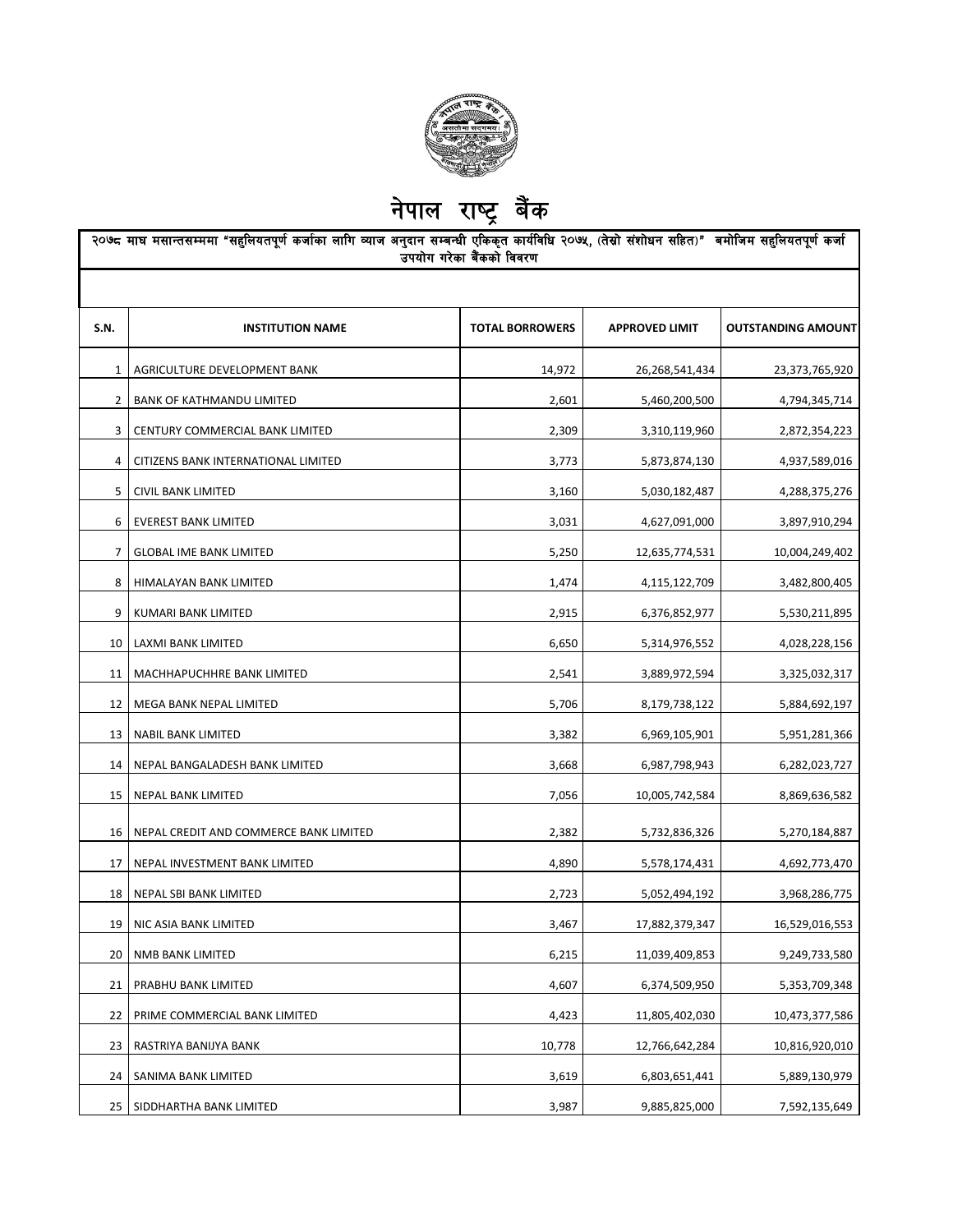

|                |                                        | उपयोग गरेका बैंकको विवरण |                       |                           |
|----------------|----------------------------------------|--------------------------|-----------------------|---------------------------|
| <b>S.N.</b>    | <b>INSTITUTION NAME</b>                | <b>TOTAL BORROWERS</b>   | <b>APPROVED LIMIT</b> | <b>OUTSTANDING AMOUNT</b> |
| 1              | AGRICULTURE DEVELOPMENT BANK           | 14,972                   | 26,268,541,434        | 23,373,765,920            |
| $\overline{2}$ | BANK OF KATHMANDU LIMITED              | 2,601                    | 5,460,200,500         | 4,794,345,714             |
| 3              | CENTURY COMMERCIAL BANK LIMITED        | 2,309                    | 3,310,119,960         | 2,872,354,223             |
| 4              | CITIZENS BANK INTERNATIONAL LIMITED    | 3,773                    | 5,873,874,130         | 4,937,589,016             |
| 5              | CIVIL BANK LIMITED                     | 3,160                    | 5,030,182,487         | 4,288,375,276             |
| 6              | <b>EVEREST BANK LIMITED</b>            | 3,031                    | 4,627,091,000         | 3,897,910,294             |
| 7              | <b>GLOBAL IME BANK LIMITED</b>         | 5,250                    | 12,635,774,531        | 10,004,249,402            |
| 8              | HIMALAYAN BANK LIMITED                 | 1,474                    | 4,115,122,709         | 3,482,800,405             |
| 9              | KUMARI BANK LIMITED                    | 2,915                    | 6,376,852,977         | 5,530,211,895             |
| 10             | LAXMI BANK LIMITED                     | 6,650                    | 5,314,976,552         | 4,028,228,156             |
| 11             | MACHHAPUCHHRE BANK LIMITED             | 2,541                    | 3,889,972,594         | 3,325,032,317             |
| 12             | MEGA BANK NEPAL LIMITED                | 5,706                    | 8,179,738,122         | 5,884,692,197             |
| 13             | NABIL BANK LIMITED                     | 3,382                    | 6,969,105,901         | 5,951,281,366             |
| 14             | NEPAL BANGALADESH BANK LIMITED         | 3,668                    | 6,987,798,943         | 6,282,023,727             |
| 15             | NEPAL BANK LIMITED                     | 7,056                    | 10,005,742,584        | 8,869,636,582             |
| 16             | NEPAL CREDIT AND COMMERCE BANK LIMITED | 2,382                    | 5,732,836,326         | 5,270,184,887             |
| 17             | NEPAL INVESTMENT BANK LIMITED          | 4,890                    | 5,578,174,431         | 4,692,773,470             |
| 18             | <b>NEPAL SBI BANK LIMITED</b>          | 2,723                    | 5,052,494,192         | 3,968,286,775             |
| 19             | NIC ASIA BANK LIMITED                  | 3,467                    | 17,882,379,347        | 16,529,016,553            |
| 20             | NMB BANK LIMITED                       | 6,215                    | 11,039,409,853        | 9,249,733,580             |
| 21             | PRABHU BANK LIMITED                    | 4,607                    | 6,374,509,950         | 5,353,709,348             |
| 22             | PRIME COMMERCIAL BANK LIMITED          | 4,423                    | 11,805,402,030        | 10,473,377,586            |
| 23             | RASTRIYA BANIJYA BANK                  | 10,778                   | 12,766,642,284        | 10,816,920,010            |
| 24             | SANIMA BANK LIMITED                    | 3,619                    | 6,803,651,441         | 5,889,130,979             |
| 25             | SIDDHARTHA BANK LIMITED                | 3,987                    | 9,885,825,000         | 7,592,135,649             |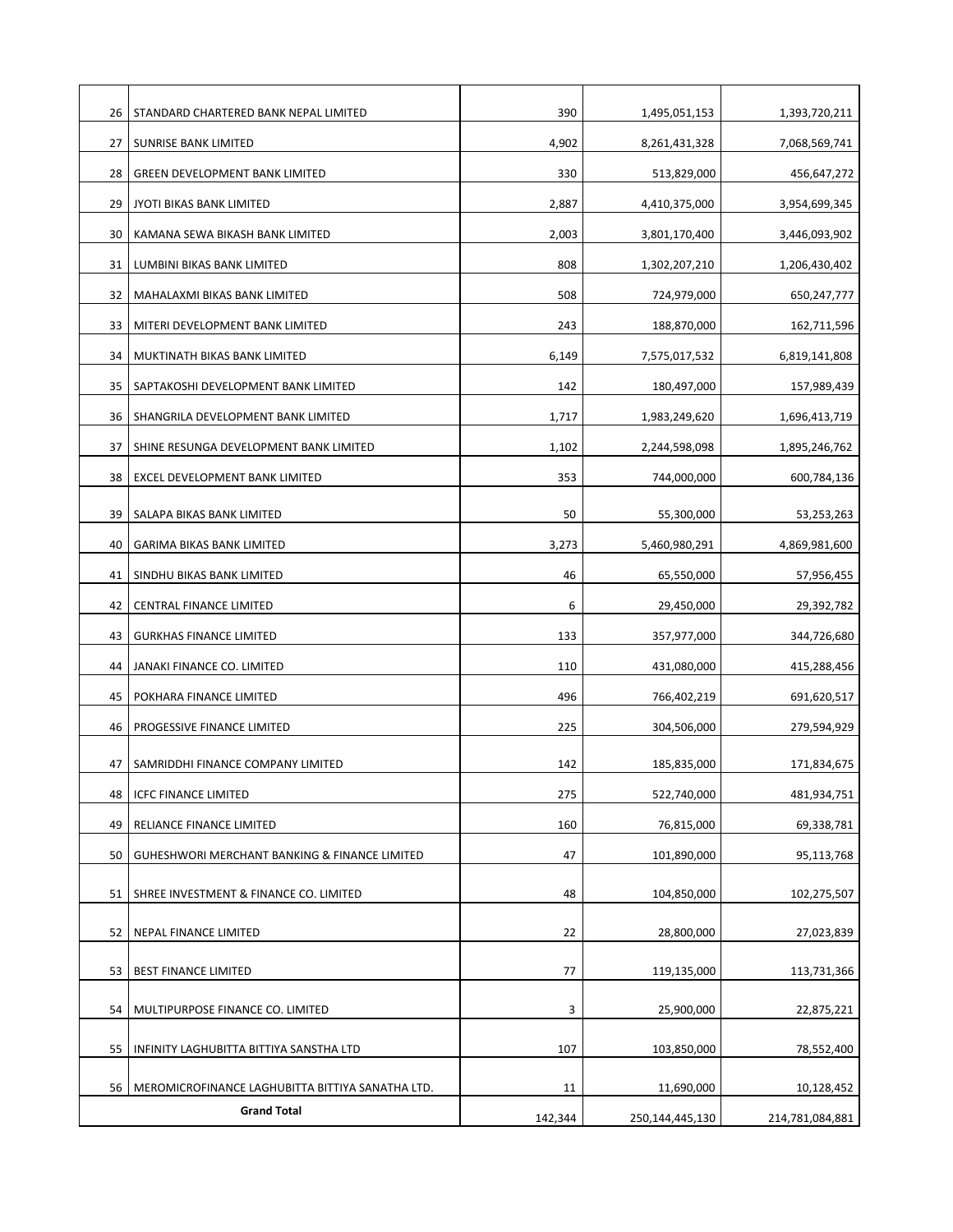| 26 | STANDARD CHARTERED BANK NEPAL LIMITED            | 390     | 1,495,051,153   | 1,393,720,211   |
|----|--------------------------------------------------|---------|-----------------|-----------------|
| 27 | SUNRISE BANK LIMITED                             | 4,902   | 8,261,431,328   | 7,068,569,741   |
| 28 | <b>GREEN DEVELOPMENT BANK LIMITED</b>            | 330     | 513,829,000     | 456,647,272     |
| 29 | JYOTI BIKAS BANK LIMITED                         | 2,887   | 4,410,375,000   | 3,954,699,345   |
| 30 | KAMANA SEWA BIKASH BANK LIMITED                  | 2,003   | 3,801,170,400   | 3,446,093,902   |
| 31 | LUMBINI BIKAS BANK LIMITED                       | 808     | 1,302,207,210   | 1,206,430,402   |
| 32 | MAHALAXMI BIKAS BANK LIMITED                     | 508     | 724,979,000     | 650,247,777     |
| 33 | MITERI DEVELOPMENT BANK LIMITED                  | 243     | 188,870,000     | 162,711,596     |
| 34 | MUKTINATH BIKAS BANK LIMITED                     | 6,149   | 7,575,017,532   | 6,819,141,808   |
| 35 | SAPTAKOSHI DEVELOPMENT BANK LIMITED              | 142     | 180,497,000     | 157,989,439     |
| 36 | SHANGRILA DEVELOPMENT BANK LIMITED               | 1,717   | 1,983,249,620   | 1,696,413,719   |
| 37 | SHINE RESUNGA DEVELOPMENT BANK LIMITED           | 1,102   | 2,244,598,098   | 1,895,246,762   |
| 38 | EXCEL DEVELOPMENT BANK LIMITED                   | 353     | 744,000,000     | 600,784,136     |
| 39 | SALAPA BIKAS BANK LIMITED                        | 50      | 55,300,000      | 53,253,263      |
| 40 | <b>GARIMA BIKAS BANK LIMITED</b>                 | 3,273   | 5,460,980,291   | 4,869,981,600   |
| 41 | SINDHU BIKAS BANK LIMITED                        | 46      | 65,550,000      | 57,956,455      |
| 42 | CENTRAL FINANCE LIMITED                          | 6       | 29,450,000      | 29,392,782      |
| 43 | <b>GURKHAS FINANCE LIMITED</b>                   | 133     | 357,977,000     | 344,726,680     |
| 44 | JANAKI FINANCE CO. LIMITED                       | 110     | 431,080,000     | 415,288,456     |
| 45 | POKHARA FINANCE LIMITED                          | 496     | 766,402,219     | 691,620,517     |
| 46 | PROGESSIVE FINANCE LIMITED                       | 225     | 304,506,000     | 279,594,929     |
| 47 | SAMRIDDHI FINANCE COMPANY LIMITED                | 142     | 185,835,000     | 171,834,675     |
| 48 | <b>ICFC FINANCE LIMITED</b>                      | 275     | 522,740,000     | 481,934,751     |
| 49 | RELIANCE FINANCE LIMITED                         | 160     | 76,815,000      | 69,338,781      |
| 50 | GUHESHWORI MERCHANT BANKING & FINANCE LIMITED    | 47      | 101,890,000     | 95,113,768      |
| 51 | SHREE INVESTMENT & FINANCE CO. LIMITED           | 48      | 104,850,000     | 102,275,507     |
| 52 | NEPAL FINANCE LIMITED                            | 22      | 28,800,000      | 27,023,839      |
|    |                                                  |         |                 |                 |
| 53 | <b>BEST FINANCE LIMITED</b>                      | 77      | 119,135,000     | 113,731,366     |
| 54 | MULTIPURPOSE FINANCE CO. LIMITED                 | 3       | 25,900,000      | 22,875,221      |
| 55 | INFINITY LAGHUBITTA BITTIYA SANSTHA LTD          | 107     | 103,850,000     | 78,552,400      |
| 56 | MEROMICROFINANCE LAGHUBITTA BITTIYA SANATHA LTD. | 11      | 11,690,000      | 10,128,452      |
|    | <b>Grand Total</b>                               | 142,344 | 250,144,445,130 | 214,781,084,881 |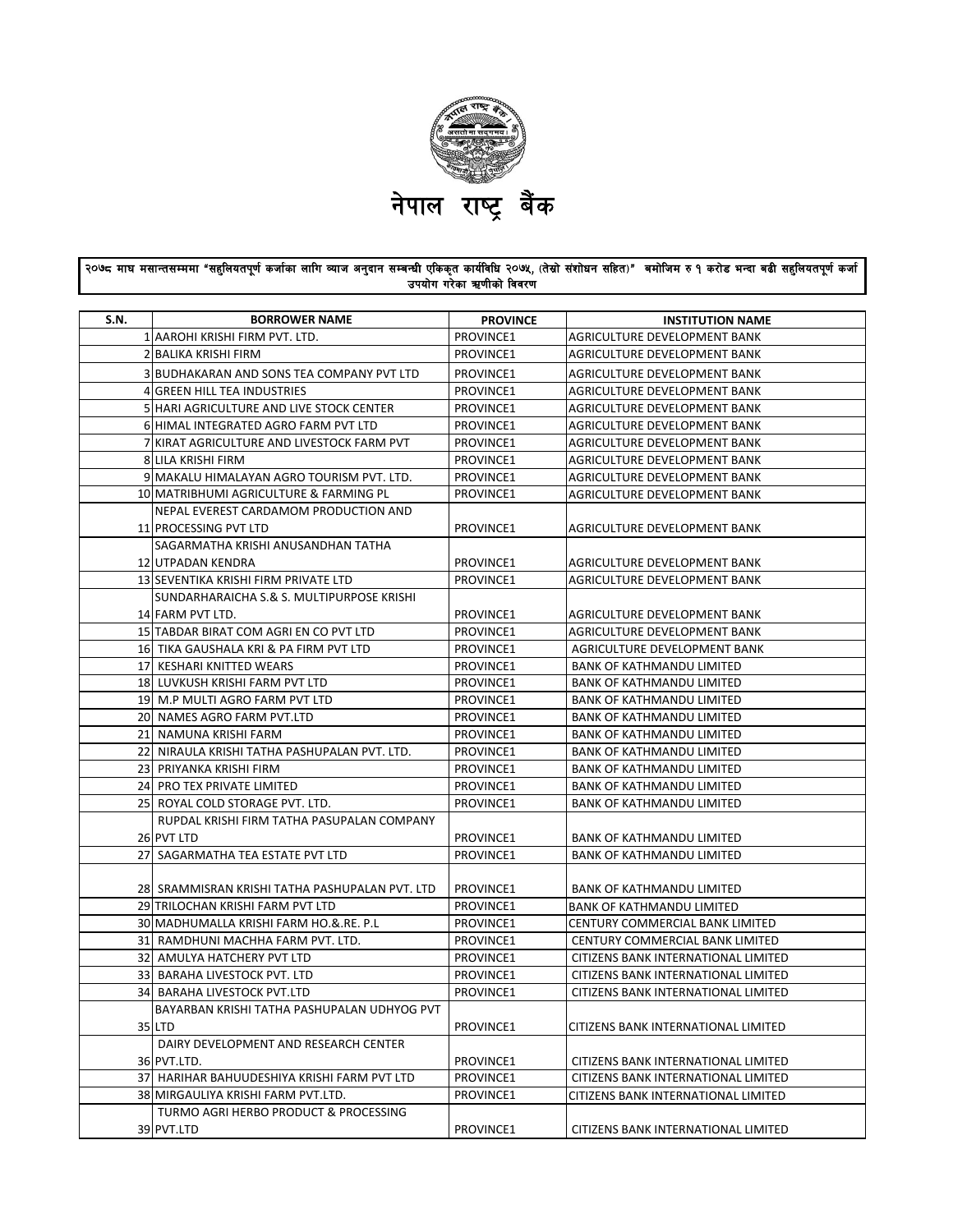

## २०७८ माघ मसान्तसम्ममा "सहुलियतपूर्ण कर्जाका लागि व्याज अनुदान सम्बन्धी एकिकृत कार्यविधि २०७५, (तेस्रो संशोधन सहित)" बमोजिम रु १ करोड भन्दा बढी सहुलियतपूर्ण कर्जा उपयोग गरेका ऋणीको विवरण

| S.N. | <b>BORROWER NAME</b>                                       | <b>PROVINCE</b>        | <b>INSTITUTION NAME</b>                                                    |
|------|------------------------------------------------------------|------------------------|----------------------------------------------------------------------------|
|      | 1 AAROHI KRISHI FIRM PVT. LTD.                             | PROVINCE1              | AGRICULTURE DEVELOPMENT BANK                                               |
|      | 2 BALIKA KRISHI FIRM                                       | PROVINCE1              | AGRICULTURE DEVELOPMENT BANK                                               |
|      | 3 BUDHAKARAN AND SONS TEA COMPANY PVT LTD                  | PROVINCE1              | AGRICULTURE DEVELOPMENT BANK                                               |
|      | 4 GREEN HILL TEA INDUSTRIES                                | PROVINCE1              | AGRICULTURE DEVELOPMENT BANK                                               |
|      | 5 HARI AGRICULTURE AND LIVE STOCK CENTER                   | PROVINCE1              | AGRICULTURE DEVELOPMENT BANK                                               |
|      | 6 HIMAL INTEGRATED AGRO FARM PVT LTD                       | PROVINCE1              | AGRICULTURE DEVELOPMENT BANK                                               |
|      | 7 KIRAT AGRICULTURE AND LIVESTOCK FARM PVT                 | PROVINCE1              | AGRICULTURE DEVELOPMENT BANK                                               |
|      | 8 LILA KRISHI FIRM                                         | PROVINCE1              | AGRICULTURE DEVELOPMENT BANK                                               |
|      | 9 MAKALU HIMALAYAN AGRO TOURISM PVT. LTD.                  | PROVINCE1              | AGRICULTURE DEVELOPMENT BANK                                               |
|      | 10 MATRIBHUMI AGRICULTURE & FARMING PL                     | PROVINCE1              | AGRICULTURE DEVELOPMENT BANK                                               |
|      | NEPAL EVEREST CARDAMOM PRODUCTION AND                      |                        |                                                                            |
|      | 11 PROCESSING PVT LTD                                      | PROVINCE1              | AGRICULTURE DEVELOPMENT BANK                                               |
|      | SAGARMATHA KRISHI ANUSANDHAN TATHA                         |                        |                                                                            |
|      | 12 UTPADAN KENDRA                                          | PROVINCE1              | AGRICULTURE DEVELOPMENT BANK                                               |
|      | 13 SEVENTIKA KRISHI FIRM PRIVATE LTD                       | PROVINCE1              | AGRICULTURE DEVELOPMENT BANK                                               |
|      | SUNDARHARAICHA S.& S. MULTIPURPOSE KRISHI                  |                        |                                                                            |
|      | 14 FARM PVT LTD.                                           | PROVINCE1              | AGRICULTURE DEVELOPMENT BANK                                               |
|      | 15 TABDAR BIRAT COM AGRI EN CO PVT LTD                     | PROVINCE1              | AGRICULTURE DEVELOPMENT BANK                                               |
|      | 16 TIKA GAUSHALA KRI & PA FIRM PVT LTD                     | PROVINCE1              | AGRICULTURE DEVELOPMENT BANK                                               |
|      | 17 KESHARI KNITTED WEARS                                   | PROVINCE1              | <b>BANK OF KATHMANDU LIMITED</b>                                           |
|      | 18 LUVKUSH KRISHI FARM PVT LTD                             | PROVINCE1              | <b>BANK OF KATHMANDU LIMITED</b>                                           |
|      | 19 M.P MULTI AGRO FARM PVT LTD                             | PROVINCE1              | <b>BANK OF KATHMANDU LIMITED</b>                                           |
|      | 20 NAMES AGRO FARM PVT.LTD                                 | PROVINCE1              | <b>BANK OF KATHMANDU LIMITED</b>                                           |
|      | 21 NAMUNA KRISHI FARM                                      | PROVINCE1              | <b>BANK OF KATHMANDU LIMITED</b>                                           |
|      | 22 NIRAULA KRISHI TATHA PASHUPALAN PVT. LTD.               | PROVINCE1              | <b>BANK OF KATHMANDU LIMITED</b>                                           |
|      | 23 PRIYANKA KRISHI FIRM                                    | PROVINCE1              | <b>BANK OF KATHMANDU LIMITED</b>                                           |
|      | 24 PRO TEX PRIVATE LIMITED                                 | PROVINCE1              | <b>BANK OF KATHMANDU LIMITED</b>                                           |
|      | 25 ROYAL COLD STORAGE PVT. LTD.                            | PROVINCE1              | <b>BANK OF KATHMANDU LIMITED</b>                                           |
|      | RUPDAL KRISHI FIRM TATHA PASUPALAN COMPANY                 |                        |                                                                            |
|      | 26 PVT LTD                                                 | PROVINCE1              | <b>BANK OF KATHMANDU LIMITED</b>                                           |
|      | 27 SAGARMATHA TEA ESTATE PVT LTD                           | PROVINCE1              | <b>BANK OF KATHMANDU LIMITED</b>                                           |
|      |                                                            |                        |                                                                            |
|      | 28 SRAMMISRAN KRISHI TATHA PASHUPALAN PVT. LTD             | PROVINCE1              | <b>BANK OF KATHMANDU LIMITED</b>                                           |
|      | 29 TRILOCHAN KRISHI FARM PVT LTD                           | PROVINCE1              | <b>BANK OF KATHMANDU LIMITED</b>                                           |
|      | 30 MADHUMALLA KRISHI FARM HO.&.RE. P.L                     | PROVINCE1              | CENTURY COMMERCIAL BANK LIMITED                                            |
|      | 31 RAMDHUNI MACHHA FARM PVT. LTD.                          | PROVINCE1              | CENTURY COMMERCIAL BANK LIMITED                                            |
|      | 32 AMULYA HATCHERY PVT LTD<br>33 BARAHA LIVESTOCK PVT. LTD | PROVINCE1<br>PROVINCE1 | CITIZENS BANK INTERNATIONAL LIMITED<br>CITIZENS BANK INTERNATIONAL LIMITED |
|      | 34  BARAHA LIVESTOCK PVT.LTD                               | PROVINCE1              | CITIZENS BANK INTERNATIONAL LIMITED                                        |
|      | BAYARBAN KRISHI TATHA PASHUPALAN UDHYOG PVT                |                        |                                                                            |
|      | 35 LTD                                                     | PROVINCE1              | CITIZENS BANK INTERNATIONAL LIMITED                                        |
|      | DAIRY DEVELOPMENT AND RESEARCH CENTER                      |                        |                                                                            |
|      | 36 PVT.LTD.                                                | PROVINCE1              | CITIZENS BANK INTERNATIONAL LIMITED                                        |
|      | 37 HARIHAR BAHUUDESHIYA KRISHI FARM PVT LTD                | PROVINCE1              | CITIZENS BANK INTERNATIONAL LIMITED                                        |
|      | 38 MIRGAULIYA KRISHI FARM PVT.LTD.                         | PROVINCE1              | CITIZENS BANK INTERNATIONAL LIMITED                                        |
|      | TURMO AGRI HERBO PRODUCT & PROCESSING                      |                        |                                                                            |
|      | 39 PVT.LTD                                                 | PROVINCE1              | CITIZENS BANK INTERNATIONAL LIMITED                                        |
|      |                                                            |                        |                                                                            |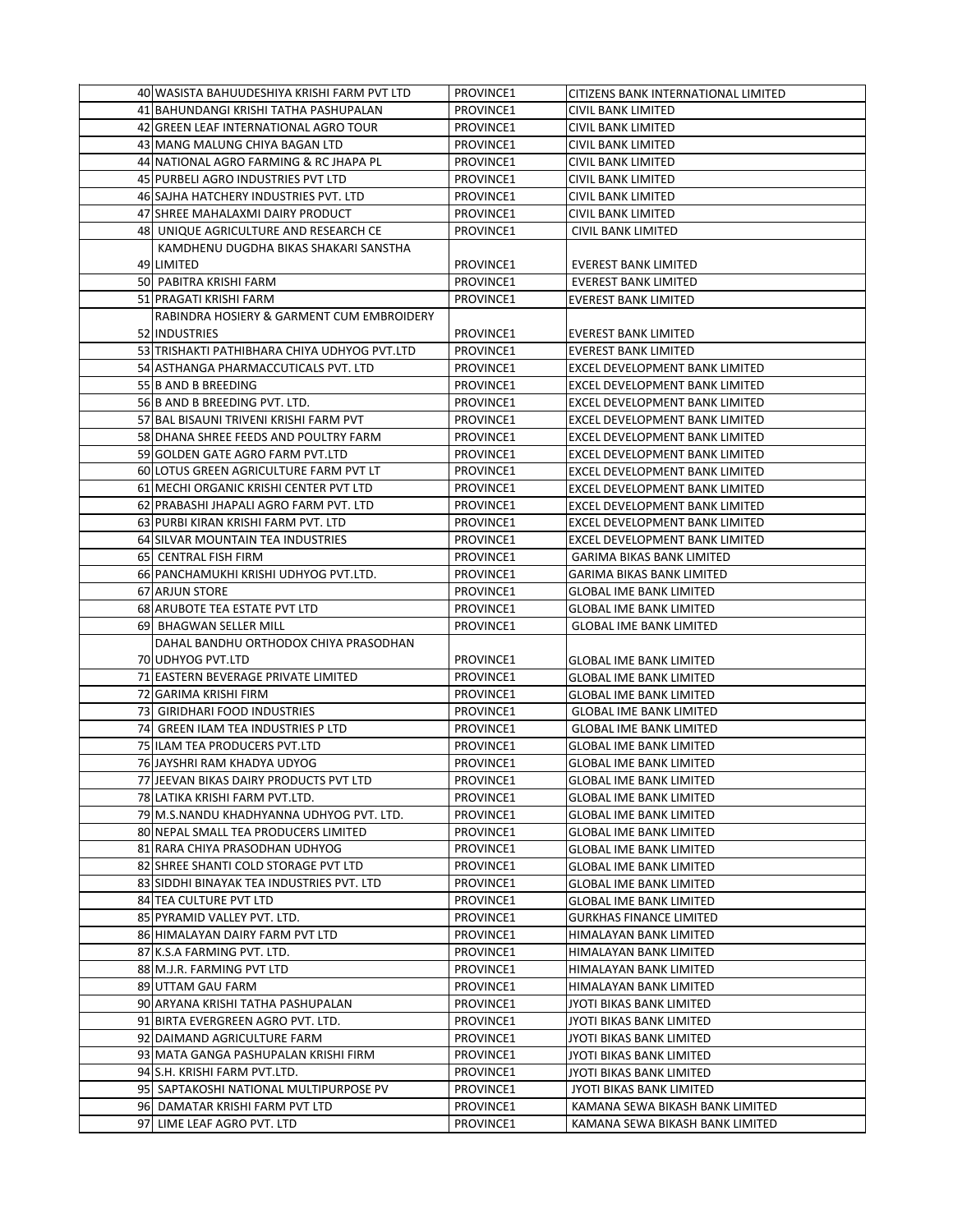| 40 WASISTA BAHUUDESHIYA KRISHI FARM PVT LTD  | PROVINCE1 | CITIZENS BANK INTERNATIONAL LIMITED |
|----------------------------------------------|-----------|-------------------------------------|
| 41 BAHUNDANGI KRISHI TATHA PASHUPALAN        | PROVINCE1 | <b>CIVIL BANK LIMITED</b>           |
| 42 GREEN LEAF INTERNATIONAL AGRO TOUR        | PROVINCE1 | <b>CIVIL BANK LIMITED</b>           |
| 43 MANG MALUNG CHIYA BAGAN LTD               | PROVINCE1 | <b>CIVIL BANK LIMITED</b>           |
| 44 NATIONAL AGRO FARMING & RC JHAPA PL       | PROVINCE1 | CIVIL BANK LIMITED                  |
| 45 PURBELI AGRO INDUSTRIES PVT LTD           | PROVINCE1 | CIVIL BANK LIMITED                  |
| 46 SAJHA HATCHERY INDUSTRIES PVT. LTD        | PROVINCE1 | CIVIL BANK LIMITED                  |
| 47 SHREE MAHALAXMI DAIRY PRODUCT             | PROVINCE1 | CIVIL BANK LIMITED                  |
| 48 UNIQUE AGRICULTURE AND RESEARCH CE        | PROVINCE1 | CIVIL BANK LIMITED                  |
| KAMDHENU DUGDHA BIKAS SHAKARI SANSTHA        |           |                                     |
| 49 LIMITED                                   | PROVINCE1 | <b>EVEREST BANK LIMITED</b>         |
| 50 PABITRA KRISHI FARM                       | PROVINCE1 | <b>EVEREST BANK LIMITED</b>         |
| 51 PRAGATI KRISHI FARM                       | PROVINCE1 | <b>EVEREST BANK LIMITED</b>         |
| RABINDRA HOSIERY & GARMENT CUM EMBROIDERY    |           |                                     |
| 52 INDUSTRIES                                | PROVINCE1 | <b>EVEREST BANK LIMITED</b>         |
| 53 TRISHAKTI PATHIBHARA CHIYA UDHYOG PVT.LTD | PROVINCE1 | <b>EVEREST BANK LIMITED</b>         |
| 54 ASTHANGA PHARMACCUTICALS PVT. LTD         | PROVINCE1 | EXCEL DEVELOPMENT BANK LIMITED      |
| 55 B AND B BREEDING                          | PROVINCE1 | EXCEL DEVELOPMENT BANK LIMITED      |
| 56 B AND B BREEDING PVT. LTD.                | PROVINCE1 | EXCEL DEVELOPMENT BANK LIMITED      |
| 57 BAL BISAUNI TRIVENI KRISHI FARM PVT       | PROVINCE1 | EXCEL DEVELOPMENT BANK LIMITED      |
| 58 DHANA SHREE FEEDS AND POULTRY FARM        | PROVINCE1 | EXCEL DEVELOPMENT BANK LIMITED      |
| 59 GOLDEN GATE AGRO FARM PVT.LTD             | PROVINCE1 | EXCEL DEVELOPMENT BANK LIMITED      |
| 60 LOTUS GREEN AGRICULTURE FARM PVT LT       | PROVINCE1 | EXCEL DEVELOPMENT BANK LIMITED      |
| 61 MECHI ORGANIC KRISHI CENTER PVT LTD       | PROVINCE1 | EXCEL DEVELOPMENT BANK LIMITED      |
| 62 PRABASHI JHAPALI AGRO FARM PVT. LTD       | PROVINCE1 | EXCEL DEVELOPMENT BANK LIMITED      |
| 63 PURBI KIRAN KRISHI FARM PVT. LTD          | PROVINCE1 | EXCEL DEVELOPMENT BANK LIMITED      |
| 64 SILVAR MOUNTAIN TEA INDUSTRIES            | PROVINCE1 | EXCEL DEVELOPMENT BANK LIMITED      |
| 65 CENTRAL FISH FIRM                         | PROVINCE1 | <b>GARIMA BIKAS BANK LIMITED</b>    |
| 66 PANCHAMUKHI KRISHI UDHYOG PVT.LTD.        | PROVINCE1 | <b>GARIMA BIKAS BANK LIMITED</b>    |
| 67 ARJUN STORE                               | PROVINCE1 | <b>GLOBAL IME BANK LIMITED</b>      |
| 68 ARUBOTE TEA ESTATE PVT LTD                | PROVINCE1 | <b>GLOBAL IME BANK LIMITED</b>      |
| 69 BHAGWAN SELLER MILL                       | PROVINCE1 | <b>GLOBAL IME BANK LIMITED</b>      |
| DAHAL BANDHU ORTHODOX CHIYA PRASODHAN        |           |                                     |
| 70 UDHYOG PVT.LTD                            | PROVINCE1 | <b>GLOBAL IME BANK LIMITED</b>      |
| 71 EASTERN BEVERAGE PRIVATE LIMITED          | PROVINCE1 | <b>GLOBAL IME BANK LIMITED</b>      |
| 72 GARIMA KRISHI FIRM                        | PROVINCE1 | <b>GLOBAL IME BANK LIMITED</b>      |
| 73 GIRIDHARI FOOD INDUSTRIES                 | PROVINCE1 | <b>GLOBAL IME BANK LIMITED</b>      |
| 74 GREEN ILAM TEA INDUSTRIES P LTD           | PROVINCE1 | <b>GLOBAL IME BANK LIMITED</b>      |
| 75 ILAM TEA PRODUCERS PVT.LTD                | PROVINCE1 | <b>GLOBAL IME BANK LIMITED</b>      |
| 76 JAYSHRI RAM KHADYA UDYOG                  | PROVINCE1 | <b>GLOBAL IME BANK LIMITED</b>      |
| 77 JEEVAN BIKAS DAIRY PRODUCTS PVT LTD       | PROVINCE1 | <b>GLOBAL IME BANK LIMITED</b>      |
| 78 LATIKA KRISHI FARM PVT.LTD.               | PROVINCE1 | <b>GLOBAL IME BANK LIMITED</b>      |
| 79 M.S.NANDU KHADHYANNA UDHYOG PVT. LTD.     | PROVINCE1 | <b>GLOBAL IME BANK LIMITED</b>      |
| 80 NEPAL SMALL TEA PRODUCERS LIMITED         | PROVINCE1 | <b>GLOBAL IME BANK LIMITED</b>      |
| 81 RARA CHIYA PRASODHAN UDHYOG               | PROVINCE1 | <b>GLOBAL IME BANK LIMITED</b>      |
| 82 SHREE SHANTI COLD STORAGE PVT LTD         | PROVINCE1 | <b>GLOBAL IME BANK LIMITED</b>      |
| 83 SIDDHI BINAYAK TEA INDUSTRIES PVT. LTD    | PROVINCE1 | <b>GLOBAL IME BANK LIMITED</b>      |
| 84 TEA CULTURE PVT LTD                       | PROVINCE1 | <b>GLOBAL IME BANK LIMITED</b>      |
| 85 PYRAMID VALLEY PVT. LTD.                  | PROVINCE1 | <b>GURKHAS FINANCE LIMITED</b>      |
| 86 HIMALAYAN DAIRY FARM PVT LTD              | PROVINCE1 | HIMALAYAN BANK LIMITED              |
| 87 K.S.A FARMING PVT. LTD.                   | PROVINCE1 | HIMALAYAN BANK LIMITED              |
| 88 M.J.R. FARMING PVT LTD                    | PROVINCE1 | HIMALAYAN BANK LIMITED              |
| 89 UTTAM GAU FARM                            | PROVINCE1 | HIMALAYAN BANK LIMITED              |
| 90 ARYANA KRISHI TATHA PASHUPALAN            | PROVINCE1 | JYOTI BIKAS BANK LIMITED            |
| 91 BIRTA EVERGREEN AGRO PVT. LTD.            | PROVINCE1 | JYOTI BIKAS BANK LIMITED            |
| 92 DAIMAND AGRICULTURE FARM                  | PROVINCE1 | JYOTI BIKAS BANK LIMITED            |
| 93 MATA GANGA PASHUPALAN KRISHI FIRM         | PROVINCE1 | JYOTI BIKAS BANK LIMITED            |
| 94 S.H. KRISHI FARM PVT.LTD.                 | PROVINCE1 | JYOTI BIKAS BANK LIMITED            |
| 95 SAPTAKOSHI NATIONAL MULTIPURPOSE PV       | PROVINCE1 | JYOTI BIKAS BANK LIMITED            |
| 96 DAMATAR KRISHI FARM PVT LTD               | PROVINCE1 | KAMANA SEWA BIKASH BANK LIMITED     |
| 97 LIME LEAF AGRO PVT. LTD                   | PROVINCE1 | KAMANA SEWA BIKASH BANK LIMITED     |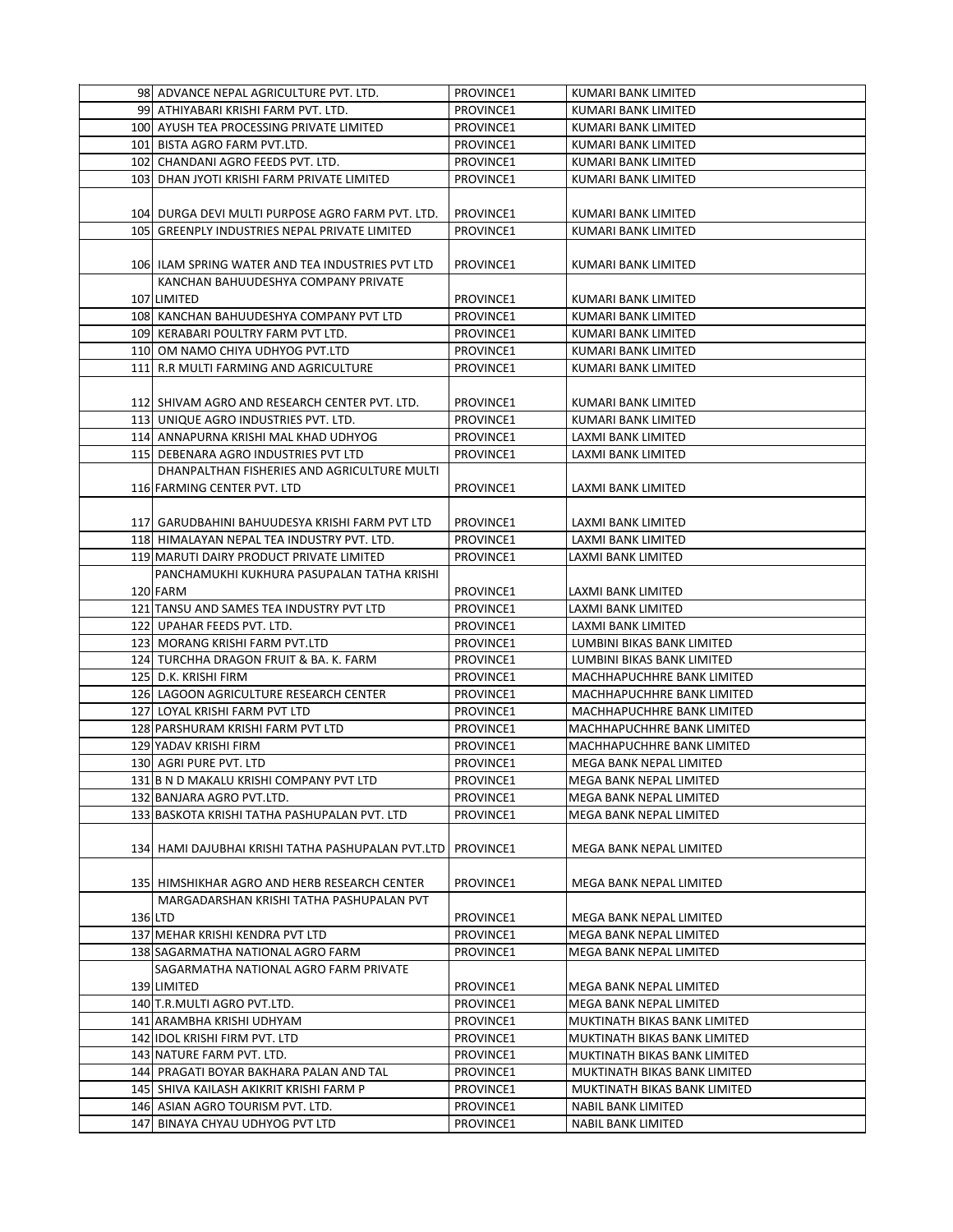|         | 98 ADVANCE NEPAL AGRICULTURE PVT. LTD.                        | PROVINCE1 | KUMARI BANK LIMITED          |
|---------|---------------------------------------------------------------|-----------|------------------------------|
|         | 99 ATHIYABARI KRISHI FARM PVT. LTD.                           | PROVINCE1 | KUMARI BANK LIMITED          |
|         | 100 AYUSH TEA PROCESSING PRIVATE LIMITED                      | PROVINCE1 | KUMARI BANK LIMITED          |
|         | 101 BISTA AGRO FARM PVT.LTD.                                  | PROVINCE1 | KUMARI BANK LIMITED          |
|         | 102 CHANDANI AGRO FEEDS PVT. LTD.                             | PROVINCE1 | KUMARI BANK LIMITED          |
|         | 103 DHAN JYOTI KRISHI FARM PRIVATE LIMITED                    | PROVINCE1 | KUMARI BANK LIMITED          |
|         |                                                               |           |                              |
|         | 104 DURGA DEVI MULTI PURPOSE AGRO FARM PVT. LTD.              | PROVINCE1 | KUMARI BANK LIMITED          |
|         | 105 GREENPLY INDUSTRIES NEPAL PRIVATE LIMITED                 | PROVINCE1 | KUMARI BANK LIMITED          |
|         |                                                               |           |                              |
|         | 106 ILAM SPRING WATER AND TEA INDUSTRIES PVT LTD              | PROVINCE1 | KUMARI BANK LIMITED          |
|         | KANCHAN BAHUUDESHYA COMPANY PRIVATE                           |           |                              |
|         | 107 LIMITED                                                   | PROVINCE1 | KUMARI BANK LIMITED          |
|         | 108 KANCHAN BAHUUDESHYA COMPANY PVT LTD                       | PROVINCE1 | KUMARI BANK LIMITED          |
|         | 109 KERABARI POULTRY FARM PVT LTD.                            | PROVINCE1 | KUMARI BANK LIMITED          |
|         | 110 OM NAMO CHIYA UDHYOG PVT.LTD                              | PROVINCE1 | KUMARI BANK LIMITED          |
|         | 111 R.R MULTI FARMING AND AGRICULTURE                         | PROVINCE1 | KUMARI BANK LIMITED          |
|         |                                                               |           |                              |
|         | 112 SHIVAM AGRO AND RESEARCH CENTER PVT. LTD.                 | PROVINCE1 | KUMARI BANK LIMITED          |
|         | 113 UNIQUE AGRO INDUSTRIES PVT. LTD.                          | PROVINCE1 | KUMARI BANK LIMITED          |
|         | 114 ANNAPURNA KRISHI MAL KHAD UDHYOG                          | PROVINCE1 | LAXMI BANK LIMITED           |
|         | 115 DEBENARA AGRO INDUSTRIES PVT LTD                          | PROVINCE1 | LAXMI BANK LIMITED           |
|         | DHANPALTHAN FISHERIES AND AGRICULTURE MULTI                   |           |                              |
|         | 116 FARMING CENTER PVT. LTD                                   | PROVINCE1 | LAXMI BANK LIMITED           |
|         |                                                               |           |                              |
|         | 117 GARUDBAHINI BAHUUDESYA KRISHI FARM PVT LTD                | PROVINCE1 | LAXMI BANK LIMITED           |
|         | 118 HIMALAYAN NEPAL TEA INDUSTRY PVT. LTD.                    | PROVINCE1 | LAXMI BANK LIMITED           |
|         | 119 MARUTI DAIRY PRODUCT PRIVATE LIMITED                      | PROVINCE1 | LAXMI BANK LIMITED           |
|         | PANCHAMUKHI KUKHURA PASUPALAN TATHA KRISHI                    |           |                              |
|         | 120 FARM                                                      | PROVINCE1 | LAXMI BANK LIMITED           |
|         | 121 TANSU AND SAMES TEA INDUSTRY PVT LTD                      | PROVINCE1 | LAXMI BANK LIMITED           |
|         | 122 UPAHAR FEEDS PVT. LTD.                                    | PROVINCE1 | LAXMI BANK LIMITED           |
|         | 123 MORANG KRISHI FARM PVT.LTD                                | PROVINCE1 | LUMBINI BIKAS BANK LIMITED   |
|         | 124 TURCHHA DRAGON FRUIT & BA. K. FARM                        | PROVINCE1 | LUMBINI BIKAS BANK LIMITED   |
|         | 125 D.K. KRISHI FIRM                                          | PROVINCE1 | MACHHAPUCHHRE BANK LIMITED   |
|         | 126 LAGOON AGRICULTURE RESEARCH CENTER                        | PROVINCE1 | MACHHAPUCHHRE BANK LIMITED   |
|         | 127 LOYAL KRISHI FARM PVT LTD                                 | PROVINCE1 | MACHHAPUCHHRE BANK LIMITED   |
|         | 128 PARSHURAM KRISHI FARM PVT LTD                             | PROVINCE1 | MACHHAPUCHHRE BANK LIMITED   |
|         | 129 YADAV KRISHI FIRM                                         | PROVINCE1 | MACHHAPUCHHRE BANK LIMITED   |
|         | 130 AGRI PURE PVT. LTD                                        | PROVINCE1 | MEGA BANK NEPAL LIMITED      |
|         | 131 B N D MAKALU KRISHI COMPANY PVT LTD                       | PROVINCE1 | MEGA BANK NEPAL LIMITED      |
|         | 132 BANJARA AGRO PVT.LTD.                                     | PROVINCE1 | MEGA BANK NEPAL LIMITED      |
|         | 133 BASKOTA KRISHI TATHA PASHUPALAN PVT. LTD                  | PROVINCE1 | MEGA BANK NEPAL LIMITED      |
|         |                                                               |           |                              |
|         | 134 HAMI DAJUBHAI KRISHI TATHA PASHUPALAN PVT.LTD   PROVINCE1 |           | MEGA BANK NEPAL LIMITED      |
|         |                                                               |           |                              |
|         | 135 HIMSHIKHAR AGRO AND HERB RESEARCH CENTER                  | PROVINCE1 | MEGA BANK NEPAL LIMITED      |
|         | MARGADARSHAN KRISHI TATHA PASHUPALAN PVT                      |           |                              |
| 136 LTD |                                                               | PROVINCE1 | MEGA BANK NEPAL LIMITED      |
|         | 137 MEHAR KRISHI KENDRA PVT LTD                               | PROVINCE1 | MEGA BANK NEPAL LIMITED      |
|         | 138 SAGARMATHA NATIONAL AGRO FARM                             | PROVINCE1 | MEGA BANK NEPAL LIMITED      |
|         | SAGARMATHA NATIONAL AGRO FARM PRIVATE                         |           |                              |
|         | 139 LIMITED                                                   | PROVINCE1 | MEGA BANK NEPAL LIMITED      |
|         | 140 T.R.MULTI AGRO PVT.LTD.                                   | PROVINCE1 | MEGA BANK NEPAL LIMITED      |
|         | 141 ARAMBHA KRISHI UDHYAM                                     | PROVINCE1 | MUKTINATH BIKAS BANK LIMITED |
|         | 142 IDOL KRISHI FIRM PVT. LTD                                 | PROVINCE1 | MUKTINATH BIKAS BANK LIMITED |
|         | 143 NATURE FARM PVT. LTD.                                     | PROVINCE1 | MUKTINATH BIKAS BANK LIMITED |
|         | 144 PRAGATI BOYAR BAKHARA PALAN AND TAL                       | PROVINCE1 | MUKTINATH BIKAS BANK LIMITED |
|         | 145 SHIVA KAILASH AKIKRIT KRISHI FARM P                       | PROVINCE1 | MUKTINATH BIKAS BANK LIMITED |
|         | 146 ASIAN AGRO TOURISM PVT. LTD.                              | PROVINCE1 | <b>NABIL BANK LIMITED</b>    |
|         | 147 BINAYA CHYAU UDHYOG PVT LTD                               | PROVINCE1 | NABIL BANK LIMITED           |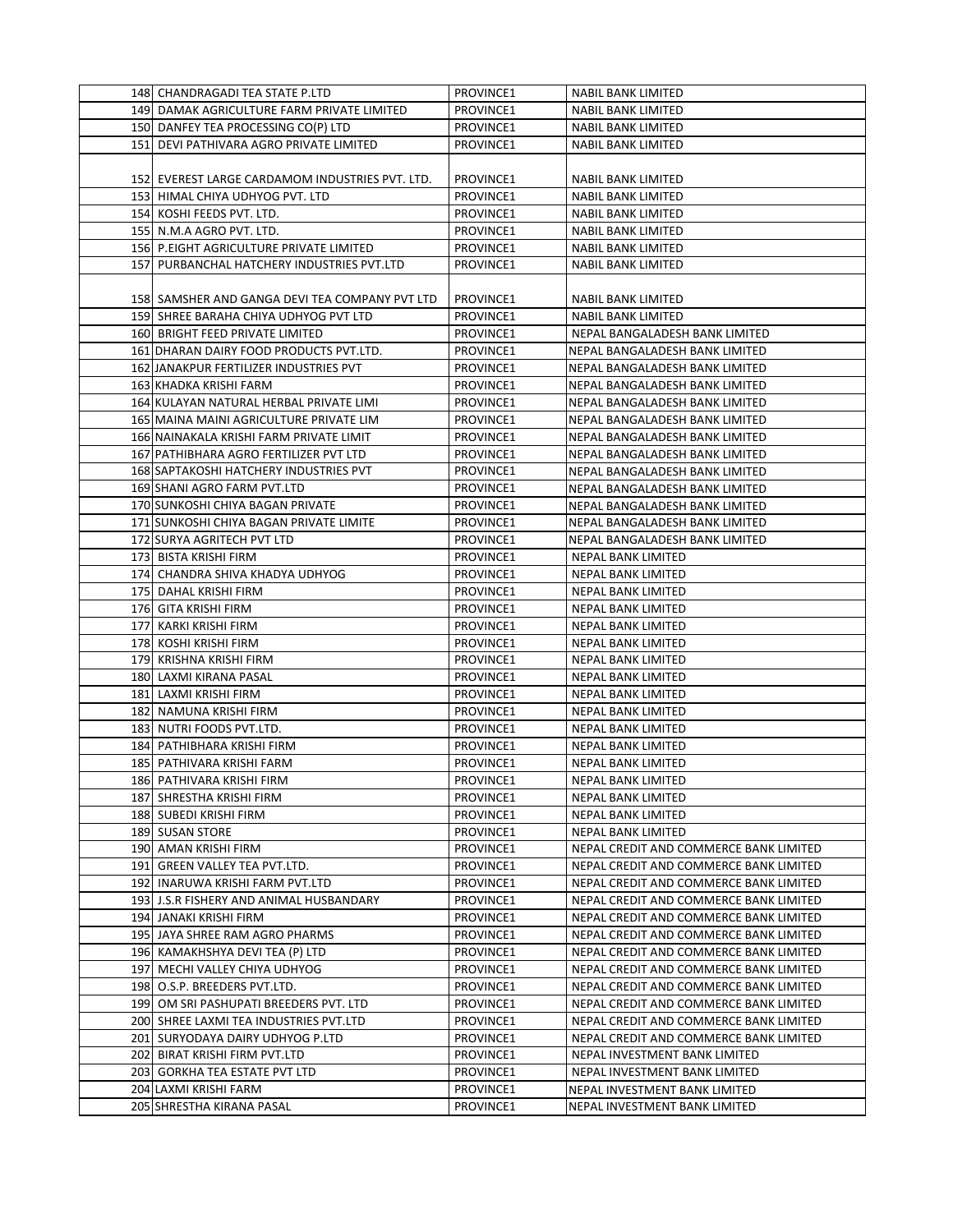| 148 CHANDRAGADI TEA STATE P.LTD                 | PROVINCE1 | <b>NABIL BANK LIMITED</b>              |
|-------------------------------------------------|-----------|----------------------------------------|
| 149 DAMAK AGRICULTURE FARM PRIVATE LIMITED      | PROVINCE1 | <b>NABIL BANK LIMITED</b>              |
| 150 DANFEY TEA PROCESSING CO(P) LTD             | PROVINCE1 | <b>NABIL BANK LIMITED</b>              |
| 151 DEVI PATHIVARA AGRO PRIVATE LIMITED         | PROVINCE1 | <b>NABIL BANK LIMITED</b>              |
|                                                 |           |                                        |
| 152 EVEREST LARGE CARDAMOM INDUSTRIES PVT. LTD. | PROVINCE1 | <b>NABIL BANK LIMITED</b>              |
| 153 HIMAL CHIYA UDHYOG PVT. LTD                 | PROVINCE1 | <b>NABIL BANK LIMITED</b>              |
| 154 KOSHI FEEDS PVT. LTD.                       | PROVINCE1 | <b>NABIL BANK LIMITED</b>              |
| 155 N.M.A AGRO PVT. LTD.                        | PROVINCE1 | <b>NABIL BANK LIMITED</b>              |
| 156 P.EIGHT AGRICULTURE PRIVATE LIMITED         | PROVINCE1 | <b>NABIL BANK LIMITED</b>              |
| 157 PURBANCHAL HATCHERY INDUSTRIES PVT.LTD      |           |                                        |
|                                                 | PROVINCE1 | <b>NABIL BANK LIMITED</b>              |
|                                                 |           |                                        |
| 158 SAMSHER AND GANGA DEVI TEA COMPANY PVT LTD  | PROVINCE1 | <b>NABIL BANK LIMITED</b>              |
| 159 SHREE BARAHA CHIYA UDHYOG PVT LTD           | PROVINCE1 | NABIL BANK LIMITED                     |
| 160 BRIGHT FEED PRIVATE LIMITED                 | PROVINCE1 | NEPAL BANGALADESH BANK LIMITED         |
| 161 DHARAN DAIRY FOOD PRODUCTS PVT.LTD.         | PROVINCE1 | NEPAL BANGALADESH BANK LIMITED         |
| 162 JANAKPUR FERTILIZER INDUSTRIES PVT          | PROVINCE1 | NEPAL BANGALADESH BANK LIMITED         |
| 163 KHADKA KRISHI FARM                          | PROVINCE1 | NEPAL BANGALADESH BANK LIMITED         |
| 164 KULAYAN NATURAL HERBAL PRIVATE LIMI         | PROVINCE1 | NEPAL BANGALADESH BANK LIMITED         |
| 165 MAINA MAINI AGRICULTURE PRIVATE LIM         | PROVINCE1 | NEPAL BANGALADESH BANK LIMITED         |
| 166 NAINAKALA KRISHI FARM PRIVATE LIMIT         | PROVINCE1 | NEPAL BANGALADESH BANK LIMITED         |
| 167 PATHIBHARA AGRO FERTILIZER PVT LTD          | PROVINCE1 | NEPAL BANGALADESH BANK LIMITED         |
| 168 SAPTAKOSHI HATCHERY INDUSTRIES PVT          | PROVINCE1 | NEPAL BANGALADESH BANK LIMITED         |
| 169 SHANI AGRO FARM PVT.LTD                     | PROVINCE1 | NEPAL BANGALADESH BANK LIMITED         |
| 170 SUNKOSHI CHIYA BAGAN PRIVATE                | PROVINCE1 | NEPAL BANGALADESH BANK LIMITED         |
| 171 SUNKOSHI CHIYA BAGAN PRIVATE LIMITE         | PROVINCE1 | NEPAL BANGALADESH BANK LIMITED         |
| 172 SURYA AGRITECH PVT LTD                      | PROVINCE1 | NEPAL BANGALADESH BANK LIMITED         |
| 173 BISTA KRISHI FIRM                           | PROVINCE1 | NEPAL BANK LIMITED                     |
| 174 CHANDRA SHIVA KHADYA UDHYOG                 | PROVINCE1 | NEPAL BANK LIMITED                     |
| 175 DAHAL KRISHI FIRM                           | PROVINCE1 | NEPAL BANK LIMITED                     |
| 176 GITA KRISHI FIRM                            | PROVINCE1 | <b>NEPAL BANK LIMITED</b>              |
| 177 KARKI KRISHI FIRM                           | PROVINCE1 | NEPAL BANK LIMITED                     |
| 178 KOSHI KRISHI FIRM                           | PROVINCE1 | NEPAL BANK LIMITED                     |
| 179 KRISHNA KRISHI FIRM                         | PROVINCE1 | NEPAL BANK LIMITED                     |
| 180 LAXMI KIRANA PASAL                          | PROVINCE1 | NEPAL BANK LIMITED                     |
| 181 LAXMI KRISHI FIRM                           | PROVINCE1 | NEPAL BANK LIMITED                     |
| 182 NAMUNA KRISHI FIRM                          | PROVINCE1 | NEPAL BANK LIMITED                     |
| 183 NUTRI FOODS PVT.LTD.                        | PROVINCE1 | NEPAL BANK LIMITED                     |
| 184 PATHIBHARA KRISHI FIRM                      | PROVINCE1 | <b>NEPAL BANK LIMITED</b>              |
| 185 PATHIVARA KRISHI FARM                       | PROVINCE1 | <b>NEPAL BANK LIMITED</b>              |
| 186 PATHIVARA KRISHI FIRM                       | PROVINCE1 | NEPAL BANK LIMITED                     |
| 187 SHRESTHA KRISHI FIRM                        | PROVINCE1 | NEPAL BANK LIMITED                     |
| 188 SUBEDI KRISHI FIRM                          | PROVINCE1 | NEPAL BANK LIMITED                     |
| 189 SUSAN STORE                                 | PROVINCE1 | NEPAL BANK LIMITED                     |
| 190 AMAN KRISHI FIRM                            | PROVINCE1 | NEPAL CREDIT AND COMMERCE BANK LIMITED |
| 191 GREEN VALLEY TEA PVT.LTD.                   | PROVINCE1 | NEPAL CREDIT AND COMMERCE BANK LIMITED |
| 192 INARUWA KRISHI FARM PVT.LTD                 | PROVINCE1 | NEPAL CREDIT AND COMMERCE BANK LIMITED |
| 193 J.S.R FISHERY AND ANIMAL HUSBANDARY         | PROVINCE1 | NEPAL CREDIT AND COMMERCE BANK LIMITED |
| 194 JANAKI KRISHI FIRM                          | PROVINCE1 | NEPAL CREDIT AND COMMERCE BANK LIMITED |
| 195 JAYA SHREE RAM AGRO PHARMS                  | PROVINCE1 | NEPAL CREDIT AND COMMERCE BANK LIMITED |
| 196 KAMAKHSHYA DEVI TEA (P) LTD                 | PROVINCE1 | NEPAL CREDIT AND COMMERCE BANK LIMITED |
| 197 MECHI VALLEY CHIYA UDHYOG                   | PROVINCE1 | NEPAL CREDIT AND COMMERCE BANK LIMITED |
| 198 O.S.P. BREEDERS PVT.LTD.                    | PROVINCE1 | NEPAL CREDIT AND COMMERCE BANK LIMITED |
| 199 OM SRI PASHUPATI BREEDERS PVT. LTD          | PROVINCE1 | NEPAL CREDIT AND COMMERCE BANK LIMITED |
| 200 SHREE LAXMI TEA INDUSTRIES PVT.LTD          | PROVINCE1 | NEPAL CREDIT AND COMMERCE BANK LIMITED |
| 201 SURYODAYA DAIRY UDHYOG P.LTD                | PROVINCE1 | NEPAL CREDIT AND COMMERCE BANK LIMITED |
| 202 BIRAT KRISHI FIRM PVT.LTD                   | PROVINCE1 | NEPAL INVESTMENT BANK LIMITED          |
| 203 GORKHA TEA ESTATE PVT LTD                   | PROVINCE1 | NEPAL INVESTMENT BANK LIMITED          |
|                                                 |           |                                        |
| 204 LAXMI KRISHI FARM                           | PROVINCE1 | NEPAL INVESTMENT BANK LIMITED          |
| 205 SHRESTHA KIRANA PASAL                       | PROVINCE1 | NEPAL INVESTMENT BANK LIMITED          |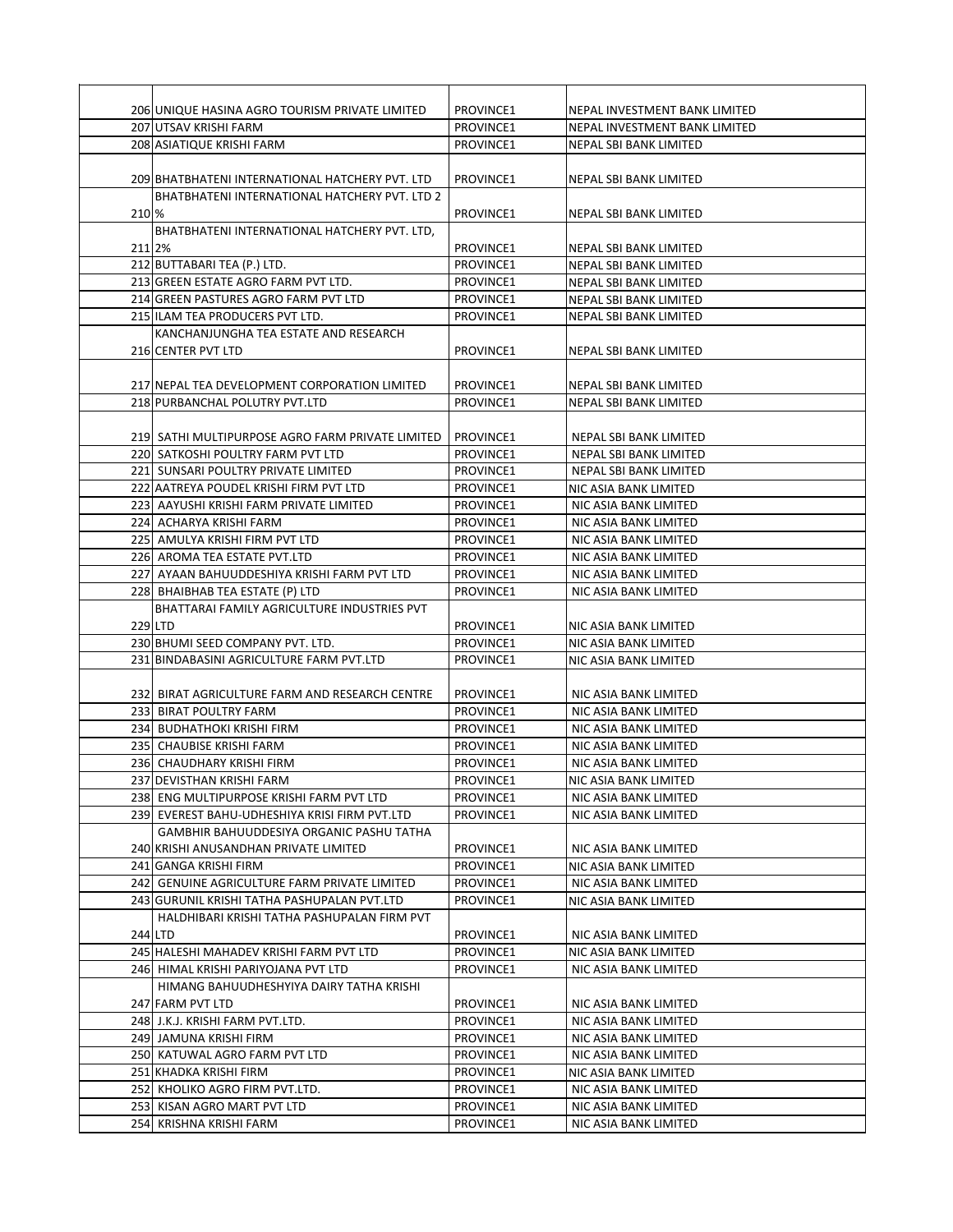|        | 206 UNIQUE HASINA AGRO TOURISM PRIVATE LIMITED       | PROVINCE1 | NEPAL INVESTMENT BANK LIMITED |
|--------|------------------------------------------------------|-----------|-------------------------------|
|        | 207 UTSAV KRISHI FARM                                | PROVINCE1 | NEPAL INVESTMENT BANK LIMITED |
|        | 208 ASIATIQUE KRISHI FARM                            | PROVINCE1 | NEPAL SBI BANK LIMITED        |
|        |                                                      |           |                               |
|        | 209 BHATBHATENI INTERNATIONAL HATCHERY PVT. LTD      | PROVINCE1 | NEPAL SBI BANK LIMITED        |
|        | <b>BHATBHATENI INTERNATIONAL HATCHERY PVT. LTD 2</b> |           |                               |
| 210 %  |                                                      | PROVINCE1 | NEPAL SBI BANK LIMITED        |
|        | BHATBHATENI INTERNATIONAL HATCHERY PVT. LTD,         |           |                               |
| 211 2% |                                                      | PROVINCE1 | <b>NEPAL SBI BANK LIMITED</b> |
|        | 212 BUTTABARI TEA (P.) LTD.                          | PROVINCE1 | <b>NEPAL SBI BANK LIMITED</b> |
|        | 213 GREEN ESTATE AGRO FARM PVT LTD.                  | PROVINCE1 | <b>NEPAL SBI BANK LIMITED</b> |
|        | 214 GREEN PASTURES AGRO FARM PVT LTD                 | PROVINCE1 | NEPAL SBI BANK LIMITED        |
|        | 215 ILAM TEA PRODUCERS PVT LTD.                      | PROVINCE1 | NEPAL SBI BANK LIMITED        |
|        | KANCHANJUNGHA TEA ESTATE AND RESEARCH                |           |                               |
|        | 216 CENTER PVT LTD                                   | PROVINCE1 | NEPAL SBI BANK LIMITED        |
|        |                                                      |           |                               |
|        | 217 NEPAL TEA DEVELOPMENT CORPORATION LIMITED        | PROVINCE1 | NEPAL SBI BANK LIMITED        |
|        | 218 PURBANCHAL POLUTRY PVT.LTD                       | PROVINCE1 | <b>NEPAL SBI BANK LIMITED</b> |
|        |                                                      |           |                               |
|        | 219 SATHI MULTIPURPOSE AGRO FARM PRIVATE LIMITED     | PROVINCE1 | NEPAL SBI BANK LIMITED        |
|        | 220 SATKOSHI POULTRY FARM PVT LTD                    | PROVINCE1 | NEPAL SBI BANK LIMITED        |
|        | 221 SUNSARI POULTRY PRIVATE LIMITED                  | PROVINCE1 | NEPAL SBI BANK LIMITED        |
|        | 222 AATREYA POUDEL KRISHI FIRM PVT LTD               | PROVINCE1 | NIC ASIA BANK LIMITED         |
|        | 223 AAYUSHI KRISHI FARM PRIVATE LIMITED              | PROVINCE1 | NIC ASIA BANK LIMITED         |
|        | 224 ACHARYA KRISHI FARM                              | PROVINCE1 | NIC ASIA BANK LIMITED         |
|        | 225 AMULYA KRISHI FIRM PVT LTD                       | PROVINCE1 | NIC ASIA BANK LIMITED         |
|        | 226 AROMA TEA ESTATE PVT.LTD                         | PROVINCE1 | NIC ASIA BANK LIMITED         |
|        | 227 AYAAN BAHUUDDESHIYA KRISHI FARM PVT LTD          | PROVINCE1 | NIC ASIA BANK LIMITED         |
|        | 228 BHAIBHAB TEA ESTATE (P) LTD                      | PROVINCE1 | NIC ASIA BANK LIMITED         |
|        | BHATTARAI FAMILY AGRICULTURE INDUSTRIES PVT          |           |                               |
|        | 229 LTD                                              | PROVINCE1 | NIC ASIA BANK LIMITED         |
|        | 230 BHUMI SEED COMPANY PVT. LTD.                     | PROVINCE1 | NIC ASIA BANK LIMITED         |
|        | 231 BINDABASINI AGRICULTURE FARM PVT.LTD             | PROVINCE1 | NIC ASIA BANK LIMITED         |
|        |                                                      |           |                               |
|        | 232 BIRAT AGRICULTURE FARM AND RESEARCH CENTRE       | PROVINCE1 | NIC ASIA BANK LIMITED         |
|        | 233 BIRAT POULTRY FARM                               | PROVINCE1 | NIC ASIA BANK LIMITED         |
|        | 234 BUDHATHOKI KRISHI FIRM                           | PROVINCE1 | NIC ASIA BANK LIMITED         |
|        | 235 CHAUBISE KRISHI FARM                             | PROVINCE1 | NIC ASIA BANK LIMITED         |
|        | 236 CHAUDHARY KRISHI FIRM                            | PROVINCE1 | NIC ASIA BANK LIMITED         |
|        | 237 DEVISTHAN KRISHI FARM                            | PROVINCE1 | NIC ASIA BANK LIMITED         |
|        | 238 ENG MULTIPURPOSE KRISHI FARM PVT LTD             | PROVINCE1 | NIC ASIA BANK LIMITED         |
|        | 239 EVEREST BAHU-UDHESHIYA KRISI FIRM PVT.LTD        | PROVINCE1 | NIC ASIA BANK LIMITED         |
|        | GAMBHIR BAHUUDDESIYA ORGANIC PASHU TATHA             |           |                               |
|        | 240 KRISHI ANUSANDHAN PRIVATE LIMITED                | PROVINCE1 | NIC ASIA BANK LIMITED         |
|        | 241 GANGA KRISHI FIRM                                | PROVINCE1 | NIC ASIA BANK LIMITED         |
|        | 242 GENUINE AGRICULTURE FARM PRIVATE LIMITED         | PROVINCE1 | NIC ASIA BANK LIMITED         |
|        | 243 GURUNIL KRISHI TATHA PASHUPALAN PVT.LTD          | PROVINCE1 | NIC ASIA BANK LIMITED         |
|        | HALDHIBARI KRISHI TATHA PASHUPALAN FIRM PVT          |           |                               |
|        | 244 LTD                                              | PROVINCE1 | NIC ASIA BANK LIMITED         |
|        | 245 HALESHI MAHADEV KRISHI FARM PVT LTD              | PROVINCE1 | NIC ASIA BANK LIMITED         |
|        | 246 HIMAL KRISHI PARIYOJANA PVT LTD                  | PROVINCE1 | NIC ASIA BANK LIMITED         |
|        | HIMANG BAHUUDHESHYIYA DAIRY TATHA KRISHI             |           |                               |
|        | 247 FARM PVT LTD                                     | PROVINCE1 | NIC ASIA BANK LIMITED         |
|        | 248 J.K.J. KRISHI FARM PVT.LTD.                      | PROVINCE1 | NIC ASIA BANK LIMITED         |
|        | 249 JAMUNA KRISHI FIRM                               | PROVINCE1 | NIC ASIA BANK LIMITED         |
|        | 250 KATUWAL AGRO FARM PVT LTD                        | PROVINCE1 | NIC ASIA BANK LIMITED         |
|        | 251 KHADKA KRISHI FIRM                               | PROVINCE1 | NIC ASIA BANK LIMITED         |
|        | 252 KHOLIKO AGRO FIRM PVT.LTD.                       | PROVINCE1 | NIC ASIA BANK LIMITED         |
|        | 253 KISAN AGRO MART PVT LTD                          | PROVINCE1 | NIC ASIA BANK LIMITED         |
|        |                                                      |           |                               |
|        | 254 KRISHNA KRISHI FARM                              | PROVINCE1 | NIC ASIA BANK LIMITED         |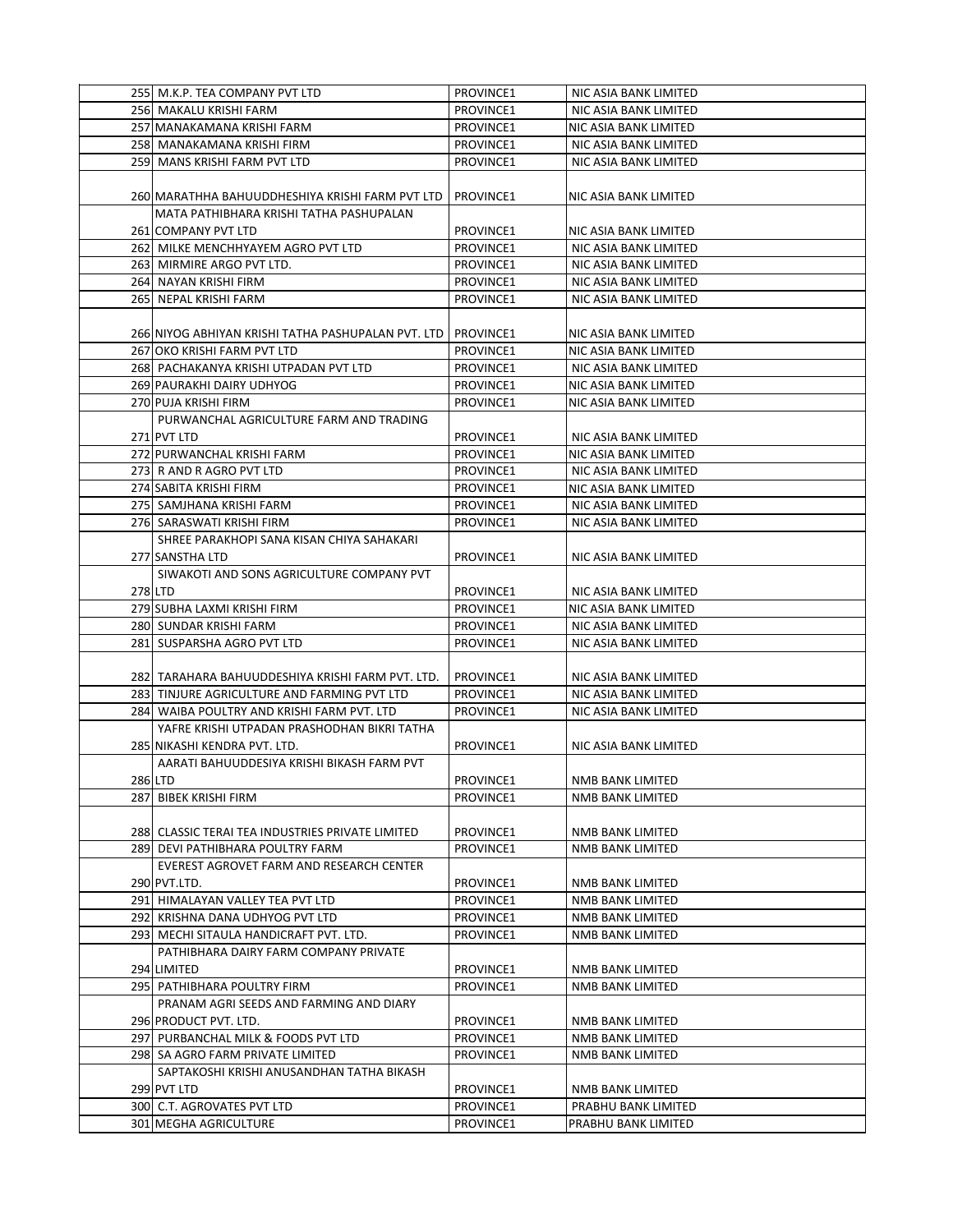| 255 M.K.P. TEA COMPANY PVT LTD                     | PROVINCE1        | NIC ASIA BANK LIMITED |
|----------------------------------------------------|------------------|-----------------------|
| 256 MAKALU KRISHI FARM                             | PROVINCE1        | NIC ASIA BANK LIMITED |
| 257 MANAKAMANA KRISHI FARM                         | PROVINCE1        | NIC ASIA BANK LIMITED |
| 258 MANAKAMANA KRISHI FIRM                         | PROVINCE1        | NIC ASIA BANK LIMITED |
| 259 MANS KRISHI FARM PVT LTD                       | PROVINCE1        | NIC ASIA BANK LIMITED |
|                                                    |                  |                       |
| 260 MARATHHA BAHUUDDHESHIYA KRISHI FARM PVT LTD    | PROVINCE1        | NIC ASIA BANK LIMITED |
| MATA PATHIBHARA KRISHI TATHA PASHUPALAN            |                  |                       |
| 261 COMPANY PVT LTD                                | PROVINCE1        | NIC ASIA BANK LIMITED |
| 262 MILKE MENCHHYAYEM AGRO PVT LTD                 | PROVINCE1        | NIC ASIA BANK LIMITED |
| 263 MIRMIRE ARGO PVT LTD.                          | PROVINCE1        | NIC ASIA BANK LIMITED |
| 264 NAYAN KRISHI FIRM                              | PROVINCE1        | NIC ASIA BANK LIMITED |
| 265 NEPAL KRISHI FARM                              | PROVINCE1        | NIC ASIA BANK LIMITED |
|                                                    |                  |                       |
| 266 NIYOG ABHIYAN KRISHI TATHA PASHUPALAN PVT. LTD | <b>PROVINCE1</b> | NIC ASIA BANK LIMITED |
| 267 OKO KRISHI FARM PVT LTD                        | PROVINCE1        | NIC ASIA BANK LIMITED |
| 268 PACHAKANYA KRISHI UTPADAN PVT LTD              | PROVINCE1        | NIC ASIA BANK LIMITED |
| <b>269 PAURAKHI DAIRY UDHYOG</b>                   | PROVINCE1        | NIC ASIA BANK LIMITED |
| 270 PUJA KRISHI FIRM                               | PROVINCE1        | NIC ASIA BANK LIMITED |
| PURWANCHAL AGRICULTURE FARM AND TRADING            |                  |                       |
| 271 PVT LTD                                        | PROVINCE1        | NIC ASIA BANK LIMITED |
| 272 PURWANCHAL KRISHI FARM                         | PROVINCE1        | NIC ASIA BANK LIMITED |
| 273 R AND R AGRO PVT LTD                           | PROVINCE1        | NIC ASIA BANK LIMITED |
| 274 SABITA KRISHI FIRM                             | PROVINCE1        | NIC ASIA BANK LIMITED |
| 275 SAMJHANA KRISHI FARM                           | PROVINCE1        | NIC ASIA BANK LIMITED |
| 276 SARASWATI KRISHI FIRM                          | PROVINCE1        | NIC ASIA BANK LIMITED |
| SHREE PARAKHOPI SANA KISAN CHIYA SAHAKARI          |                  |                       |
| 277 SANSTHA LTD                                    | PROVINCE1        | NIC ASIA BANK LIMITED |
| SIWAKOTI AND SONS AGRICULTURE COMPANY PVT          |                  |                       |
| 278LTD                                             | PROVINCE1        | NIC ASIA BANK LIMITED |
| 279 SUBHA LAXMI KRISHI FIRM                        | PROVINCE1        | NIC ASIA BANK LIMITED |
| 280 SUNDAR KRISHI FARM                             | PROVINCE1        | NIC ASIA BANK LIMITED |
| 281 SUSPARSHA AGRO PVT LTD                         | PROVINCE1        | NIC ASIA BANK LIMITED |
|                                                    |                  |                       |
| 282 TARAHARA BAHUUDDESHIYA KRISHI FARM PVT. LTD.   | PROVINCE1        | NIC ASIA BANK LIMITED |
| 283 TINJURE AGRICULTURE AND FARMING PVT LTD        | PROVINCE1        | NIC ASIA BANK LIMITED |
| 284 WAIBA POULTRY AND KRISHI FARM PVT. LTD         | PROVINCE1        | NIC ASIA BANK LIMITED |
| YAFRE KRISHI UTPADAN PRASHODHAN BIKRI TATHA        |                  |                       |
| 285 NIKASHI KENDRA PVT. LTD.                       | PROVINCE1        | NIC ASIA BANK LIMITED |
| AARATI BAHUUDDESIYA KRISHI BIKASH FARM PVT         |                  |                       |
| 286 LTD                                            | PROVINCE1        | NMB BANK LIMITED      |
| 287 BIBEK KRISHI FIRM                              | PROVINCE1        | NMB BANK LIMITED      |
|                                                    |                  |                       |
| 288 CLASSIC TERAI TEA INDUSTRIES PRIVATE LIMITED   | PROVINCE1        | NMB BANK LIMITED      |
| 289 DEVI PATHIBHARA POULTRY FARM                   | PROVINCE1        | NMB BANK LIMITED      |
| EVEREST AGROVET FARM AND RESEARCH CENTER           |                  |                       |
| 290 PVT.LTD.                                       | PROVINCE1        | NMB BANK LIMITED      |
| 291 HIMALAYAN VALLEY TEA PVT LTD                   | PROVINCE1        | NMB BANK LIMITED      |
| 292  KRISHNA DANA UDHYOG PVT LTD                   | PROVINCE1        | NMB BANK LIMITED      |
| 293 MECHI SITAULA HANDICRAFT PVT. LTD.             | PROVINCE1        | NMB BANK LIMITED      |
| PATHIBHARA DAIRY FARM COMPANY PRIVATE              |                  |                       |
| 294 LIMITED                                        | PROVINCE1        | NMB BANK LIMITED      |
| 295 PATHIBHARA POULTRY FIRM                        | PROVINCE1        | NMB BANK LIMITED      |
| PRANAM AGRI SEEDS AND FARMING AND DIARY            |                  |                       |
| 296 PRODUCT PVT. LTD.                              | PROVINCE1        | NMB BANK LIMITED      |
| 297 PURBANCHAL MILK & FOODS PVT LTD                | PROVINCE1        | NMB BANK LIMITED      |
| 298 SA AGRO FARM PRIVATE LIMITED                   | PROVINCE1        | NMB BANK LIMITED      |
| SAPTAKOSHI KRISHI ANUSANDHAN TATHA BIKASH          |                  |                       |
| 299 PVT LTD                                        | PROVINCE1        | NMB BANK LIMITED      |
| 300 C.T. AGROVATES PVT LTD                         | PROVINCE1        | PRABHU BANK LIMITED   |
| 301 MEGHA AGRICULTURE                              | PROVINCE1        | PRABHU BANK LIMITED   |
|                                                    |                  |                       |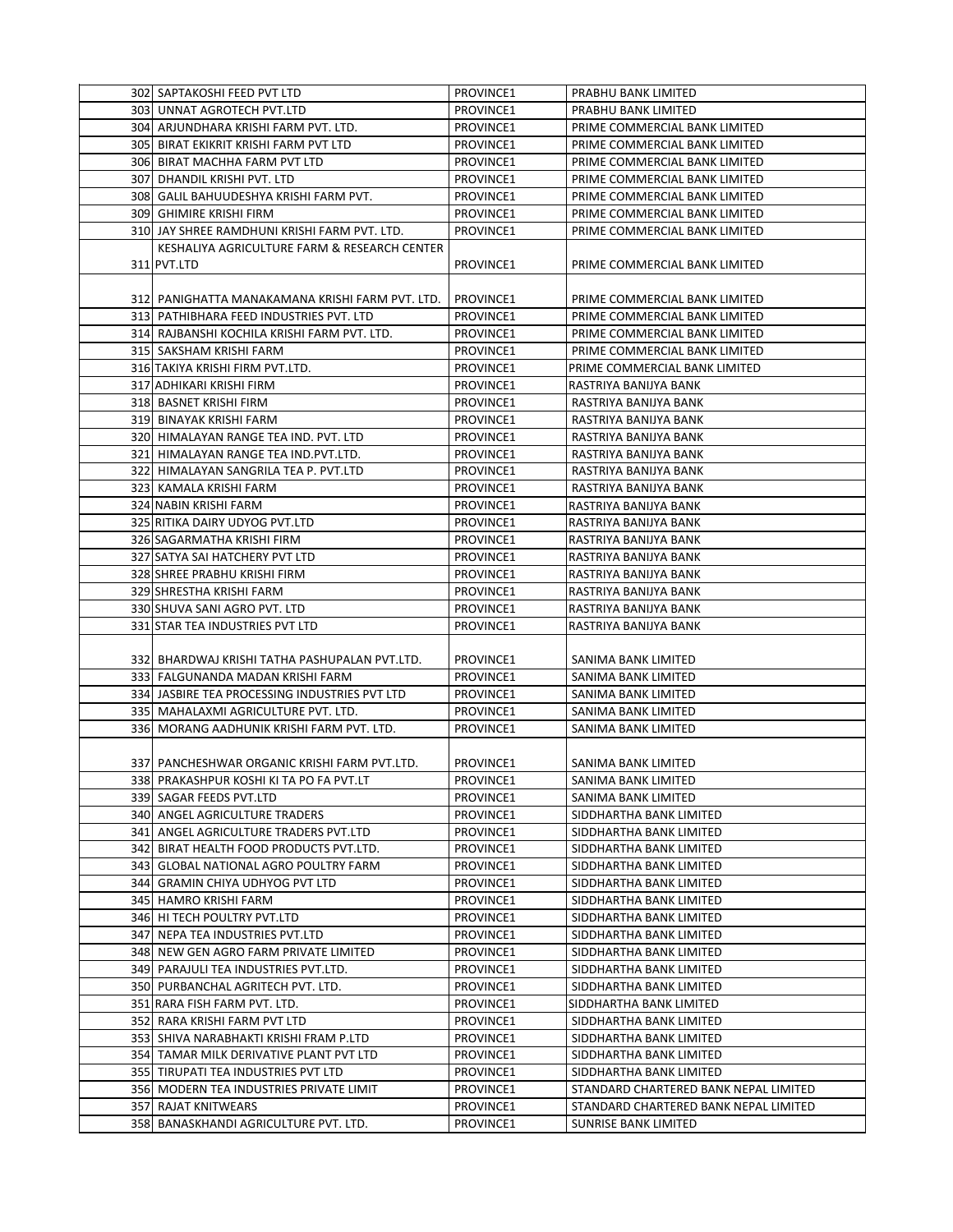| 302 SAPTAKOSHI FEED PVT LTD                             | PROVINCE1 | PRABHU BANK LIMITED                            |
|---------------------------------------------------------|-----------|------------------------------------------------|
| 303 UNNAT AGROTECH PVT.LTD                              | PROVINCE1 | PRABHU BANK LIMITED                            |
| 304 ARJUNDHARA KRISHI FARM PVT. LTD.                    | PROVINCE1 | PRIME COMMERCIAL BANK LIMITED                  |
| 305 BIRAT EKIKRIT KRISHI FARM PVT LTD                   | PROVINCE1 | PRIME COMMERCIAL BANK LIMITED                  |
| 306 BIRAT MACHHA FARM PVT LTD                           | PROVINCE1 | PRIME COMMERCIAL BANK LIMITED                  |
| 307 DHANDIL KRISHI PVT. LTD                             | PROVINCE1 | PRIME COMMERCIAL BANK LIMITED                  |
| 308 GALIL BAHUUDESHYA KRISHI FARM PVT.                  | PROVINCE1 | PRIME COMMERCIAL BANK LIMITED                  |
| 309 GHIMIRE KRISHI FIRM                                 | PROVINCE1 | PRIME COMMERCIAL BANK LIMITED                  |
| 310 JAY SHREE RAMDHUNI KRISHI FARM PVT. LTD.            | PROVINCE1 | PRIME COMMERCIAL BANK LIMITED                  |
| KESHALIYA AGRICULTURE FARM & RESEARCH CENTER            |           |                                                |
| 311 PVT.LTD                                             | PROVINCE1 | PRIME COMMERCIAL BANK LIMITED                  |
|                                                         |           |                                                |
| 312 PANIGHATTA MANAKAMANA KRISHI FARM PVT. LTD.         | PROVINCE1 | PRIME COMMERCIAL BANK LIMITED                  |
| 313 PATHIBHARA FEED INDUSTRIES PVT. LTD                 | PROVINCE1 | PRIME COMMERCIAL BANK LIMITED                  |
| 314 RAJBANSHI KOCHILA KRISHI FARM PVT. LTD.             | PROVINCE1 | PRIME COMMERCIAL BANK LIMITED                  |
| 315 SAKSHAM KRISHI FARM                                 | PROVINCE1 | PRIME COMMERCIAL BANK LIMITED                  |
| 316 TAKIYA KRISHI FIRM PVT.LTD.                         | PROVINCE1 | PRIME COMMERCIAL BANK LIMITED                  |
| 317 ADHIKARI KRISHI FIRM                                | PROVINCE1 | RASTRIYA BANIJYA BANK                          |
| 318 BASNET KRISHI FIRM                                  | PROVINCE1 | RASTRIYA BANIJYA BANK                          |
| 319 BINAYAK KRISHI FARM                                 | PROVINCE1 |                                                |
| 320 HIMALAYAN RANGE TEA IND. PVT. LTD                   | PROVINCE1 | RASTRIYA BANIJYA BANK<br>RASTRIYA BANIJYA BANK |
| 321 HIMALAYAN RANGE TEA IND. PVT.LTD.                   | PROVINCE1 | RASTRIYA BANIJYA BANK                          |
| 322 HIMALAYAN SANGRILA TEA P. PVT.LTD                   | PROVINCE1 | RASTRIYA BANIJYA BANK                          |
| 323 KAMALA KRISHI FARM                                  | PROVINCE1 |                                                |
|                                                         | PROVINCE1 | RASTRIYA BANIJYA BANK                          |
| 324 NABIN KRISHI FARM<br>325 RITIKA DAIRY UDYOG PVT.LTD |           | RASTRIYA BANIJYA BANK                          |
|                                                         | PROVINCE1 | RASTRIYA BANIJYA BANK                          |
| 326 SAGARMATHA KRISHI FIRM                              | PROVINCE1 | RASTRIYA BANIJYA BANK                          |
| 327 SATYA SAI HATCHERY PVT LTD                          | PROVINCE1 | RASTRIYA BANIJYA BANK                          |
| 328 SHREE PRABHU KRISHI FIRM                            | PROVINCE1 | RASTRIYA BANIJYA BANK                          |
| 329 SHRESTHA KRISHI FARM                                | PROVINCE1 | RASTRIYA BANIJYA BANK                          |
| 330 SHUVA SANI AGRO PVT. LTD                            | PROVINCE1 | RASTRIYA BANIJYA BANK                          |
| 331 STAR TEA INDUSTRIES PVT LTD                         | PROVINCE1 | RASTRIYA BANIJYA BANK                          |
|                                                         |           |                                                |
| 332 BHARDWAJ KRISHI TATHA PASHUPALAN PVT.LTD.           | PROVINCE1 | SANIMA BANK LIMITED                            |
| 333 FALGUNANDA MADAN KRISHI FARM                        | PROVINCE1 | SANIMA BANK LIMITED                            |
| 334 JASBIRE TEA PROCESSING INDUSTRIES PVT LTD           | PROVINCE1 | SANIMA BANK LIMITED                            |
| 335 MAHALAXMI AGRICULTURE PVT. LTD.                     | PROVINCE1 | SANIMA BANK LIMITED                            |
| 336 MORANG AADHUNIK KRISHI FARM PVT. LTD.               | PROVINCE1 | SANIMA BANK LIMITED                            |
|                                                         |           |                                                |
| 337 PANCHESHWAR ORGANIC KRISHI FARM PVT.LTD.            | PROVINCE1 | SANIMA BANK LIMITED                            |
| 338 PRAKASHPUR KOSHI KI TA PO FA PVT.LT                 | PROVINCE1 | SANIMA BANK LIMITED                            |
| 339 SAGAR FEEDS PVT.LTD                                 | PROVINCE1 | SANIMA BANK LIMITED                            |
| 340 ANGEL AGRICULTURE TRADERS                           | PROVINCE1 | SIDDHARTHA BANK LIMITED                        |
| 341 ANGEL AGRICULTURE TRADERS PVT.LTD                   | PROVINCE1 | SIDDHARTHA BANK LIMITED                        |
| 342 BIRAT HEALTH FOOD PRODUCTS PVT.LTD.                 | PROVINCE1 | SIDDHARTHA BANK LIMITED                        |
| 343 GLOBAL NATIONAL AGRO POULTRY FARM                   | PROVINCE1 | SIDDHARTHA BANK LIMITED                        |
| 344 GRAMIN CHIYA UDHYOG PVT LTD                         | PROVINCE1 | SIDDHARTHA BANK LIMITED                        |
| 345 HAMRO KRISHI FARM                                   | PROVINCE1 | SIDDHARTHA BANK LIMITED                        |
| 346 HI TECH POULTRY PVT.LTD                             | PROVINCE1 | SIDDHARTHA BANK LIMITED                        |
| 347 NEPA TEA INDUSTRIES PVT.LTD                         | PROVINCE1 | SIDDHARTHA BANK LIMITED                        |
| 348 NEW GEN AGRO FARM PRIVATE LIMITED                   | PROVINCE1 | SIDDHARTHA BANK LIMITED                        |
| 349 PARAJULI TEA INDUSTRIES PVT.LTD.                    | PROVINCE1 | SIDDHARTHA BANK LIMITED                        |
| 350 PURBANCHAL AGRITECH PVT. LTD.                       | PROVINCE1 | SIDDHARTHA BANK LIMITED                        |
| 351 RARA FISH FARM PVT. LTD.                            | PROVINCE1 | SIDDHARTHA BANK LIMITED                        |
| 352 RARA KRISHI FARM PVT LTD                            | PROVINCE1 | SIDDHARTHA BANK LIMITED                        |
| 353 SHIVA NARABHAKTI KRISHI FRAM P.LTD                  | PROVINCE1 | SIDDHARTHA BANK LIMITED                        |
| 354 TAMAR MILK DERIVATIVE PLANT PVT LTD                 | PROVINCE1 | SIDDHARTHA BANK LIMITED                        |
| 355 TIRUPATI TEA INDUSTRIES PVT LTD                     | PROVINCE1 | SIDDHARTHA BANK LIMITED                        |
| 356 MODERN TEA INDUSTRIES PRIVATE LIMIT                 | PROVINCE1 | STANDARD CHARTERED BANK NEPAL LIMITED          |
| 357 RAJAT KNITWEARS                                     | PROVINCE1 | STANDARD CHARTERED BANK NEPAL LIMITED          |
| 358 BANASKHANDI AGRICULTURE PVT. LTD.                   | PROVINCE1 | SUNRISE BANK LIMITED                           |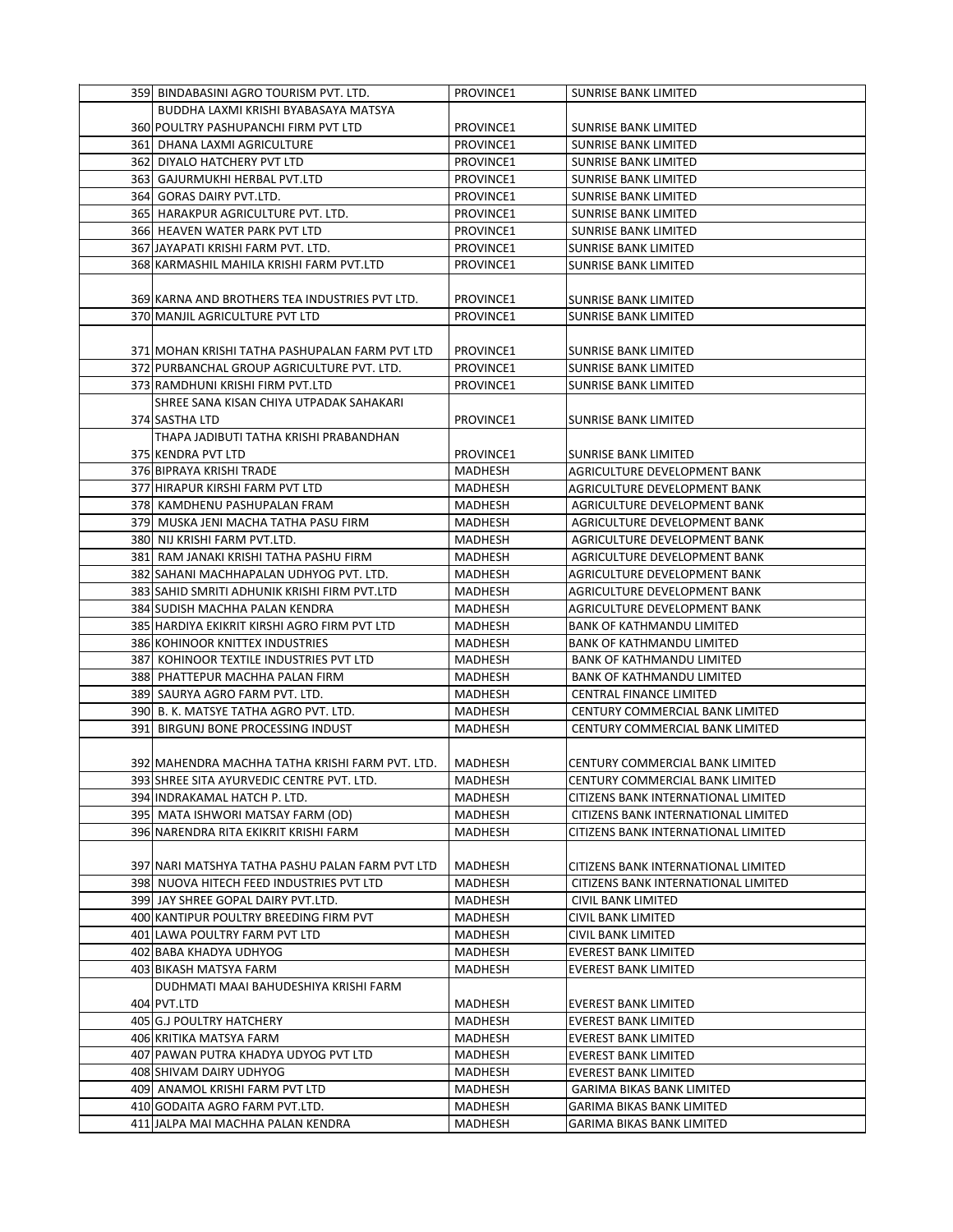| 359 BINDABASINI AGRO TOURISM PVT. LTD.          | PROVINCE1      | <b>SUNRISE BANK LIMITED</b>         |
|-------------------------------------------------|----------------|-------------------------------------|
| BUDDHA LAXMI KRISHI BYABASAYA MATSYA            |                |                                     |
| 360 POULTRY PASHUPANCHI FIRM PVT LTD            | PROVINCE1      | <b>SUNRISE BANK LIMITED</b>         |
| 361 DHANA LAXMI AGRICULTURE                     | PROVINCE1      | <b>SUNRISE BANK LIMITED</b>         |
| 362 DIYALO HATCHERY PVT LTD                     | PROVINCE1      | SUNRISE BANK LIMITED                |
| 363 GAJURMUKHI HERBAL PVT.LTD                   | PROVINCE1      | SUNRISE BANK LIMITED                |
| 364 GORAS DAIRY PVT.LTD.                        | PROVINCE1      | SUNRISE BANK LIMITED                |
| 365 HARAKPUR AGRICULTURE PVT. LTD.              | PROVINCE1      | SUNRISE BANK LIMITED                |
| 366 HEAVEN WATER PARK PVT LTD                   | PROVINCE1      | SUNRISE BANK LIMITED                |
| 367 JAYAPATI KRISHI FARM PVT. LTD.              | PROVINCE1      | <b>SUNRISE BANK LIMITED</b>         |
| 368 KARMASHIL MAHILA KRISHI FARM PVT.LTD        | PROVINCE1      | <b>SUNRISE BANK LIMITED</b>         |
|                                                 |                |                                     |
| 369 KARNA AND BROTHERS TEA INDUSTRIES PVT LTD.  | PROVINCE1      | SUNRISE BANK LIMITED                |
| 370 MANJIL AGRICULTURE PVT LTD                  | PROVINCE1      | SUNRISE BANK LIMITED                |
|                                                 |                |                                     |
| 371 MOHAN KRISHI TATHA PASHUPALAN FARM PVT LTD  | PROVINCE1      | SUNRISE BANK LIMITED                |
| 372 PURBANCHAL GROUP AGRICULTURE PVT. LTD.      | PROVINCE1      | <b>SUNRISE BANK LIMITED</b>         |
| 373 RAMDHUNI KRISHI FIRM PVT.LTD                | PROVINCE1      | SUNRISE BANK LIMITED                |
| SHREE SANA KISAN CHIYA UTPADAK SAHAKARI         |                |                                     |
| 374 SASTHA LTD                                  | PROVINCE1      | SUNRISE BANK LIMITED                |
| THAPA JADIBUTI TATHA KRISHI PRABANDHAN          |                |                                     |
| 375 KENDRA PVT LTD                              | PROVINCE1      | SUNRISE BANK LIMITED                |
| 376 BIPRAYA KRISHI TRADE                        | MADHESH        | AGRICULTURE DEVELOPMENT BANK        |
| 377 HIRAPUR KIRSHI FARM PVT LTD                 | MADHESH        | AGRICULTURE DEVELOPMENT BANK        |
| 378 KAMDHENU PASHUPALAN FRAM                    | MADHESH        | AGRICULTURE DEVELOPMENT BANK        |
| 379 MUSKA JENI MACHA TATHA PASU FIRM            | MADHESH        | AGRICULTURE DEVELOPMENT BANK        |
| 380 NIJ KRISHI FARM PVT.LTD.                    | <b>MADHESH</b> | AGRICULTURE DEVELOPMENT BANK        |
| 381 RAM JANAKI KRISHI TATHA PASHU FIRM          | <b>MADHESH</b> | AGRICULTURE DEVELOPMENT BANK        |
| 382 SAHANI MACHHAPALAN UDHYOG PVT. LTD.         | MADHESH        | AGRICULTURE DEVELOPMENT BANK        |
| 383 SAHID SMRITI ADHUNIK KRISHI FIRM PVT.LTD    | MADHESH        | AGRICULTURE DEVELOPMENT BANK        |
| 384 SUDISH MACHHA PALAN KENDRA                  | MADHESH        | AGRICULTURE DEVELOPMENT BANK        |
| 385 HARDIYA EKIKRIT KIRSHI AGRO FIRM PVT LTD    | MADHESH        | <b>BANK OF KATHMANDU LIMITED</b>    |
| 386 KOHINOOR KNITTEX INDUSTRIES                 | MADHESH        | <b>BANK OF KATHMANDU LIMITED</b>    |
| 387 KOHINOOR TEXTILE INDUSTRIES PVT LTD         | <b>MADHESH</b> | <b>BANK OF KATHMANDU LIMITED</b>    |
| 388 PHATTEPUR MACHHA PALAN FIRM                 | <b>MADHESH</b> | <b>BANK OF KATHMANDU LIMITED</b>    |
| 389 SAURYA AGRO FARM PVT. LTD.                  | MADHESH        | CENTRAL FINANCE LIMITED             |
| 390  B. K. MATSYE TATHA AGRO PVT. LTD.          | MADHESH        | CENTURY COMMERCIAL BANK LIMITED     |
| 391 BIRGUNJ BONE PROCESSING INDUST              | MADHESH        | CENTURY COMMERCIAL BANK LIMITED     |
| 392 MAHENDRA MACHHA TATHA KRISHI FARM PVT. LTD. | <b>MADHESH</b> | CENTURY COMMERCIAL BANK LIMITED     |
| 393 SHREE SITA AYURVEDIC CENTRE PVT. LTD        | MADHESH        | CENTURY COMMERCIAL BANK LIMITED     |
| 394 INDRAKAMAL HATCH P. LTD.                    | MADHESH        | CITIZENS BANK INTERNATIONAL LIMITED |
| 395 MATA ISHWORI MATSAY FARM (OD)               | MADHESH        | CITIZENS BANK INTERNATIONAL LIMITED |
| 396 NARENDRA RITA EKIKRIT KRISHI FARM           | MADHESH        | CITIZENS BANK INTERNATIONAL LIMITED |
|                                                 |                |                                     |
| 397 NARI MATSHYA TATHA PASHU PALAN FARM PVT LTD | MADHESH        | CITIZENS BANK INTERNATIONAL LIMITED |
| 398  NUOVA HITECH FEED INDUSTRIES PVT LTD       | MADHESH        | CITIZENS BANK INTERNATIONAL LIMITED |
| 399 JAY SHREE GOPAL DAIRY PVT.LTD.              | MADHESH        | CIVIL BANK LIMITED                  |
| 400 KANTIPUR POULTRY BREEDING FIRM PVT          | MADHESH        | CIVIL BANK LIMITED                  |
| 401 LAWA POULTRY FARM PVT LTD                   | MADHESH        | CIVIL BANK LIMITED                  |
| 402 BABA KHADYA UDHYOG                          | MADHESH        | <b>EVEREST BANK LIMITED</b>         |
| 403 BIKASH MATSYA FARM                          | MADHESH        | EVEREST BANK LIMITED                |
| DUDHMATI MAAI BAHUDESHIYA KRISHI FARM           |                |                                     |
| 404 PVT.LTD                                     | MADHESH        | <b>EVEREST BANK LIMITED</b>         |
| 405 G.J POULTRY HATCHERY                        | MADHESH        | EVEREST BANK LIMITED                |
| 406 KRITIKA MATSYA FARM                         | MADHESH        | <b>EVEREST BANK LIMITED</b>         |
| 407 PAWAN PUTRA KHADYA UDYOG PVT LTD            | MADHESH        | EVEREST BANK LIMITED                |
| 408 SHIVAM DAIRY UDHYOG                         | MADHESH        | EVEREST BANK LIMITED                |
| 409 ANAMOL KRISHI FARM PVT LTD                  | MADHESH        | GARIMA BIKAS BANK LIMITED           |
| 410 GODAITA AGRO FARM PVT.LTD.                  | MADHESH        | GARIMA BIKAS BANK LIMITED           |
| 411 JALPA MAI MACHHA PALAN KENDRA               | MADHESH        | GARIMA BIKAS BANK LIMITED           |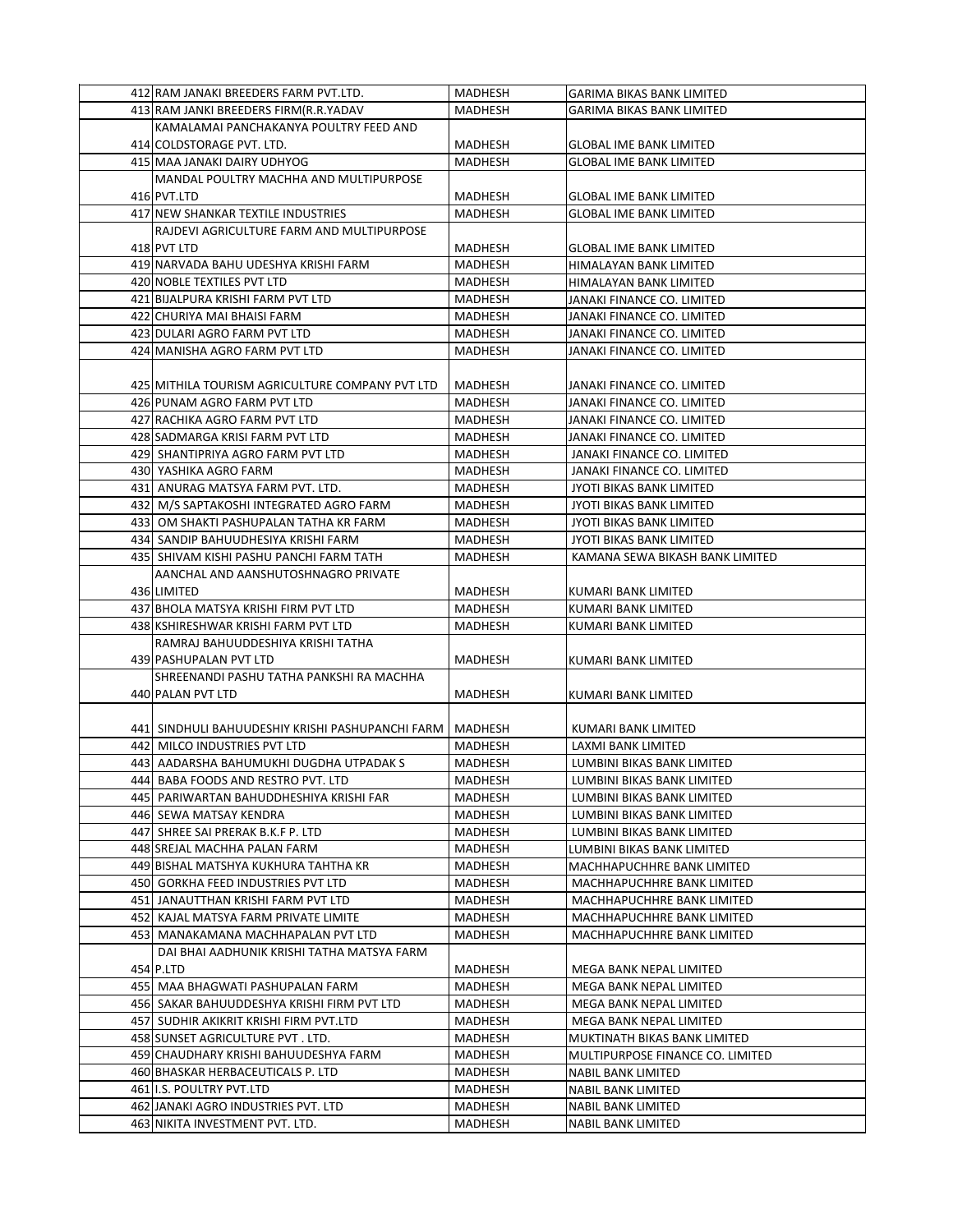| 412 RAM JANAKI BREEDERS FARM PVT.LTD.                                  | <b>MADHESH</b>     | <b>GARIMA BIKAS BANK LIMITED</b>         |
|------------------------------------------------------------------------|--------------------|------------------------------------------|
| 413 RAM JANKI BREEDERS FIRM (R.R.YADAV                                 | MADHESH            | <b>GARIMA BIKAS BANK LIMITED</b>         |
| KAMALAMAI PANCHAKANYA POULTRY FEED AND                                 |                    |                                          |
| 414 COLDSTORAGE PVT. LTD.                                              | MADHESH            | <b>GLOBAL IME BANK LIMITED</b>           |
| 415 MAA JANAKI DAIRY UDHYOG                                            | MADHESH            | <b>GLOBAL IME BANK LIMITED</b>           |
| MANDAL POULTRY MACHHA AND MULTIPURPOSE                                 |                    |                                          |
| 416 PVT.LTD                                                            | MADHESH            | <b>GLOBAL IME BANK LIMITED</b>           |
| 417 NEW SHANKAR TEXTILE INDUSTRIES                                     | <b>MADHESH</b>     | <b>GLOBAL IME BANK LIMITED</b>           |
| RAJDEVI AGRICULTURE FARM AND MULTIPURPOSE                              |                    |                                          |
| 418 PVT LTD                                                            | MADHESH            | <b>GLOBAL IME BANK LIMITED</b>           |
| 419 NARVADA BAHU UDESHYA KRISHI FARM                                   | <b>MADHESH</b>     | HIMALAYAN BANK LIMITED                   |
| 420 NOBLE TEXTILES PVT LTD                                             | MADHESH            | HIMALAYAN BANK LIMITED                   |
| 421 BIJALPURA KRISHI FARM PVT LTD                                      | MADHESH            | JANAKI FINANCE CO. LIMITED               |
| 422 CHURIYA MAI BHAISI FARM                                            | MADHESH            | JANAKI FINANCE CO. LIMITED               |
| 423 DULARI AGRO FARM PVT LTD                                           | <b>MADHESH</b>     | JANAKI FINANCE CO. LIMITED               |
|                                                                        |                    |                                          |
| 424 MANISHA AGRO FARM PVT LTD                                          | MADHESH            | JANAKI FINANCE CO. LIMITED               |
|                                                                        |                    |                                          |
| 425 MITHILA TOURISM AGRICULTURE COMPANY PVT LTD                        | MADHESH            | JANAKI FINANCE CO. LIMITED               |
| 426 PUNAM AGRO FARM PVT LTD                                            | MADHESH            | JANAKI FINANCE CO. LIMITED               |
| 427 RACHIKA AGRO FARM PVT LTD                                          | MADHESH            | JANAKI FINANCE CO. LIMITED               |
| 428 SADMARGA KRISI FARM PVT LTD                                        | MADHESH            | JANAKI FINANCE CO. LIMITED               |
| 429 SHANTIPRIYA AGRO FARM PVT LTD                                      | MADHESH            | JANAKI FINANCE CO. LIMITED               |
| 430 YASHIKA AGRO FARM                                                  | MADHESH            | JANAKI FINANCE CO. LIMITED               |
| 431 ANURAG MATSYA FARM PVT. LTD.                                       | <b>MADHESH</b>     | <b>JYOTI BIKAS BANK LIMITED</b>          |
| 432 M/S SAPTAKOSHI INTEGRATED AGRO FARM                                | MADHESH            | JYOTI BIKAS BANK LIMITED                 |
| 433  OM SHAKTI PASHUPALAN TATHA KR FARM                                | MADHESH            | JYOTI BIKAS BANK LIMITED                 |
| 434 SANDIP BAHUUDHESIYA KRISHI FARM                                    | MADHESH            | JYOTI BIKAS BANK LIMITED                 |
| 435 SHIVAM KISHI PASHU PANCHI FARM TATH                                | MADHESH            | KAMANA SEWA BIKASH BANK LIMITED          |
| AANCHAL AND AANSHUTOSHNAGRO PRIVATE                                    |                    |                                          |
| 436 LIMITED                                                            | MADHESH            | KUMARI BANK LIMITED                      |
| 437 BHOLA MATSYA KRISHI FIRM PVT LTD                                   | MADHESH            | KUMARI BANK LIMITED                      |
| 438 KSHIRESHWAR KRISHI FARM PVT LTD                                    | MADHESH            | KUMARI BANK LIMITED                      |
| RAMRAJ BAHUUDDESHIYA KRISHI TATHA                                      |                    |                                          |
| 439 PASHUPALAN PVT LTD                                                 | MADHESH            | KUMARI BANK LIMITED                      |
| SHREENANDI PASHU TATHA PANKSHI RA MACHHA                               |                    |                                          |
| 440 PALAN PVT LTD                                                      | MADHESH            | KUMARI BANK LIMITED                      |
|                                                                        |                    |                                          |
| 441  SINDHULI BAHUUDESHIY KRISHI PASHUPANCHI FARM                      | MADHESH            | KUMARI BANK LIMITED                      |
| 442 MILCO INDUSTRIES PVT LTD                                           | MADHESH            | LAXMI BANK LIMITED                       |
| 443  AADARSHA BAHUMUKHI DUGDHA UTPADAK S                               | MADHESH            | LUMBINI BIKAS BANK LIMITED               |
| 444 BABA FOODS AND RESTRO PVT. LTD                                     |                    |                                          |
|                                                                        | MADHESH            | LUMBINI BIKAS BANK LIMITED               |
| 445  PARIWARTAN BAHUDDHESHIYA KRISHI FAR                               | MADHESH            | LUMBINI BIKAS BANK LIMITED               |
| 446 SEWA MATSAY KENDRA                                                 | MADHESH            | LUMBINI BIKAS BANK LIMITED               |
| 447  SHREE SAI PRERAK B.K.F P. LTD                                     | MADHESH            | LUMBINI BIKAS BANK LIMITED               |
| 448 SREJAL MACHHA PALAN FARM                                           | MADHESH            | LUMBINI BIKAS BANK LIMITED               |
| 449 BISHAL MATSHYA KUKHURA TAHTHA KR                                   | MADHESH            | MACHHAPUCHHRE BANK LIMITED               |
| 450 GORKHA FEED INDUSTRIES PVT LTD                                     | <b>MADHESH</b>     | MACHHAPUCHHRE BANK LIMITED               |
| 451 JANAUTTHAN KRISHI FARM PVT LTD                                     | MADHESH            | MACHHAPUCHHRE BANK LIMITED               |
| 452 KAJAL MATSYA FARM PRIVATE LIMITE                                   | MADHESH            | MACHHAPUCHHRE BANK LIMITED               |
| 453  MANAKAMANA MACHHAPALAN PVT LTD                                    | MADHESH            | MACHHAPUCHHRE BANK LIMITED               |
| DAI BHAI AADHUNIK KRISHI TATHA MATSYA FARM                             |                    |                                          |
|                                                                        |                    |                                          |
| 454 P.LTD                                                              | MADHESH            | MEGA BANK NEPAL LIMITED                  |
| 455  MAA BHAGWATI PASHUPALAN FARM                                      | MADHESH            | MEGA BANK NEPAL LIMITED                  |
| 456  SAKAR BAHUUDDESHYA KRISHI FIRM PVT LTD                            | MADHESH            | MEGA BANK NEPAL LIMITED                  |
| 457  SUDHIR AKIKRIT KRISHI FIRM PVT.LTD                                | MADHESH            | MEGA BANK NEPAL LIMITED                  |
| 458 SUNSET AGRICULTURE PVT. LTD.                                       | MADHESH            | MUKTINATH BIKAS BANK LIMITED             |
| 459 CHAUDHARY KRISHI BAHUUDESHYA FARM                                  | MADHESH            | MULTIPURPOSE FINANCE CO. LIMITED         |
| 460 BHASKAR HERBACEUTICALS P. LTD                                      | MADHESH            | NABIL BANK LIMITED                       |
| 461 I.S. POULTRY PVT.LTD                                               | MADHESH            | NABIL BANK LIMITED                       |
| 462 JANAKI AGRO INDUSTRIES PVT. LTD<br>463 NIKITA INVESTMENT PVT. LTD. | MADHESH<br>MADHESH | NABIL BANK LIMITED<br>NABIL BANK LIMITED |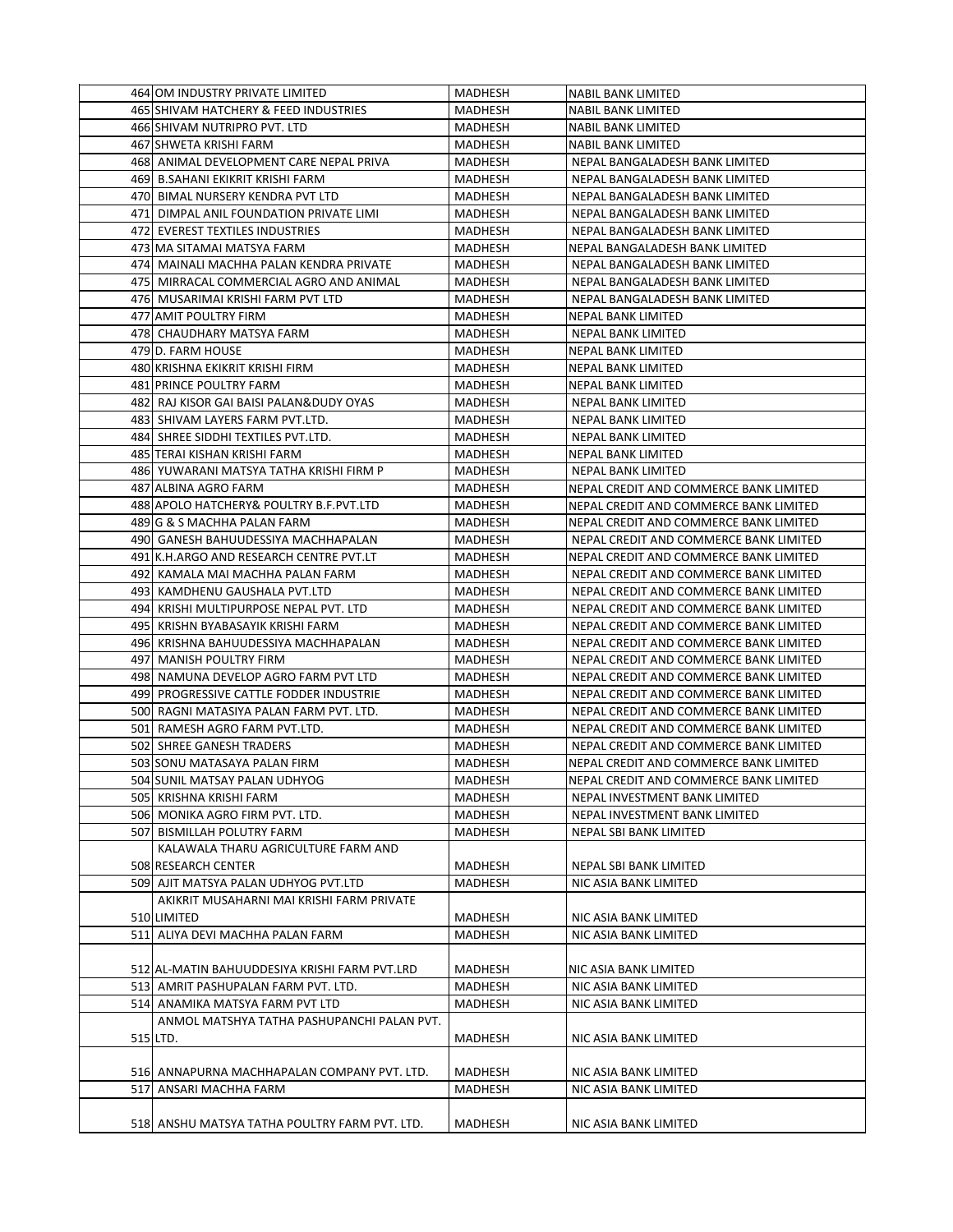| 464 OM INDUSTRY PRIVATE LIMITED                                       | <b>MADHESH</b> | NABIL BANK LIMITED                     |
|-----------------------------------------------------------------------|----------------|----------------------------------------|
| 465 SHIVAM HATCHERY & FEED INDUSTRIES                                 | <b>MADHESH</b> | NABIL BANK LIMITED                     |
| 466 SHIVAM NUTRIPRO PVT. LTD                                          | MADHESH        | NABIL BANK LIMITED                     |
| 467 SHWETA KRISHI FARM                                                | MADHESH        | <b>NABIL BANK LIMITED</b>              |
| 468 ANIMAL DEVELOPMENT CARE NEPAL PRIVA                               | <b>MADHESH</b> | NEPAL BANGALADESH BANK LIMITED         |
| 469 B.SAHANI EKIKRIT KRISHI FARM                                      | MADHESH        | NEPAL BANGALADESH BANK LIMITED         |
| 470 BIMAL NURSERY KENDRA PVT LTD                                      | MADHESH        | NEPAL BANGALADESH BANK LIMITED         |
| 471 DIMPAL ANIL FOUNDATION PRIVATE LIMI                               | MADHESH        | NEPAL BANGALADESH BANK LIMITED         |
| 472 EVEREST TEXTILES INDUSTRIES                                       | MADHESH        | NEPAL BANGALADESH BANK LIMITED         |
| 473 MA SITAMAI MATSYA FARM                                            | MADHESH        | NEPAL BANGALADESH BANK LIMITED         |
| 474  MAINALI MACHHA PALAN KENDRA PRIVATE                              | MADHESH        | NEPAL BANGALADESH BANK LIMITED         |
| 475  MIRRACAL COMMERCIAL AGRO AND ANIMAL                              | <b>MADHESH</b> | NEPAL BANGALADESH BANK LIMITED         |
| 476 MUSARIMAI KRISHI FARM PVT LTD                                     | MADHESH        | NEPAL BANGALADESH BANK LIMITED         |
| 477 AMIT POULTRY FIRM                                                 | MADHESH        | NEPAL BANK LIMITED                     |
| 478 CHAUDHARY MATSYA FARM                                             | MADHESH        | NEPAL BANK LIMITED                     |
| 479 D. FARM HOUSE                                                     | MADHESH        | NEPAL BANK LIMITED                     |
| 480 KRISHNA EKIKRIT KRISHI FIRM                                       | MADHESH        | NEPAL BANK LIMITED                     |
| 481 PRINCE POULTRY FARM                                               | MADHESH        | NEPAL BANK LIMITED                     |
| 482 RAJ KISOR GAI BAISI PALAN&DUDY OYAS                               | MADHESH        | NEPAL BANK LIMITED                     |
|                                                                       |                | <b>NEPAL BANK LIMITED</b>              |
| 483 SHIVAM LAYERS FARM PVT.LTD.<br>484 SHREE SIDDHI TEXTILES PVT.LTD. | MADHESH        |                                        |
|                                                                       | MADHESH        | NEPAL BANK LIMITED                     |
| 485 TERAI KISHAN KRISHI FARM                                          | MADHESH        | <b>NEPAL BANK LIMITED</b>              |
| 486 YUWARANI MATSYA TATHA KRISHI FIRM P                               | MADHESH        | NEPAL BANK LIMITED                     |
| 487 ALBINA AGRO FARM                                                  | MADHESH        | NEPAL CREDIT AND COMMERCE BANK LIMITED |
| 488 APOLO HATCHERY& POULTRY B.F.PVT.LTD                               | MADHESH        | NEPAL CREDIT AND COMMERCE BANK LIMITED |
| 489 G & S MACHHA PALAN FARM                                           | <b>MADHESH</b> | NEPAL CREDIT AND COMMERCE BANK LIMITED |
| 490 GANESH BAHUUDESSIYA MACHHAPALAN                                   | MADHESH        | NEPAL CREDIT AND COMMERCE BANK LIMITED |
| 491 K.H.ARGO AND RESEARCH CENTRE PVT.LT                               | MADHESH        | NEPAL CREDIT AND COMMERCE BANK LIMITED |
| 492 KAMALA MAI MACHHA PALAN FARM                                      | MADHESH        | NEPAL CREDIT AND COMMERCE BANK LIMITED |
| 493 KAMDHENU GAUSHALA PVT.LTD                                         | MADHESH        | NEPAL CREDIT AND COMMERCE BANK LIMITED |
| 494 KRISHI MULTIPURPOSE NEPAL PVT. LTD                                | MADHESH        | NEPAL CREDIT AND COMMERCE BANK LIMITED |
| 495 KRISHN BYABASAYIK KRISHI FARM                                     | MADHESH        | NEPAL CREDIT AND COMMERCE BANK LIMITED |
| 496 KRISHNA BAHUUDESSIYA MACHHAPALAN                                  | MADHESH        | NEPAL CREDIT AND COMMERCE BANK LIMITED |
| 497 MANISH POULTRY FIRM                                               | MADHESH        | NEPAL CREDIT AND COMMERCE BANK LIMITED |
| 498 NAMUNA DEVELOP AGRO FARM PVT LTD                                  | <b>MADHESH</b> | NEPAL CREDIT AND COMMERCE BANK LIMITED |
| 499 PROGRESSIVE CATTLE FODDER INDUSTRIE                               | MADHESH        | NEPAL CREDIT AND COMMERCE BANK LIMITED |
| 500 RAGNI MATASIYA PALAN FARM PVT. LTD.                               | MADHESH        | NEPAL CREDIT AND COMMERCE BANK LIMITED |
| 501 RAMESH AGRO FARM PVT.LTD.                                         | MADHESH        | NEPAL CREDIT AND COMMERCE BANK LIMITED |
| 502 SHREE GANESH TRADERS                                              | <b>MADHESH</b> | NEPAL CREDIT AND COMMERCE BANK LIMITED |
| 503 SONU MATASAYA PALAN FIRM                                          | <b>MADHESH</b> | NEPAL CREDIT AND COMMERCE BANK LIMITED |
| 504 SUNIL MATSAY PALAN UDHYOG                                         | <b>MADHESH</b> | NEPAL CREDIT AND COMMERCE BANK LIMITED |
| 505 KRISHNA KRISHI FARM                                               | MADHESH        | NEPAL INVESTMENT BANK LIMITED          |
| 506 MONIKA AGRO FIRM PVT. LTD.                                        | MADHESH        | NEPAL INVESTMENT BANK LIMITED          |
| 507 BISMILLAH POLUTRY FARM                                            | MADHESH        | NEPAL SBI BANK LIMITED                 |
| KALAWALA THARU AGRICULTURE FARM AND                                   |                |                                        |
| 508 RESEARCH CENTER                                                   | MADHESH        | NEPAL SBI BANK LIMITED                 |
| 509 AJIT MATSYA PALAN UDHYOG PVT.LTD                                  | MADHESH        | NIC ASIA BANK LIMITED                  |
| AKIKRIT MUSAHARNI MAI KRISHI FARM PRIVATE                             |                |                                        |
| 510 LIMITED                                                           | MADHESH        | NIC ASIA BANK LIMITED                  |
| 511 ALIYA DEVI MACHHA PALAN FARM                                      | MADHESH        | NIC ASIA BANK LIMITED                  |
|                                                                       |                |                                        |
| 512 AL-MATIN BAHUUDDESIYA KRISHI FARM PVT.LRD                         | MADHESH        | NIC ASIA BANK LIMITED                  |
| 513 AMRIT PASHUPALAN FARM PVT. LTD.                                   | MADHESH        | NIC ASIA BANK LIMITED                  |
| 514 ANAMIKA MATSYA FARM PVT LTD                                       | MADHESH        | NIC ASIA BANK LIMITED                  |
| ANMOL MATSHYA TATHA PASHUPANCHI PALAN PVT.                            |                |                                        |
| 515 LTD.                                                              | MADHESH        | NIC ASIA BANK LIMITED                  |
|                                                                       |                |                                        |
| 516 ANNAPURNA MACHHAPALAN COMPANY PVT. LTD.                           | MADHESH        | NIC ASIA BANK LIMITED                  |
| 517 ANSARI MACHHA FARM                                                | MADHESH        | NIC ASIA BANK LIMITED                  |
|                                                                       |                |                                        |
| 518 ANSHU MATSYA TATHA POULTRY FARM PVT. LTD.                         | MADHESH        | NIC ASIA BANK LIMITED                  |
|                                                                       |                |                                        |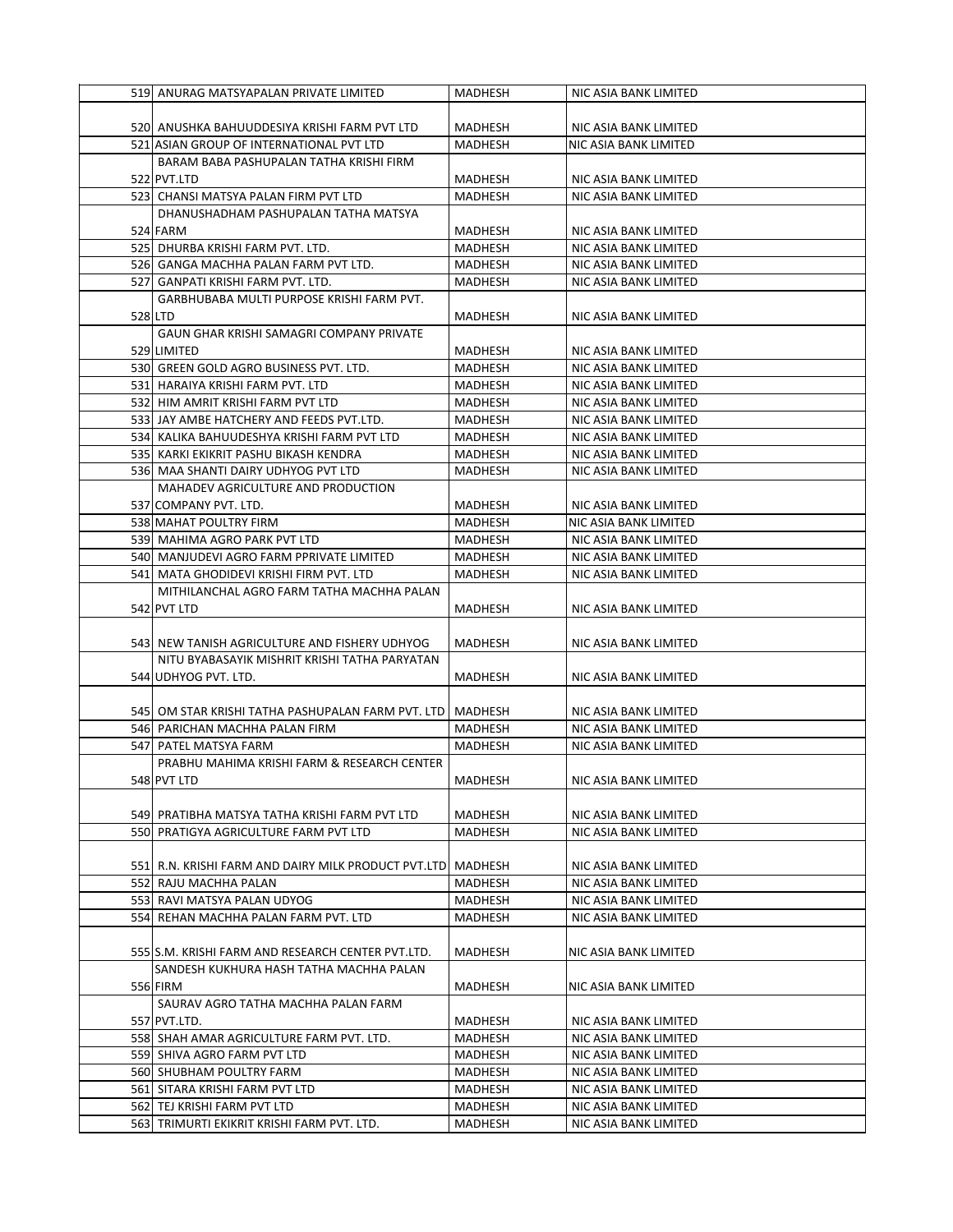| 519 ANURAG MATSYAPALAN PRIVATE LIMITED                      | MADHESH        | NIC ASIA BANK LIMITED |
|-------------------------------------------------------------|----------------|-----------------------|
|                                                             |                |                       |
| 520) ANUSHKA BAHUUDDESIYA KRISHI FARM PVT LTD               | MADHESH        | NIC ASIA BANK LIMITED |
|                                                             |                |                       |
| 521 ASIAN GROUP OF INTERNATIONAL PVT LTD                    | MADHESH        | NIC ASIA BANK LIMITED |
| BARAM BABA PASHUPALAN TATHA KRISHI FIRM                     |                |                       |
| 522 PVT.LTD                                                 | MADHESH        | NIC ASIA BANK LIMITED |
| 523 CHANSI MATSYA PALAN FIRM PVT LTD                        | MADHESH        | NIC ASIA BANK LIMITED |
| DHANUSHADHAM PASHUPALAN TATHA MATSYA                        |                |                       |
| 524 FARM                                                    | MADHESH        | NIC ASIA BANK LIMITED |
| 525 DHURBA KRISHI FARM PVT. LTD.                            | MADHESH        | NIC ASIA BANK LIMITED |
| 526 GANGA MACHHA PALAN FARM PVT LTD.                        | MADHESH        | NIC ASIA BANK LIMITED |
| 527 GANPATI KRISHI FARM PVT. LTD.                           | MADHESH        | NIC ASIA BANK LIMITED |
| GARBHUBABA MULTI PURPOSE KRISHI FARM PVT.                   |                |                       |
| 528 LTD                                                     | MADHESH        | NIC ASIA BANK LIMITED |
| GAUN GHAR KRISHI SAMAGRI COMPANY PRIVATE                    |                |                       |
| 529 LIMITED                                                 |                |                       |
|                                                             | MADHESH        | NIC ASIA BANK LIMITED |
| 530 GREEN GOLD AGRO BUSINESS PVT. LTD.                      | MADHESH        | NIC ASIA BANK LIMITED |
| 531 HARAIYA KRISHI FARM PVT. LTD                            | MADHESH        | NIC ASIA BANK LIMITED |
| 532 HIM AMRIT KRISHI FARM PVT LTD                           | MADHESH        | NIC ASIA BANK LIMITED |
| 533 JAY AMBE HATCHERY AND FEEDS PVT.LTD.                    | MADHESH        | NIC ASIA BANK LIMITED |
| 534 KALIKA BAHUUDESHYA KRISHI FARM PVT LTD                  | MADHESH        | NIC ASIA BANK LIMITED |
| 535  KARKI EKIKRIT PASHU BIKASH KENDRA                      | MADHESH        | NIC ASIA BANK LIMITED |
| 536 MAA SHANTI DAIRY UDHYOG PVT LTD                         | <b>MADHESH</b> | NIC ASIA BANK LIMITED |
| MAHADEV AGRICULTURE AND PRODUCTION                          |                |                       |
| 537 COMPANY PVT. LTD.                                       | MADHESH        | NIC ASIA BANK LIMITED |
| 538 MAHAT POULTRY FIRM                                      | MADHESH        | NIC ASIA BANK LIMITED |
| 539 MAHIMA AGRO PARK PVT LTD                                | MADHESH        | NIC ASIA BANK LIMITED |
| 540 MANJUDEVI AGRO FARM PPRIVATE LIMITED                    | <b>MADHESH</b> | NIC ASIA BANK LIMITED |
| 541 MATA GHODIDEVI KRISHI FIRM PVT. LTD                     | MADHESH        | NIC ASIA BANK LIMITED |
|                                                             |                |                       |
| MITHILANCHAL AGRO FARM TATHA MACHHA PALAN                   |                |                       |
| 542 PVT LTD                                                 | MADHESH        | NIC ASIA BANK LIMITED |
|                                                             |                |                       |
| 543 NEW TANISH AGRICULTURE AND FISHERY UDHYOG               | MADHESH        | NIC ASIA BANK LIMITED |
| NITU BYABASAYIK MISHRIT KRISHI TATHA PARYATAN               |                |                       |
| 544 UDHYOG PVT. LTD.                                        | MADHESH        | NIC ASIA BANK LIMITED |
|                                                             |                |                       |
| 5451 OM STAR KRISHI TATHA PASHUPALAN FARM PVT. LTD J        | MADHESH        | NIC ASIA BANK LIMITED |
| 546 PARICHAN MACHHA PALAN FIRM                              | MADHESH        | NIC ASIA BANK LIMITED |
| 547 PATEL MATSYA FARM                                       | <b>MADHESH</b> | NIC ASIA BANK LIMITED |
| PRABHU MAHIMA KRISHI FARM & RESEARCH CENTER                 |                |                       |
| 548 PVT LTD                                                 | MADHESH        | NIC ASIA BANK LIMITED |
|                                                             |                |                       |
| 549J PRATIBHA MATSYA TATHA KRISHI FARM PVT LTD              | MADHESH        | NIC ASIA BANK LIMITED |
| 550 PRATIGYA AGRICULTURE FARM PVT LTD                       | <b>MADHESH</b> | NIC ASIA BANK LIMITED |
|                                                             |                |                       |
| 551 R.N. KRISHI FARM AND DAIRY MILK PRODUCT PVT.LTD MADHESH |                | NIC ASIA BANK LIMITED |
| 552 RAJU MACHHA PALAN                                       | MADHESH        | NIC ASIA BANK LIMITED |
|                                                             |                |                       |
| 553 RAVI MATSYA PALAN UDYOG                                 | MADHESH        | NIC ASIA BANK LIMITED |
| 554 REHAN MACHHA PALAN FARM PVT. LTD                        | <b>MADHESH</b> | NIC ASIA BANK LIMITED |
|                                                             |                |                       |
| 555 S.M. KRISHI FARM AND RESEARCH CENTER PVT.LTD.           | <b>MADHESH</b> | NIC ASIA BANK LIMITED |
| SANDESH KUKHURA HASH TATHA MACHHA PALAN                     |                |                       |
| 556 FIRM                                                    | MADHESH        | NIC ASIA BANK LIMITED |
| SAURAV AGRO TATHA MACHHA PALAN FARM                         |                |                       |
| 557 PVT.LTD.                                                | MADHESH        | NIC ASIA BANK LIMITED |
| 558 SHAH AMAR AGRICULTURE FARM PVT. LTD.                    | MADHESH        | NIC ASIA BANK LIMITED |
| 559 SHIVA AGRO FARM PVT LTD                                 | MADHESH        | NIC ASIA BANK LIMITED |
| 560 SHUBHAM POULTRY FARM                                    | MADHESH        | NIC ASIA BANK LIMITED |
| 561 SITARA KRISHI FARM PVT LTD                              | MADHESH        | NIC ASIA BANK LIMITED |
| 562 TEJ KRISHI FARM PVT LTD                                 | MADHESH        | NIC ASIA BANK LIMITED |
| 563 TRIMURTI EKIKRIT KRISHI FARM PVT. LTD.                  | MADHESH        | NIC ASIA BANK LIMITED |
|                                                             |                |                       |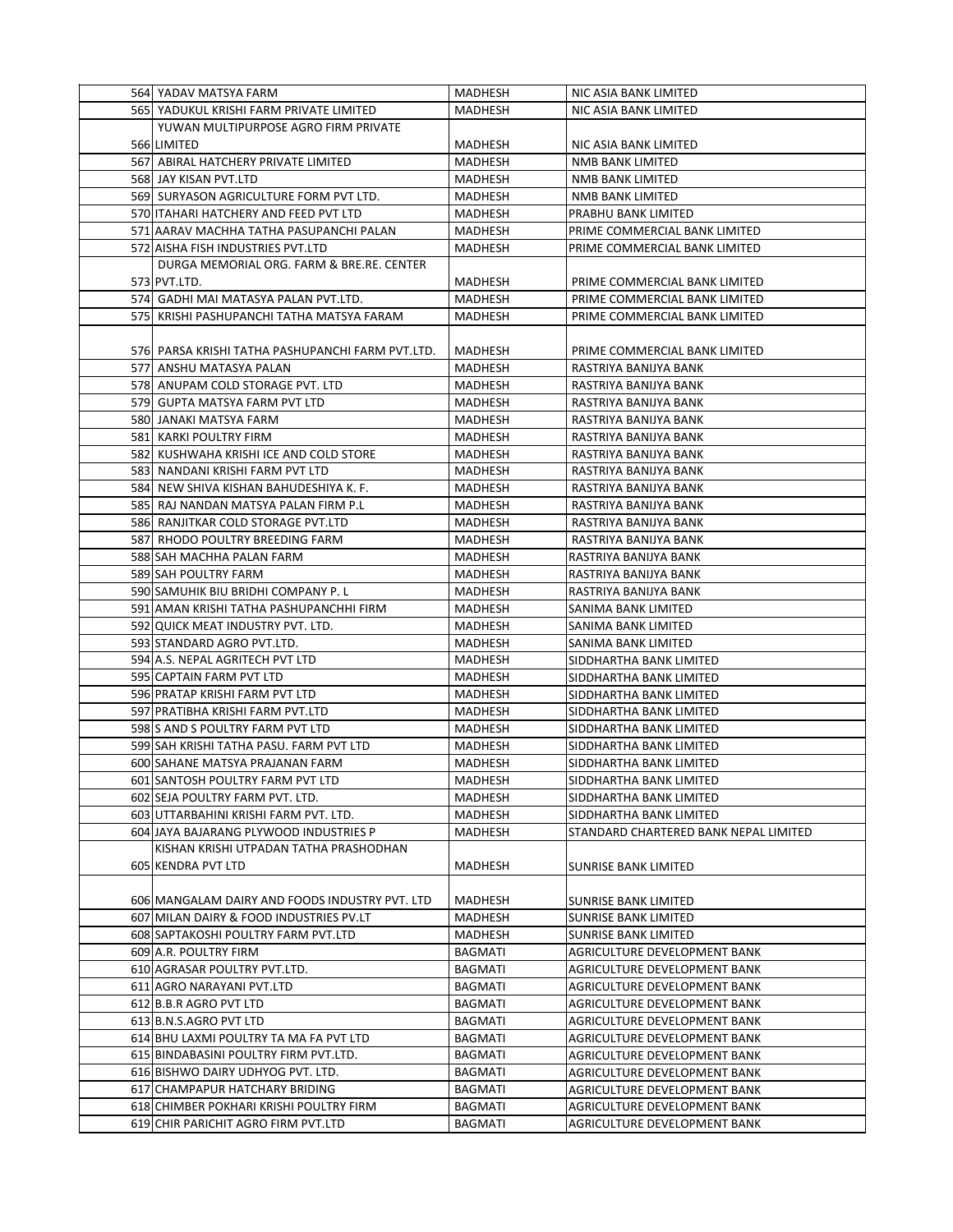| 564 YADAV MATSYA FARM                            | MADHESH        | NIC ASIA BANK LIMITED                 |
|--------------------------------------------------|----------------|---------------------------------------|
| 565 YADUKUL KRISHI FARM PRIVATE LIMITED          | MADHESH        | NIC ASIA BANK LIMITED                 |
| YUWAN MULTIPURPOSE AGRO FIRM PRIVATE             |                |                                       |
| 566 LIMITED                                      | MADHESH        | NIC ASIA BANK LIMITED                 |
| 567 ABIRAL HATCHERY PRIVATE LIMITED              | MADHESH        | <b>NMB BANK LIMITED</b>               |
| 568 JAY KISAN PVT.LTD                            | MADHESH        | NMB BANK LIMITED                      |
| 569 SURYASON AGRICULTURE FORM PVT LTD.           | MADHESH        | NMB BANK LIMITED                      |
| 570 ITAHARI HATCHERY AND FEED PVT LTD            | MADHESH        | PRABHU BANK LIMITED                   |
| 571 AARAV MACHHA TATHA PASUPANCHI PALAN          | MADHESH        | PRIME COMMERCIAL BANK LIMITED         |
| 572 AISHA FISH INDUSTRIES PVT.LTD                | MADHESH        | PRIME COMMERCIAL BANK LIMITED         |
| DURGA MEMORIAL ORG. FARM & BRE.RE. CENTER        |                |                                       |
| 573 PVT.LTD.                                     | MADHESH        | PRIME COMMERCIAL BANK LIMITED         |
| 574 GADHI MAI MATASYA PALAN PVT.LTD.             | MADHESH        | PRIME COMMERCIAL BANK LIMITED         |
| 575  KRISHI PASHUPANCHI TATHA MATSYA FARAM       | MADHESH        | PRIME COMMERCIAL BANK LIMITED         |
|                                                  |                |                                       |
| 576 PARSA KRISHI TATHA PASHUPANCHI FARM PVT.LTD. | MADHESH        | PRIME COMMERCIAL BANK LIMITED         |
| 577 ANSHU MATASYA PALAN                          | MADHESH        | RASTRIYA BANIJYA BANK                 |
| 578 ANUPAM COLD STORAGE PVT. LTD                 | <b>MADHESH</b> | RASTRIYA BANIJYA BANK                 |
| 579 GUPTA MATSYA FARM PVT LTD                    | MADHESH        | RASTRIYA BANIJYA BANK                 |
| 580 JANAKI MATSYA FARM                           | MADHESH        | RASTRIYA BANIJYA BANK                 |
| 581 KARKI POULTRY FIRM                           | <b>MADHESH</b> | RASTRIYA BANIJYA BANK                 |
| 582 KUSHWAHA KRISHI ICE AND COLD STORE           | MADHESH        | RASTRIYA BANIJYA BANK                 |
| 583 NANDANI KRISHI FARM PVT LTD                  | MADHESH        | RASTRIYA BANIJYA BANK                 |
| 584 NEW SHIVA KISHAN BAHUDESHIYA K. F.           | MADHESH        | RASTRIYA BANIJYA BANK                 |
| 585 RAJ NANDAN MATSYA PALAN FIRM P.L             | MADHESH        | RASTRIYA BANIJYA BANK                 |
| 586 RANJITKAR COLD STORAGE PVT.LTD               | MADHESH        | RASTRIYA BANIJYA BANK                 |
| 587 RHODO POULTRY BREEDING FARM                  | MADHESH        | RASTRIYA BANIJYA BANK                 |
| 588 SAH MACHHA PALAN FARM                        | MADHESH        | RASTRIYA BANIJYA BANK                 |
| 589 SAH POULTRY FARM                             | MADHESH        | RASTRIYA BANIJYA BANK                 |
| 590 SAMUHIK BIU BRIDHI COMPANY P. L              | MADHESH        | RASTRIYA BANIJYA BANK                 |
| 591 AMAN KRISHI TATHA PASHUPANCHHI FIRM          | MADHESH        | SANIMA BANK LIMITED                   |
| 592 QUICK MEAT INDUSTRY PVT. LTD.                | MADHESH        | SANIMA BANK LIMITED                   |
| 593 STANDARD AGRO PVT.LTD.                       | MADHESH        | SANIMA BANK LIMITED                   |
| 594 A.S. NEPAL AGRITECH PVT LTD                  | MADHESH        | SIDDHARTHA BANK LIMITED               |
| 595 CAPTAIN FARM PVT LTD                         | MADHESH        | SIDDHARTHA BANK LIMITED               |
| 596 PRATAP KRISHI FARM PVT LTD                   | MADHESH        | SIDDHARTHA BANK LIMITED               |
| 597 PRATIBHA KRISHI FARM PVT.LTD                 | <b>MADHESH</b> | SIDDHARTHA BANK LIMITED               |
| 598 S AND S POULTRY FARM PVT LTD                 | MADHESH        | SIDDHARTHA BANK LIMITED               |
| 599 SAH KRISHI TATHA PASU. FARM PVT LTD          | MADHESH        | SIDDHARTHA BANK LIMITED               |
| 600 SAHANE MATSYA PRAJANAN FARM                  | MADHESH        | SIDDHARTHA BANK LIMITED               |
| 601 SANTOSH POULTRY FARM PVT LTD                 | MADHESH        | SIDDHARTHA BANK LIMITED               |
| 602 SEJA POULTRY FARM PVT. LTD.                  | MADHESH        | SIDDHARTHA BANK LIMITED               |
| 603 UTTARBAHINI KRISHI FARM PVT. LTD.            | MADHESH        | SIDDHARTHA BANK LIMITED               |
| 604 JAYA BAJARANG PLYWOOD INDUSTRIES P           | MADHESH        | STANDARD CHARTERED BANK NEPAL LIMITED |
| KISHAN KRISHI UTPADAN TATHA PRASHODHAN           |                |                                       |
| 605 KENDRA PVT LTD                               | MADHESH        | <b>SUNRISE BANK LIMITED</b>           |
|                                                  |                |                                       |
| 606 MANGALAM DAIRY AND FOODS INDUSTRY PVT. LTD   | MADHESH        | SUNRISE BANK LIMITED                  |
| 607 MILAN DAIRY & FOOD INDUSTRIES PV.LT          | MADHESH        | <b>SUNRISE BANK LIMITED</b>           |
| 608 SAPTAKOSHI POULTRY FARM PVT.LTD              | MADHESH        | SUNRISE BANK LIMITED                  |
| 609 A.R. POULTRY FIRM                            | BAGMATI        | AGRICULTURE DEVELOPMENT BANK          |
| 610 AGRASAR POULTRY PVT.LTD.                     | BAGMATI        | AGRICULTURE DEVELOPMENT BANK          |
| 611 AGRO NARAYANI PVT.LTD                        | <b>BAGMATI</b> | AGRICULTURE DEVELOPMENT BANK          |
| 612 B.B.R AGRO PVT LTD                           | <b>BAGMATI</b> | AGRICULTURE DEVELOPMENT BANK          |
| 613 B.N.S.AGRO PVT LTD                           | BAGMATI        | AGRICULTURE DEVELOPMENT BANK          |
| 614 BHU LAXMI POULTRY TA MA FA PVT LTD           | BAGMATI        | AGRICULTURE DEVELOPMENT BANK          |
| 615 BINDABASINI POULTRY FIRM PVT.LTD.            | BAGMATI        | AGRICULTURE DEVELOPMENT BANK          |
| 616 BISHWO DAIRY UDHYOG PVT. LTD.                | BAGMATI        | AGRICULTURE DEVELOPMENT BANK          |
| 617 CHAMPAPUR HATCHARY BRIDING                   | BAGMATI        | AGRICULTURE DEVELOPMENT BANK          |
| 618 CHIMBER POKHARI KRISHI POULTRY FIRM          | BAGMATI        | AGRICULTURE DEVELOPMENT BANK          |
| 619 CHIR PARICHIT AGRO FIRM PVT.LTD              | BAGMATI        | AGRICULTURE DEVELOPMENT BANK          |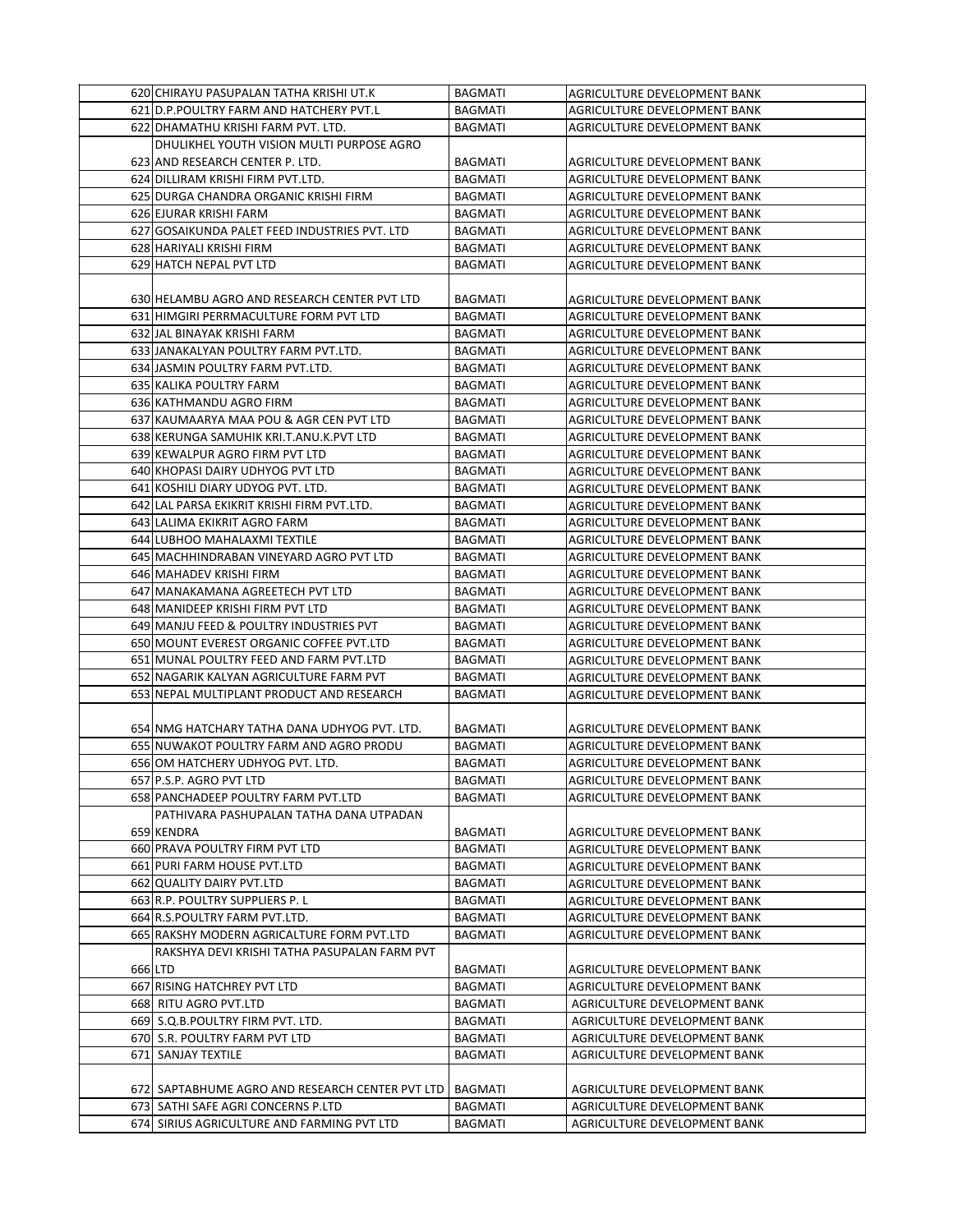| 620 CHIRAYU PASUPALAN TATHA KRISHI UT.K         | <b>BAGMATI</b> | AGRICULTURE DEVELOPMENT BANK        |
|-------------------------------------------------|----------------|-------------------------------------|
| 621 D.P. POULTRY FARM AND HATCHERY PVT.L        | <b>BAGMATI</b> | AGRICULTURE DEVELOPMENT BANK        |
| 622 DHAMATHU KRISHI FARM PVT. LTD.              | <b>BAGMATI</b> | AGRICULTURE DEVELOPMENT BANK        |
| DHULIKHEL YOUTH VISION MULTI PURPOSE AGRO       |                |                                     |
| 623 AND RESEARCH CENTER P. LTD.                 | <b>BAGMATI</b> | AGRICULTURE DEVELOPMENT BANK        |
| 624 DILLIRAM KRISHI FIRM PVT.LTD.               | <b>BAGMATI</b> | AGRICULTURE DEVELOPMENT BANK        |
| 625 DURGA CHANDRA ORGANIC KRISHI FIRM           | <b>BAGMATI</b> | AGRICULTURE DEVELOPMENT BANK        |
| 626 EJURAR KRISHI FARM                          | <b>BAGMATI</b> | AGRICULTURE DEVELOPMENT BANK        |
| 627 GOSAIKUNDA PALET FEED INDUSTRIES PVT. LTD   | <b>BAGMATI</b> | AGRICULTURE DEVELOPMENT BANK        |
| 628 HARIYALI KRISHI FIRM                        | <b>BAGMATI</b> | AGRICULTURE DEVELOPMENT BANK        |
| 629 HATCH NEPAL PVT LTD                         | <b>BAGMATI</b> | AGRICULTURE DEVELOPMENT BANK        |
|                                                 |                |                                     |
| 630 HELAMBU AGRO AND RESEARCH CENTER PVT LTD    | <b>BAGMATI</b> | AGRICULTURE DEVELOPMENT BANK        |
| 631 HIMGIRI PERRMACULTURE FORM PVT LTD          | <b>BAGMATI</b> | AGRICULTURE DEVELOPMENT BANK        |
| 632 JAL BINAYAK KRISHI FARM                     | <b>BAGMATI</b> | AGRICULTURE DEVELOPMENT BANK        |
| 633 JANAKALYAN POULTRY FARM PVT.LTD.            | <b>BAGMATI</b> | AGRICULTURE DEVELOPMENT BANK        |
| 634 JASMIN POULTRY FARM PVT.LTD.                | <b>BAGMATI</b> | AGRICULTURE DEVELOPMENT BANK        |
| 635 KALIKA POULTRY FARM                         | <b>BAGMATI</b> | AGRICULTURE DEVELOPMENT BANK        |
| 636 KATHMANDU AGRO FIRM                         | <b>BAGMATI</b> | AGRICULTURE DEVELOPMENT BANK        |
| 637 KAUMAARYA MAA POU & AGR CEN PVT LTD         | <b>BAGMATI</b> | AGRICULTURE DEVELOPMENT BANK        |
| 638 KERUNGA SAMUHIK KRI.T.ANU.K.PVT LTD         | <b>BAGMATI</b> | AGRICULTURE DEVELOPMENT BANK        |
| 639 KEWALPUR AGRO FIRM PVT LTD                  | <b>BAGMATI</b> | AGRICULTURE DEVELOPMENT BANK        |
| 640 KHOPASI DAIRY UDHYOG PVT LTD                | <b>BAGMATI</b> | AGRICULTURE DEVELOPMENT BANK        |
| 641 KOSHILI DIARY UDYOG PVT. LTD.               | <b>BAGMATI</b> | AGRICULTURE DEVELOPMENT BANK        |
| 642 LAL PARSA EKIKRIT KRISHI FIRM PVT.LTD.      | <b>BAGMATI</b> | AGRICULTURE DEVELOPMENT BANK        |
| 643 LALIMA EKIKRIT AGRO FARM                    | <b>BAGMATI</b> | AGRICULTURE DEVELOPMENT BANK        |
| 644 LUBHOO MAHALAXMI TEXTILE                    | <b>BAGMATI</b> | AGRICULTURE DEVELOPMENT BANK        |
| 645 MACHHINDRABAN VINEYARD AGRO PVT LTD         | <b>BAGMATI</b> | AGRICULTURE DEVELOPMENT BANK        |
| 646 MAHADEV KRISHI FIRM                         | <b>BAGMATI</b> | AGRICULTURE DEVELOPMENT BANK        |
| 647 MANAKAMANA AGREETECH PVT LTD                | <b>BAGMATI</b> | AGRICULTURE DEVELOPMENT BANK        |
| 648 MANIDEEP KRISHI FIRM PVT LTD                | <b>BAGMATI</b> | AGRICULTURE DEVELOPMENT BANK        |
| 649 MANJU FEED & POULTRY INDUSTRIES PVT         | <b>BAGMATI</b> | AGRICULTURE DEVELOPMENT BANK        |
| 650 MOUNT EVEREST ORGANIC COFFEE PVT.LTD        | <b>BAGMATI</b> | AGRICULTURE DEVELOPMENT BANK        |
| 651 MUNAL POULTRY FEED AND FARM PVT.LTD         | <b>BAGMATI</b> | AGRICULTURE DEVELOPMENT BANK        |
| 652 NAGARIK KALYAN AGRICULTURE FARM PVT         | <b>BAGMATI</b> | AGRICULTURE DEVELOPMENT BANK        |
| 653 NEPAL MULTIPLANT PRODUCT AND RESEARCH       | <b>BAGMATI</b> | AGRICULTURE DEVELOPMENT BANK        |
|                                                 |                |                                     |
| 654 NMG HATCHARY TATHA DANA UDHYOG PVT. LTD.    | <b>BAGMATI</b> | AGRICULTURE DEVELOPMENT BANK        |
| 655 NUWAKOT POULTRY FARM AND AGRO PRODU         | <b>BAGMATI</b> | AGRICULTURE DEVELOPMENT BANK        |
| 656 OM HATCHERY UDHYOG PVT. LTD.                | <b>BAGMATI</b> | AGRICULTURE DEVELOPMENT BANK        |
| 657 P.S.P. AGRO PVT LTD                         | <b>BAGMATI</b> | <b>AGRICULTURE DEVELOPMENT BANK</b> |
| 658 PANCHADEEP POULTRY FARM PVT.LTD             | <b>BAGMATI</b> | AGRICULTURE DEVELOPMENT BANK        |
| PATHIVARA PASHUPALAN TATHA DANA UTPADAN         |                |                                     |
| 659 KENDRA                                      | <b>BAGMATI</b> | AGRICULTURE DEVELOPMENT BANK        |
| 660 PRAVA POULTRY FIRM PVT LTD                  | <b>BAGMATI</b> | AGRICULTURE DEVELOPMENT BANK        |
| 661 PURI FARM HOUSE PVT.LTD                     | <b>BAGMATI</b> | AGRICULTURE DEVELOPMENT BANK        |
| 662 QUALITY DAIRY PVT.LTD                       | <b>BAGMATI</b> | AGRICULTURE DEVELOPMENT BANK        |
| 663 R.P. POULTRY SUPPLIERS P.L                  | <b>BAGMATI</b> | AGRICULTURE DEVELOPMENT BANK        |
| 664 R.S. POULTRY FARM PVT.LTD.                  | <b>BAGMATI</b> | AGRICULTURE DEVELOPMENT BANK        |
| 665 RAKSHY MODERN AGRICALTURE FORM PVT.LTD      | <b>BAGMATI</b> | AGRICULTURE DEVELOPMENT BANK        |
| RAKSHYA DEVI KRISHI TATHA PASUPALAN FARM PVT    |                |                                     |
| 666 LTD                                         | <b>BAGMATI</b> | AGRICULTURE DEVELOPMENT BANK        |
| 667 RISING HATCHREY PVT LTD                     | <b>BAGMATI</b> | AGRICULTURE DEVELOPMENT BANK        |
| 668 RITU AGRO PVT.LTD                           | <b>BAGMATI</b> | AGRICULTURE DEVELOPMENT BANK        |
| 669 S.Q.B.POULTRY FIRM PVT. LTD.                | <b>BAGMATI</b> | AGRICULTURE DEVELOPMENT BANK        |
| 670 S.R. POULTRY FARM PVT LTD                   | <b>BAGMATI</b> | AGRICULTURE DEVELOPMENT BANK        |
| 671 SANJAY TEXTILE                              | <b>BAGMATI</b> | AGRICULTURE DEVELOPMENT BANK        |
|                                                 |                |                                     |
| 672 SAPTABHUME AGRO AND RESEARCH CENTER PVT LTD | <b>BAGMATI</b> | AGRICULTURE DEVELOPMENT BANK        |
| 673 SATHI SAFE AGRI CONCERNS P.LTD              | <b>BAGMATI</b> | AGRICULTURE DEVELOPMENT BANK        |
| 674 SIRIUS AGRICULTURE AND FARMING PVT LTD      | <b>BAGMATI</b> | AGRICULTURE DEVELOPMENT BANK        |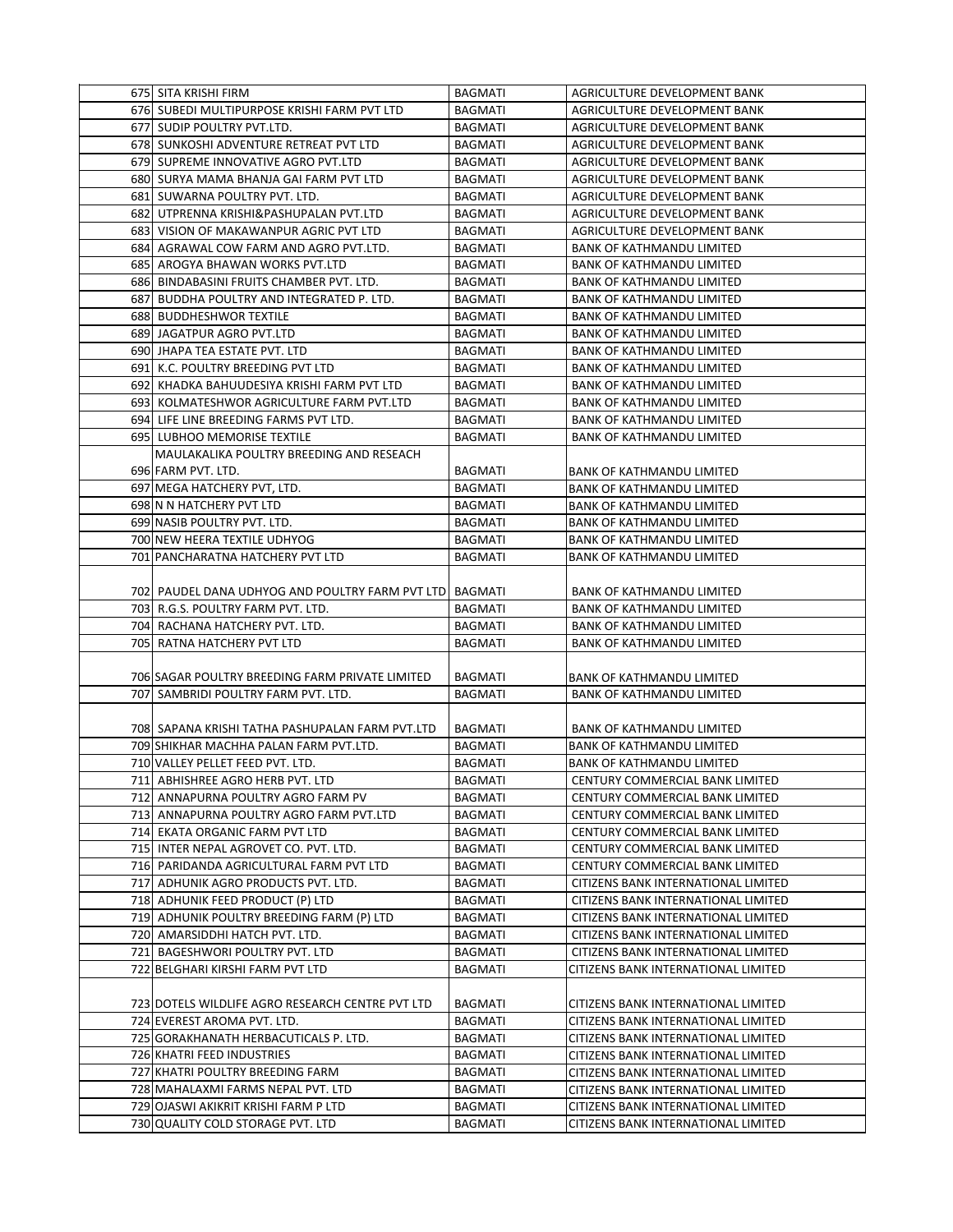| 675 SITA KRISHI FIRM                                                      | <b>BAGMATI</b>                   | AGRICULTURE DEVELOPMENT BANK                                               |
|---------------------------------------------------------------------------|----------------------------------|----------------------------------------------------------------------------|
| 676 SUBEDI MULTIPURPOSE KRISHI FARM PVT LTD                               | <b>BAGMATI</b>                   | AGRICULTURE DEVELOPMENT BANK                                               |
| 677 SUDIP POULTRY PVT.LTD.                                                | <b>BAGMATI</b>                   | AGRICULTURE DEVELOPMENT BANK                                               |
| 678 SUNKOSHI ADVENTURE RETREAT PVT LTD                                    | <b>BAGMATI</b>                   | AGRICULTURE DEVELOPMENT BANK                                               |
| 679 SUPREME INNOVATIVE AGRO PVT.LTD                                       | <b>BAGMATI</b>                   | AGRICULTURE DEVELOPMENT BANK                                               |
| 680 SURYA MAMA BHANJA GAI FARM PVT LTD                                    | <b>BAGMATI</b>                   | AGRICULTURE DEVELOPMENT BANK                                               |
| 681 SUWARNA POULTRY PVT. LTD.                                             | <b>BAGMATI</b>                   | AGRICULTURE DEVELOPMENT BANK                                               |
| 682 UTPRENNA KRISHI&PASHUPALAN PVT.LTD                                    | <b>BAGMATI</b>                   | AGRICULTURE DEVELOPMENT BANK                                               |
| 683 VISION OF MAKAWANPUR AGRIC PVT LTD                                    | <b>BAGMATI</b>                   | AGRICULTURE DEVELOPMENT BANK                                               |
| 684 AGRAWAL COW FARM AND AGRO PVT.LTD.                                    | <b>BAGMATI</b>                   | <b>BANK OF KATHMANDU LIMITED</b>                                           |
| 685 AROGYA BHAWAN WORKS PVT.LTD                                           | BAGMATI                          | <b>BANK OF KATHMANDU LIMITED</b>                                           |
| 686 BINDABASINI FRUITS CHAMBER PVT. LTD.                                  | <b>BAGMATI</b>                   | <b>BANK OF KATHMANDU LIMITED</b>                                           |
| 687 BUDDHA POULTRY AND INTEGRATED P. LTD.                                 | <b>BAGMATI</b>                   | <b>BANK OF KATHMANDU LIMITED</b>                                           |
| <b>688 BUDDHESHWOR TEXTILE</b>                                            | <b>BAGMATI</b>                   | <b>BANK OF KATHMANDU LIMITED</b>                                           |
| 689 JAGATPUR AGRO PVT.LTD                                                 | <b>BAGMATI</b>                   | <b>BANK OF KATHMANDU LIMITED</b>                                           |
| 690 JHAPA TEA ESTATE PVT. LTD                                             | <b>BAGMATI</b>                   | <b>BANK OF KATHMANDU LIMITED</b>                                           |
| 691 K.C. POULTRY BREEDING PVT LTD                                         | <b>BAGMATI</b>                   | <b>BANK OF KATHMANDU LIMITED</b>                                           |
| 692 KHADKA BAHUUDESIYA KRISHI FARM PVT LTD                                | <b>BAGMATI</b>                   | <b>BANK OF KATHMANDU LIMITED</b>                                           |
| 693 KOLMATESHWOR AGRICULTURE FARM PVT.LTD                                 | <b>BAGMATI</b>                   | <b>BANK OF KATHMANDU LIMITED</b>                                           |
| 694 LIFE LINE BREEDING FARMS PVT LTD.                                     | <b>BAGMATI</b>                   | <b>BANK OF KATHMANDU LIMITED</b>                                           |
| 695 LUBHOO MEMORISE TEXTILE                                               | <b>BAGMATI</b>                   | <b>BANK OF KATHMANDU LIMITED</b>                                           |
| MAULAKALIKA POULTRY BREEDING AND RESEACH                                  |                                  |                                                                            |
| 696 FARM PVT. LTD.                                                        | BAGMATI                          | <b>BANK OF KATHMANDU LIMITED</b>                                           |
| 697 MEGA HATCHERY PVT, LTD.                                               | <b>BAGMATI</b>                   | <b>BANK OF KATHMANDU LIMITED</b>                                           |
| 698 N N HATCHERY PVT LTD                                                  | BAGMATI                          | <b>BANK OF KATHMANDU LIMITED</b>                                           |
| 699 NASIB POULTRY PVT. LTD.                                               | <b>BAGMATI</b>                   | <b>BANK OF KATHMANDU LIMITED</b>                                           |
| 700 NEW HEERA TEXTILE UDHYOG                                              | <b>BAGMATI</b>                   | <b>BANK OF KATHMANDU LIMITED</b>                                           |
| 701 PANCHARATNA HATCHERY PVT LTD                                          | <b>BAGMATI</b>                   | <b>BANK OF KATHMANDU LIMITED</b>                                           |
|                                                                           |                                  |                                                                            |
| 702 PAUDEL DANA UDHYOG AND POULTRY FARM PVT LTD BAGMATI                   |                                  | <b>BANK OF KATHMANDU LIMITED</b>                                           |
| 703 R.G.S. POULTRY FARM PVT. LTD.                                         | <b>BAGMATI</b>                   | <b>BANK OF KATHMANDU LIMITED</b>                                           |
| 704 RACHANA HATCHERY PVT. LTD.                                            | BAGMATI                          | <b>BANK OF KATHMANDU LIMITED</b>                                           |
| 705 RATNA HATCHERY PVT LTD                                                | <b>BAGMATI</b>                   | <b>BANK OF KATHMANDU LIMITED</b>                                           |
|                                                                           |                                  |                                                                            |
| 706 SAGAR POULTRY BREEDING FARM PRIVATE LIMITED                           | <b>BAGMATI</b>                   | <b>BANK OF KATHMANDU LIMITED</b>                                           |
| 707 SAMBRIDI POULTRY FARM PVT. LTD.                                       | <b>BAGMATI</b>                   | <b>BANK OF KATHMANDU LIMITED</b>                                           |
|                                                                           |                                  |                                                                            |
| 708 SAPANA KRISHI TATHA PASHUPALAN FARM PVT.LTD                           | <b>BAGMATI</b>                   | <b>BANK OF KATHMANDU LIMITED</b>                                           |
| 709 SHIKHAR MACHHA PALAN FARM PVT.LTD.                                    | <b>BAGMATI</b>                   | <b>BANK OF KATHMANDU LIMITED</b>                                           |
| 710 VALLEY PELLET FEED PVT. LTD.                                          | <b>BAGMATI</b>                   | <b>BANK OF KATHMANDU LIMITED</b>                                           |
| 711 ABHISHREE AGRO HERB PVT. LTD                                          | <b>BAGMATI</b>                   | CENTURY COMMERCIAL BANK LIMITED                                            |
| 712 ANNAPURNA POULTRY AGRO FARM PV                                        | BAGMATI                          | CENTURY COMMERCIAL BANK LIMITED                                            |
| 713 ANNAPURNA POULTRY AGRO FARM PVT.LTD                                   | BAGMATI                          | CENTURY COMMERCIAL BANK LIMITED                                            |
| 714 EKATA ORGANIC FARM PVT LTD                                            | <b>BAGMATI</b>                   | CENTURY COMMERCIAL BANK LIMITED                                            |
| 715 INTER NEPAL AGROVET CO. PVT. LTD.                                     | BAGMATI                          | CENTURY COMMERCIAL BANK LIMITED                                            |
| 716 PARIDANDA AGRICULTURAL FARM PVT LTD                                   | <b>BAGMATI</b>                   | <b>CENTURY COMMERCIAL BANK LIMITED</b>                                     |
| 717 ADHUNIK AGRO PRODUCTS PVT. LTD.                                       | <b>BAGMATI</b>                   | CITIZENS BANK INTERNATIONAL LIMITED                                        |
| 718 ADHUNIK FEED PRODUCT (P) LTD                                          | BAGMATI                          | CITIZENS BANK INTERNATIONAL LIMITED                                        |
| 719 ADHUNIK POULTRY BREEDING FARM (P) LTD                                 | BAGMATI                          | CITIZENS BANK INTERNATIONAL LIMITED                                        |
| 720 AMARSIDDHI HATCH PVT. LTD.                                            | BAGMATI                          | CITIZENS BANK INTERNATIONAL LIMITED                                        |
| 721 BAGESHWORI POULTRY PVT. LTD                                           | BAGMATI                          | CITIZENS BANK INTERNATIONAL LIMITED                                        |
| 722 BELGHARI KIRSHI FARM PVT LTD                                          | BAGMATI                          | CITIZENS BANK INTERNATIONAL LIMITED                                        |
|                                                                           |                                  |                                                                            |
| 723 DOTELS WILDLIFE AGRO RESEARCH CENTRE PVT LTD                          | BAGMATI                          | CITIZENS BANK INTERNATIONAL LIMITED                                        |
| 724 EVEREST AROMA PVT. LTD.                                               | BAGMATI                          | CITIZENS BANK INTERNATIONAL LIMITED                                        |
| 725 GORAKHANATH HERBACUTICALS P. LTD.                                     | BAGMATI                          | CITIZENS BANK INTERNATIONAL LIMITED                                        |
| 726 KHATRI FEED INDUSTRIES                                                | <b>BAGMATI</b>                   | CITIZENS BANK INTERNATIONAL LIMITED                                        |
| 727 KHATRI POULTRY BREEDING FARM                                          | <b>BAGMATI</b>                   | CITIZENS BANK INTERNATIONAL LIMITED                                        |
| 728 MAHALAXMI FARMS NEPAL PVT. LTD                                        | <b>BAGMATI</b>                   | CITIZENS BANK INTERNATIONAL LIMITED                                        |
|                                                                           |                                  |                                                                            |
|                                                                           |                                  |                                                                            |
| 729 OJASWI AKIKRIT KRISHI FARM P LTD<br>730 QUALITY COLD STORAGE PVT. LTD | <b>BAGMATI</b><br><b>BAGMATI</b> | CITIZENS BANK INTERNATIONAL LIMITED<br>CITIZENS BANK INTERNATIONAL LIMITED |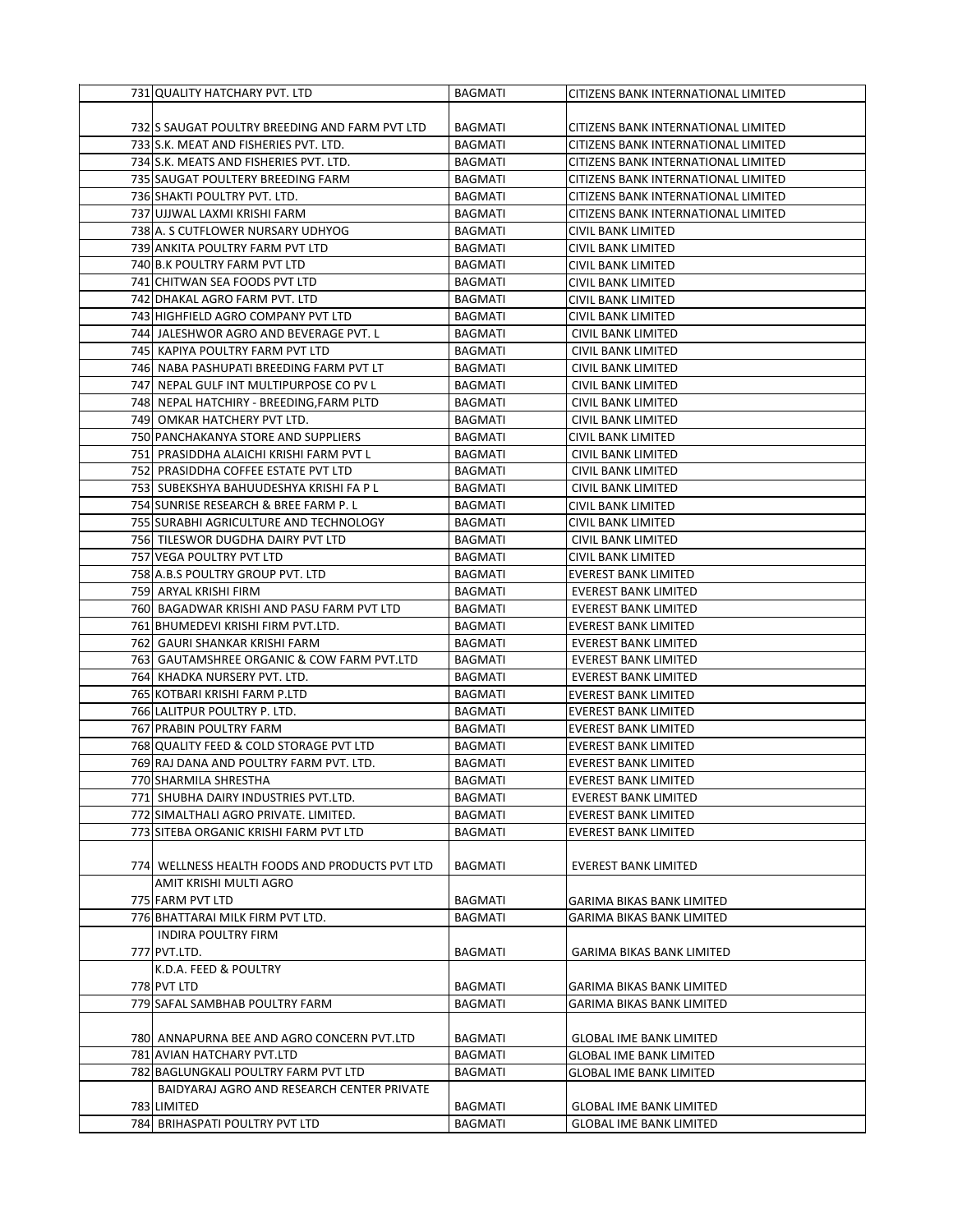| 731 QUALITY HATCHARY PVT. LTD                  | <b>BAGMATI</b> | CITIZENS BANK INTERNATIONAL LIMITED |
|------------------------------------------------|----------------|-------------------------------------|
|                                                |                |                                     |
| 732 SAUGAT POULTRY BREEDING AND FARM PVT LTD   | <b>BAGMATI</b> | CITIZENS BANK INTERNATIONAL LIMITED |
| 733 S.K. MEAT AND FISHERIES PVT. LTD.          | <b>BAGMATI</b> | CITIZENS BANK INTERNATIONAL LIMITED |
| 734 S.K. MEATS AND FISHERIES PVT. LTD.         | BAGMATI        | CITIZENS BANK INTERNATIONAL LIMITED |
| 735 SAUGAT POULTERY BREEDING FARM              | <b>BAGMATI</b> | CITIZENS BANK INTERNATIONAL LIMITED |
| 736 SHAKTI POULTRY PVT. LTD.                   | BAGMATI        | CITIZENS BANK INTERNATIONAL LIMITED |
| 737 UJJWAL LAXMI KRISHI FARM                   | <b>BAGMATI</b> | CITIZENS BANK INTERNATIONAL LIMITED |
| 738 A. S CUTFLOWER NURSARY UDHYOG              | <b>BAGMATI</b> | CIVIL BANK LIMITED                  |
| 739 ANKITA POULTRY FARM PVT LTD                | <b>BAGMATI</b> | CIVIL BANK LIMITED                  |
| 740 B.K POULTRY FARM PVT LTD                   | BAGMATI        | CIVIL BANK LIMITED                  |
| 741 CHITWAN SEA FOODS PVT LTD                  | <b>BAGMATI</b> | CIVIL BANK LIMITED                  |
| 742 DHAKAL AGRO FARM PVT. LTD                  | <b>BAGMATI</b> | CIVIL BANK LIMITED                  |
| 743 HIGHFIELD AGRO COMPANY PVT LTD             | BAGMATI        | CIVIL BANK LIMITED                  |
| 744 JALESHWOR AGRO AND BEVERAGE PVT. L         | BAGMATI        | CIVIL BANK LIMITED                  |
| 745 KAPIYA POULTRY FARM PVT LTD                | <b>BAGMATI</b> | CIVIL BANK LIMITED                  |
| 746 NABA PASHUPATI BREEDING FARM PVT LT        | BAGMATI        | CIVIL BANK LIMITED                  |
| 747 NEPAL GULF INT MULTIPURPOSE CO PV L        | BAGMATI        | CIVIL BANK LIMITED                  |
| 748 NEPAL HATCHIRY - BREEDING, FARM PLTD       | <b>BAGMATI</b> | CIVIL BANK LIMITED                  |
| 749 OMKAR HATCHERY PVT LTD.                    | BAGMATI        | CIVIL BANK LIMITED                  |
| 750 PANCHAKANYA STORE AND SUPPLIERS            | <b>BAGMATI</b> | CIVIL BANK LIMITED                  |
| 751 PRASIDDHA ALAICHI KRISHI FARM PVT L        | BAGMATI        | <b>CIVIL BANK LIMITED</b>           |
| 752 PRASIDDHA COFFEE ESTATE PVT LTD            | <b>BAGMATI</b> | <b>CIVIL BANK LIMITED</b>           |
| 753 SUBEKSHYA BAHUUDESHYA KRISHI FA P L        | <b>BAGMATI</b> | CIVIL BANK LIMITED                  |
| 754 SUNRISE RESEARCH & BREE FARM P. L          | BAGMATI        | CIVIL BANK LIMITED                  |
| 755 SURABHI AGRICULTURE AND TECHNOLOGY         | <b>BAGMATI</b> | CIVIL BANK LIMITED                  |
| 756 TILESWOR DUGDHA DAIRY PVT LTD              | BAGMATI        | CIVIL BANK LIMITED                  |
| 757 VEGA POULTRY PVT LTD                       | <b>BAGMATI</b> | CIVIL BANK LIMITED                  |
| 758 A.B.S POULTRY GROUP PVT. LTD               | <b>BAGMATI</b> | <b>EVEREST BANK LIMITED</b>         |
| 759 ARYAL KRISHI FIRM                          | BAGMATI        | EVEREST BANK LIMITED                |
| 760 BAGADWAR KRISHI AND PASU FARM PVT LTD      | BAGMATI        | <b>EVEREST BANK LIMITED</b>         |
| 761 BHUMEDEVI KRISHI FIRM PVT.LTD.             | BAGMATI        | EVEREST BANK LIMITED                |
| 762  GAURI SHANKAR KRISHI FARM                 | <b>BAGMATI</b> | <b>EVEREST BANK LIMITED</b>         |
| 763 GAUTAMSHREE ORGANIC & COW FARM PVT.LTD     | <b>BAGMATI</b> | <b>EVEREST BANK LIMITED</b>         |
| 764 KHADKA NURSERY PVT. LTD.                   | <b>BAGMATI</b> | <b>EVEREST BANK LIMITED</b>         |
| 765 KOTBARI KRISHI FARM P.LTD                  | BAGMATI        | <b>EVEREST BANK LIMITED</b>         |
| 766 LALITPUR POULTRY P. LTD.                   | <b>BAGMATI</b> | EVEREST BANK LIMITED                |
| 767 PRABIN POULTRY FARM                        | BAGMATI        | <b>EVEREST BANK LIMITED</b>         |
| 768 QUALITY FEED & COLD STORAGE PVT LTD        | <b>BAGMATI</b> | EVEREST BANK LIMITED                |
| 769 RAJ DANA AND POULTRY FARM PVT. LTD.        | <b>BAGMATI</b> | <b>EVEREST BANK LIMITED</b>         |
| 770 SHARMILA SHRESTHA                          | BAGMATI        | <b>EVEREST BANK LIMITED</b>         |
| 771 SHUBHA DAIRY INDUSTRIES PVT.LTD.           | BAGMATI        | <b>EVEREST BANK LIMITED</b>         |
| 772 SIMALTHALI AGRO PRIVATE. LIMITED.          | <b>BAGMATI</b> | EVEREST BANK LIMITED                |
| 773 SITEBA ORGANIC KRISHI FARM PVT LTD         | <b>BAGMATI</b> | EVEREST BANK LIMITED                |
|                                                |                |                                     |
| 774 WELLNESS HEALTH FOODS AND PRODUCTS PVT LTD | <b>BAGMATI</b> | EVEREST BANK LIMITED                |
| AMIT KRISHI MULTI AGRO                         |                |                                     |
| 775 FARM PVT LTD                               | BAGMATI        | <b>GARIMA BIKAS BANK LIMITED</b>    |
| 776 BHATTARAI MILK FIRM PVT LTD.               | BAGMATI        | GARIMA BIKAS BANK LIMITED           |
| INDIRA POULTRY FIRM                            |                |                                     |
| 777 PVT.LTD.                                   | <b>BAGMATI</b> | <b>GARIMA BIKAS BANK LIMITED</b>    |
| K.D.A. FEED & POULTRY                          |                |                                     |
| 778 PVT LTD                                    | BAGMATI        | GARIMA BIKAS BANK LIMITED           |
| 779 SAFAL SAMBHAB POULTRY FARM                 | <b>BAGMATI</b> | <b>GARIMA BIKAS BANK LIMITED</b>    |
|                                                |                |                                     |
| 780 ANNAPURNA BEE AND AGRO CONCERN PVT.LTD     | BAGMATI        | <b>GLOBAL IME BANK LIMITED</b>      |
| 781 AVIAN HATCHARY PVT.LTD                     | <b>BAGMATI</b> | <b>GLOBAL IME BANK LIMITED</b>      |
| 782 BAGLUNGKALI POULTRY FARM PVT LTD           | BAGMATI        | <b>GLOBAL IME BANK LIMITED</b>      |
| BAIDYARAJ AGRO AND RESEARCH CENTER PRIVATE     |                |                                     |
| 783 LIMITED                                    | <b>BAGMATI</b> | <b>GLOBAL IME BANK LIMITED</b>      |
| 784 BRIHASPATI POULTRY PVT LTD                 | <b>BAGMATI</b> | <b>GLOBAL IME BANK LIMITED</b>      |
|                                                |                |                                     |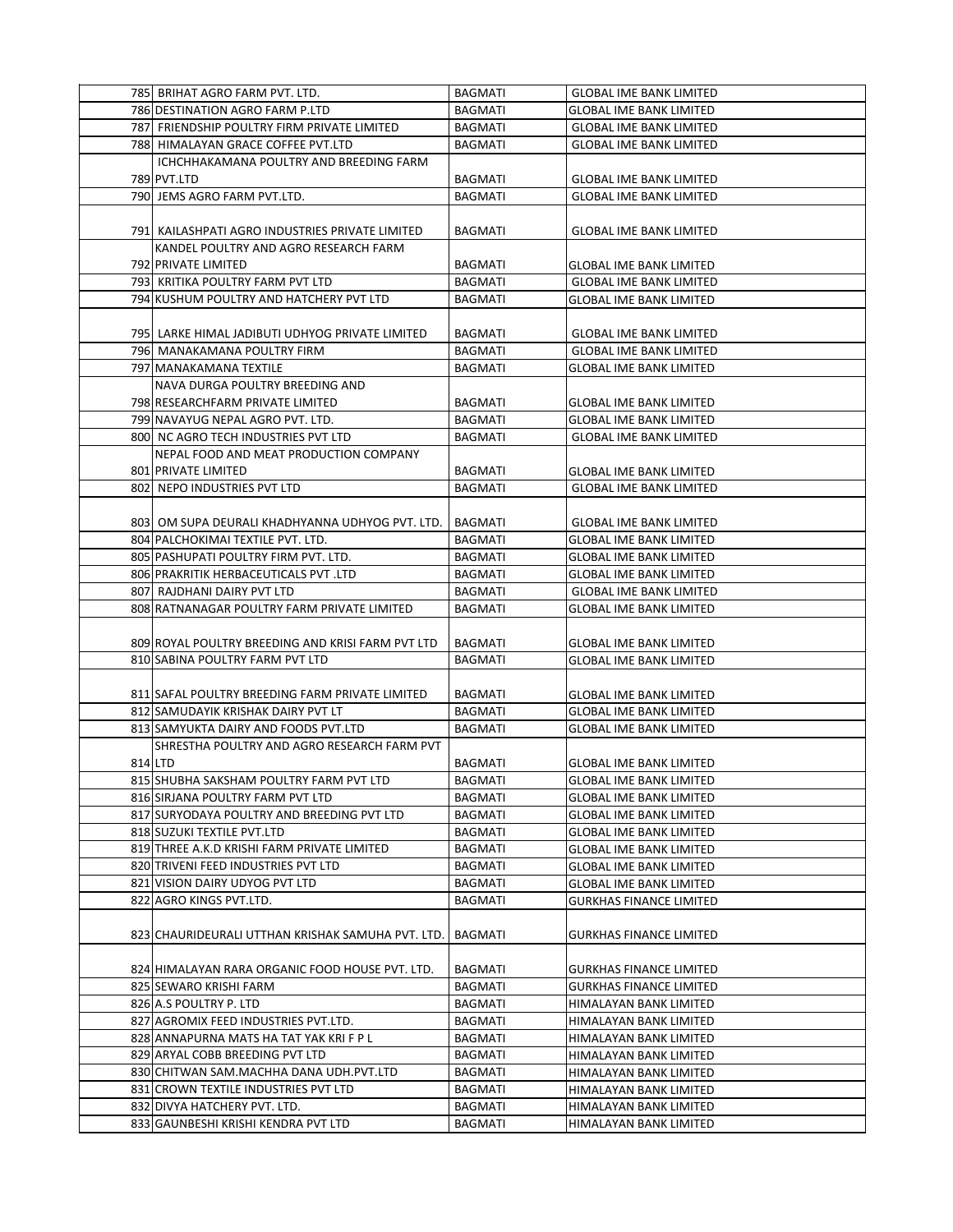| 785 BRIHAT AGRO FARM PVT. LTD.                    | <b>BAGMATI</b> | <b>GLOBAL IME BANK LIMITED</b> |
|---------------------------------------------------|----------------|--------------------------------|
| 786 DESTINATION AGRO FARM P.LTD                   | <b>BAGMATI</b> | <b>GLOBAL IME BANK LIMITED</b> |
| 787 FRIENDSHIP POULTRY FIRM PRIVATE LIMITED       | <b>BAGMATI</b> | <b>GLOBAL IME BANK LIMITED</b> |
| 788 HIMALAYAN GRACE COFFEE PVT.LTD                | <b>BAGMATI</b> | <b>GLOBAL IME BANK LIMITED</b> |
| ICHCHHAKAMANA POULTRY AND BREEDING FARM           |                |                                |
| 789 PVT.LTD                                       | BAGMATI        | <b>GLOBAL IME BANK LIMITED</b> |
| 790 JEMS AGRO FARM PVT.LTD.                       | <b>BAGMATI</b> | <b>GLOBAL IME BANK LIMITED</b> |
|                                                   |                |                                |
| 791  KAILASHPATI AGRO INDUSTRIES PRIVATE LIMITED  | BAGMATI        | <b>GLOBAL IME BANK LIMITED</b> |
| KANDEL POULTRY AND AGRO RESEARCH FARM             |                |                                |
| 792 PRIVATE LIMITED                               | <b>BAGMATI</b> | <b>GLOBAL IME BANK LIMITED</b> |
| 793 KRITIKA POULTRY FARM PVT LTD                  | <b>BAGMATI</b> | <b>GLOBAL IME BANK LIMITED</b> |
| 794 KUSHUM POULTRY AND HATCHERY PVT LTD           | <b>BAGMATI</b> | <b>GLOBAL IME BANK LIMITED</b> |
|                                                   |                |                                |
| 795 LARKE HIMAL JADIBUTI UDHYOG PRIVATE LIMITED   | <b>BAGMATI</b> | <b>GLOBAL IME BANK LIMITED</b> |
| 796 MANAKAMANA POULTRY FIRM                       | <b>BAGMATI</b> | <b>GLOBAL IME BANK LIMITED</b> |
| 797 MANAKAMANA TEXTILE                            | <b>BAGMATI</b> | <b>GLOBAL IME BANK LIMITED</b> |
| NAVA DURGA POULTRY BREEDING AND                   |                |                                |
| 798 RESEARCHFARM PRIVATE LIMITED                  | BAGMATI        | <b>GLOBAL IME BANK LIMITED</b> |
| 799 NAVAYUG NEPAL AGRO PVT. LTD.                  | <b>BAGMATI</b> | <b>GLOBAL IME BANK LIMITED</b> |
| 800 NC AGRO TECH INDUSTRIES PVT LTD               | <b>BAGMATI</b> | <b>GLOBAL IME BANK LIMITED</b> |
| NEPAL FOOD AND MEAT PRODUCTION COMPANY            |                |                                |
| 801 PRIVATE LIMITED                               | <b>BAGMATI</b> | <b>GLOBAL IME BANK LIMITED</b> |
| 802 NEPO INDUSTRIES PVT LTD                       | <b>BAGMATI</b> | <b>GLOBAL IME BANK LIMITED</b> |
|                                                   |                |                                |
| 803) OM SUPA DEURALI KHADHYANNA UDHYOG PVT. LTD.  | <b>BAGMATI</b> | <b>GLOBAL IME BANK LIMITED</b> |
| 804 PALCHOKIMAI TEXTILE PVT. LTD.                 | <b>BAGMATI</b> | <b>GLOBAL IME BANK LIMITED</b> |
| 805 PASHUPATI POULTRY FIRM PVT. LTD.              | BAGMATI        | <b>GLOBAL IME BANK LIMITED</b> |
| 806 PRAKRITIK HERBACEUTICALS PVT .LTD             | <b>BAGMATI</b> | <b>GLOBAL IME BANK LIMITED</b> |
| 807 RAJDHANI DAIRY PVT LTD                        | <b>BAGMATI</b> | <b>GLOBAL IME BANK LIMITED</b> |
| 808 RATNANAGAR POULTRY FARM PRIVATE LIMITED       | <b>BAGMATI</b> | <b>GLOBAL IME BANK LIMITED</b> |
|                                                   |                |                                |
| 809 ROYAL POULTRY BREEDING AND KRISI FARM PVT LTD | <b>BAGMATI</b> | <b>GLOBAL IME BANK LIMITED</b> |
| 810 SABINA POULTRY FARM PVT LTD                   | <b>BAGMATI</b> | <b>GLOBAL IME BANK LIMITED</b> |
|                                                   |                |                                |
| 811 SAFAL POULTRY BREEDING FARM PRIVATE LIMITED   | <b>BAGMATI</b> | <b>GLOBAL IME BANK LIMITED</b> |
| 812 SAMUDAYIK KRISHAK DAIRY PVT LT                | <b>BAGMATI</b> | <b>GLOBAL IME BANK LIMITED</b> |
| 813 SAMYUKTA DAIRY AND FOODS PVT.LTD              | <b>BAGMATI</b> | <b>GLOBAL IME BANK LIMITED</b> |
| SHRESTHA POULTRY AND AGRO RESEARCH FARM PVT       |                |                                |
| 814 LTD                                           | BAGMATI        | <b>GLOBAL IME BANK LIMITED</b> |
| 815 SHUBHA SAKSHAM POULTRY FARM PVT LTD           | <b>BAGMATI</b> | <b>GLOBAL IME BANK LIMITED</b> |
| 816 SIRJANA POULTRY FARM PVT LTD                  | <b>BAGMATI</b> | <b>GLOBAL IME BANK LIMITED</b> |
| 817 SURYODAYA POULTRY AND BREEDING PVT LTD        | BAGMATI        | <b>GLOBAL IME BANK LIMITED</b> |
| 818 SUZUKI TEXTILE PVT.LTD                        | BAGMATI        | <b>GLOBAL IME BANK LIMITED</b> |
| 819 THREE A.K.D KRISHI FARM PRIVATE LIMITED       | BAGMATI        | <b>GLOBAL IME BANK LIMITED</b> |
| 820 TRIVENI FEED INDUSTRIES PVT LTD               | <b>BAGMATI</b> | <b>GLOBAL IME BANK LIMITED</b> |
| 821 VISION DAIRY UDYOG PVT LTD                    | <b>BAGMATI</b> | <b>GLOBAL IME BANK LIMITED</b> |
| 822 AGRO KINGS PVT.LTD.                           | BAGMATI        | <b>GURKHAS FINANCE LIMITED</b> |
|                                                   |                |                                |
| 823 CHAURIDEURALI UTTHAN KRISHAK SAMUHA PVT. LTD. | <b>BAGMATI</b> | <b>GURKHAS FINANCE LIMITED</b> |
|                                                   |                |                                |
| 824 HIMALAYAN RARA ORGANIC FOOD HOUSE PVT. LTD.   | BAGMATI        | <b>GURKHAS FINANCE LIMITED</b> |
| 825 SEWARO KRISHI FARM                            | BAGMATI        | <b>GURKHAS FINANCE LIMITED</b> |
| 826 A.S POULTRY P. LTD                            | BAGMATI        | HIMALAYAN BANK LIMITED         |
| 827 AGROMIX FEED INDUSTRIES PVT.LTD.              | <b>BAGMATI</b> | HIMALAYAN BANK LIMITED         |
| 828 ANNAPURNA MATS HA TAT YAK KRI F P L           | BAGMATI        | HIMALAYAN BANK LIMITED         |
| 829 ARYAL COBB BREEDING PVT LTD                   | BAGMATI        | HIMALAYAN BANK LIMITED         |
| 830 CHITWAN SAM.MACHHA DANA UDH.PVT.LTD           | BAGMATI        | HIMALAYAN BANK LIMITED         |
|                                                   |                |                                |
| 831 CROWN TEXTILE INDUSTRIES PVT LTD              | BAGMATI        | HIMALAYAN BANK LIMITED         |
| 832 DIVYA HATCHERY PVT. LTD.                      | BAGMATI        | HIMALAYAN BANK LIMITED         |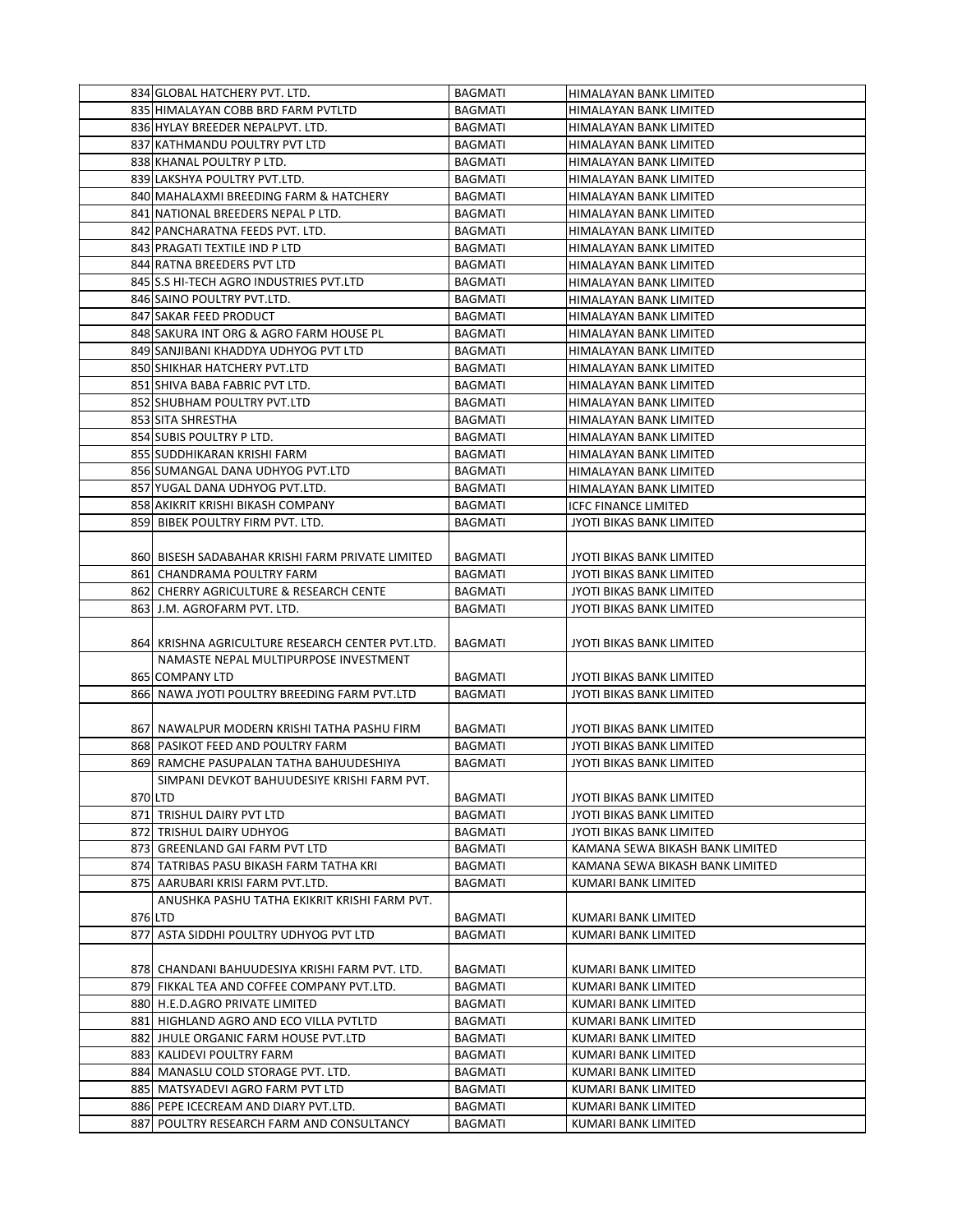|     | 834 GLOBAL HATCHERY PVT. LTD.                    | <b>BAGMATI</b> | HIMALAYAN BANK LIMITED                           |
|-----|--------------------------------------------------|----------------|--------------------------------------------------|
|     | 835 HIMALAYAN COBB BRD FARM PVTLTD               | BAGMATI        | HIMALAYAN BANK LIMITED                           |
|     | 836 HYLAY BREEDER NEPALPVT. LTD.                 | <b>BAGMATI</b> | HIMALAYAN BANK LIMITED                           |
|     | 837 KATHMANDU POULTRY PVT LTD                    | <b>BAGMATI</b> | HIMALAYAN BANK LIMITED                           |
|     | 838 KHANAL POULTRY P LTD.                        | BAGMATI        | HIMALAYAN BANK LIMITED                           |
|     | 839 LAKSHYA POULTRY PVT.LTD.                     | <b>BAGMATI</b> | HIMALAYAN BANK LIMITED                           |
|     | 840 MAHALAXMI BREEDING FARM & HATCHERY           | <b>BAGMATI</b> | HIMALAYAN BANK LIMITED                           |
|     | 841 NATIONAL BREEDERS NEPAL P LTD.               | BAGMATI        | HIMALAYAN BANK LIMITED                           |
|     | 842 PANCHARATNA FEEDS PVT. LTD.                  | <b>BAGMATI</b> | HIMALAYAN BANK LIMITED                           |
|     | 843 PRAGATI TEXTILE IND P LTD                    | <b>BAGMATI</b> | HIMALAYAN BANK LIMITED                           |
|     | 844 RATNA BREEDERS PVT LTD                       | <b>BAGMATI</b> | HIMALAYAN BANK LIMITED                           |
|     | 845 S.S HI-TECH AGRO INDUSTRIES PVT.LTD          | <b>BAGMATI</b> | HIMALAYAN BANK LIMITED                           |
|     | 846 SAINO POULTRY PVT.LTD.                       | BAGMATI        | HIMALAYAN BANK LIMITED                           |
|     | 847 SAKAR FEED PRODUCT                           | <b>BAGMATI</b> | HIMALAYAN BANK LIMITED                           |
|     | 848 SAKURA INT ORG & AGRO FARM HOUSE PL          | <b>BAGMATI</b> | HIMALAYAN BANK LIMITED                           |
|     | 849 SANJIBANI KHADDYA UDHYOG PVT LTD             | <b>BAGMATI</b> | HIMALAYAN BANK LIMITED                           |
|     | 850 SHIKHAR HATCHERY PVT.LTD                     | <b>BAGMATI</b> | HIMALAYAN BANK LIMITED                           |
|     | 851 SHIVA BABA FABRIC PVT LTD.                   | BAGMATI        | HIMALAYAN BANK LIMITED                           |
|     | 852 SHUBHAM POULTRY PVT.LTD                      | <b>BAGMATI</b> | HIMALAYAN BANK LIMITED                           |
|     | 853 SITA SHRESTHA                                | <b>BAGMATI</b> | <b>HIMALAYAN BANK LIMITED</b>                    |
|     | 854 SUBIS POULTRY P LTD.                         | <b>BAGMATI</b> |                                                  |
|     | 855 SUDDHIKARAN KRISHI FARM                      | <b>BAGMATI</b> | HIMALAYAN BANK LIMITED                           |
|     | 856 SUMANGAL DANA UDHYOG PVT.LTD                 | <b>BAGMATI</b> | HIMALAYAN BANK LIMITED<br>HIMALAYAN BANK LIMITED |
|     | 857 YUGAL DANA UDHYOG PVT.LTD.                   | <b>BAGMATI</b> |                                                  |
|     |                                                  |                | HIMALAYAN BANK LIMITED                           |
|     | 858 AKIKRIT KRISHI BIKASH COMPANY                | <b>BAGMATI</b> | <b>ICFC FINANCE LIMITED</b>                      |
|     | 859 BIBEK POULTRY FIRM PVT. LTD.                 | <b>BAGMATI</b> | JYOTI BIKAS BANK LIMITED                         |
|     |                                                  |                |                                                  |
|     | 860 BISESH SADABAHAR KRISHI FARM PRIVATE LIMITED | <b>BAGMATI</b> | JYOTI BIKAS BANK LIMITED                         |
|     | 861 CHANDRAMA POULTRY FARM                       | <b>BAGMATI</b> | JYOTI BIKAS BANK LIMITED                         |
|     | 862 CHERRY AGRICULTURE & RESEARCH CENTE          | BAGMATI        | JYOTI BIKAS BANK LIMITED                         |
|     | 863 J.M. AGROFARM PVT. LTD.                      | BAGMATI        | JYOTI BIKAS BANK LIMITED                         |
|     |                                                  |                |                                                  |
|     | 864 KRISHNA AGRICULTURE RESEARCH CENTER PVT.LTD. | BAGMATI        | JYOTI BIKAS BANK LIMITED                         |
|     | NAMASTE NEPAL MULTIPURPOSE INVESTMENT            |                |                                                  |
|     | 865 COMPANY LTD                                  | BAGMATI        | JYOTI BIKAS BANK LIMITED                         |
|     | 866 NAWA JYOTI POULTRY BREEDING FARM PVT.LTD     | <b>BAGMATI</b> | <b>JYOTI BIKAS BANK LIMITED</b>                  |
|     |                                                  |                |                                                  |
|     | 867 NAWALPUR MODERN KRISHI TATHA PASHU FIRM      | BAGMATI        | JYOTI BIKAS BANK LIMITED                         |
|     | 868 PASIKOT FEED AND POULTRY FARM                | <b>BAGMATI</b> | JYOTI BIKAS BANK LIMITED                         |
|     | 869 RAMCHE PASUPALAN TATHA BAHUUDESHIYA          | <b>BAGMATI</b> | JYOTI BIKAS BANK LIMITED                         |
|     | SIMPANI DEVKOT BAHUUDESIYE KRISHI FARM PVT.      |                |                                                  |
|     | 870 LTD                                          | BAGMATI        | JYOTI BIKAS BANK LIMITED                         |
|     | 871 TRISHUL DAIRY PVT LTD                        | <b>BAGMATI</b> | JYOTI BIKAS BANK LIMITED                         |
|     | 872 TRISHUL DAIRY UDHYOG                         | BAGMATI        | JYOTI BIKAS BANK LIMITED                         |
|     | 873 GREENLAND GAI FARM PVT LTD                   | BAGMATI        | KAMANA SEWA BIKASH BANK LIMITED                  |
|     | 874 TATRIBAS PASU BIKASH FARM TATHA KRI          | BAGMATI        | KAMANA SEWA BIKASH BANK LIMITED                  |
|     | 875 AARUBARI KRISI FARM PVT.LTD.                 | BAGMATI        | KUMARI BANK LIMITED                              |
|     | ANUSHKA PASHU TATHA EKIKRIT KRISHI FARM PVT.     |                |                                                  |
|     | 876 LTD                                          | BAGMATI        | KUMARI BANK LIMITED                              |
|     | 877 ASTA SIDDHI POULTRY UDHYOG PVT LTD           | <b>BAGMATI</b> | KUMARI BANK LIMITED                              |
|     |                                                  |                |                                                  |
|     | 878 CHANDANI BAHUUDESIYA KRISHI FARM PVT. LTD.   | BAGMATI        | KUMARI BANK LIMITED                              |
|     | 879 FIKKAL TEA AND COFFEE COMPANY PVT.LTD.       | <b>BAGMATI</b> | KUMARI BANK LIMITED                              |
|     | 880 H.E.D.AGRO PRIVATE LIMITED                   | <b>BAGMATI</b> | KUMARI BANK LIMITED                              |
|     | 881 HIGHLAND AGRO AND ECO VILLA PVTLTD           | BAGMATI        | KUMARI BANK LIMITED                              |
|     | 882 JHULE ORGANIC FARM HOUSE PVT.LTD             | <b>BAGMATI</b> | KUMARI BANK LIMITED                              |
|     | 883 KALIDEVI POULTRY FARM                        | BAGMATI        | KUMARI BANK LIMITED                              |
|     | 884 MANASLU COLD STORAGE PVT. LTD.               | BAGMATI        | KUMARI BANK LIMITED                              |
|     | 885 MATSYADEVI AGRO FARM PVT LTD                 | <b>BAGMATI</b> | KUMARI BANK LIMITED                              |
|     | 886 PEPE ICECREAM AND DIARY PVT.LTD.             | <b>BAGMATI</b> | KUMARI BANK LIMITED                              |
| 887 | POULTRY RESEARCH FARM AND CONSULTANCY            | <b>BAGMATI</b> | KUMARI BANK LIMITED                              |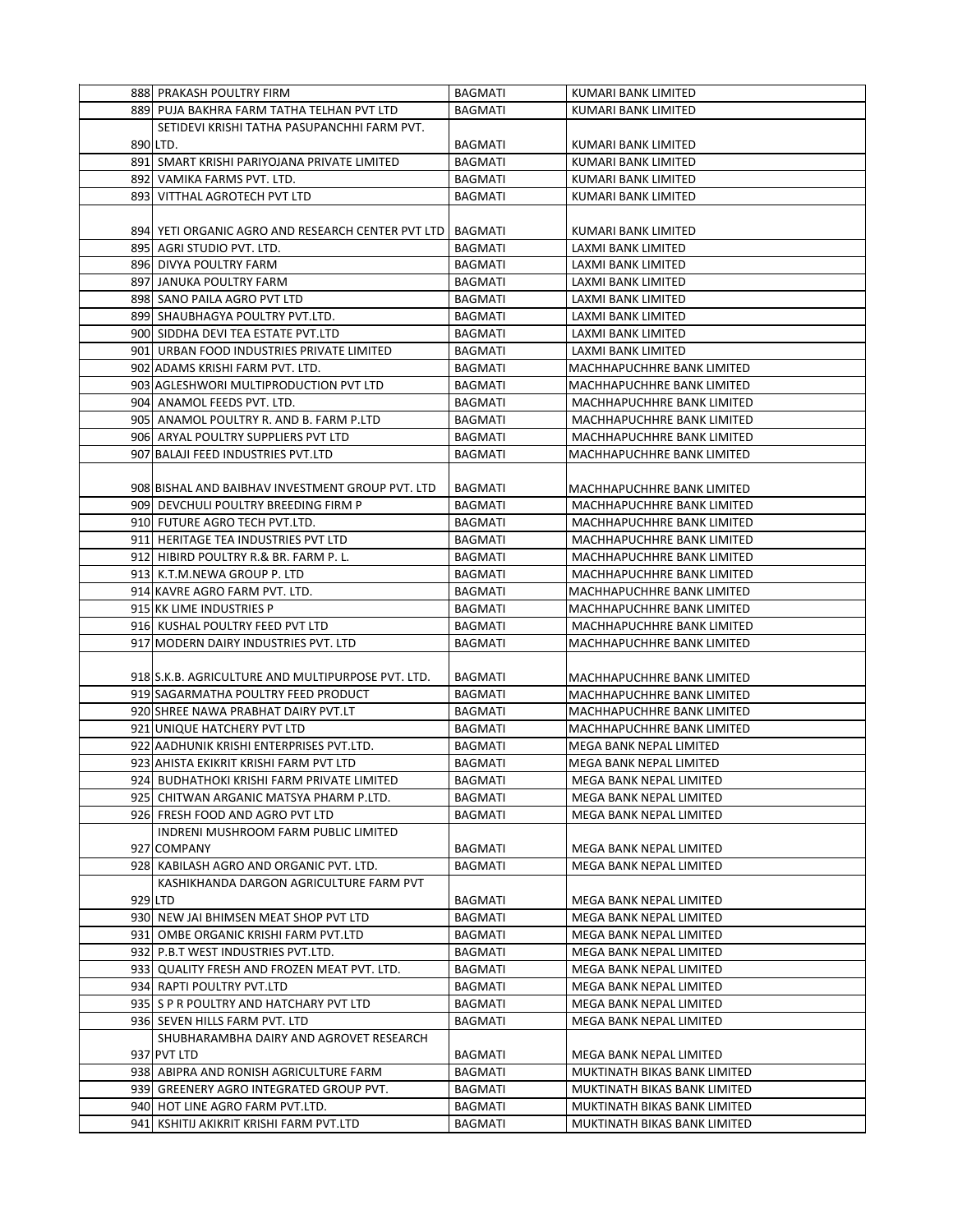|     | 888 PRAKASH POULTRY FIRM                                    | <b>BAGMATI</b> | KUMARI BANK LIMITED            |
|-----|-------------------------------------------------------------|----------------|--------------------------------|
|     | 889 PUJA BAKHRA FARM TATHA TELHAN PVT LTD                   | <b>BAGMATI</b> | KUMARI BANK LIMITED            |
|     | SETIDEVI KRISHI TATHA PASUPANCHHI FARM PVT.                 |                |                                |
|     | 890 LTD.                                                    | <b>BAGMATI</b> | KUMARI BANK LIMITED            |
|     | 891 SMART KRISHI PARIYOJANA PRIVATE LIMITED                 | <b>BAGMATI</b> | <b>KUMARI BANK LIMITED</b>     |
|     | 892 VAMIKA FARMS PVT. LTD.                                  | <b>BAGMATI</b> | KUMARI BANK LIMITED            |
| 893 | VITTHAL AGROTECH PVT LTD                                    | <b>BAGMATI</b> | KUMARI BANK LIMITED            |
|     |                                                             |                |                                |
|     | 894 YETI ORGANIC AGRO AND RESEARCH CENTER PVT LTD   BAGMATI |                | KUMARI BANK LIMITED            |
|     | 895 AGRI STUDIO PVT. LTD.                                   | <b>BAGMATI</b> | LAXMI BANK LIMITED             |
|     | 896 DIVYA POULTRY FARM                                      | <b>BAGMATI</b> | LAXMI BANK LIMITED             |
|     | 897 JANUKA POULTRY FARM                                     | <b>BAGMATI</b> | LAXMI BANK LIMITED             |
|     | 898 SANO PAILA AGRO PVT LTD                                 | <b>BAGMATI</b> | LAXMI BANK LIMITED             |
|     | 899 SHAUBHAGYA POULTRY PVT.LTD.                             | <b>BAGMATI</b> | LAXMI BANK LIMITED             |
|     | 900 SIDDHA DEVI TEA ESTATE PVT.LTD                          | <b>BAGMATI</b> | LAXMI BANK LIMITED             |
|     | 901 URBAN FOOD INDUSTRIES PRIVATE LIMITED                   | <b>BAGMATI</b> | LAXMI BANK LIMITED             |
|     | 902 ADAMS KRISHI FARM PVT. LTD.                             | <b>BAGMATI</b> | MACHHAPUCHHRE BANK LIMITED     |
|     | 903 AGLESHWORI MULTIPRODUCTION PVT LTD                      | <b>BAGMATI</b> | MACHHAPUCHHRE BANK LIMITED     |
|     | 904 ANAMOL FEEDS PVT. LTD.                                  | <b>BAGMATI</b> | MACHHAPUCHHRE BANK LIMITED     |
|     | 905 ANAMOL POULTRY R. AND B. FARM P.LTD                     | <b>BAGMATI</b> | MACHHAPUCHHRE BANK LIMITED     |
|     | 906 ARYAL POULTRY SUPPLIERS PVT LTD                         | <b>BAGMATI</b> | MACHHAPUCHHRE BANK LIMITED     |
|     | 907 BALAJI FEED INDUSTRIES PVT.LTD                          | <b>BAGMATI</b> | MACHHAPUCHHRE BANK LIMITED     |
|     |                                                             |                |                                |
|     | 908 BISHAL AND BAIBHAV INVESTMENT GROUP PVT. LTD            | <b>BAGMATI</b> | MACHHAPUCHHRE BANK LIMITED     |
|     | 909 DEVCHULI POULTRY BREEDING FIRM P                        | <b>BAGMATI</b> | MACHHAPUCHHRE BANK LIMITED     |
|     | 910 FUTURE AGRO TECH PVT.LTD.                               | <b>BAGMATI</b> | MACHHAPUCHHRE BANK LIMITED     |
|     | 911 HERITAGE TEA INDUSTRIES PVT LTD                         | <b>BAGMATI</b> | MACHHAPUCHHRE BANK LIMITED     |
|     | 912 HIBIRD POULTRY R.& BR. FARM P. L.                       | <b>BAGMATI</b> | MACHHAPUCHHRE BANK LIMITED     |
|     | 913 K.T.M.NEWA GROUP P. LTD                                 | <b>BAGMATI</b> | MACHHAPUCHHRE BANK LIMITED     |
|     | 914 KAVRE AGRO FARM PVT. LTD.                               | <b>BAGMATI</b> | MACHHAPUCHHRE BANK LIMITED     |
|     | 915 KK LIME INDUSTRIES P                                    | <b>BAGMATI</b> | MACHHAPUCHHRE BANK LIMITED     |
|     | 916 KUSHAL POULTRY FEED PVT LTD                             | BAGMATI        | MACHHAPUCHHRE BANK LIMITED     |
|     | 917 MODERN DAIRY INDUSTRIES PVT. LTD                        | <b>BAGMATI</b> | MACHHAPUCHHRE BANK LIMITED     |
|     |                                                             |                |                                |
|     | 918 S.K.B. AGRICULTURE AND MULTIPURPOSE PVT. LTD.           | BAGMATI        | MACHHAPUCHHRE BANK LIMITED     |
|     | 919 SAGARMATHA POULTRY FEED PRODUCT                         | <b>BAGMATI</b> | MACHHAPUCHHRE BANK LIMITED     |
|     | 920 SHREE NAWA PRABHAT DAIRY PVT.LT                         | <b>BAGMATI</b> | MACHHAPUCHHRE BANK LIMITED     |
|     | 921 UNIQUE HATCHERY PVT LTD                                 | <b>BAGMATI</b> | MACHHAPUCHHRE BANK LIMITED     |
|     | 922 AADHUNIK KRISHI ENTERPRISES PVT.LTD.                    | <b>BAGMATI</b> | MEGA BANK NEPAL LIMITED        |
|     | 923 AHISTA EKIKRIT KRISHI FARM PVT LTD                      | <b>BAGMATI</b> | <b>MEGA BANK NEPAL LIMITED</b> |
|     | 924 BUDHATHOKI KRISHI FARM PRIVATE LIMITED                  | <b>BAGMATI</b> | MEGA BANK NEPAL LIMITED        |
|     | 925 CHITWAN ARGANIC MATSYA PHARM P.LTD.                     | BAGMATI        | MEGA BANK NEPAL LIMITED        |
|     | 926 FRESH FOOD AND AGRO PVT LTD                             | BAGMATI        | MEGA BANK NEPAL LIMITED        |
|     | INDRENI MUSHROOM FARM PUBLIC LIMITED                        |                |                                |
|     | 927 COMPANY                                                 | BAGMATI        | MEGA BANK NEPAL LIMITED        |
|     | 928 KABILASH AGRO AND ORGANIC PVT. LTD.                     | <b>BAGMATI</b> | MEGA BANK NEPAL LIMITED        |
|     | KASHIKHANDA DARGON AGRICULTURE FARM PVT                     |                |                                |
|     | 929 LTD                                                     | <b>BAGMATI</b> | MEGA BANK NEPAL LIMITED        |
|     | 930 NEW JAI BHIMSEN MEAT SHOP PVT LTD                       | <b>BAGMATI</b> | MEGA BANK NEPAL LIMITED        |
|     | 931 OMBE ORGANIC KRISHI FARM PVT.LTD                        | BAGMATI        | MEGA BANK NEPAL LIMITED        |
|     | 932 P.B.T WEST INDUSTRIES PVT.LTD.                          | BAGMATI        | MEGA BANK NEPAL LIMITED        |
|     | 933 QUALITY FRESH AND FROZEN MEAT PVT. LTD.                 | <b>BAGMATI</b> | MEGA BANK NEPAL LIMITED        |
|     | 934 RAPTI POULTRY PVT.LTD                                   | <b>BAGMATI</b> | MEGA BANK NEPAL LIMITED        |
|     | 935 S P R POULTRY AND HATCHARY PVT LTD                      | BAGMATI        | MEGA BANK NEPAL LIMITED        |
|     | 936 SEVEN HILLS FARM PVT. LTD                               | <b>BAGMATI</b> | MEGA BANK NEPAL LIMITED        |
|     | SHUBHARAMBHA DAIRY AND AGROVET RESEARCH                     |                |                                |
|     | 937 PVT LTD                                                 | BAGMATI        | MEGA BANK NEPAL LIMITED        |
|     | 938 ABIPRA AND RONISH AGRICULTURE FARM                      | BAGMATI        | MUKTINATH BIKAS BANK LIMITED   |
|     | 939 GREENERY AGRO INTEGRATED GROUP PVT.                     | <b>BAGMATI</b> | MUKTINATH BIKAS BANK LIMITED   |
|     | 940 HOT LINE AGRO FARM PVT.LTD.                             | BAGMATI        | MUKTINATH BIKAS BANK LIMITED   |
|     | 941 KSHITIJ AKIKRIT KRISHI FARM PVT.LTD                     | <b>BAGMATI</b> | MUKTINATH BIKAS BANK LIMITED   |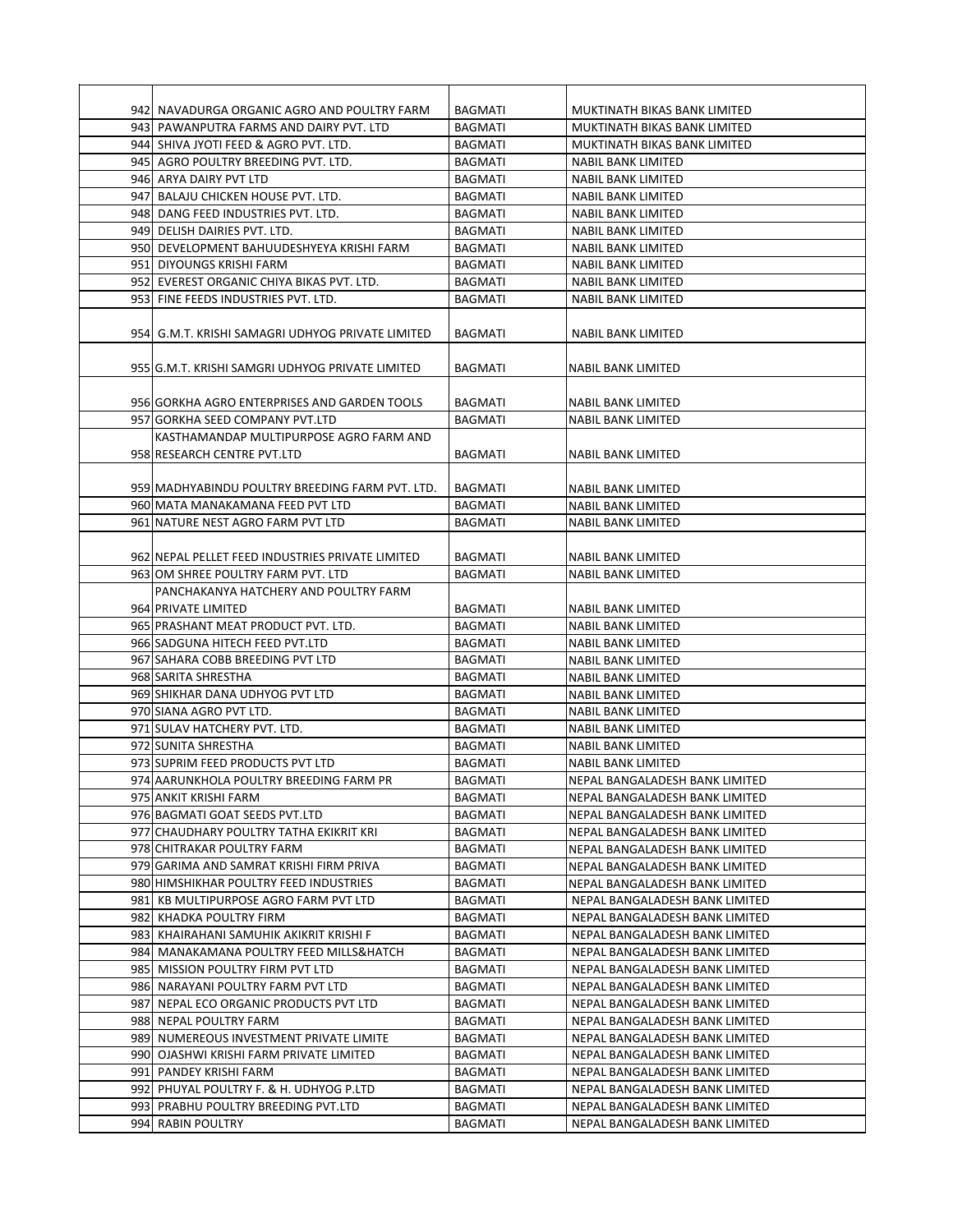| 942 NAVADURGA ORGANIC AGRO AND POULTRY FARM                                     | <b>BAGMATI</b>            | MUKTINATH BIKAS BANK LIMITED                                     |
|---------------------------------------------------------------------------------|---------------------------|------------------------------------------------------------------|
| 943 PAWANPUTRA FARMS AND DAIRY PVT. LTD                                         | <b>BAGMATI</b>            | MUKTINATH BIKAS BANK LIMITED                                     |
| 944 SHIVA JYOTI FEED & AGRO PVT. LTD.                                           | <b>BAGMATI</b>            | MUKTINATH BIKAS BANK LIMITED                                     |
| 945 AGRO POULTRY BREEDING PVT. LTD.                                             | BAGMATI                   | NABIL BANK LIMITED                                               |
| 946 ARYA DAIRY PVT LTD                                                          | <b>BAGMATI</b>            | <b>NABIL BANK LIMITED</b>                                        |
| 947 BALAJU CHICKEN HOUSE PVT. LTD.                                              | <b>BAGMATI</b>            | NABIL BANK LIMITED                                               |
| 948 DANG FEED INDUSTRIES PVT. LTD.                                              | <b>BAGMATI</b>            | NABIL BANK LIMITED                                               |
| 949 DELISH DAIRIES PVT. LTD.                                                    | <b>BAGMATI</b>            | NABIL BANK LIMITED                                               |
| 950 DEVELOPMENT BAHUUDESHYEYA KRISHI FARM                                       | <b>BAGMATI</b>            | NABIL BANK LIMITED                                               |
| 951 DIYOUNGS KRISHI FARM                                                        | BAGMATI                   | <b>NABIL BANK LIMITED</b>                                        |
| 952 EVEREST ORGANIC CHIYA BIKAS PVT. LTD.                                       | <b>BAGMATI</b>            | <b>NABIL BANK LIMITED</b>                                        |
| 953 FINE FEEDS INDUSTRIES PVT. LTD.                                             | <b>BAGMATI</b>            | NABIL BANK LIMITED                                               |
| 954 G.M.T. KRISHI SAMAGRI UDHYOG PRIVATE LIMITED                                | <b>BAGMATI</b>            | NABIL BANK LIMITED                                               |
| 955JG.M.T. KRISHI SAMGRI UDHYOG PRIVATE LIMITED                                 | BAGMATI                   | NABIL BANK LIMITED                                               |
|                                                                                 |                           |                                                                  |
| 956 GORKHA AGRO ENTERPRISES AND GARDEN TOOLS                                    | <b>BAGMATI</b>            | NABIL BANK LIMITED                                               |
| 957 GORKHA SEED COMPANY PVT.LTD                                                 | <b>BAGMATI</b>            | <b>NABIL BANK LIMITED</b>                                        |
| KASTHAMANDAP MULTIPURPOSE AGRO FARM AND                                         |                           |                                                                  |
| 958 RESEARCH CENTRE PVT.LTD                                                     | BAGMATI                   | NABIL BANK LIMITED                                               |
|                                                                                 |                           |                                                                  |
| 959 MADHYABINDU POULTRY BREEDING FARM PVT. LTD.                                 | BAGMATI                   | NABIL BANK LIMITED                                               |
| 960 MATA MANAKAMANA FEED PVT LTD                                                | <b>BAGMATI</b>            | NABIL BANK LIMITED                                               |
| 961 NATURE NEST AGRO FARM PVT LTD                                               | <b>BAGMATI</b>            | <b>NABIL BANK LIMITED</b>                                        |
|                                                                                 |                           |                                                                  |
| 962 NEPAL PELLET FEED INDUSTRIES PRIVATE LIMITED                                | BAGMATI                   | NABIL BANK LIMITED                                               |
| 963 OM SHREE POULTRY FARM PVT. LTD                                              | <b>BAGMATI</b>            | NABIL BANK LIMITED                                               |
| PANCHAKANYA HATCHERY AND POULTRY FARM                                           |                           |                                                                  |
| 964 PRIVATE LIMITED                                                             | BAGMATI                   | NABIL BANK LIMITED                                               |
| 965 PRASHANT MEAT PRODUCT PVT. LTD.                                             | <b>BAGMATI</b>            | NABIL BANK LIMITED                                               |
| 966 SADGUNA HITECH FEED PVT.LTD                                                 | BAGMATI                   | NABIL BANK LIMITED                                               |
| 967 SAHARA COBB BREEDING PVT LTD                                                | <b>BAGMATI</b>            | NABIL BANK LIMITED                                               |
| 968 SARITA SHRESTHA                                                             | <b>BAGMATI</b>            | NABIL BANK LIMITED                                               |
| 969 SHIKHAR DANA UDHYOG PVT LTD                                                 | BAGMATI                   | NABIL BANK LIMITED                                               |
| 970 SIANA AGRO PVT LTD.                                                         | <b>BAGMATI</b>            | NABIL BANK LIMITED                                               |
| 971 SULAV HATCHERY PVT. LTD.<br>972 SUNITA SHRESTHA                             | <b>BAGMATI</b>            | NABIL BANK LIMITED                                               |
|                                                                                 | <b>BAGMATI</b>            | <b>NABIL BANK LIMITED</b>                                        |
| 973 SUPRIM FEED PRODUCTS PVT LTD                                                | <b>BAGMATI</b>            | NABIL BANK LIMITED                                               |
| 974 AARUNKHOLA POULTRY BREEDING FARM PR                                         | BAGMATI                   | NEPAL BANGALADESH BANK LIMITED                                   |
| 975 ANKIT KRISHI FARM                                                           | BAGMATI                   | NEPAL BANGALADESH BANK LIMITED                                   |
| 976 BAGMATI GOAT SEEDS PVT.LTD<br>977 CHAUDHARY POULTRY TATHA EKIKRIT KRI       | BAGMATI<br>BAGMATI        | NEPAL BANGALADESH BANK LIMITED<br>NEPAL BANGALADESH BANK LIMITED |
|                                                                                 |                           | NEPAL BANGALADESH BANK LIMITED                                   |
| 978 CHITRAKAR POULTRY FARM<br>979 GARIMA AND SAMRAT KRISHI FIRM PRIVA           | BAGMATI<br><b>BAGMATI</b> | NEPAL BANGALADESH BANK LIMITED                                   |
|                                                                                 | BAGMATI                   |                                                                  |
| 980 HIMSHIKHAR POULTRY FEED INDUSTRIES<br>981 KB MULTIPURPOSE AGRO FARM PVT LTD | BAGMATI                   | NEPAL BANGALADESH BANK LIMITED<br>NEPAL BANGALADESH BANK LIMITED |
| 982 KHADKA POULTRY FIRM                                                         | BAGMATI                   | NEPAL BANGALADESH BANK LIMITED                                   |
| 983 KHAIRAHANI SAMUHIK AKIKRIT KRISHI F                                         | BAGMATI                   | NEPAL BANGALADESH BANK LIMITED                                   |
| 984 MANAKAMANA POULTRY FEED MILLS&HATCH                                         | <b>BAGMATI</b>            | NEPAL BANGALADESH BANK LIMITED                                   |
| 985 MISSION POULTRY FIRM PVT LTD                                                | BAGMATI                   | NEPAL BANGALADESH BANK LIMITED                                   |
| 986 NARAYANI POULTRY FARM PVT LTD                                               | BAGMATI                   | NEPAL BANGALADESH BANK LIMITED                                   |
| 987 NEPAL ECO ORGANIC PRODUCTS PVT LTD                                          | BAGMATI                   | NEPAL BANGALADESH BANK LIMITED                                   |
| 988 NEPAL POULTRY FARM                                                          | BAGMATI                   | NEPAL BANGALADESH BANK LIMITED                                   |
| 989 NUMEREOUS INVESTMENT PRIVATE LIMITE                                         | BAGMATI                   | NEPAL BANGALADESH BANK LIMITED                                   |
| 990 OJASHWI KRISHI FARM PRIVATE LIMITED                                         | <b>BAGMATI</b>            | NEPAL BANGALADESH BANK LIMITED                                   |
| 991 PANDEY KRISHI FARM                                                          | BAGMATI                   | NEPAL BANGALADESH BANK LIMITED                                   |
| 992 PHUYAL POULTRY F. & H. UDHYOG P.LTD                                         | BAGMATI                   | NEPAL BANGALADESH BANK LIMITED                                   |
| 993 PRABHU POULTRY BREEDING PVT.LTD                                             | BAGMATI                   | NEPAL BANGALADESH BANK LIMITED                                   |
| 994 RABIN POULTRY                                                               | BAGMATI                   | NEPAL BANGALADESH BANK LIMITED                                   |
|                                                                                 |                           |                                                                  |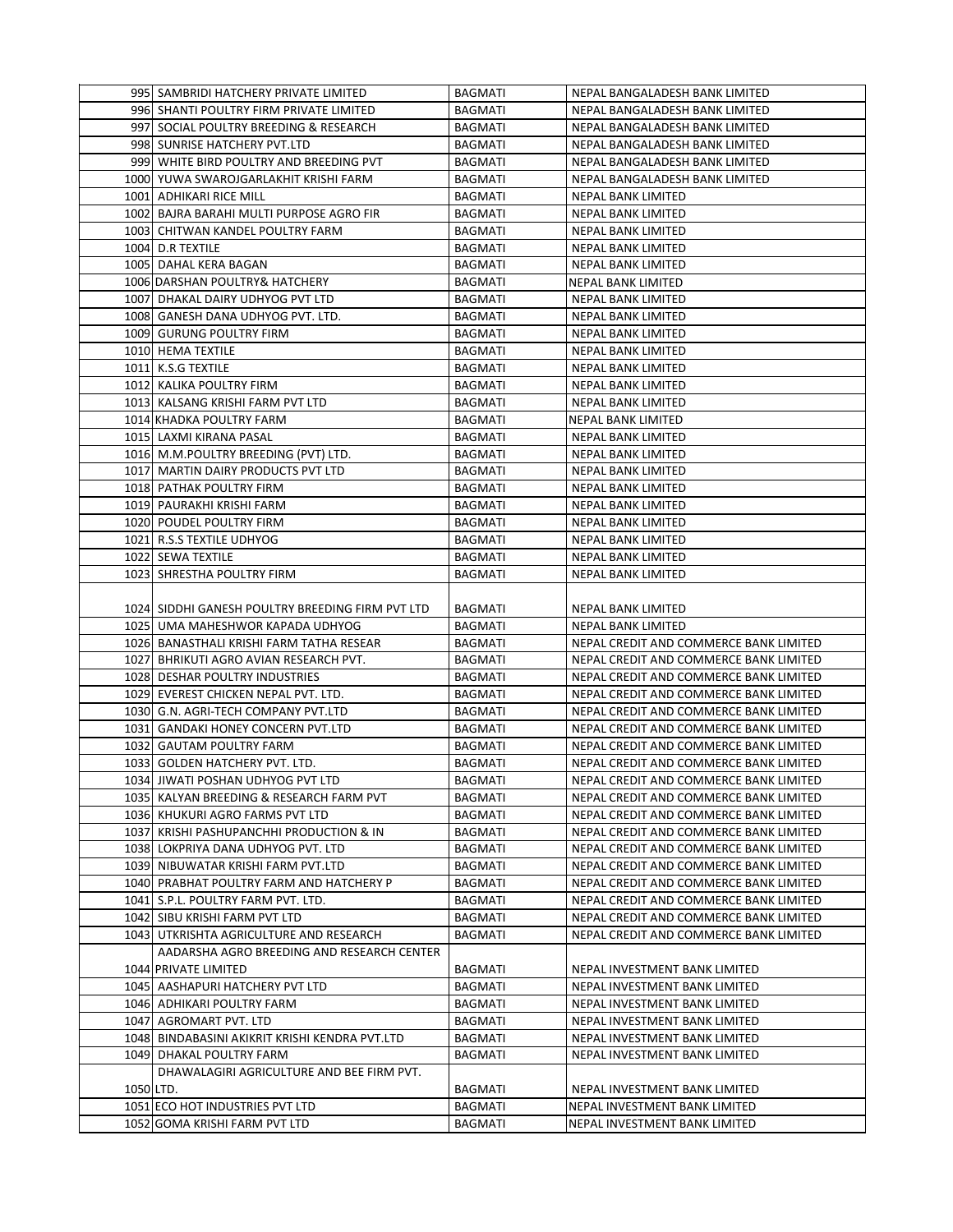|           | 995 SAMBRIDI HATCHERY PRIVATE LIMITED                                                | BAGMATI        | NEPAL BANGALADESH BANK LIMITED                                                   |
|-----------|--------------------------------------------------------------------------------------|----------------|----------------------------------------------------------------------------------|
|           | 996 SHANTI POULTRY FIRM PRIVATE LIMITED                                              | <b>BAGMATI</b> | NEPAL BANGALADESH BANK LIMITED                                                   |
|           | 997 SOCIAL POULTRY BREEDING & RESEARCH                                               | <b>BAGMATI</b> | NEPAL BANGALADESH BANK LIMITED                                                   |
|           | 998 SUNRISE HATCHERY PVT.LTD                                                         | BAGMATI        | NEPAL BANGALADESH BANK LIMITED                                                   |
|           | 999 WHITE BIRD POULTRY AND BREEDING PVT                                              | BAGMATI        | NEPAL BANGALADESH BANK LIMITED                                                   |
|           | 1000 YUWA SWAROJGARLAKHIT KRISHI FARM                                                | BAGMATI        | NEPAL BANGALADESH BANK LIMITED                                                   |
|           | 1001 ADHIKARI RICE MILL                                                              | BAGMATI        | NEPAL BANK LIMITED                                                               |
|           | 1002 BAJRA BARAHI MULTI PURPOSE AGRO FIR                                             | BAGMATI        | NEPAL BANK LIMITED                                                               |
|           | 1003 CHITWAN KANDEL POULTRY FARM                                                     | <b>BAGMATI</b> | NEPAL BANK LIMITED                                                               |
|           | 1004 D.R TEXTILE                                                                     | BAGMATI        | NEPAL BANK LIMITED                                                               |
|           | 1005 DAHAL KERA BAGAN                                                                | BAGMATI        | <b>NEPAL BANK LIMITED</b>                                                        |
|           | 1006 DARSHAN POULTRY& HATCHERY                                                       | BAGMATI        | NEPAL BANK LIMITED                                                               |
|           | 1007 DHAKAL DAIRY UDHYOG PVT LTD                                                     | <b>BAGMATI</b> | <b>NEPAL BANK LIMITED</b>                                                        |
|           | 1008 GANESH DANA UDHYOG PVT. LTD.                                                    | BAGMATI        | NEPAL BANK LIMITED                                                               |
|           | 1009 GURUNG POULTRY FIRM                                                             | BAGMATI        | NEPAL BANK LIMITED                                                               |
|           | 1010 HEMA TEXTILE                                                                    | <b>BAGMATI</b> | <b>NEPAL BANK LIMITED</b>                                                        |
|           | 1011 K.S.G TEXTILE                                                                   | BAGMATI        | NEPAL BANK LIMITED                                                               |
|           | 1012 KALIKA POULTRY FIRM                                                             | BAGMATI        | NEPAL BANK LIMITED                                                               |
|           | 1013 KALSANG KRISHI FARM PVT LTD                                                     | BAGMATI        | NEPAL BANK LIMITED                                                               |
|           | 1014 KHADKA POULTRY FARM                                                             | BAGMATI        | <b>NEPAL BANK LIMITED</b>                                                        |
|           | 1015 LAXMI KIRANA PASAL                                                              | <b>BAGMATI</b> | NEPAL BANK LIMITED                                                               |
|           | 1016 M.M.POULTRY BREEDING (PVT) LTD.                                                 | BAGMATI        | NEPAL BANK LIMITED                                                               |
|           | 1017 MARTIN DAIRY PRODUCTS PVT LTD                                                   | BAGMATI        | <b>NEPAL BANK LIMITED</b>                                                        |
|           | 1018 PATHAK POULTRY FIRM                                                             | <b>BAGMATI</b> | <b>NEPAL BANK LIMITED</b>                                                        |
|           | 1019 PAURAKHI KRISHI FARM                                                            | BAGMATI        | NEPAL BANK LIMITED                                                               |
|           | 1020 POUDEL POULTRY FIRM                                                             | BAGMATI        | NEPAL BANK LIMITED                                                               |
|           | 1021 R.S.S TEXTILE UDHYOG                                                            | <b>BAGMATI</b> | NEPAL BANK LIMITED                                                               |
|           | 1022 SEWA TEXTILE                                                                    | <b>BAGMATI</b> | NEPAL BANK LIMITED                                                               |
|           | 1023 SHRESTHA POULTRY FIRM                                                           |                | NEPAL BANK LIMITED                                                               |
|           |                                                                                      | BAGMATI        |                                                                                  |
|           |                                                                                      |                |                                                                                  |
|           | 1024 SIDDHI GANESH POULTRY BREEDING FIRM PVT LTD<br>1025 UMA MAHESHWOR KAPADA UDHYOG | BAGMATI        | NEPAL BANK LIMITED                                                               |
|           |                                                                                      | BAGMATI        | NEPAL BANK LIMITED                                                               |
|           | 1026 BANASTHALI KRISHI FARM TATHA RESEAR                                             | BAGMATI        | NEPAL CREDIT AND COMMERCE BANK LIMITED                                           |
|           | 1027 BHRIKUTI AGRO AVIAN RESEARCH PVT.                                               | BAGMATI        | NEPAL CREDIT AND COMMERCE BANK LIMITED                                           |
|           | 1028 DESHAR POULTRY INDUSTRIES                                                       | <b>BAGMATI</b> | NEPAL CREDIT AND COMMERCE BANK LIMITED                                           |
|           | 1029 EVEREST CHICKEN NEPAL PVT. LTD.                                                 | BAGMATI        | NEPAL CREDIT AND COMMERCE BANK LIMITED<br>NEPAL CREDIT AND COMMERCE BANK LIMITED |
|           | 1030 G.N. AGRI-TECH COMPANY PVT.LTD                                                  | BAGMATI        |                                                                                  |
|           | 1031 GANDAKI HONEY CONCERN PVT.LTD                                                   | BAGMATI        | NEPAL CREDIT AND COMMERCE BANK LIMITED                                           |
|           | 1032 GAUTAM POULTRY FARM                                                             | <b>BAGMATI</b> | NEPAL CREDIT AND COMMERCE BANK LIMITED                                           |
|           | 1033 GOLDEN HATCHERY PVT. LTD.                                                       | <b>BAGMATI</b> | NEPAL CREDIT AND COMMERCE BANK LIMITED                                           |
|           | 1034 JIWATI POSHAN UDHYOG PVT LTD                                                    | <b>BAGMATI</b> | NEPAL CREDIT AND COMMERCE BANK LIMITED                                           |
|           | 1035 KALYAN BREEDING & RESEARCH FARM PVT                                             | BAGMATI        | NEPAL CREDIT AND COMMERCE BANK LIMITED                                           |
|           | 1036 KHUKURI AGRO FARMS PVT LTD                                                      | BAGMATI        | NEPAL CREDIT AND COMMERCE BANK LIMITED                                           |
|           | 1037 KRISHI PASHUPANCHHI PRODUCTION & IN                                             | BAGMATI        | NEPAL CREDIT AND COMMERCE BANK LIMITED                                           |
|           | 1038 LOKPRIYA DANA UDHYOG PVT. LTD                                                   | BAGMATI        | NEPAL CREDIT AND COMMERCE BANK LIMITED                                           |
|           | 1039 NIBUWATAR KRISHI FARM PVT.LTD                                                   | BAGMATI        | NEPAL CREDIT AND COMMERCE BANK LIMITED                                           |
|           | 1040 PRABHAT POULTRY FARM AND HATCHERY P                                             | BAGMATI        | NEPAL CREDIT AND COMMERCE BANK LIMITED                                           |
|           | 1041 S.P.L. POULTRY FARM PVT. LTD.                                                   | BAGMATI        | NEPAL CREDIT AND COMMERCE BANK LIMITED                                           |
|           | 1042 SIBU KRISHI FARM PVT LTD                                                        | BAGMATI        | NEPAL CREDIT AND COMMERCE BANK LIMITED                                           |
|           | 1043 UTKRISHTA AGRICULTURE AND RESEARCH                                              | BAGMATI        | NEPAL CREDIT AND COMMERCE BANK LIMITED                                           |
|           | AADARSHA AGRO BREEDING AND RESEARCH CENTER                                           |                |                                                                                  |
|           | 1044 PRIVATE LIMITED                                                                 | BAGMATI        | NEPAL INVESTMENT BANK LIMITED                                                    |
|           | 1045 AASHAPURI HATCHERY PVT LTD                                                      | BAGMATI        | NEPAL INVESTMENT BANK LIMITED                                                    |
|           | 1046 ADHIKARI POULTRY FARM                                                           | BAGMATI        | NEPAL INVESTMENT BANK LIMITED                                                    |
|           | 1047 AGROMART PVT. LTD                                                               | BAGMATI        | NEPAL INVESTMENT BANK LIMITED                                                    |
|           | 1048 BINDABASINI AKIKRIT KRISHI KENDRA PVT.LTD                                       | BAGMATI        | NEPAL INVESTMENT BANK LIMITED                                                    |
|           | 1049 DHAKAL POULTRY FARM                                                             | BAGMATI        | NEPAL INVESTMENT BANK LIMITED                                                    |
|           | DHAWALAGIRI AGRICULTURE AND BEE FIRM PVT.                                            |                |                                                                                  |
| 1050 LTD. |                                                                                      | BAGMATI        | NEPAL INVESTMENT BANK LIMITED                                                    |
|           | 1051 ECO HOT INDUSTRIES PVT LTD                                                      | <b>BAGMATI</b> | NEPAL INVESTMENT BANK LIMITED                                                    |
|           | 1052 GOMA KRISHI FARM PVT LTD                                                        | BAGMATI        | NEPAL INVESTMENT BANK LIMITED                                                    |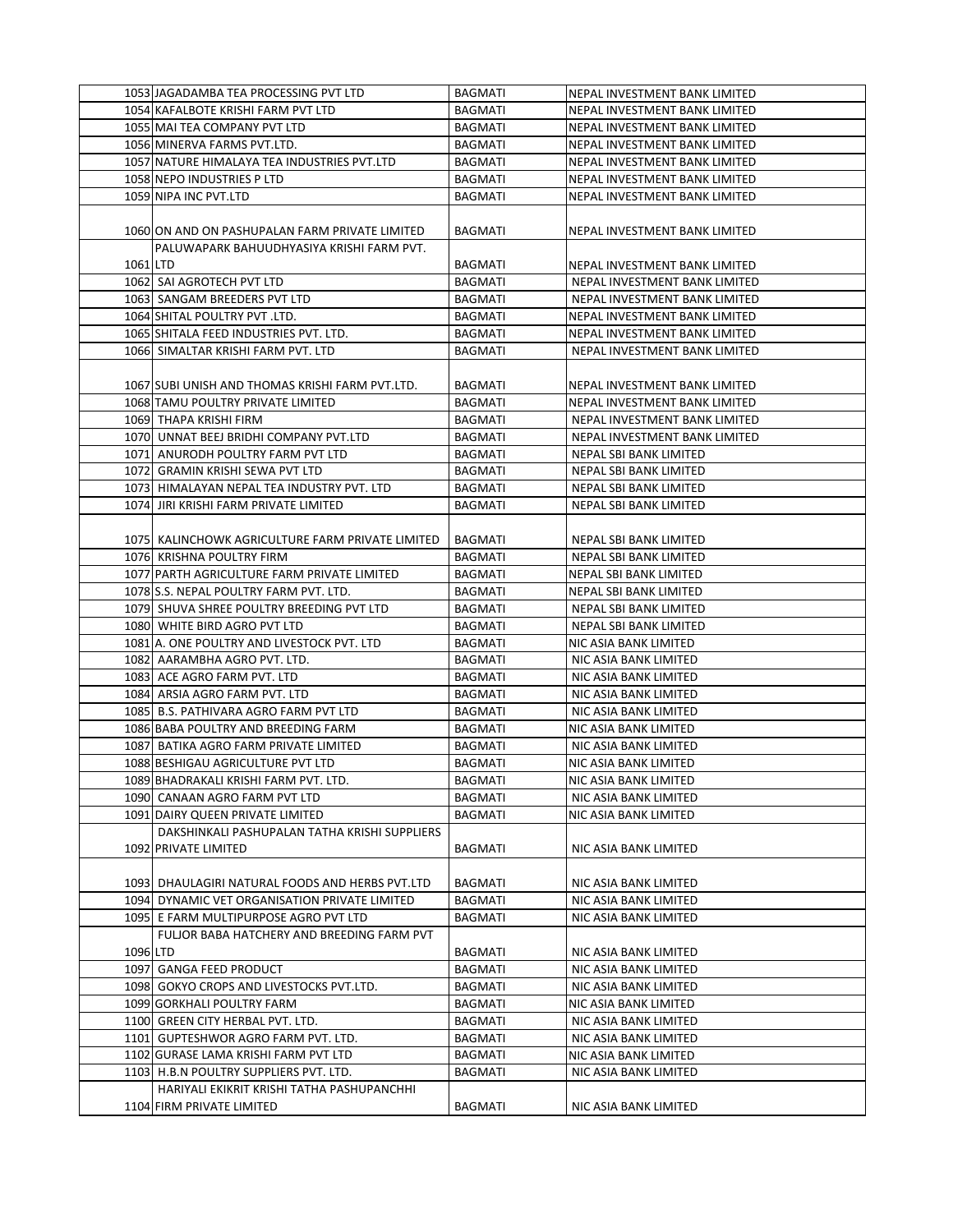|          | 1053 JAGADAMBA TEA PROCESSING PVT LTD            | <b>BAGMATI</b> | NEPAL INVESTMENT BANK LIMITED |
|----------|--------------------------------------------------|----------------|-------------------------------|
|          | 1054 KAFALBOTE KRISHI FARM PVT LTD               | <b>BAGMATI</b> | NEPAL INVESTMENT BANK LIMITED |
|          | 1055 MAI TEA COMPANY PVT LTD                     | <b>BAGMATI</b> | NEPAL INVESTMENT BANK LIMITED |
|          | 1056 MINERVA FARMS PVT.LTD.                      | <b>BAGMATI</b> | NEPAL INVESTMENT BANK LIMITED |
|          | 1057 NATURE HIMALAYA TEA INDUSTRIES PVT.LTD      | BAGMATI        | NEPAL INVESTMENT BANK LIMITED |
|          | 1058 NEPO INDUSTRIES P LTD                       | <b>BAGMATI</b> | NEPAL INVESTMENT BANK LIMITED |
|          | 1059 NIPA INC PVT.LTD                            | <b>BAGMATI</b> | NEPAL INVESTMENT BANK LIMITED |
|          |                                                  |                |                               |
|          | 1060 ON AND ON PASHUPALAN FARM PRIVATE LIMITED   | <b>BAGMATI</b> | NEPAL INVESTMENT BANK LIMITED |
|          | PALUWAPARK BAHUUDHYASIYA KRISHI FARM PVT.        |                |                               |
| 1061 LTD |                                                  | <b>BAGMATI</b> | NEPAL INVESTMENT BANK LIMITED |
|          | 1062 SAI AGROTECH PVT LTD                        | <b>BAGMATI</b> | NEPAL INVESTMENT BANK LIMITED |
|          | 1063 SANGAM BREEDERS PVT LTD                     | BAGMATI        | NEPAL INVESTMENT BANK LIMITED |
|          | 1064 SHITAL POULTRY PVT. LTD.                    | <b>BAGMATI</b> | NEPAL INVESTMENT BANK LIMITED |
|          |                                                  |                |                               |
|          | 1065 SHITALA FEED INDUSTRIES PVT. LTD.           | <b>BAGMATI</b> | NEPAL INVESTMENT BANK LIMITED |
|          | 1066 SIMALTAR KRISHI FARM PVT. LTD               | <b>BAGMATI</b> | NEPAL INVESTMENT BANK LIMITED |
|          |                                                  |                |                               |
|          | 1067 SUBI UNISH AND THOMAS KRISHI FARM PVT.LTD.  | <b>BAGMATI</b> | NEPAL INVESTMENT BANK LIMITED |
|          | 1068 TAMU POULTRY PRIVATE LIMITED                | <b>BAGMATI</b> | NEPAL INVESTMENT BANK LIMITED |
|          | 1069 THAPA KRISHI FIRM                           | <b>BAGMATI</b> | NEPAL INVESTMENT BANK LIMITED |
|          | 1070 UNNAT BEEJ BRIDHI COMPANY PVT.LTD           | <b>BAGMATI</b> | NEPAL INVESTMENT BANK LIMITED |
|          | 1071 ANURODH POULTRY FARM PVT LTD                | <b>BAGMATI</b> | NEPAL SBI BANK LIMITED        |
|          | 1072 GRAMIN KRISHI SEWA PVT LTD                  | <b>BAGMATI</b> | NEPAL SBI BANK LIMITED        |
|          | 1073 HIMALAYAN NEPAL TEA INDUSTRY PVT. LTD       | <b>BAGMATI</b> | NEPAL SBI BANK LIMITED        |
|          | 1074 JIRI KRISHI FARM PRIVATE LIMITED            | <b>BAGMATI</b> | NEPAL SBI BANK LIMITED        |
|          |                                                  |                |                               |
|          | 1075 KALINCHOWK AGRICULTURE FARM PRIVATE LIMITED | BAGMATI        | NEPAL SBI BANK LIMITED        |
|          | 1076 KRISHNA POULTRY FIRM                        | <b>BAGMATI</b> | NEPAL SBI BANK LIMITED        |
|          | 1077 PARTH AGRICULTURE FARM PRIVATE LIMITED      | <b>BAGMATI</b> | NEPAL SBI BANK LIMITED        |
|          | 1078 S.S. NEPAL POULTRY FARM PVT. LTD.           | BAGMATI        | NEPAL SBI BANK LIMITED        |
|          | 1079 SHUVA SHREE POULTRY BREEDING PVT LTD        | <b>BAGMATI</b> | NEPAL SBI BANK LIMITED        |
|          | 1080 WHITE BIRD AGRO PVT LTD                     | <b>BAGMATI</b> | NEPAL SBI BANK LIMITED        |
|          | 1081 A. ONE POULTRY AND LIVESTOCK PVT. LTD       | <b>BAGMATI</b> | NIC ASIA BANK LIMITED         |
|          | 1082 AARAMBHA AGRO PVT. LTD.                     | <b>BAGMATI</b> | NIC ASIA BANK LIMITED         |
|          | 1083 ACE AGRO FARM PVT. LTD                      | <b>BAGMATI</b> | NIC ASIA BANK LIMITED         |
|          | 1084 ARSIA AGRO FARM PVT. LTD                    | <b>BAGMATI</b> | NIC ASIA BANK LIMITED         |
|          | 1085 B.S. PATHIVARA AGRO FARM PVT LTD            | <b>BAGMATI</b> | NIC ASIA BANK LIMITED         |
|          | 1086 BABA POULTRY AND BREEDING FARM              | BAGMATI        | NIC ASIA BANK LIMITED         |
|          | 1087 BATIKA AGRO FARM PRIVATE LIMITED            | <b>BAGMATI</b> | NIC ASIA BANK LIMITED         |
|          | 1088 BESHIGAU AGRICULTURE PVT LTD                | BAGMATI        | NIC ASIA BANK LIMITED         |
|          | 1089 BHADRAKALI KRISHI FARM PVT. LTD.            | <b>BAGMATI</b> | NIC ASIA BANK LIMITED         |
|          | 1090 CANAAN AGRO FARM PVT LTD                    | BAGMATI        | NIC ASIA BANK LIMITED         |
|          | 1091 DAIRY QUEEN PRIVATE LIMITED                 | BAGMATI        | NIC ASIA BANK LIMITED         |
|          | DAKSHINKALI PASHUPALAN TATHA KRISHI SUPPLIERS    |                |                               |
|          | 1092 PRIVATE LIMITED                             | BAGMATI        | NIC ASIA BANK LIMITED         |
|          |                                                  |                |                               |
|          | 1093 DHAULAGIRI NATURAL FOODS AND HERBS PVT.LTD  | BAGMATI        | NIC ASIA BANK LIMITED         |
|          | 1094 DYNAMIC VET ORGANISATION PRIVATE LIMITED    | <b>BAGMATI</b> | NIC ASIA BANK LIMITED         |
|          | 1095 E FARM MULTIPURPOSE AGRO PVT LTD            | BAGMATI        | NIC ASIA BANK LIMITED         |
|          | FULJOR BABA HATCHERY AND BREEDING FARM PVT       |                |                               |
| 1096 LTD |                                                  | BAGMATI        | NIC ASIA BANK LIMITED         |
|          | 1097 GANGA FEED PRODUCT                          | <b>BAGMATI</b> | NIC ASIA BANK LIMITED         |
|          | 1098 GOKYO CROPS AND LIVESTOCKS PVT.LTD.         | BAGMATI        | NIC ASIA BANK LIMITED         |
|          | 1099 GORKHALI POULTRY FARM                       | <b>BAGMATI</b> | NIC ASIA BANK LIMITED         |
|          | 1100 GREEN CITY HERBAL PVT. LTD.                 | BAGMATI        | NIC ASIA BANK LIMITED         |
|          | 1101 GUPTESHWOR AGRO FARM PVT. LTD.              | <b>BAGMATI</b> | NIC ASIA BANK LIMITED         |
|          | 1102 GURASE LAMA KRISHI FARM PVT LTD             | BAGMATI        |                               |
|          |                                                  |                | NIC ASIA BANK LIMITED         |
|          | 1103 H.B.N POULTRY SUPPLIERS PVT. LTD.           | BAGMATI        | NIC ASIA BANK LIMITED         |
|          | HARIYALI EKIKRIT KRISHI TATHA PASHUPANCHHI       |                |                               |
|          | 1104 FIRM PRIVATE LIMITED                        | <b>BAGMATI</b> | NIC ASIA BANK LIMITED         |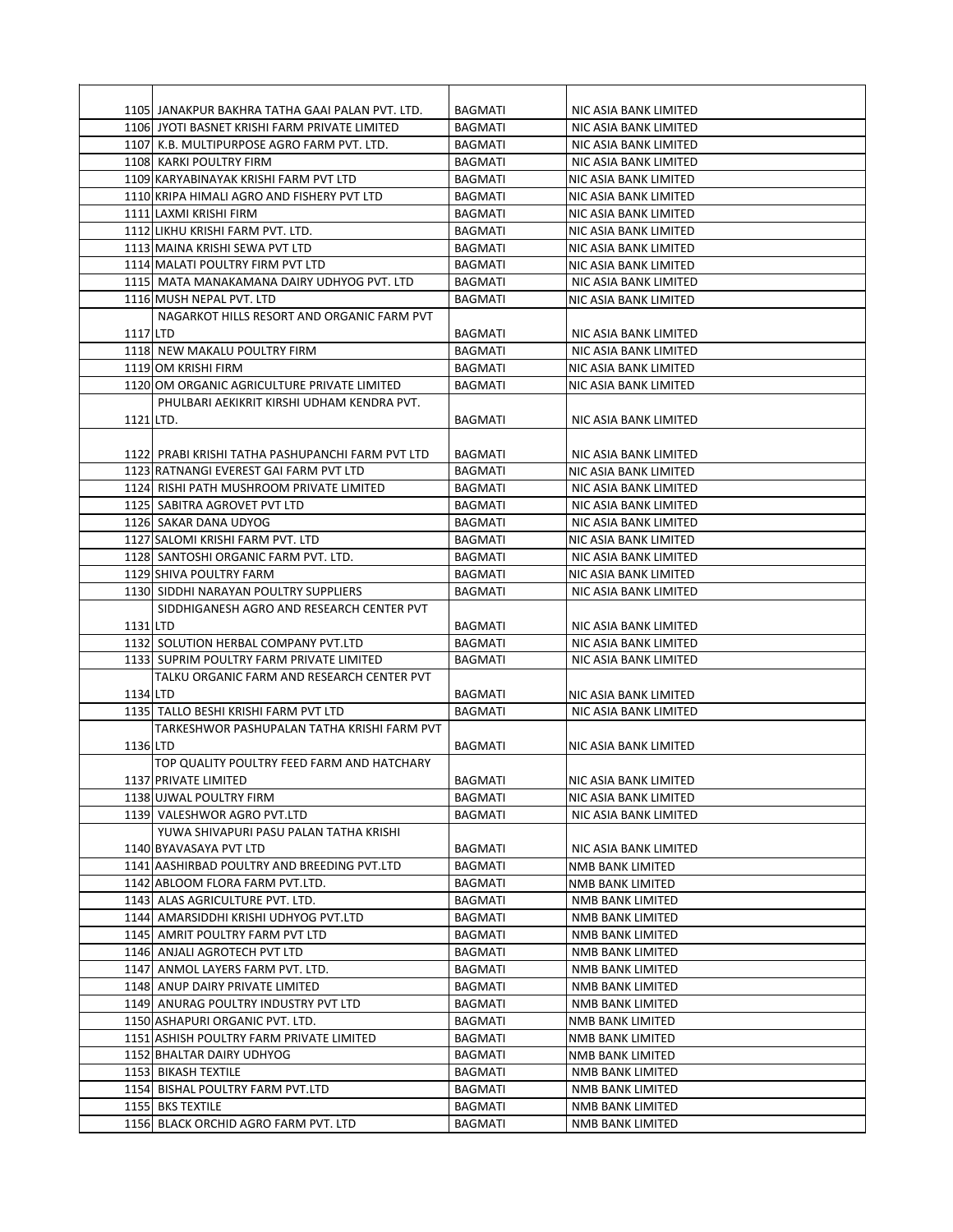|           | 1105 JANAKPUR BAKHRA TATHA GAAI PALAN PVT. LTD.  | <b>BAGMATI</b> | NIC ASIA BANK LIMITED |
|-----------|--------------------------------------------------|----------------|-----------------------|
|           | 1106 JYOTI BASNET KRISHI FARM PRIVATE LIMITED    | <b>BAGMATI</b> | NIC ASIA BANK LIMITED |
|           | 1107 K.B. MULTIPURPOSE AGRO FARM PVT. LTD.       | <b>BAGMATI</b> | NIC ASIA BANK LIMITED |
|           | 1108 KARKI POULTRY FIRM                          | <b>BAGMATI</b> | NIC ASIA BANK LIMITED |
|           | 1109 KARYABINAYAK KRISHI FARM PVT LTD            | BAGMATI        | NIC ASIA BANK LIMITED |
|           | 1110 KRIPA HIMALI AGRO AND FISHERY PVT LTD       | <b>BAGMATI</b> | NIC ASIA BANK LIMITED |
|           | 1111 LAXMI KRISHI FIRM                           | <b>BAGMATI</b> | NIC ASIA BANK LIMITED |
|           | 1112 LIKHU KRISHI FARM PVT. LTD.                 | <b>BAGMATI</b> | NIC ASIA BANK LIMITED |
|           | 1113 MAINA KRISHI SEWA PVT LTD                   | <b>BAGMATI</b> | NIC ASIA BANK LIMITED |
|           | 1114 MALATI POULTRY FIRM PVT LTD                 | <b>BAGMATI</b> | NIC ASIA BANK LIMITED |
|           | 1115 MATA MANAKAMANA DAIRY UDHYOG PVT. LTD       | <b>BAGMATI</b> | NIC ASIA BANK LIMITED |
|           | 1116 MUSH NEPAL PVT. LTD                         | <b>BAGMATI</b> | NIC ASIA BANK LIMITED |
|           | NAGARKOT HILLS RESORT AND ORGANIC FARM PVT       |                |                       |
| 1117 LTD  |                                                  | <b>BAGMATI</b> | NIC ASIA BANK LIMITED |
|           | 1118 NEW MAKALU POULTRY FIRM                     | <b>BAGMATI</b> | NIC ASIA BANK LIMITED |
|           | 1119 OM KRISHI FIRM                              | <b>BAGMATI</b> | NIC ASIA BANK LIMITED |
|           | 1120 OM ORGANIC AGRICULTURE PRIVATE LIMITED      | <b>BAGMATI</b> | NIC ASIA BANK LIMITED |
|           | PHULBARI AEKIKRIT KIRSHI UDHAM KENDRA PVT.       |                |                       |
| 1121 LTD. |                                                  | <b>BAGMATI</b> | NIC ASIA BANK LIMITED |
|           |                                                  |                |                       |
|           | 1122 PRABI KRISHI TATHA PASHUPANCHI FARM PVT LTD | <b>BAGMATI</b> | NIC ASIA BANK LIMITED |
|           | 1123 RATNANGI EVEREST GAI FARM PVT LTD           | <b>BAGMATI</b> | NIC ASIA BANK LIMITED |
|           | 1124 RISHI PATH MUSHROOM PRIVATE LIMITED         | <b>BAGMATI</b> | NIC ASIA BANK LIMITED |
|           | 1125 SABITRA AGROVET PVT LTD                     | <b>BAGMATI</b> | NIC ASIA BANK LIMITED |
|           | 1126 SAKAR DANA UDYOG                            | <b>BAGMATI</b> | NIC ASIA BANK LIMITED |
|           | 1127 SALOMI KRISHI FARM PVT. LTD                 | <b>BAGMATI</b> | NIC ASIA BANK LIMITED |
|           | 1128 SANTOSHI ORGANIC FARM PVT. LTD.             | <b>BAGMATI</b> | NIC ASIA BANK LIMITED |
|           | 1129 SHIVA POULTRY FARM                          | <b>BAGMATI</b> | NIC ASIA BANK LIMITED |
|           | 1130 SIDDHI NARAYAN POULTRY SUPPLIERS            | <b>BAGMATI</b> | NIC ASIA BANK LIMITED |
|           | SIDDHIGANESH AGRO AND RESEARCH CENTER PVT        |                |                       |
| 1131 LTD  |                                                  | <b>BAGMATI</b> | NIC ASIA BANK LIMITED |
|           | 1132 SOLUTION HERBAL COMPANY PVT.LTD             | <b>BAGMATI</b> | NIC ASIA BANK LIMITED |
|           | 1133 SUPRIM POULTRY FARM PRIVATE LIMITED         | <b>BAGMATI</b> | NIC ASIA BANK LIMITED |
|           | TALKU ORGANIC FARM AND RESEARCH CENTER PVT       |                |                       |
| 1134 LTD  |                                                  | <b>BAGMATI</b> | NIC ASIA BANK LIMITED |
|           | 1135 TALLO BESHI KRISHI FARM PVT LTD             | <b>BAGMATI</b> | NIC ASIA BANK LIMITED |
|           | TARKESHWOR PASHUPALAN TATHA KRISHI FARM PVT      |                |                       |
| 1136 LTD  |                                                  | <b>BAGMATI</b> | NIC ASIA BANK LIMITED |
|           | TOP QUALITY POULTRY FEED FARM AND HATCHARY       |                |                       |
|           | 1137 PRIVATE LIMITED                             | BAGMATI        | NIC ASIA BANK LIMITED |
|           | 1138 UJWAL POULTRY FIRM                          | BAGMATI        | NIC ASIA BANK LIMITED |
|           | 1139 VALESHWOR AGRO PVT.LTD                      | BAGMATI        | NIC ASIA BANK LIMITED |
|           | YUWA SHIVAPURI PASU PALAN TATHA KRISHI           |                |                       |
|           | 1140 BYAVASAYA PVT LTD                           | BAGMATI        | NIC ASIA BANK LIMITED |
|           | 1141 AASHIRBAD POULTRY AND BREEDING PVT.LTD      | <b>BAGMATI</b> | NMB BANK LIMITED      |
|           | 1142 ABLOOM FLORA FARM PVT.LTD.                  | BAGMATI        | NMB BANK LIMITED      |
|           | 1143 ALAS AGRICULTURE PVT. LTD.                  | BAGMATI        | NMB BANK LIMITED      |
|           | 1144 AMARSIDDHI KRISHI UDHYOG PVT.LTD            | BAGMATI        | NMB BANK LIMITED      |
|           | 1145 AMRIT POULTRY FARM PVT LTD                  | <b>BAGMATI</b> | NMB BANK LIMITED      |
|           | 1146 ANJALI AGROTECH PVT LTD                     | <b>BAGMATI</b> | NMB BANK LIMITED      |
|           | 1147 ANMOL LAYERS FARM PVT. LTD.                 | BAGMATI        | NMB BANK LIMITED      |
|           | 1148 ANUP DAIRY PRIVATE LIMITED                  | BAGMATI        | NMB BANK LIMITED      |
|           | 1149 ANURAG POULTRY INDUSTRY PVT LTD             | BAGMATI        | NMB BANK LIMITED      |
|           | 1150 ASHAPURI ORGANIC PVT. LTD.                  | BAGMATI        | NMB BANK LIMITED      |
|           | 1151 ASHISH POULTRY FARM PRIVATE LIMITED         | BAGMATI        | NMB BANK LIMITED      |
|           | 1152 BHALTAR DAIRY UDHYOG                        | BAGMATI        | NMB BANK LIMITED      |
|           | 1153 BIKASH TEXTILE                              | BAGMATI        | NMB BANK LIMITED      |
|           | 1154 BISHAL POULTRY FARM PVT.LTD                 | BAGMATI        | NMB BANK LIMITED      |
|           | 1155 BKS TEXTILE                                 | <b>BAGMATI</b> | NMB BANK LIMITED      |
|           | 1156 BLACK ORCHID AGRO FARM PVT. LTD             | BAGMATI        | NMB BANK LIMITED      |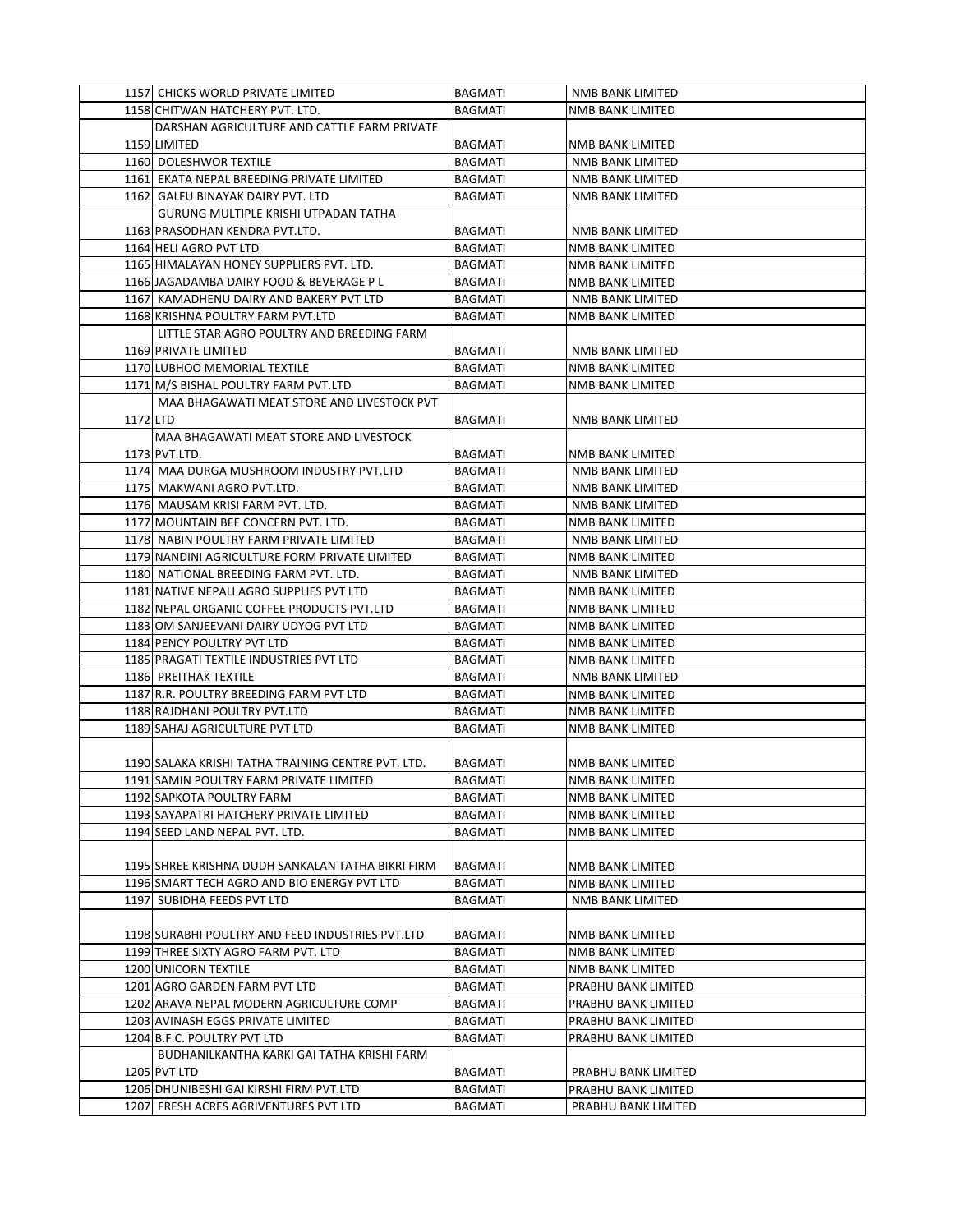|          | 1157 CHICKS WORLD PRIVATE LIMITED                                     | <b>BAGMATI</b> | NMB BANK LIMITED                            |
|----------|-----------------------------------------------------------------------|----------------|---------------------------------------------|
|          | 1158 CHITWAN HATCHERY PVT. LTD.                                       | <b>BAGMATI</b> | <b>NMB BANK LIMITED</b>                     |
|          | DARSHAN AGRICULTURE AND CATTLE FARM PRIVATE                           |                |                                             |
|          | 1159 LIMITED                                                          | <b>BAGMATI</b> | NMB BANK LIMITED                            |
|          | 1160 DOLESHWOR TEXTILE                                                | <b>BAGMATI</b> | <b>NMB BANK LIMITED</b>                     |
|          | 1161 EKATA NEPAL BREEDING PRIVATE LIMITED                             | <b>BAGMATI</b> | NMB BANK LIMITED                            |
|          |                                                                       |                | <b>NMB BANK LIMITED</b>                     |
|          | 1162 GALFU BINAYAK DAIRY PVT. LTD                                     | <b>BAGMATI</b> |                                             |
|          | GURUNG MULTIPLE KRISHI UTPADAN TATHA                                  |                |                                             |
|          | 1163 PRASODHAN KENDRA PVT.LTD.                                        | <b>BAGMATI</b> | NMB BANK LIMITED                            |
|          | 1164 HELI AGRO PVT LTD                                                | <b>BAGMATI</b> | <b>NMB BANK LIMITED</b>                     |
|          | 1165 HIMALAYAN HONEY SUPPLIERS PVT. LTD.                              | <b>BAGMATI</b> | <b>NMB BANK LIMITED</b>                     |
|          | 1166 JAGADAMBA DAIRY FOOD & BEVERAGE P L                              | BAGMATI        | NMB BANK LIMITED                            |
|          | 1167 KAMADHENU DAIRY AND BAKERY PVT LTD                               | <b>BAGMATI</b> | <b>NMB BANK LIMITED</b>                     |
|          | 1168 KRISHNA POULTRY FARM PVT.LTD                                     | BAGMATI        | NMB BANK LIMITED                            |
|          | LITTLE STAR AGRO POULTRY AND BREEDING FARM                            |                |                                             |
|          | 1169 PRIVATE LIMITED                                                  | <b>BAGMATI</b> | NMB BANK LIMITED                            |
|          | 1170 LUBHOO MEMORIAL TEXTILE                                          | <b>BAGMATI</b> | NMB BANK LIMITED                            |
|          | 1171 M/S BISHAL POULTRY FARM PVT.LTD                                  | <b>BAGMATI</b> | NMB BANK LIMITED                            |
|          | MAA BHAGAWATI MEAT STORE AND LIVESTOCK PVT                            |                |                                             |
| 1172 LTD |                                                                       | <b>BAGMATI</b> | <b>NMB BANK LIMITED</b>                     |
|          | MAA BHAGAWATI MEAT STORE AND LIVESTOCK                                |                |                                             |
|          | 1173 PVT.LTD.                                                         | BAGMATI        | NMB BANK LIMITED                            |
|          | 1174 MAA DURGA MUSHROOM INDUSTRY PVT.LTD                              | <b>BAGMATI</b> | NMB BANK LIMITED                            |
|          | 1175 MAKWANI AGRO PVT.LTD.                                            | <b>BAGMATI</b> | NMB BANK LIMITED                            |
|          | 1176 MAUSAM KRISI FARM PVT. LTD.                                      | <b>BAGMATI</b> | NMB BANK LIMITED                            |
|          | 1177 MOUNTAIN BEE CONCERN PVT. LTD.                                   | <b>BAGMATI</b> | NMB BANK LIMITED                            |
|          | 1178 NABIN POULTRY FARM PRIVATE LIMITED                               | <b>BAGMATI</b> | NMB BANK LIMITED                            |
|          | 1179 NANDINI AGRICULTURE FORM PRIVATE LIMITED                         | <b>BAGMATI</b> | NMB BANK LIMITED                            |
|          | 1180 NATIONAL BREEDING FARM PVT. LTD.                                 | BAGMATI        | NMB BANK LIMITED                            |
|          | 1181 NATIVE NEPALI AGRO SUPPLIES PVT LTD                              | <b>BAGMATI</b> | NMB BANK LIMITED                            |
|          | 1182 NEPAL ORGANIC COFFEE PRODUCTS PVT.LTD                            | BAGMATI        | NMB BANK LIMITED                            |
|          |                                                                       |                |                                             |
|          | 1183 OM SANJEEVANI DAIRY UDYOG PVT LTD                                | BAGMATI        | NMB BANK LIMITED                            |
|          | 1184 PENCY POULTRY PVT LTD<br>1185 PRAGATI TEXTILE INDUSTRIES PVT LTD | <b>BAGMATI</b> | NMB BANK LIMITED                            |
|          |                                                                       | BAGMATI        | NMB BANK LIMITED                            |
|          | 1186 PREITHAK TEXTILE                                                 | <b>BAGMATI</b> | NMB BANK LIMITED<br><b>NMB BANK LIMITED</b> |
|          | 1187 R.R. POULTRY BREEDING FARM PVT LTD                               | <b>BAGMATI</b> |                                             |
|          | 1188 RAJDHANI POULTRY PVT.LTD                                         | BAGMATI        | <b>NMB BANK LIMITED</b>                     |
|          | 1189 SAHAJ AGRICULTURE PVT LTD                                        | <b>BAGMATI</b> | <b>NMB BANK LIMITED</b>                     |
|          |                                                                       |                |                                             |
|          | 1190 SALAKA KRISHI TATHA TRAINING CENTRE PVT. LTD.                    | <b>BAGMATI</b> | NMB BANK LIMITED                            |
|          | 1191 SAMIN POULTRY FARM PRIVATE LIMITED                               | BAGMATI        | NMB BANK LIMITED                            |
|          | 1192 SAPKOTA POULTRY FARM                                             | BAGMATI        | NMB BANK LIMITED                            |
|          | 1193 SAYAPATRI HATCHERY PRIVATE LIMITED                               | BAGMATI        | NMB BANK LIMITED                            |
|          | 1194 SEED LAND NEPAL PVT. LTD.                                        | <b>BAGMATI</b> | NMB BANK LIMITED                            |
|          |                                                                       |                |                                             |
|          | 1195 SHREE KRISHNA DUDH SANKALAN TATHA BIKRI FIRM                     | BAGMATI        | NMB BANK LIMITED                            |
|          | 1196 SMART TECH AGRO AND BIO ENERGY PVT LTD                           | <b>BAGMATI</b> | NMB BANK LIMITED                            |
|          | 1197 SUBIDHA FEEDS PVT LTD                                            | BAGMATI        | NMB BANK LIMITED                            |
|          |                                                                       |                |                                             |
|          | 1198 SURABHI POULTRY AND FEED INDUSTRIES PVT.LTD                      | BAGMATI        | NMB BANK LIMITED                            |
|          | 1199 THREE SIXTY AGRO FARM PVT. LTD                                   | BAGMATI        | NMB BANK LIMITED                            |
|          | 1200 UNICORN TEXTILE                                                  | BAGMATI        | NMB BANK LIMITED                            |
|          | 1201 AGRO GARDEN FARM PVT LTD                                         | <b>BAGMATI</b> | PRABHU BANK LIMITED                         |
|          | 1202 ARAVA NEPAL MODERN AGRICULTURE COMP                              | <b>BAGMATI</b> | PRABHU BANK LIMITED                         |
|          | 1203 AVINASH EGGS PRIVATE LIMITED                                     | BAGMATI        | PRABHU BANK LIMITED                         |
|          | 1204 B.F.C. POULTRY PVT LTD                                           | BAGMATI        | PRABHU BANK LIMITED                         |
|          | BUDHANILKANTHA KARKI GAI TATHA KRISHI FARM                            |                |                                             |
|          | 1205 PVT LTD                                                          | BAGMATI        | PRABHU BANK LIMITED                         |
|          | 1206 DHUNIBESHI GAI KIRSHI FIRM PVT.LTD                               | BAGMATI        | PRABHU BANK LIMITED                         |
|          | 1207 FRESH ACRES AGRIVENTURES PVT LTD                                 | BAGMATI        | PRABHU BANK LIMITED                         |
|          |                                                                       |                |                                             |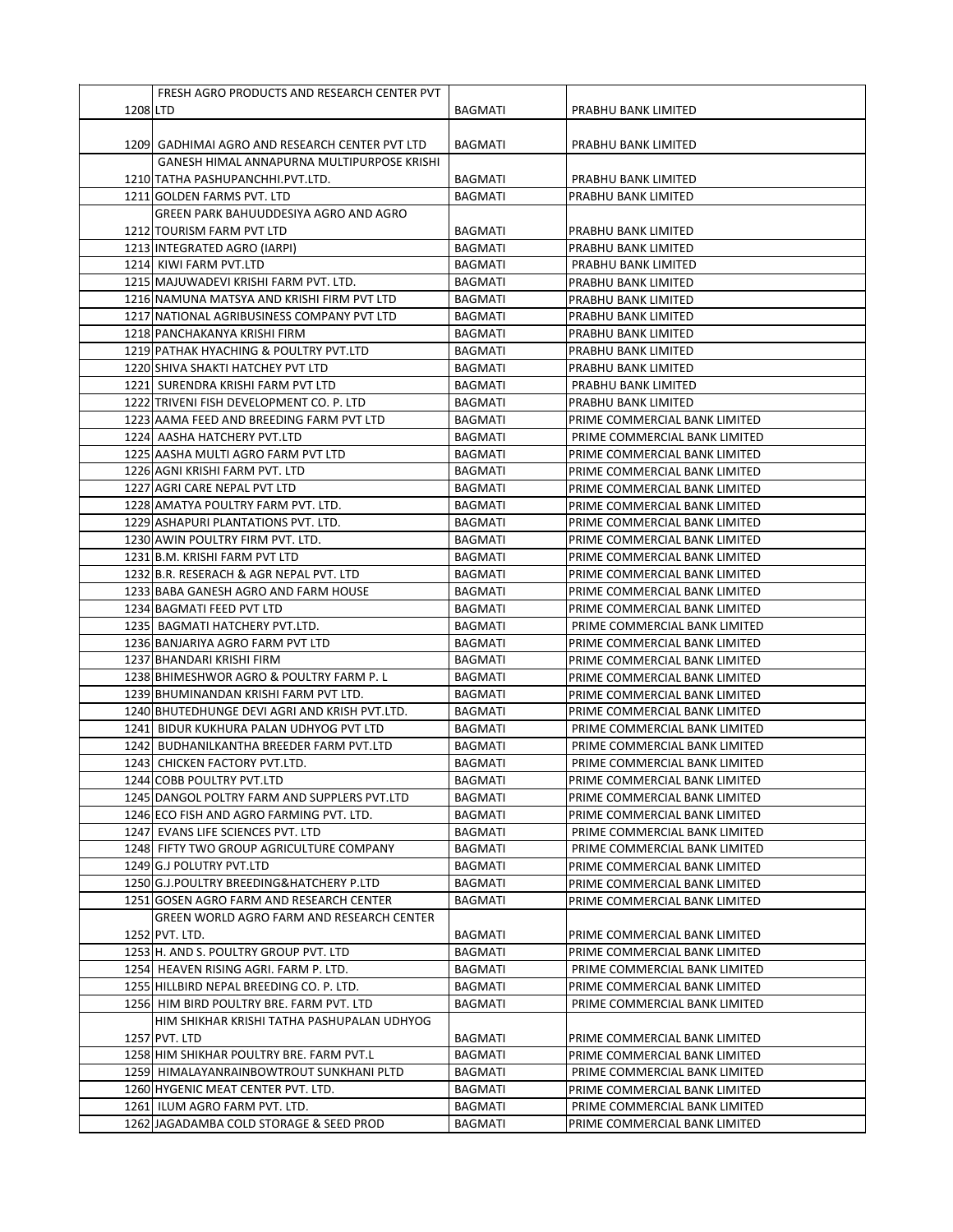|          | FRESH AGRO PRODUCTS AND RESEARCH CENTER PVT    |                |                               |
|----------|------------------------------------------------|----------------|-------------------------------|
| 1208 LTD |                                                | <b>BAGMATI</b> | PRABHU BANK LIMITED           |
|          |                                                |                |                               |
|          | 1209 GADHIMAI AGRO AND RESEARCH CENTER PVT LTD | <b>BAGMATI</b> | PRABHU BANK LIMITED           |
|          | GANESH HIMAL ANNAPURNA MULTIPURPOSE KRISHI     |                |                               |
|          | 1210 TATHA PASHUPANCHHI.PVT.LTD.               | <b>BAGMATI</b> | PRABHU BANK LIMITED           |
|          | 1211 GOLDEN FARMS PVT. LTD                     | BAGMATI        | PRABHU BANK LIMITED           |
|          | GREEN PARK BAHUUDDESIYA AGRO AND AGRO          |                |                               |
|          | 1212 TOURISM FARM PVT LTD                      | <b>BAGMATI</b> | PRABHU BANK LIMITED           |
|          | 1213 INTEGRATED AGRO (IARPI)                   | <b>BAGMATI</b> | PRABHU BANK LIMITED           |
|          | 1214 KIWI FARM PVT.LTD                         | <b>BAGMATI</b> | PRABHU BANK LIMITED           |
|          | 1215 MAJUWADEVI KRISHI FARM PVT. LTD.          | BAGMATI        | PRABHU BANK LIMITED           |
|          | 1216 NAMUNA MATSYA AND KRISHI FIRM PVT LTD     | <b>BAGMATI</b> | PRABHU BANK LIMITED           |
|          | 1217 NATIONAL AGRIBUSINESS COMPANY PVT LTD     | <b>BAGMATI</b> | PRABHU BANK LIMITED           |
|          | 1218 PANCHAKANYA KRISHI FIRM                   | <b>BAGMATI</b> | PRABHU BANK LIMITED           |
|          | 1219 PATHAK HYACHING & POULTRY PVT.LTD         | <b>BAGMATI</b> | PRABHU BANK LIMITED           |
|          | 1220 SHIVA SHAKTI HATCHEY PVT LTD              | <b>BAGMATI</b> | PRABHU BANK LIMITED           |
|          |                                                |                |                               |
|          | 1221 SURENDRA KRISHI FARM PVT LTD              | <b>BAGMATI</b> | PRABHU BANK LIMITED           |
|          | 1222 TRIVENI FISH DEVELOPMENT CO. P. LTD       | <b>BAGMATI</b> | PRABHU BANK LIMITED           |
|          | 1223 AAMA FEED AND BREEDING FARM PVT LTD       | BAGMATI        | PRIME COMMERCIAL BANK LIMITED |
|          | 1224 AASHA HATCHERY PVT.LTD                    | <b>BAGMATI</b> | PRIME COMMERCIAL BANK LIMITED |
|          | 1225 AASHA MULTI AGRO FARM PVT LTD             | <b>BAGMATI</b> | PRIME COMMERCIAL BANK LIMITED |
|          | 1226 AGNI KRISHI FARM PVT. LTD                 | <b>BAGMATI</b> | PRIME COMMERCIAL BANK LIMITED |
|          | 1227 AGRI CARE NEPAL PVT LTD                   | <b>BAGMATI</b> | PRIME COMMERCIAL BANK LIMITED |
|          | 1228 AMATYA POULTRY FARM PVT. LTD.             | <b>BAGMATI</b> | PRIME COMMERCIAL BANK LIMITED |
|          | 1229 ASHAPURI PLANTATIONS PVT. LTD.            | <b>BAGMATI</b> | PRIME COMMERCIAL BANK LIMITED |
|          | 1230 AWIN POULTRY FIRM PVT. LTD.               | <b>BAGMATI</b> | PRIME COMMERCIAL BANK LIMITED |
|          | 1231 B.M. KRISHI FARM PVT LTD                  | <b>BAGMATI</b> | PRIME COMMERCIAL BANK LIMITED |
|          | 1232 B.R. RESERACH & AGR NEPAL PVT. LTD        | <b>BAGMATI</b> | PRIME COMMERCIAL BANK LIMITED |
|          | 1233 BABA GANESH AGRO AND FARM HOUSE           | <b>BAGMATI</b> | PRIME COMMERCIAL BANK LIMITED |
|          | 1234 BAGMATI FEED PVT LTD                      | <b>BAGMATI</b> | PRIME COMMERCIAL BANK LIMITED |
|          | 1235 BAGMATI HATCHERY PVT.LTD.                 | BAGMATI        | PRIME COMMERCIAL BANK LIMITED |
|          | 1236 BANJARIYA AGRO FARM PVT LTD               | <b>BAGMATI</b> | PRIME COMMERCIAL BANK LIMITED |
|          | 1237 BHANDARI KRISHI FIRM                      | BAGMATI        | PRIME COMMERCIAL BANK LIMITED |
|          | 1238 BHIMESHWOR AGRO & POULTRY FARM P. L       | <b>BAGMATI</b> | PRIME COMMERCIAL BANK LIMITED |
|          | 1239 BHUMINANDAN KRISHI FARM PVT LTD.          | <b>BAGMATI</b> | PRIME COMMERCIAL BANK LIMITED |
|          | 1240 BHUTEDHUNGE DEVI AGRI AND KRISH PVT.LTD.  | BAGMATI        | PRIME COMMERCIAL BANK LIMITED |
|          | 1241 BIDUR KUKHURA PALAN UDHYOG PVT LTD        | BAGMATI        | PRIME COMMERCIAL BANK LIMITED |
|          | 1242 BUDHANILKANTHA BREEDER FARM PVT.LTD       | <b>BAGMATI</b> | PRIME COMMERCIAL BANK LIMITED |
|          | 1243 CHICKEN FACTORY PVT.LTD.                  | <b>BAGMATI</b> | PRIME COMMERCIAL BANK LIMITED |
|          | 1244 COBB POULTRY PVT.LTD                      | BAGMATI        | PRIME COMMERCIAL BANK LIMITED |
|          | 1245 DANGOL POLTRY FARM AND SUPPLERS PVT.LTD   | BAGMATI        | PRIME COMMERCIAL BANK LIMITED |
|          | 1246 ECO FISH AND AGRO FARMING PVT. LTD.       | BAGMATI        | PRIME COMMERCIAL BANK LIMITED |
|          | 1247 EVANS LIFE SCIENCES PVT. LTD              | BAGMATI        | PRIME COMMERCIAL BANK LIMITED |
|          | 1248 FIFTY TWO GROUP AGRICULTURE COMPANY       | BAGMATI        | PRIME COMMERCIAL BANK LIMITED |
|          | 1249 G.J POLUTRY PVT.LTD                       | <b>BAGMATI</b> | PRIME COMMERCIAL BANK LIMITED |
|          | 1250 G.J.POULTRY BREEDING&HATCHERY P.LTD       | <b>BAGMATI</b> | PRIME COMMERCIAL BANK LIMITED |
|          | 1251 GOSEN AGRO FARM AND RESEARCH CENTER       | <b>BAGMATI</b> | PRIME COMMERCIAL BANK LIMITED |
|          | GREEN WORLD AGRO FARM AND RESEARCH CENTER      |                |                               |
|          | 1252 PVT. LTD.                                 | BAGMATI        | PRIME COMMERCIAL BANK LIMITED |
|          | 1253 H. AND S. POULTRY GROUP PVT. LTD          | <b>BAGMATI</b> | PRIME COMMERCIAL BANK LIMITED |
|          | 1254 HEAVEN RISING AGRI. FARM P. LTD.          | BAGMATI        | PRIME COMMERCIAL BANK LIMITED |
|          | 1255 HILLBIRD NEPAL BREEDING CO. P. LTD.       | BAGMATI        | PRIME COMMERCIAL BANK LIMITED |
|          | 1256 HIM BIRD POULTRY BRE. FARM PVT. LTD       | <b>BAGMATI</b> | PRIME COMMERCIAL BANK LIMITED |
|          | HIM SHIKHAR KRISHI TATHA PASHUPALAN UDHYOG     |                |                               |
|          | 1257 PVT. LTD                                  | BAGMATI        | PRIME COMMERCIAL BANK LIMITED |
|          | 1258 HIM SHIKHAR POULTRY BRE. FARM PVT.L       | BAGMATI        | PRIME COMMERCIAL BANK LIMITED |
|          |                                                |                |                               |
|          | 1259 HIMALAYANRAINBOWTROUT SUNKHANI PLTD       | BAGMATI        | PRIME COMMERCIAL BANK LIMITED |
|          | 1260 HYGENIC MEAT CENTER PVT. LTD.             | BAGMATI        | PRIME COMMERCIAL BANK LIMITED |
|          | 1261 ILUM AGRO FARM PVT. LTD.                  | BAGMATI        | PRIME COMMERCIAL BANK LIMITED |
|          | 1262 JAGADAMBA COLD STORAGE & SEED PROD        | <b>BAGMATI</b> | PRIME COMMERCIAL BANK LIMITED |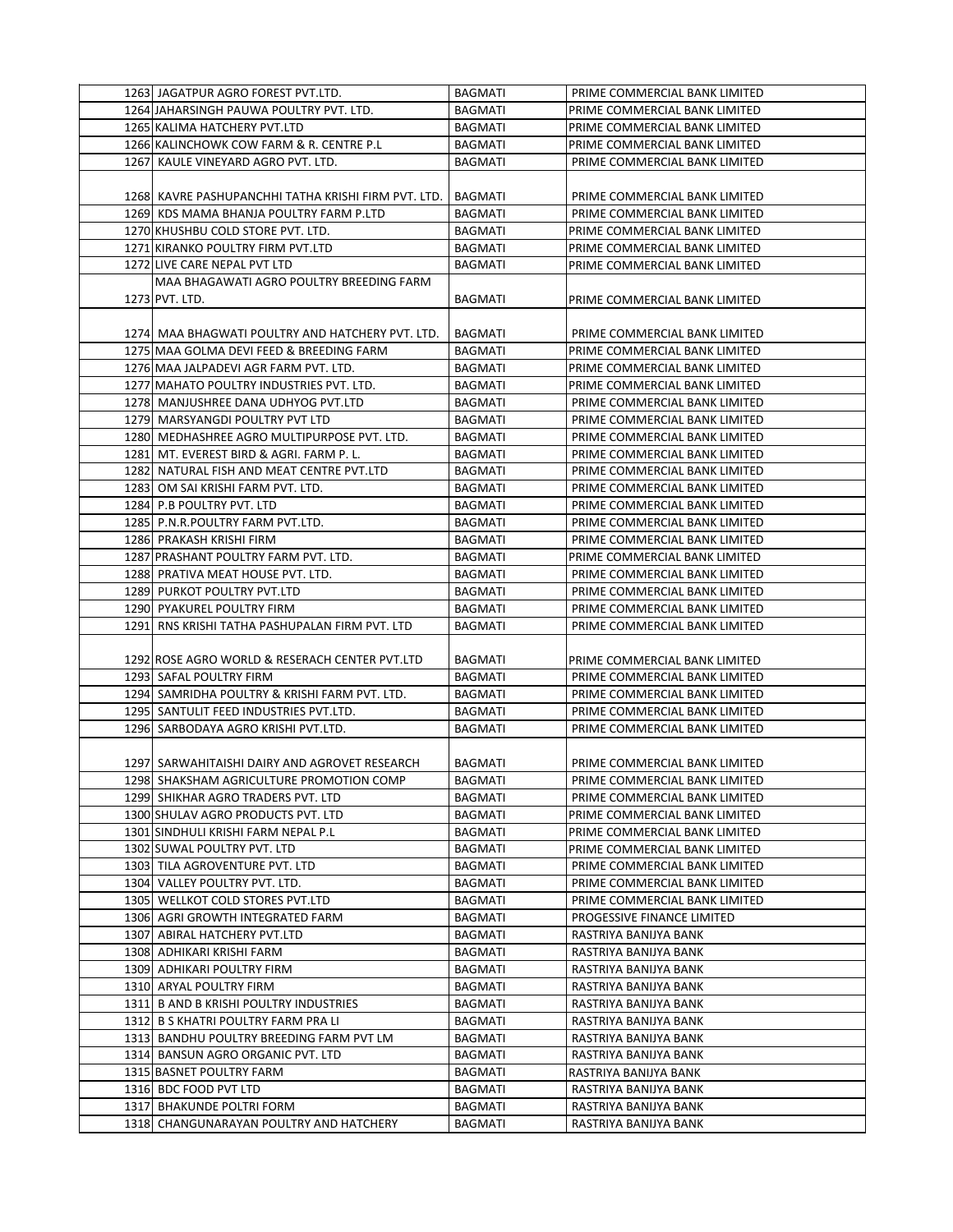|      | 1263 JAGATPUR AGRO FOREST PVT.LTD.                                                        | BAGMATI                   | PRIME COMMERCIAL BANK LIMITED                                  |
|------|-------------------------------------------------------------------------------------------|---------------------------|----------------------------------------------------------------|
|      | 1264 JAHARSINGH PAUWA POULTRY PVT. LTD.                                                   | <b>BAGMATI</b>            | PRIME COMMERCIAL BANK LIMITED                                  |
|      | 1265 KALIMA HATCHERY PVT.LTD                                                              | <b>BAGMATI</b>            | PRIME COMMERCIAL BANK LIMITED                                  |
|      | 1266 KALINCHOWK COW FARM & R. CENTRE P.L                                                  | <b>BAGMATI</b>            | PRIME COMMERCIAL BANK LIMITED                                  |
|      | 1267 KAULE VINEYARD AGRO PVT. LTD.                                                        | <b>BAGMATI</b>            | PRIME COMMERCIAL BANK LIMITED                                  |
|      |                                                                                           |                           |                                                                |
|      | 1268 KAVRE PASHUPANCHHI TATHA KRISHI FIRM PVT. LTD.                                       | <b>BAGMATI</b>            | PRIME COMMERCIAL BANK LIMITED                                  |
|      | 1269 KDS MAMA BHANJA POULTRY FARM P.LTD                                                   | <b>BAGMATI</b>            | PRIME COMMERCIAL BANK LIMITED                                  |
|      | 1270 KHUSHBU COLD STORE PVT. LTD.                                                         | <b>BAGMATI</b>            | PRIME COMMERCIAL BANK LIMITED                                  |
|      | 1271 KIRANKO POULTRY FIRM PVT.LTD                                                         | <b>BAGMATI</b>            | PRIME COMMERCIAL BANK LIMITED                                  |
|      | 1272 LIVE CARE NEPAL PVT LTD                                                              | <b>BAGMATI</b>            | PRIME COMMERCIAL BANK LIMITED                                  |
|      | MAA BHAGAWATI AGRO POULTRY BREEDING FARM                                                  |                           |                                                                |
|      | 1273 PVT. LTD.                                                                            | <b>BAGMATI</b>            | PRIME COMMERCIAL BANK LIMITED                                  |
|      |                                                                                           |                           |                                                                |
|      | 1274 MAA BHAGWATI POULTRY AND HATCHERY PVT. LTD.                                          | <b>BAGMATI</b>            | PRIME COMMERCIAL BANK LIMITED                                  |
|      | 1275 MAA GOLMA DEVI FEED & BREEDING FARM                                                  | <b>BAGMATI</b>            | PRIME COMMERCIAL BANK LIMITED                                  |
|      | 1276 MAA JALPADEVI AGR FARM PVT. LTD.                                                     | <b>BAGMATI</b>            | PRIME COMMERCIAL BANK LIMITED                                  |
|      | 1277 MAHATO POULTRY INDUSTRIES PVT. LTD.                                                  | <b>BAGMATI</b>            | PRIME COMMERCIAL BANK LIMITED                                  |
|      | 1278 MANJUSHREE DANA UDHYOG PVT.LTD                                                       | <b>BAGMATI</b>            | PRIME COMMERCIAL BANK LIMITED                                  |
|      | 1279 MARSYANGDI POULTRY PVT LTD                                                           | <b>BAGMATI</b>            | PRIME COMMERCIAL BANK LIMITED                                  |
|      | 1280 MEDHASHREE AGRO MULTIPURPOSE PVT. LTD.                                               | <b>BAGMATI</b>            | PRIME COMMERCIAL BANK LIMITED                                  |
|      | 1281 MT. EVEREST BIRD & AGRI. FARM P.L.                                                   | <b>BAGMATI</b>            | PRIME COMMERCIAL BANK LIMITED                                  |
|      | 1282 NATURAL FISH AND MEAT CENTRE PVT.LTD                                                 | <b>BAGMATI</b>            | PRIME COMMERCIAL BANK LIMITED                                  |
|      | 1283 OM SAI KRISHI FARM PVT. LTD.                                                         | <b>BAGMATI</b>            | PRIME COMMERCIAL BANK LIMITED                                  |
|      | 1284 P.B POULTRY PVT. LTD                                                                 | <b>BAGMATI</b>            | PRIME COMMERCIAL BANK LIMITED                                  |
|      | 1285 P.N.R.POULTRY FARM PVT.LTD.                                                          | <b>BAGMATI</b>            | PRIME COMMERCIAL BANK LIMITED                                  |
|      | 1286 PRAKASH KRISHI FIRM                                                                  | <b>BAGMATI</b>            | PRIME COMMERCIAL BANK LIMITED                                  |
|      | 1287 PRASHANT POULTRY FARM PVT. LTD.                                                      | <b>BAGMATI</b>            | PRIME COMMERCIAL BANK LIMITED                                  |
|      | 1288 PRATIVA MEAT HOUSE PVT. LTD.                                                         | <b>BAGMATI</b>            | PRIME COMMERCIAL BANK LIMITED                                  |
|      | 1289 PURKOT POULTRY PVT.LTD                                                               | <b>BAGMATI</b>            | PRIME COMMERCIAL BANK LIMITED                                  |
|      | 1290 PYAKUREL POULTRY FIRM                                                                | <b>BAGMATI</b>            | PRIME COMMERCIAL BANK LIMITED                                  |
| 1291 | RNS KRISHI TATHA PASHUPALAN FIRM PVT. LTD                                                 | BAGMATI                   | PRIME COMMERCIAL BANK LIMITED                                  |
|      |                                                                                           |                           |                                                                |
|      | 1292 ROSE AGRO WORLD & RESERACH CENTER PVT.LTD                                            | <b>BAGMATI</b>            | PRIME COMMERCIAL BANK LIMITED                                  |
|      | 1293 SAFAL POULTRY FIRM                                                                   | <b>BAGMATI</b>            | PRIME COMMERCIAL BANK LIMITED                                  |
|      | 1294 SAMRIDHA POULTRY & KRISHI FARM PVT. LTD.                                             | <b>BAGMATI</b>            | PRIME COMMERCIAL BANK LIMITED                                  |
|      | 1295 SANTULIT FEED INDUSTRIES PVT.LTD.                                                    | BAGMATI                   | PRIME COMMERCIAL BANK LIMITED                                  |
|      | 1296 SARBODAYA AGRO KRISHI PVT.LTD.                                                       | <b>BAGMATI</b>            |                                                                |
|      |                                                                                           |                           | PRIME COMMERCIAL BANK LIMITED                                  |
|      |                                                                                           | <b>BAGMATI</b>            |                                                                |
|      | 1297 SARWAHITAISHI DAIRY AND AGROVET RESEARCH<br>1298 SHAKSHAM AGRICULTURE PROMOTION COMP |                           | PRIME COMMERCIAL BANK LIMITED<br>PRIME COMMERCIAL BANK LIMITED |
|      | 1299 SHIKHAR AGRO TRADERS PVT. LTD                                                        | BAGMATI<br><b>BAGMATI</b> |                                                                |
|      | 1300 SHULAV AGRO PRODUCTS PVT. LTD                                                        | BAGMATI                   | PRIME COMMERCIAL BANK LIMITED<br>PRIME COMMERCIAL BANK LIMITED |
|      | 1301 SINDHULI KRISHI FARM NEPAL P.L                                                       | BAGMATI                   |                                                                |
|      | 1302 SUWAL POULTRY PVT. LTD                                                               | <b>BAGMATI</b>            | PRIME COMMERCIAL BANK LIMITED                                  |
|      | 1303 TILA AGROVENTURE PVT. LTD                                                            | BAGMATI                   | PRIME COMMERCIAL BANK LIMITED<br>PRIME COMMERCIAL BANK LIMITED |
|      | 1304 VALLEY POULTRY PVT. LTD.                                                             | BAGMATI                   | PRIME COMMERCIAL BANK LIMITED                                  |
|      | 1305 WELLKOT COLD STORES PVT.LTD                                                          | BAGMATI                   | PRIME COMMERCIAL BANK LIMITED                                  |
|      | 1306 AGRI GROWTH INTEGRATED FARM                                                          | <b>BAGMATI</b>            |                                                                |
|      | 1307 ABIRAL HATCHERY PVT.LTD                                                              | BAGMATI                   | PROGESSIVE FINANCE LIMITED<br>RASTRIYA BANIJYA BANK            |
|      |                                                                                           |                           |                                                                |
|      | 1308 ADHIKARI KRISHI FARM<br>1309 ADHIKARI POULTRY FIRM                                   | BAGMATI                   | RASTRIYA BANIJYA BANK                                          |
|      |                                                                                           | BAGMATI                   | RASTRIYA BANIJYA BANK<br>RASTRIYA BANIJYA BANK                 |
|      | 1310 ARYAL POULTRY FIRM<br>1311 B AND B KRISHI POULTRY INDUSTRIES                         | BAGMATI<br>BAGMATI        | RASTRIYA BANIJYA BANK                                          |
|      | 1312 B S KHATRI POULTRY FARM PRA LI                                                       | BAGMATI                   | RASTRIYA BANIJYA BANK                                          |
|      | 1313  BANDHU POULTRY BREEDING FARM PVT LM                                                 |                           |                                                                |
|      | 1314 BANSUN AGRO ORGANIC PVT. LTD                                                         | BAGMATI<br>BAGMATI        | RASTRIYA BANIJYA BANK                                          |
|      |                                                                                           |                           | RASTRIYA BANIJYA BANK                                          |
|      | 1315 BASNET POULTRY FARM<br>1316 BDC FOOD PVT LTD                                         | BAGMATI                   | RASTRIYA BANIJYA BANK                                          |
|      |                                                                                           | BAGMATI                   | RASTRIYA BANIJYA BANK                                          |
|      | 1317 BHAKUNDE POLTRI FORM                                                                 | BAGMATI                   | RASTRIYA BANIJYA BANK                                          |
|      | 1318 CHANGUNARAYAN POULTRY AND HATCHERY                                                   | BAGMATI                   | RASTRIYA BANIJYA BANK                                          |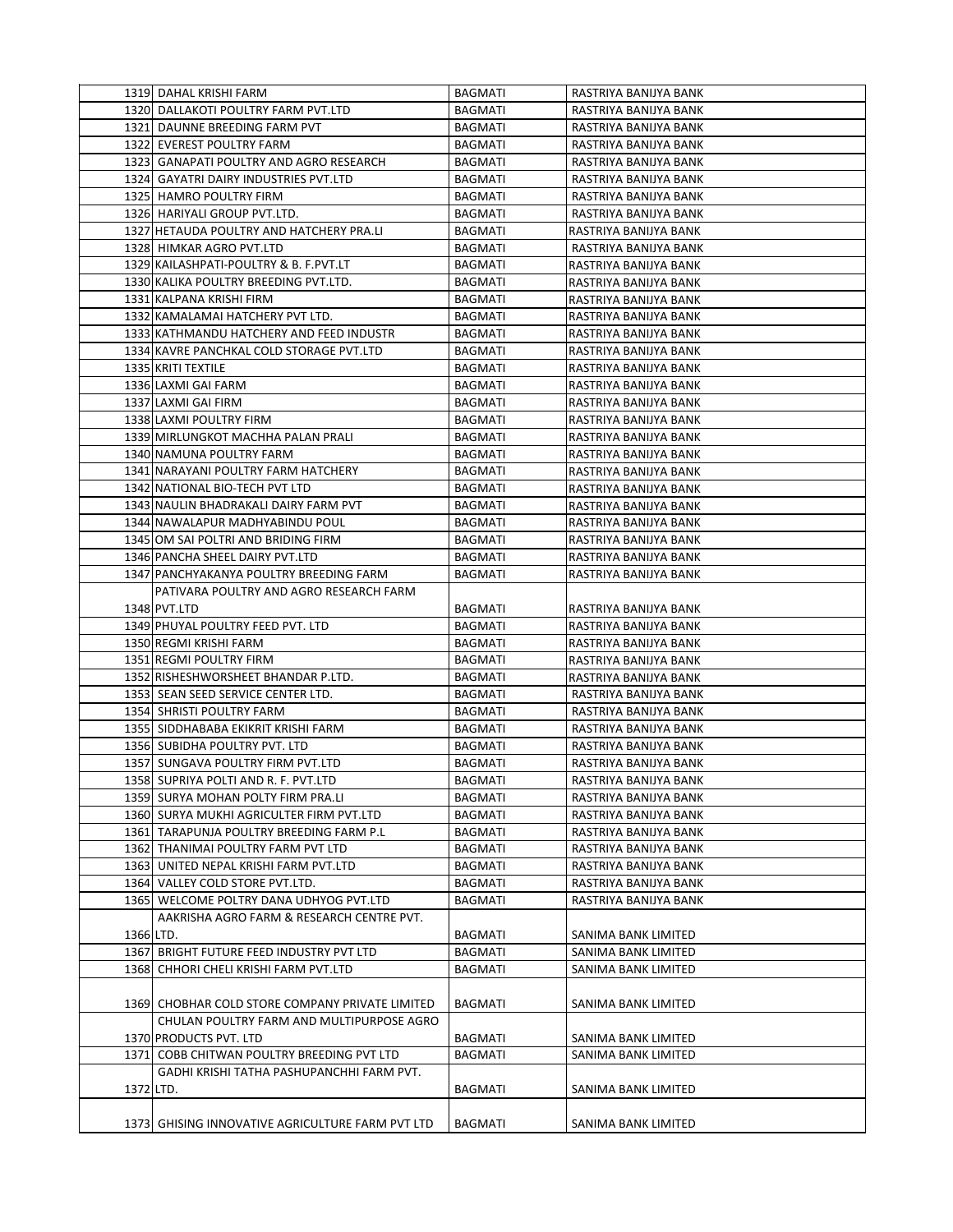|           | 1319 DAHAL KRISHI FARM                           | BAGMATI        | RASTRIYA BANIJYA BANK |
|-----------|--------------------------------------------------|----------------|-----------------------|
|           | 1320 DALLAKOTI POULTRY FARM PVT.LTD              | <b>BAGMATI</b> | RASTRIYA BANIJYA BANK |
|           | 1321 DAUNNE BREEDING FARM PVT                    | <b>BAGMATI</b> | RASTRIYA BANIJYA BANK |
|           | 1322 EVEREST POULTRY FARM                        | <b>BAGMATI</b> | RASTRIYA BANIJYA BANK |
|           | 1323 GANAPATI POULTRY AND AGRO RESEARCH          | <b>BAGMATI</b> | RASTRIYA BANIJYA BANK |
|           | 1324 GAYATRI DAIRY INDUSTRIES PVT.LTD            | <b>BAGMATI</b> | RASTRIYA BANIJYA BANK |
|           | 1325 HAMRO POULTRY FIRM                          | <b>BAGMATI</b> | RASTRIYA BANIJYA BANK |
|           | 1326 HARIYALI GROUP PVT.LTD.                     | <b>BAGMATI</b> | RASTRIYA BANIJYA BANK |
|           | 1327 HETAUDA POULTRY AND HATCHERY PRA.LI         | <b>BAGMATI</b> | RASTRIYA BANIJYA BANK |
|           | 1328 HIMKAR AGRO PVT.LTD                         | <b>BAGMATI</b> | RASTRIYA BANIJYA BANK |
|           | 1329 KAILASHPATI-POULTRY & B. F. PVT.LT          | <b>BAGMATI</b> | RASTRIYA BANIJYA BANK |
|           | 1330 KALIKA POULTRY BREEDING PVT.LTD.            | <b>BAGMATI</b> | RASTRIYA BANIJYA BANK |
|           | 1331 KALPANA KRISHI FIRM                         | <b>BAGMATI</b> | RASTRIYA BANIJYA BANK |
|           | 1332 KAMALAMAI HATCHERY PVT LTD.                 | <b>BAGMATI</b> | RASTRIYA BANIJYA BANK |
|           | 1333 KATHMANDU HATCHERY AND FEED INDUSTR         | <b>BAGMATI</b> | RASTRIYA BANIJYA BANK |
|           | 1334 KAVRE PANCHKAL COLD STORAGE PVT.LTD         | <b>BAGMATI</b> | RASTRIYA BANIJYA BANK |
|           | 1335 KRITI TEXTILE                               | BAGMATI        | RASTRIYA BANIJYA BANK |
|           | 1336 LAXMI GAI FARM                              | <b>BAGMATI</b> | RASTRIYA BANIJYA BANK |
|           | 1337 LAXMI GAI FIRM                              | <b>BAGMATI</b> | RASTRIYA BANIJYA BANK |
|           | 1338 LAXMI POULTRY FIRM                          | <b>BAGMATI</b> | RASTRIYA BANIJYA BANK |
|           | 1339 MIRLUNGKOT MACHHA PALAN PRALI               | <b>BAGMATI</b> | RASTRIYA BANIJYA BANK |
|           | 1340 NAMUNA POULTRY FARM                         | <b>BAGMATI</b> | RASTRIYA BANIJYA BANK |
|           | 1341 NARAYANI POULTRY FARM HATCHERY              | <b>BAGMATI</b> | RASTRIYA BANIJYA BANK |
|           | 1342 NATIONAL BIO-TECH PVT LTD                   | <b>BAGMATI</b> | RASTRIYA BANIJYA BANK |
|           | 1343 NAULIN BHADRAKALI DAIRY FARM PVT            | <b>BAGMATI</b> | RASTRIYA BANIJYA BANK |
|           | 1344 NAWALAPUR MADHYABINDU POUL                  | <b>BAGMATI</b> | RASTRIYA BANIJYA BANK |
|           | 1345 OM SAI POLTRI AND BRIDING FIRM              | <b>BAGMATI</b> | RASTRIYA BANIJYA BANK |
|           | 1346 PANCHA SHEEL DAIRY PVT.LTD                  | <b>BAGMATI</b> | RASTRIYA BANIJYA BANK |
|           | 1347 PANCHYAKANYA POULTRY BREEDING FARM          | <b>BAGMATI</b> | RASTRIYA BANIJYA BANK |
|           | PATIVARA POULTRY AND AGRO RESEARCH FARM          |                |                       |
|           | 1348 PVT.LTD                                     | <b>BAGMATI</b> | RASTRIYA BANIJYA BANK |
|           | 1349 PHUYAL POULTRY FEED PVT. LTD                | <b>BAGMATI</b> | RASTRIYA BANIJYA BANK |
|           | 1350 REGMI KRISHI FARM                           | <b>BAGMATI</b> | RASTRIYA BANIJYA BANK |
|           | 1351 REGMI POULTRY FIRM                          | <b>BAGMATI</b> | RASTRIYA BANIJYA BANK |
|           | 1352 RISHESHWORSHEET BHANDAR P.LTD.              | <b>BAGMATI</b> | RASTRIYA BANIJYA BANK |
|           | 1353 SEAN SEED SERVICE CENTER LTD.               | BAGMATI        | RASTRIYA BANIJYA BANK |
|           | 1354 SHRISTI POULTRY FARM                        | BAGMATI        | RASTRIYA BANIJYA BANK |
|           | 1355 SIDDHABABA EKIKRIT KRISHI FARM              | <b>BAGMATI</b> | RASTRIYA BANIJYA BANK |
|           | 1356 SUBIDHA POULTRY PVT. LTD                    | <b>BAGMATI</b> | RASTRIYA BANIJYA BANK |
|           | 1357 SUNGAVA POULTRY FIRM PVT.LTD                | <b>BAGMATI</b> | RASTRIYA BANIJYA BANK |
|           | 1358 SUPRIYA POLTI AND R. F. PVT.LTD             | <b>BAGMATI</b> | RASTRIYA BANIJYA BANK |
|           | 1359 SURYA MOHAN POLTY FIRM PRA.LI               | BAGMATI        | RASTRIYA BANIJYA BANK |
|           | 1360 SURYA MUKHI AGRICULTER FIRM PVT.LTD         | <b>BAGMATI</b> | RASTRIYA BANIJYA BANK |
|           | 1361 TARAPUNJA POULTRY BREEDING FARM P.L         | <b>BAGMATI</b> | RASTRIYA BANIJYA BANK |
|           | 1362 THANIMAI POULTRY FARM PVT LTD               | <b>BAGMATI</b> | RASTRIYA BANIJYA BANK |
|           | 1363 UNITED NEPAL KRISHI FARM PVT.LTD            | <b>BAGMATI</b> | RASTRIYA BANIJYA BANK |
|           | 1364 VALLEY COLD STORE PVT.LTD.                  | <b>BAGMATI</b> | RASTRIYA BANIJYA BANK |
|           | 1365 WELCOME POLTRY DANA UDHYOG PVT.LTD          | <b>BAGMATI</b> | RASTRIYA BANIJYA BANK |
|           | AAKRISHA AGRO FARM & RESEARCH CENTRE PVT.        |                |                       |
| 1366 LTD. |                                                  | <b>BAGMATI</b> | SANIMA BANK LIMITED   |
|           | 1367 BRIGHT FUTURE FEED INDUSTRY PVT LTD         | <b>BAGMATI</b> | SANIMA BANK LIMITED   |
|           | 1368 CHHORI CHELI KRISHI FARM PVT.LTD            | <b>BAGMATI</b> | SANIMA BANK LIMITED   |
|           |                                                  |                |                       |
|           | 1369 CHOBHAR COLD STORE COMPANY PRIVATE LIMITED  | <b>BAGMATI</b> | SANIMA BANK LIMITED   |
|           | CHULAN POULTRY FARM AND MULTIPURPOSE AGRO        |                |                       |
|           | 1370 PRODUCTS PVT. LTD                           | <b>BAGMATI</b> | SANIMA BANK LIMITED   |
|           | 1371 COBB CHITWAN POULTRY BREEDING PVT LTD       | <b>BAGMATI</b> | SANIMA BANK LIMITED   |
|           | GADHI KRISHI TATHA PASHUPANCHHI FARM PVT.        |                |                       |
| 1372 LTD. |                                                  | <b>BAGMATI</b> | SANIMA BANK LIMITED   |
|           |                                                  |                |                       |
|           | 1373 GHISING INNOVATIVE AGRICULTURE FARM PVT LTD | <b>BAGMATI</b> | SANIMA BANK LIMITED   |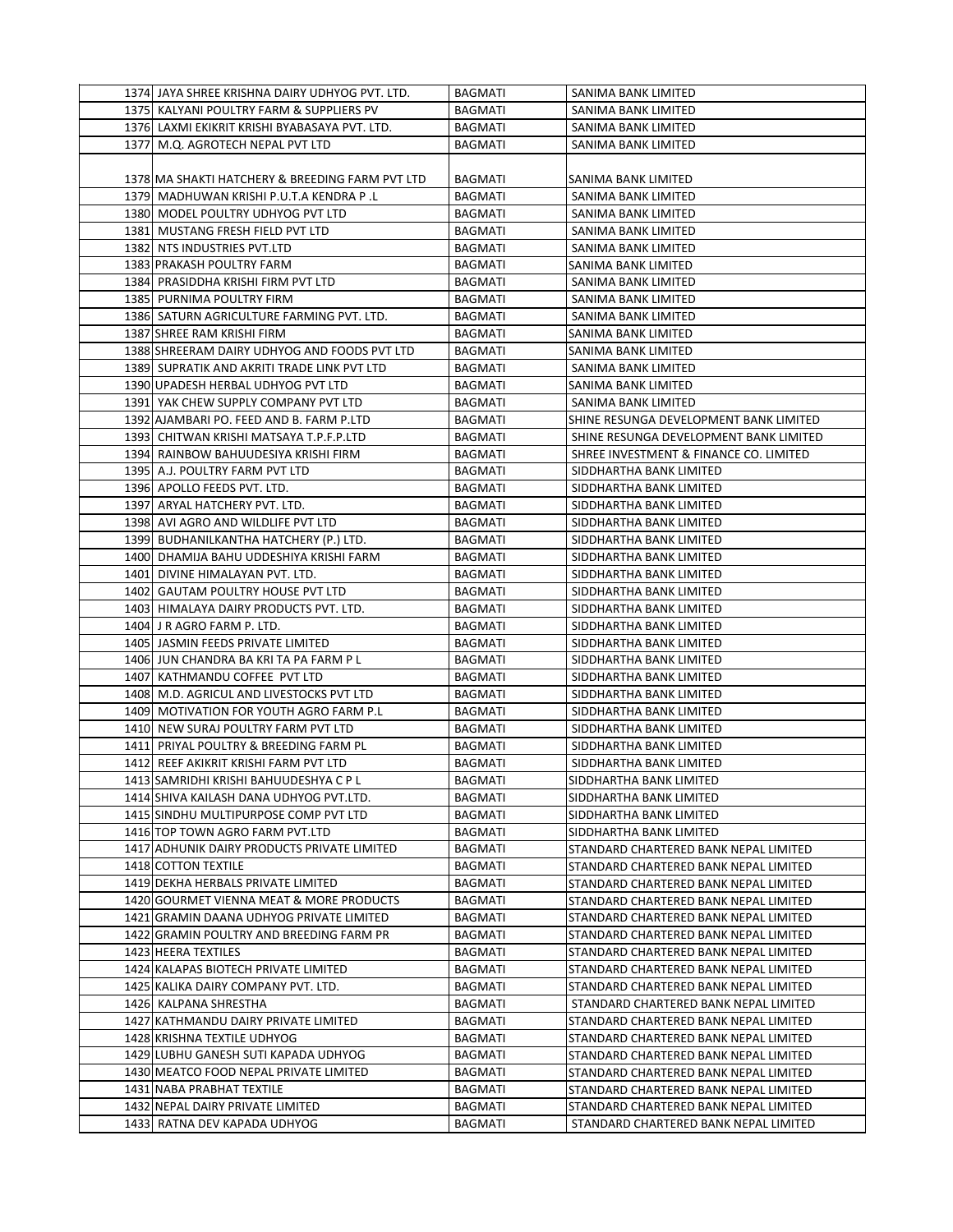| 1374 JAYA SHREE KRISHNA DAIRY UDHYOG PVT. LTD.  | BAGMATI        | SANIMA BANK LIMITED                    |
|-------------------------------------------------|----------------|----------------------------------------|
| 1375 KALYANI POULTRY FARM & SUPPLIERS PV        | <b>BAGMATI</b> | SANIMA BANK LIMITED                    |
| 1376 LAXMI EKIKRIT KRISHI BYABASAYA PVT. LTD.   | <b>BAGMATI</b> | SANIMA BANK LIMITED                    |
| 1377 M.Q. AGROTECH NEPAL PVT LTD                | <b>BAGMATI</b> | SANIMA BANK LIMITED                    |
|                                                 |                |                                        |
| 1378 MA SHAKTI HATCHERY & BREEDING FARM PVT LTD | BAGMATI        | SANIMA BANK LIMITED                    |
| 1379 MADHUWAN KRISHI P.U.T.A KENDRA P.L         | BAGMATI        | SANIMA BANK LIMITED                    |
| 1380 MODEL POULTRY UDHYOG PVT LTD               | <b>BAGMATI</b> | SANIMA BANK LIMITED                    |
| 1381 MUSTANG FRESH FIELD PVT LTD                | BAGMATI        | SANIMA BANK LIMITED                    |
| 1382 NTS INDUSTRIES PVT.LTD                     | <b>BAGMATI</b> | SANIMA BANK LIMITED                    |
| 1383 PRAKASH POULTRY FARM                       | <b>BAGMATI</b> | SANIMA BANK LIMITED                    |
| 1384 PRASIDDHA KRISHI FIRM PVT LTD              | BAGMATI        | SANIMA BANK LIMITED                    |
| 1385 PURNIMA POULTRY FIRM                       | <b>BAGMATI</b> | SANIMA BANK LIMITED                    |
| 1386 SATURN AGRICULTURE FARMING PVT. LTD.       | <b>BAGMATI</b> | SANIMA BANK LIMITED                    |
| 1387 SHREE RAM KRISHI FIRM                      | <b>BAGMATI</b> | SANIMA BANK LIMITED                    |
| 1388 SHREERAM DAIRY UDHYOG AND FOODS PVT LTD    | <b>BAGMATI</b> | SANIMA BANK LIMITED                    |
| 1389 SUPRATIK AND AKRITI TRADE LINK PVT LTD     | <b>BAGMATI</b> | SANIMA BANK LIMITED                    |
| 1390 UPADESH HERBAL UDHYOG PVT LTD              | <b>BAGMATI</b> | SANIMA BANK LIMITED                    |
| 1391 YAK CHEW SUPPLY COMPANY PVT LTD            | <b>BAGMATI</b> | SANIMA BANK LIMITED                    |
| 1392 AJAMBARI PO. FEED AND B. FARM P.LTD        | <b>BAGMATI</b> | SHINE RESUNGA DEVELOPMENT BANK LIMITED |
| 1393 CHITWAN KRISHI MATSAYA T.P.F.P.LTD         | BAGMATI        | SHINE RESUNGA DEVELOPMENT BANK LIMITED |
| 1394 RAINBOW BAHUUDESIYA KRISHI FIRM            | <b>BAGMATI</b> | SHREE INVESTMENT & FINANCE CO. LIMITED |
| 1395 A.J. POULTRY FARM PVT LTD                  | <b>BAGMATI</b> | SIDDHARTHA BANK LIMITED                |
| 1396 APOLLO FEEDS PVT. LTD.                     | <b>BAGMATI</b> | SIDDHARTHA BANK LIMITED                |
| 1397 ARYAL HATCHERY PVT. LTD.                   | <b>BAGMATI</b> | SIDDHARTHA BANK LIMITED                |
| 1398 AVI AGRO AND WILDLIFE PVT LTD              | BAGMATI        | SIDDHARTHA BANK LIMITED                |
| 1399 BUDHANILKANTHA HATCHERY (P.) LTD.          | <b>BAGMATI</b> | SIDDHARTHA BANK LIMITED                |
| 1400 DHAMIJA BAHU UDDESHIYA KRISHI FARM         | <b>BAGMATI</b> | SIDDHARTHA BANK LIMITED                |
| 1401 DIVINE HIMALAYAN PVT. LTD.                 | <b>BAGMATI</b> | SIDDHARTHA BANK LIMITED                |
| 1402 GAUTAM POULTRY HOUSE PVT LTD               | <b>BAGMATI</b> | SIDDHARTHA BANK LIMITED                |
| 1403 HIMALAYA DAIRY PRODUCTS PVT. LTD.          | <b>BAGMATI</b> | SIDDHARTHA BANK LIMITED                |
| 1404 J R AGRO FARM P. LTD.                      | BAGMATI        | SIDDHARTHA BANK LIMITED                |
| 1405 JASMIN FEEDS PRIVATE LIMITED               | <b>BAGMATI</b> | SIDDHARTHA BANK LIMITED                |
| 1406 JUN CHANDRA BA KRI TA PA FARM P L          | BAGMATI        | SIDDHARTHA BANK LIMITED                |
| 1407 KATHMANDU COFFEE PVT LTD                   | <b>BAGMATI</b> | SIDDHARTHA BANK LIMITED                |
| 1408 M.D. AGRICUL AND LIVESTOCKS PVT LTD        | <b>BAGMATI</b> | SIDDHARTHA BANK LIMITED                |
| 1409 MOTIVATION FOR YOUTH AGRO FARM P.L         | BAGMATI        | SIDDHARTHA BANK LIMITED                |
| 1410 NEW SURAJ POULTRY FARM PVT LTD             | <b>BAGMATI</b> | SIDDHARTHA BANK LIMITED                |
| 1411 PRIYAL POULTRY & BREEDING FARM PL          | <b>BAGMATI</b> | SIDDHARTHA BANK LIMITED                |
| 1412 REEF AKIKRIT KRISHI FARM PVT LTD           | <b>BAGMATI</b> | SIDDHARTHA BANK LIMITED                |
| 1413 SAMRIDHI KRISHI BAHUUDESHYA C P L          | <b>BAGMATI</b> | SIDDHARTHA BANK LIMITED                |
| 1414 SHIVA KAILASH DANA UDHYOG PVT.LTD.         | <b>BAGMATI</b> | SIDDHARTHA BANK LIMITED                |
| 1415 SINDHU MULTIPURPOSE COMP PVT LTD           | BAGMATI        | SIDDHARTHA BANK LIMITED                |
| 1416 TOP TOWN AGRO FARM PVT.LTD                 | <b>BAGMATI</b> | SIDDHARTHA BANK LIMITED                |
| 1417 ADHUNIK DAIRY PRODUCTS PRIVATE LIMITED     | <b>BAGMATI</b> | STANDARD CHARTERED BANK NEPAL LIMITED  |
| 1418 COTTON TEXTILE                             | <b>BAGMATI</b> | STANDARD CHARTERED BANK NEPAL LIMITED  |
| 1419 DEKHA HERBALS PRIVATE LIMITED              | <b>BAGMATI</b> | STANDARD CHARTERED BANK NEPAL LIMITED  |
| 1420 GOURMET VIENNA MEAT & MORE PRODUCTS        | <b>BAGMATI</b> | STANDARD CHARTERED BANK NEPAL LIMITED  |
| 1421 GRAMIN DAANA UDHYOG PRIVATE LIMITED        | <b>BAGMATI</b> | STANDARD CHARTERED BANK NEPAL LIMITED  |
| 1422 GRAMIN POULTRY AND BREEDING FARM PR        | BAGMATI        | STANDARD CHARTERED BANK NEPAL LIMITED  |
| 1423 HEERA TEXTILES                             | BAGMATI        | STANDARD CHARTERED BANK NEPAL LIMITED  |
| 1424 KALAPAS BIOTECH PRIVATE LIMITED            | <b>BAGMATI</b> | STANDARD CHARTERED BANK NEPAL LIMITED  |
| 1425 KALIKA DAIRY COMPANY PVT. LTD.             | <b>BAGMATI</b> | STANDARD CHARTERED BANK NEPAL LIMITED  |
| 1426 KALPANA SHRESTHA                           | <b>BAGMATI</b> | STANDARD CHARTERED BANK NEPAL LIMITED  |
| 1427 KATHMANDU DAIRY PRIVATE LIMITED            | <b>BAGMATI</b> | STANDARD CHARTERED BANK NEPAL LIMITED  |
| 1428 KRISHNA TEXTILE UDHYOG                     | <b>BAGMATI</b> | STANDARD CHARTERED BANK NEPAL LIMITED  |
| 1429 LUBHU GANESH SUTI KAPADA UDHYOG            | <b>BAGMATI</b> | STANDARD CHARTERED BANK NEPAL LIMITED  |
| 1430 MEATCO FOOD NEPAL PRIVATE LIMITED          | <b>BAGMATI</b> | STANDARD CHARTERED BANK NEPAL LIMITED  |
| 1431 NABA PRABHAT TEXTILE                       | <b>BAGMATI</b> | STANDARD CHARTERED BANK NEPAL LIMITED  |
| 1432 NEPAL DAIRY PRIVATE LIMITED                | <b>BAGMATI</b> | STANDARD CHARTERED BANK NEPAL LIMITED  |
| 1433 RATNA DEV KAPADA UDHYOG                    | <b>BAGMATI</b> | STANDARD CHARTERED BANK NEPAL LIMITED  |
|                                                 |                |                                        |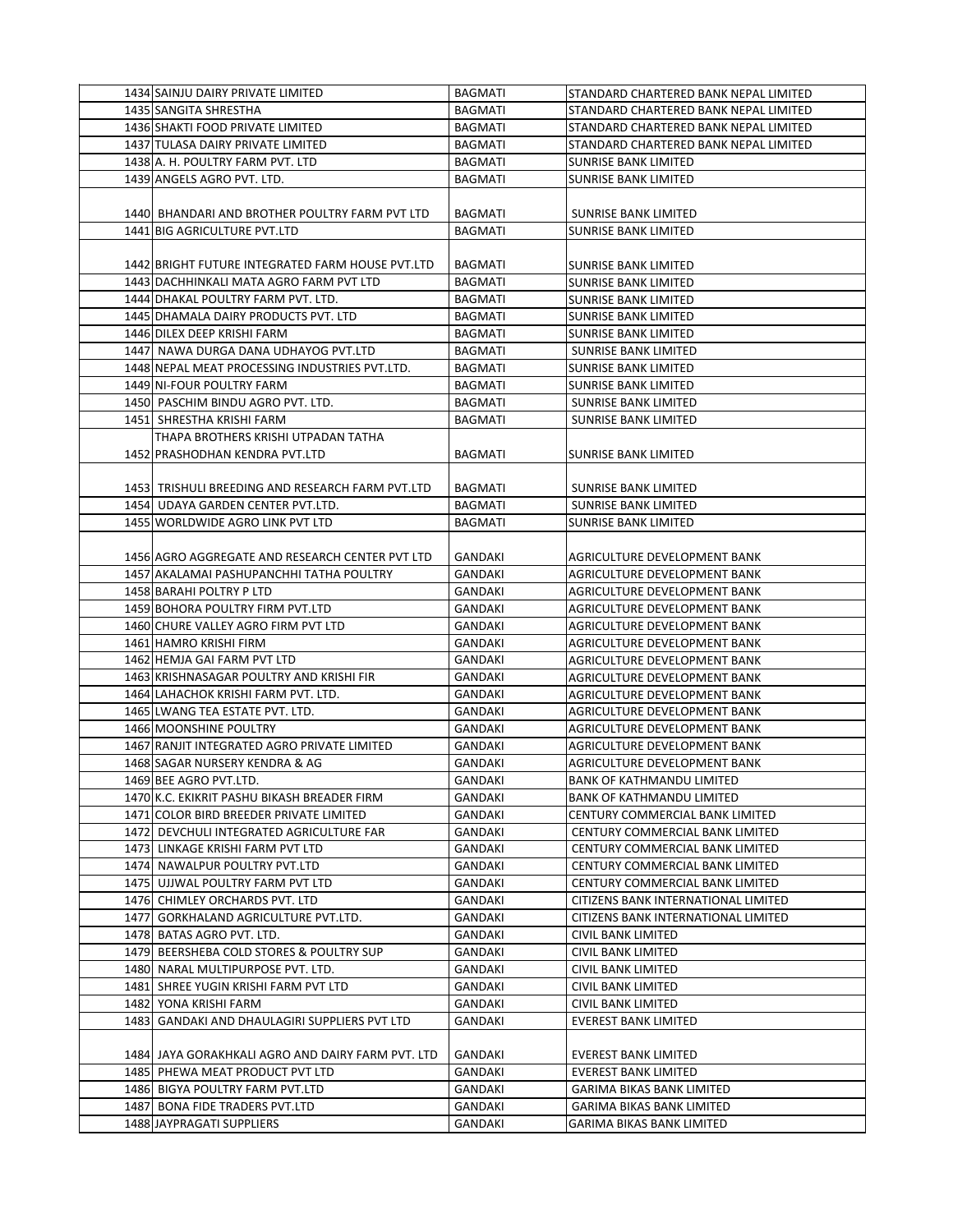| 1434 SAINJU DAIRY PRIVATE LIMITED                 | <b>BAGMATI</b> | STANDARD CHARTERED BANK NEPAL LIMITED |
|---------------------------------------------------|----------------|---------------------------------------|
| 1435 SANGITA SHRESTHA                             | <b>BAGMATI</b> | STANDARD CHARTERED BANK NEPAL LIMITED |
| 1436 SHAKTI FOOD PRIVATE LIMITED                  | <b>BAGMATI</b> | STANDARD CHARTERED BANK NEPAL LIMITED |
| 1437 TULASA DAIRY PRIVATE LIMITED                 | <b>BAGMATI</b> | STANDARD CHARTERED BANK NEPAL LIMITED |
| 1438 A. H. POULTRY FARM PVT. LTD                  | BAGMATI        | <b>SUNRISE BANK LIMITED</b>           |
| 1439 ANGELS AGRO PVT. LTD.                        | <b>BAGMATI</b> | SUNRISE BANK LIMITED                  |
|                                                   |                |                                       |
| 1440  BHANDARI AND BROTHER POULTRY FARM PVT LTD   | BAGMATI        | SUNRISE BANK LIMITED                  |
| 1441 BIG AGRICULTURE PVT.LTD                      | <b>BAGMATI</b> | <b>SUNRISE BANK LIMITED</b>           |
|                                                   |                |                                       |
| 1442 BRIGHT FUTURE INTEGRATED FARM HOUSE PVT.LTD  | BAGMATI        | SUNRISE BANK LIMITED                  |
| 1443 DACHHINKALI MATA AGRO FARM PVT LTD           | BAGMATI        | SUNRISE BANK LIMITED                  |
| 1444 DHAKAL POULTRY FARM PVT. LTD.                | BAGMATI        | SUNRISE BANK LIMITED                  |
| 1445 DHAMALA DAIRY PRODUCTS PVT. LTD              | <b>BAGMATI</b> | SUNRISE BANK LIMITED                  |
| 1446 DILEX DEEP KRISHI FARM                       | <b>BAGMATI</b> | <b>SUNRISE BANK LIMITED</b>           |
| 1447 NAWA DURGA DANA UDHAYOG PVT.LTD              | <b>BAGMATI</b> | <b>SUNRISE BANK LIMITED</b>           |
| 1448 NEPAL MEAT PROCESSING INDUSTRIES PVT.LTD.    | <b>BAGMATI</b> | <b>SUNRISE BANK LIMITED</b>           |
| 1449 NI-FOUR POULTRY FARM                         | BAGMATI        | SUNRISE BANK LIMITED                  |
| 1450 PASCHIM BINDU AGRO PVT. LTD.                 | BAGMATI        | SUNRISE BANK LIMITED                  |
| 1451 SHRESTHA KRISHI FARM                         | <b>BAGMATI</b> | <b>SUNRISE BANK LIMITED</b>           |
| THAPA BROTHERS KRISHI UTPADAN TATHA               |                |                                       |
| 1452 PRASHODHAN KENDRA PVT.LTD                    | <b>BAGMATI</b> | <b>SUNRISE BANK LIMITED</b>           |
|                                                   |                |                                       |
| 1453 TRISHULI BREEDING AND RESEARCH FARM PVT.LTD  | BAGMATI        | SUNRISE BANK LIMITED                  |
| 1454 UDAYA GARDEN CENTER PVT.LTD.                 | <b>BAGMATI</b> | <b>SUNRISE BANK LIMITED</b>           |
| 1455 WORLDWIDE AGRO LINK PVT LTD                  | BAGMATI        | SUNRISE BANK LIMITED                  |
|                                                   |                |                                       |
| 1456 AGRO AGGREGATE AND RESEARCH CENTER PVT LTD   | GANDAKI        | AGRICULTURE DEVELOPMENT BANK          |
| 1457 AKALAMAI PASHUPANCHHI TATHA POULTRY          | GANDAKI        | AGRICULTURE DEVELOPMENT BANK          |
| 1458 BARAHI POLTRY P LTD                          | GANDAKI        | AGRICULTURE DEVELOPMENT BANK          |
| 1459 BOHORA POULTRY FIRM PVT.LTD                  | GANDAKI        | AGRICULTURE DEVELOPMENT BANK          |
| 1460 CHURE VALLEY AGRO FIRM PVT LTD               | GANDAKI        | AGRICULTURE DEVELOPMENT BANK          |
| 1461 HAMRO KRISHI FIRM                            | GANDAKI        | AGRICULTURE DEVELOPMENT BANK          |
| 1462 HEMJA GAI FARM PVT LTD                       | <b>GANDAKI</b> | AGRICULTURE DEVELOPMENT BANK          |
| 1463 KRISHNASAGAR POULTRY AND KRISHI FIR          | GANDAKI        | AGRICULTURE DEVELOPMENT BANK          |
| 1464 LAHACHOK KRISHI FARM PVT. LTD.               | GANDAKI        | AGRICULTURE DEVELOPMENT BANK          |
| 1465 LWANG TEA ESTATE PVT. LTD.                   | GANDAKI        | AGRICULTURE DEVELOPMENT BANK          |
| 1466 MOONSHINE POULTRY                            | GANDAKI        | AGRICULTURE DEVELOPMENT BANK          |
| 1467 RANJIT INTEGRATED AGRO PRIVATE LIMITED       | GANDAKI        | AGRICULTURE DEVELOPMENT BANK          |
| 1468 SAGAR NURSERY KENDRA & AG                    | GANDAKI        | <b>AGRICULTURE DEVELOPMENT BANK</b>   |
| 1469 BEE AGRO PVT.LTD.                            | GANDAKI        | <b>BANK OF KATHMANDU LIMITED</b>      |
| 1470 K.C. EKIKRIT PASHU BIKASH BREADER FIRM       | GANDAKI        | <b>BANK OF KATHMANDU LIMITED</b>      |
| 1471 COLOR BIRD BREEDER PRIVATE LIMITED           | GANDAKI        | CENTURY COMMERCIAL BANK LIMITED       |
| 1472 DEVCHULI INTEGRATED AGRICULTURE FAR          | GANDAKI        | CENTURY COMMERCIAL BANK LIMITED       |
| 1473 LINKAGE KRISHI FARM PVT LTD                  | GANDAKI        | CENTURY COMMERCIAL BANK LIMITED       |
| 1474 NAWALPUR POULTRY PVT.LTD                     | GANDAKI        | CENTURY COMMERCIAL BANK LIMITED       |
| 1475 UJJWAL POULTRY FARM PVT LTD                  | GANDAKI        | CENTURY COMMERCIAL BANK LIMITED       |
| 1476 CHIMLEY ORCHARDS PVT. LTD                    | GANDAKI        | CITIZENS BANK INTERNATIONAL LIMITED   |
| 1477  GORKHALAND AGRICULTURE PVT.LTD.             | GANDAKI        | CITIZENS BANK INTERNATIONAL LIMITED   |
| 1478 BATAS AGRO PVT. LTD.                         | GANDAKI        | <b>CIVIL BANK LIMITED</b>             |
| 1479 BEERSHEBA COLD STORES & POULTRY SUP          | GANDAKI        | CIVIL BANK LIMITED                    |
| 1480 NARAL MULTIPURPOSE PVT. LTD.                 | GANDAKI        | CIVIL BANK LIMITED                    |
| 1481 SHREE YUGIN KRISHI FARM PVT LTD              | GANDAKI        | CIVIL BANK LIMITED                    |
| 1482 YONA KRISHI FARM                             | GANDAKI        | CIVIL BANK LIMITED                    |
| 1483 GANDAKI AND DHAULAGIRI SUPPLIERS PVT LTD     | GANDAKI        | <b>EVEREST BANK LIMITED</b>           |
|                                                   |                |                                       |
| 1484 JAYA GORAKHKALI AGRO AND DAIRY FARM PVT. LTD | GANDAKI        | <b>EVEREST BANK LIMITED</b>           |
| 1485 PHEWA MEAT PRODUCT PVT LTD                   | GANDAKI        | <b>EVEREST BANK LIMITED</b>           |
| 1486 BIGYA POULTRY FARM PVT.LTD                   | GANDAKI        | GARIMA BIKAS BANK LIMITED             |
| 1487 BONA FIDE TRADERS PVT.LTD                    | GANDAKI        | <b>GARIMA BIKAS BANK LIMITED</b>      |
| 1488 JAYPRAGATI SUPPLIERS                         | GANDAKI        | GARIMA BIKAS BANK LIMITED             |
|                                                   |                |                                       |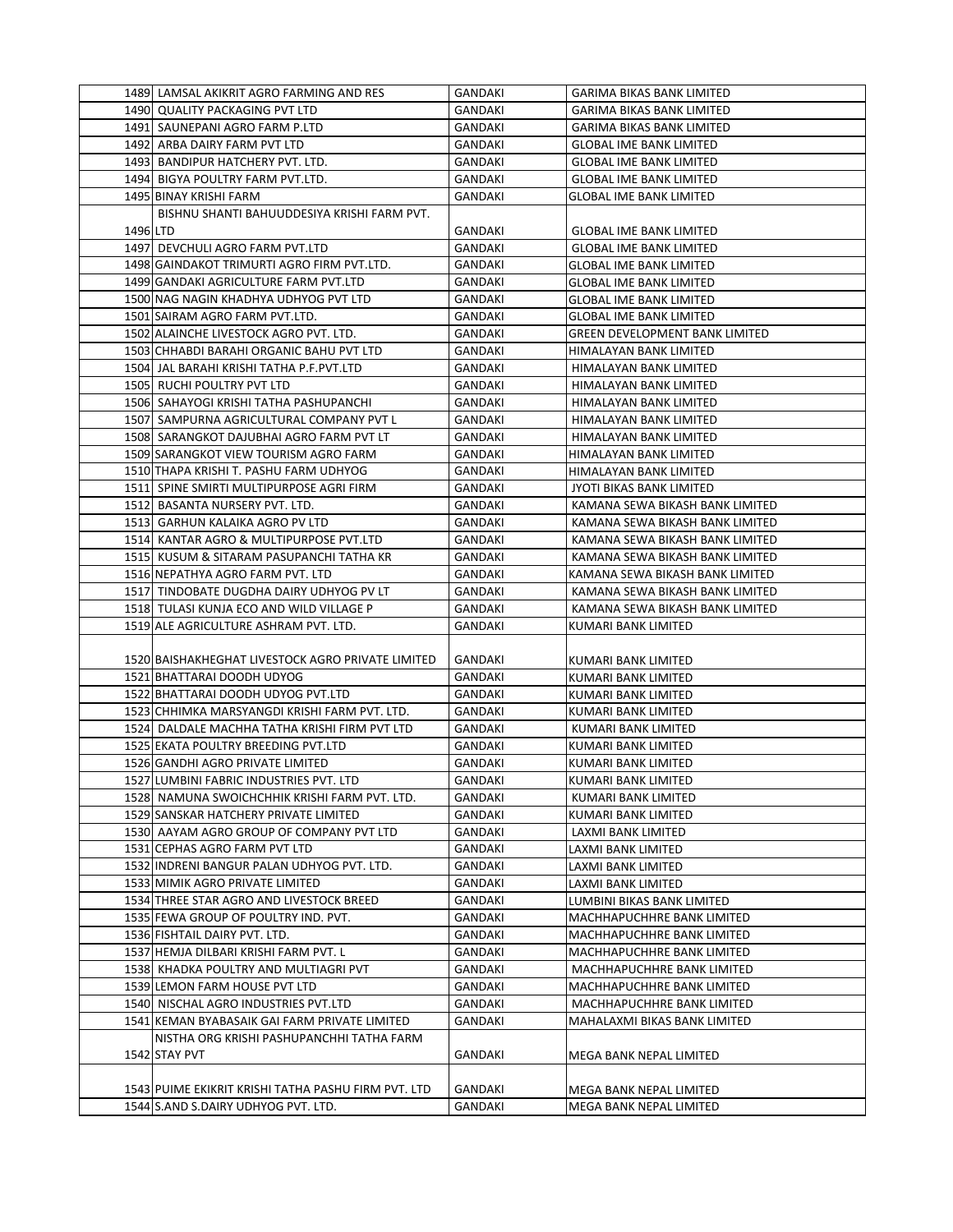|          | 1489 LAMSAL AKIKRIT AGRO FARMING AND RES                                                   | GANDAKI            | GARIMA BIKAS BANK LIMITED                                |
|----------|--------------------------------------------------------------------------------------------|--------------------|----------------------------------------------------------|
|          | 1490 QUALITY PACKAGING PVT LTD                                                             | GANDAKI            | <b>GARIMA BIKAS BANK LIMITED</b>                         |
|          | 1491 SAUNEPANI AGRO FARM P.LTD                                                             | <b>GANDAKI</b>     | <b>GARIMA BIKAS BANK LIMITED</b>                         |
|          | 1492 ARBA DAIRY FARM PVT LTD                                                               | GANDAKI            | <b>GLOBAL IME BANK LIMITED</b>                           |
|          | 1493 BANDIPUR HATCHERY PVT. LTD.                                                           | GANDAKI            | <b>GLOBAL IME BANK LIMITED</b>                           |
|          | 1494 BIGYA POULTRY FARM PVT.LTD.                                                           | GANDAKI            | <b>GLOBAL IME BANK LIMITED</b>                           |
|          | 1495 BINAY KRISHI FARM                                                                     | GANDAKI            | <b>GLOBAL IME BANK LIMITED</b>                           |
|          | BISHNU SHANTI BAHUUDDESIYA KRISHI FARM PVT.                                                |                    |                                                          |
| 1496 LTD |                                                                                            | GANDAKI            | <b>GLOBAL IME BANK LIMITED</b>                           |
|          | 1497 DEVCHULI AGRO FARM PVT.LTD                                                            | GANDAKI            | <b>GLOBAL IME BANK LIMITED</b>                           |
|          | 1498 GAINDAKOT TRIMURTI AGRO FIRM PVT.LTD.                                                 | GANDAKI            | GLOBAL IME BANK LIMITED                                  |
|          | 1499 GANDAKI AGRICULTURE FARM PVT.LTD                                                      | GANDAKI            | <b>GLOBAL IME BANK LIMITED</b>                           |
|          | 1500 NAG NAGIN KHADHYA UDHYOG PVT LTD                                                      | <b>GANDAKI</b>     | <b>GLOBAL IME BANK LIMITED</b>                           |
|          | 1501 SAIRAM AGRO FARM PVT.LTD.                                                             | GANDAKI            | <b>GLOBAL IME BANK LIMITED</b>                           |
|          | 1502 ALAINCHE LIVESTOCK AGRO PVT. LTD.                                                     | GANDAKI            | <b>GREEN DEVELOPMENT BANK LIMITED</b>                    |
|          | 1503 CHHABDI BARAHI ORGANIC BAHU PVT LTD                                                   | GANDAKI            | HIMALAYAN BANK LIMITED                                   |
|          | 1504 JAL BARAHI KRISHI TATHA P.F.PVT.LTD                                                   | GANDAKI            | HIMALAYAN BANK LIMITED                                   |
|          | 1505 RUCHI POULTRY PVT LTD                                                                 | GANDAKI            | HIMALAYAN BANK LIMITED                                   |
|          | 1506 SAHAYOGI KRISHI TATHA PASHUPANCHI                                                     | GANDAKI            | HIMALAYAN BANK LIMITED                                   |
|          | 1507 SAMPURNA AGRICULTURAL COMPANY PVT L                                                   | GANDAKI            | HIMALAYAN BANK LIMITED                                   |
|          | 1508 SARANGKOT DAJUBHAI AGRO FARM PVT LT                                                   | GANDAKI            | HIMALAYAN BANK LIMITED                                   |
|          | 1509 SARANGKOT VIEW TOURISM AGRO FARM                                                      | <b>GANDAKI</b>     | HIMALAYAN BANK LIMITED                                   |
|          | 1510 THAPA KRISHI T. PASHU FARM UDHYOG                                                     | <b>GANDAKI</b>     | HIMALAYAN BANK LIMITED                                   |
|          | 1511 SPINE SMIRTI MULTIPURPOSE AGRI FIRM                                                   | GANDAKI            | JYOTI BIKAS BANK LIMITED                                 |
|          | 1512 BASANTA NURSERY PVT. LTD.                                                             | <b>GANDAKI</b>     | KAMANA SEWA BIKASH BANK LIMITED                          |
|          | 1513 GARHUN KALAIKA AGRO PV LTD                                                            | GANDAKI            | KAMANA SEWA BIKASH BANK LIMITED                          |
|          | 1514 KANTAR AGRO & MULTIPURPOSE PVT.LTD                                                    | GANDAKI            | KAMANA SEWA BIKASH BANK LIMITED                          |
|          | 1515 KUSUM & SITARAM PASUPANCHI TATHA KR                                                   | GANDAKI            | KAMANA SEWA BIKASH BANK LIMITED                          |
|          | 1516 NEPATHYA AGRO FARM PVT. LTD                                                           | GANDAKI            | KAMANA SEWA BIKASH BANK LIMITED                          |
|          | 1517 TINDOBATE DUGDHA DAIRY UDHYOG PV LT                                                   | GANDAKI            | KAMANA SEWA BIKASH BANK LIMITED                          |
|          |                                                                                            |                    |                                                          |
|          |                                                                                            |                    |                                                          |
|          | 1518 TULASI KUNJA ECO AND WILD VILLAGE P                                                   | GANDAKI            | KAMANA SEWA BIKASH BANK LIMITED                          |
|          | 1519 ALE AGRICULTURE ASHRAM PVT. LTD.                                                      | GANDAKI            | KUMARI BANK LIMITED                                      |
|          | 1520 BAISHAKHEGHAT LIVESTOCK AGRO PRIVATE LIMITED                                          | GANDAKI            | KUMARI BANK LIMITED                                      |
|          | 1521 BHATTARAI DOODH UDYOG                                                                 | GANDAKI            | KUMARI BANK LIMITED                                      |
|          |                                                                                            | GANDAKI            | KUMARI BANK LIMITED                                      |
|          | 1522 BHATTARAI DOODH UDYOG PVT.LTD<br>1523 CHHIMKA MARSYANGDI KRISHI FARM PVT. LTD.        | GANDAKI            |                                                          |
|          | 1524 DALDALE MACHHA TATHA KRISHI FIRM PVT LTD                                              | GANDAKI            | KUMARI BANK LIMITED<br>KUMARI BANK LIMITED               |
|          | 1525 EKATA POULTRY BREEDING PVT.LTD                                                        | GANDAKI            | KUMARI BANK LIMITED                                      |
|          | 1526 GANDHI AGRO PRIVATE LIMITED                                                           | <b>GANDAKI</b>     | KUMARI BANK LIMITED                                      |
|          | 1527 LUMBINI FABRIC INDUSTRIES PVT. LTD                                                    | GANDAKI            | KUMARI BANK LIMITED                                      |
|          | 1528 NAMUNA SWOICHCHHIK KRISHI FARM PVT. LTD.                                              | GANDAKI            | KUMARI BANK LIMITED                                      |
|          |                                                                                            |                    |                                                          |
|          | 1529 SANSKAR HATCHERY PRIVATE LIMITED<br>1530 AAYAM AGRO GROUP OF COMPANY PVT LTD          | GANDAKI<br>GANDAKI | KUMARI BANK LIMITED<br>LAXMI BANK LIMITED                |
|          |                                                                                            |                    |                                                          |
|          | 1531 CEPHAS AGRO FARM PVT LTD                                                              | GANDAKI            | LAXMI BANK LIMITED                                       |
|          | 1532 INDRENI BANGUR PALAN UDHYOG PVT. LTD.<br>1533 MIMIK AGRO PRIVATE LIMITED              | GANDAKI<br>GANDAKI | LAXMI BANK LIMITED                                       |
|          | 1534 THREE STAR AGRO AND LIVESTOCK BREED                                                   | GANDAKI            | LAXMI BANK LIMITED<br>LUMBINI BIKAS BANK LIMITED         |
|          | 1535 FEWA GROUP OF POULTRY IND. PVT.                                                       | GANDAKI            | MACHHAPUCHHRE BANK LIMITED                               |
|          | 1536 FISHTAIL DAIRY PVT. LTD.                                                              | GANDAKI            |                                                          |
|          | 1537 HEMJA DILBARI KRISHI FARM PVT. L                                                      | GANDAKI            | MACHHAPUCHHRE BANK LIMITED<br>MACHHAPUCHHRE BANK LIMITED |
|          | 1538 KHADKA POULTRY AND MULTIAGRI PVT                                                      | GANDAKI            | MACHHAPUCHHRE BANK LIMITED                               |
|          |                                                                                            |                    |                                                          |
|          | 1539 LEMON FARM HOUSE PVT LTD                                                              | GANDAKI            | MACHHAPUCHHRE BANK LIMITED                               |
|          | 1540 NISCHAL AGRO INDUSTRIES PVT.LTD                                                       | GANDAKI            | MACHHAPUCHHRE BANK LIMITED                               |
|          | 1541 KEMAN BYABASAIK GAI FARM PRIVATE LIMITED<br>NISTHA ORG KRISHI PASHUPANCHHI TATHA FARM | GANDAKI            | MAHALAXMI BIKAS BANK LIMITED                             |
|          | 1542 STAY PVT                                                                              |                    |                                                          |
|          |                                                                                            | GANDAKI            | MEGA BANK NEPAL LIMITED                                  |
|          | 1543 PUIME EKIKRIT KRISHI TATHA PASHU FIRM PVT. LTD                                        | GANDAKI            | MEGA BANK NEPAL LIMITED                                  |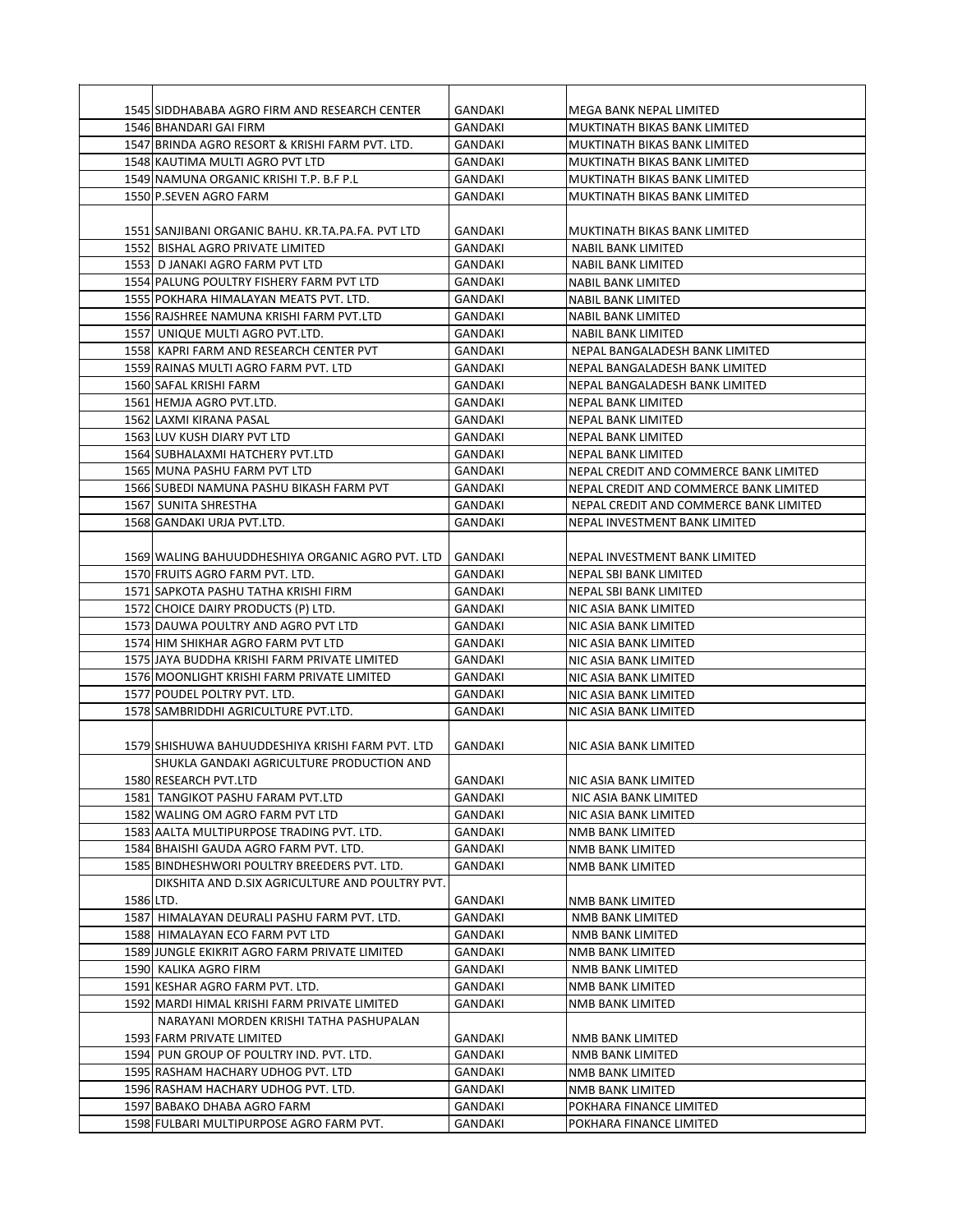|           | 1545 SIDDHABABA AGRO FIRM AND RESEARCH CENTER      | <b>GANDAKI</b> | MEGA BANK NEPAL LIMITED                |
|-----------|----------------------------------------------------|----------------|----------------------------------------|
|           | 1546 BHANDARI GAI FIRM                             | GANDAKI        | MUKTINATH BIKAS BANK LIMITED           |
|           | 1547 BRINDA AGRO RESORT & KRISHI FARM PVT. LTD.    | GANDAKI        | MUKTINATH BIKAS BANK LIMITED           |
|           | 1548 KAUTIMA MULTI AGRO PVT LTD                    | GANDAKI        | MUKTINATH BIKAS BANK LIMITED           |
|           | 1549 NAMUNA ORGANIC KRISHI T.P. B.F P.L            | GANDAKI        | MUKTINATH BIKAS BANK LIMITED           |
|           | 1550 P.SEVEN AGRO FARM                             | GANDAKI        | MUKTINATH BIKAS BANK LIMITED           |
|           |                                                    |                |                                        |
|           | 1551 SANJIBANI ORGANIC BAHU. KR.TA.PA.FA. PVT LTD  | GANDAKI        | MUKTINATH BIKAS BANK LIMITED           |
|           | 1552 BISHAL AGRO PRIVATE LIMITED                   | GANDAKI        | NABIL BANK LIMITED                     |
|           | 1553 D JANAKI AGRO FARM PVT LTD                    | GANDAKI        | NABIL BANK LIMITED                     |
|           | 1554 PALUNG POULTRY FISHERY FARM PVT LTD           | GANDAKI        | NABIL BANK LIMITED                     |
|           | 1555 POKHARA HIMALAYAN MEATS PVT. LTD.             | GANDAKI        | NABIL BANK LIMITED                     |
|           | 1556 RAJSHREE NAMUNA KRISHI FARM PVT.LTD           | GANDAKI        | NABIL BANK LIMITED                     |
|           | 1557 UNIQUE MULTI AGRO PVT.LTD.                    | GANDAKI        | <b>NABIL BANK LIMITED</b>              |
|           | 1558 KAPRI FARM AND RESEARCH CENTER PVT            | GANDAKI        | NEPAL BANGALADESH BANK LIMITED         |
|           | 1559 RAINAS MULTI AGRO FARM PVT. LTD               | GANDAKI        | NEPAL BANGALADESH BANK LIMITED         |
|           |                                                    |                |                                        |
|           | 1560 SAFAL KRISHI FARM<br>1561 HEMJA AGRO PVT.LTD. | GANDAKI        | NEPAL BANGALADESH BANK LIMITED         |
|           |                                                    | GANDAKI        | NEPAL BANK LIMITED                     |
|           | 1562 LAXMI KIRANA PASAL                            | GANDAKI        | <b>NEPAL BANK LIMITED</b>              |
|           | 1563 LUV KUSH DIARY PVT LTD                        | GANDAKI        | NEPAL BANK LIMITED                     |
|           | 1564 SUBHALAXMI HATCHERY PVT.LTD                   | <b>GANDAKI</b> | <b>NEPAL BANK LIMITED</b>              |
|           | 1565 MUNA PASHU FARM PVT LTD                       | GANDAKI        | NEPAL CREDIT AND COMMERCE BANK LIMITED |
|           | 1566 SUBEDI NAMUNA PASHU BIKASH FARM PVT           | GANDAKI        | NEPAL CREDIT AND COMMERCE BANK LIMITED |
|           | 1567 SUNITA SHRESTHA                               | GANDAKI        | NEPAL CREDIT AND COMMERCE BANK LIMITED |
|           | 1568 GANDAKI URJA PVT.LTD.                         | GANDAKI        | NEPAL INVESTMENT BANK LIMITED          |
|           |                                                    |                |                                        |
|           | 1569 WALING BAHUUDDHESHIYA ORGANIC AGRO PVT. LTD   | GANDAKI        | NEPAL INVESTMENT BANK LIMITED          |
|           | 1570 FRUITS AGRO FARM PVT. LTD.                    | GANDAKI        | NEPAL SBI BANK LIMITED                 |
|           | 1571 SAPKOTA PASHU TATHA KRISHI FIRM               | GANDAKI        | NEPAL SBI BANK LIMITED                 |
|           | 1572 CHOICE DAIRY PRODUCTS (P) LTD.                | GANDAKI        | NIC ASIA BANK LIMITED                  |
|           | 1573 DAUWA POULTRY AND AGRO PVT LTD                | GANDAKI        | NIC ASIA BANK LIMITED                  |
|           | 1574 HIM SHIKHAR AGRO FARM PVT LTD                 | GANDAKI        | NIC ASIA BANK LIMITED                  |
|           | 1575 JAYA BUDDHA KRISHI FARM PRIVATE LIMITED       | GANDAKI        | NIC ASIA BANK LIMITED                  |
|           | 1576 MOONLIGHT KRISHI FARM PRIVATE LIMITED         | GANDAKI        | NIC ASIA BANK LIMITED                  |
|           | 1577 POUDEL POLTRY PVT. LTD.                       | GANDAKI        | NIC ASIA BANK LIMITED                  |
|           | 1578 SAMBRIDDHI AGRICULTURE PVT.LTD.               | <b>GANDAKI</b> | NIC ASIA BANK LIMITED                  |
|           |                                                    |                |                                        |
|           | 1579 SHISHUWA BAHUUDDESHIYA KRISHI FARM PVT. LTD   | <b>GANDAKI</b> | NIC ASIA BANK LIMITED                  |
|           | SHUKLA GANDAKI AGRICULTURE PRODUCTION AND          |                |                                        |
|           | 1580 RESEARCH PVT.LTD                              | GANDAKI        | NIC ASIA BANK LIMITED                  |
|           | 1581 TANGIKOT PASHU FARAM PVT.LTD                  | GANDAKI        | NIC ASIA BANK LIMITED                  |
|           | 1582 WALING OM AGRO FARM PVT LTD                   | GANDAKI        | NIC ASIA BANK LIMITED                  |
|           | 1583 AALTA MULTIPURPOSE TRADING PVT. LTD.          | GANDAKI        | NMB BANK LIMITED                       |
|           | 1584 BHAISHI GAUDA AGRO FARM PVT. LTD.             | GANDAKI        | NMB BANK LIMITED                       |
|           | 1585 BINDHESHWORI POULTRY BREEDERS PVT. LTD.       | GANDAKI        | NMB BANK LIMITED                       |
|           | DIKSHITA AND D.SIX AGRICULTURE AND POULTRY PVT.    |                |                                        |
| 1586 LTD. |                                                    | GANDAKI        | NMB BANK LIMITED                       |
|           | 1587 HIMALAYAN DEURALI PASHU FARM PVT. LTD.        | GANDAKI        | NMB BANK LIMITED                       |
|           | 1588 HIMALAYAN ECO FARM PVT LTD                    | GANDAKI        | NMB BANK LIMITED                       |
|           | 1589 JUNGLE EKIKRIT AGRO FARM PRIVATE LIMITED      | GANDAKI        | NMB BANK LIMITED                       |
|           | 1590 KALIKA AGRO FIRM                              | GANDAKI        | NMB BANK LIMITED                       |
|           | 1591 KESHAR AGRO FARM PVT. LTD.                    | GANDAKI        | NMB BANK LIMITED                       |
|           | 1592 MARDI HIMAL KRISHI FARM PRIVATE LIMITED       | GANDAKI        | NMB BANK LIMITED                       |
|           | NARAYANI MORDEN KRISHI TATHA PASHUPALAN            |                |                                        |
|           | 1593 FARM PRIVATE LIMITED                          | GANDAKI        | NMB BANK LIMITED                       |
|           | 1594 PUN GROUP OF POULTRY IND. PVT. LTD.           | GANDAKI        | NMB BANK LIMITED                       |
|           | 1595 RASHAM HACHARY UDHOG PVT. LTD                 | GANDAKI        | NMB BANK LIMITED                       |
|           | 1596 RASHAM HACHARY UDHOG PVT. LTD.                | GANDAKI        | NMB BANK LIMITED                       |
|           | 1597 BABAKO DHABA AGRO FARM                        | GANDAKI        | POKHARA FINANCE LIMITED                |
|           | 1598 FULBARI MULTIPURPOSE AGRO FARM PVT.           | GANDAKI        | POKHARA FINANCE LIMITED                |
|           |                                                    |                |                                        |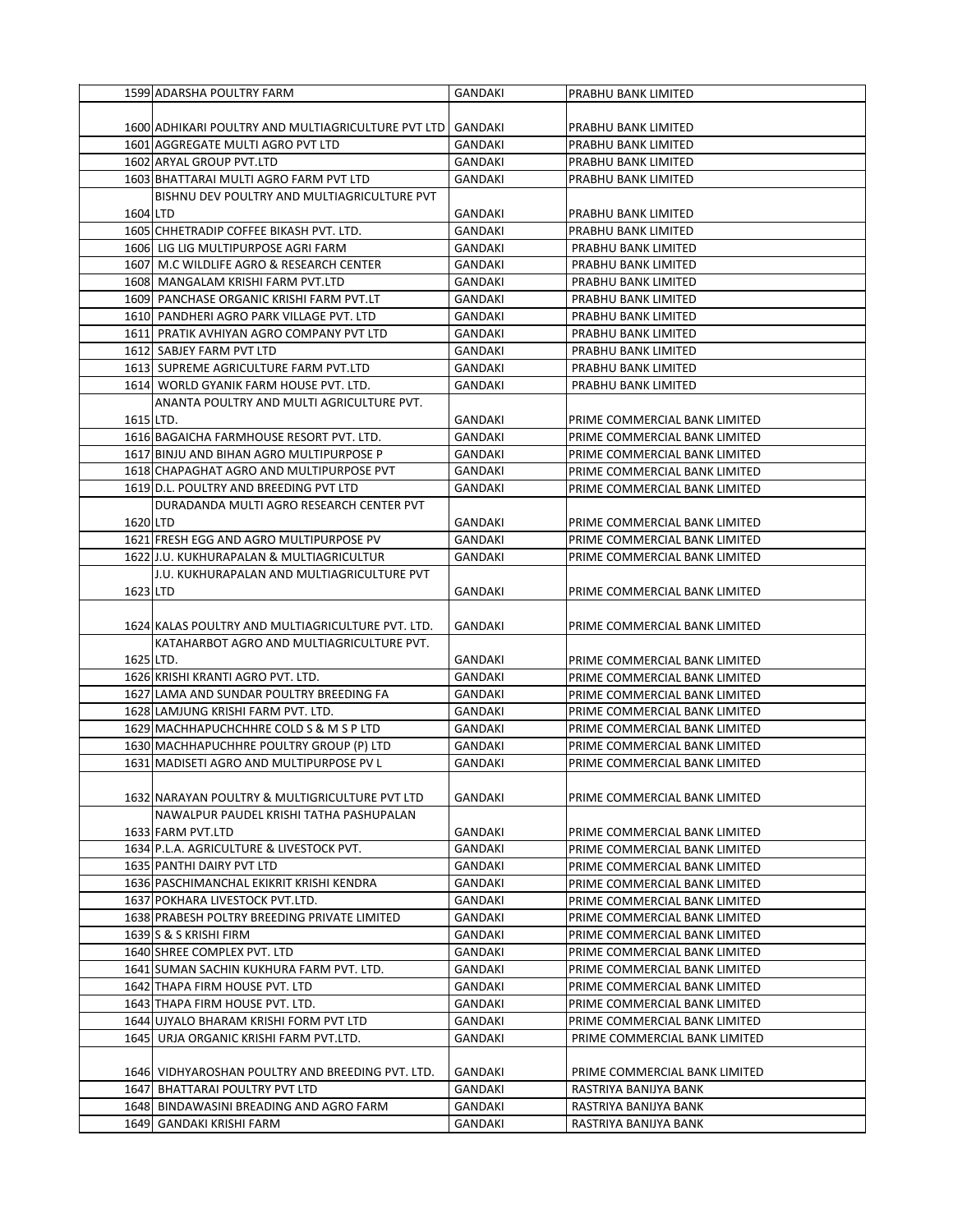|           | 1599 ADARSHA POULTRY FARM                                                                 | <b>GANDAKI</b> | PRABHU BANK LIMITED                        |
|-----------|-------------------------------------------------------------------------------------------|----------------|--------------------------------------------|
|           |                                                                                           |                |                                            |
|           | 1600 ADHIKARI POULTRY AND MULTIAGRICULTURE PVT LTD                                        | GANDAKI        | PRABHU BANK LIMITED                        |
|           | 1601 AGGREGATE MULTI AGRO PVT LTD                                                         | GANDAKI        | PRABHU BANK LIMITED                        |
|           | 1602 ARYAL GROUP PVT.LTD                                                                  | GANDAKI        | PRABHU BANK LIMITED                        |
|           | 1603 BHATTARAI MULTI AGRO FARM PVT LTD                                                    | GANDAKI        | PRABHU BANK LIMITED                        |
|           | BISHNU DEV POULTRY AND MULTIAGRICULTURE PVT                                               |                |                                            |
| 1604 LTD  |                                                                                           | GANDAKI        |                                            |
|           |                                                                                           |                | PRABHU BANK LIMITED                        |
|           | 1605 CHHETRADIP COFFEE BIKASH PVT. LTD.                                                   | GANDAKI        | PRABHU BANK LIMITED<br>PRABHU BANK LIMITED |
|           | 1606 LIG LIG MULTIPURPOSE AGRI FARM<br>1607 M.C WILDLIFE AGRO & RESEARCH CENTER           | GANDAKI        | PRABHU BANK LIMITED                        |
|           |                                                                                           | <b>GANDAKI</b> |                                            |
|           | 1608 MANGALAM KRISHI FARM PVT.LTD                                                         | <b>GANDAKI</b> | PRABHU BANK LIMITED                        |
|           | 1609 PANCHASE ORGANIC KRISHI FARM PVT.LT                                                  | GANDAKI        | PRABHU BANK LIMITED                        |
|           | 1610 PANDHERI AGRO PARK VILLAGE PVT. LTD                                                  | GANDAKI        | PRABHU BANK LIMITED                        |
|           | 1611 PRATIK AVHIYAN AGRO COMPANY PVT LTD                                                  | GANDAKI        | PRABHU BANK LIMITED                        |
|           | 1612 SABJEY FARM PVT LTD                                                                  | GANDAKI        | PRABHU BANK LIMITED                        |
|           | 1613 SUPREME AGRICULTURE FARM PVT.LTD                                                     | GANDAKI        | PRABHU BANK LIMITED                        |
|           | 1614 WORLD GYANIK FARM HOUSE PVT. LTD.                                                    | <b>GANDAKI</b> | PRABHU BANK LIMITED                        |
|           | ANANTA POULTRY AND MULTI AGRICULTURE PVT.                                                 |                |                                            |
| 1615 LTD. |                                                                                           | GANDAKI        | PRIME COMMERCIAL BANK LIMITED              |
|           | 1616 BAGAICHA FARMHOUSE RESORT PVT. LTD.                                                  | <b>GANDAKI</b> | PRIME COMMERCIAL BANK LIMITED              |
|           | 1617 BINJU AND BIHAN AGRO MULTIPURPOSE P                                                  | GANDAKI        | PRIME COMMERCIAL BANK LIMITED              |
|           | 1618 CHAPAGHAT AGRO AND MULTIPURPOSE PVT                                                  | GANDAKI        | PRIME COMMERCIAL BANK LIMITED              |
|           | 1619 D.L. POULTRY AND BREEDING PVT LTD                                                    | <b>GANDAKI</b> | PRIME COMMERCIAL BANK LIMITED              |
|           | DURADANDA MULTI AGRO RESEARCH CENTER PVT                                                  |                |                                            |
| 1620 LTD  |                                                                                           | GANDAKI        | PRIME COMMERCIAL BANK LIMITED              |
|           | 1621 FRESH EGG AND AGRO MULTIPURPOSE PV                                                   | GANDAKI        | PRIME COMMERCIAL BANK LIMITED              |
|           | 1622 J.U. KUKHURAPALAN & MULTIAGRICULTUR                                                  | GANDAKI        | PRIME COMMERCIAL BANK LIMITED              |
|           | J.U. KUKHURAPALAN AND MULTIAGRICULTURE PVT                                                |                |                                            |
| 1623 LTD  |                                                                                           | GANDAKI        | PRIME COMMERCIAL BANK LIMITED              |
|           |                                                                                           |                |                                            |
|           | 1624 KALAS POULTRY AND MULTIAGRICULTURE PVT. LTD.                                         | GANDAKI        | PRIME COMMERCIAL BANK LIMITED              |
|           | KATAHARBOT AGRO AND MULTIAGRICULTURE PVT.                                                 |                |                                            |
|           | 1625 LTD.                                                                                 | GANDAKI        | PRIME COMMERCIAL BANK LIMITED              |
|           | 1626 KRISHI KRANTI AGRO PVT. LTD.                                                         | GANDAKI        | PRIME COMMERCIAL BANK LIMITED              |
|           | 1627 LAMA AND SUNDAR POULTRY BREEDING FA                                                  | GANDAKI        | PRIME COMMERCIAL BANK LIMITED              |
|           | 1628 LAMJUNG KRISHI FARM PVT. LTD.                                                        | GANDAKI        | PRIME COMMERCIAL BANK LIMITED              |
|           | 1629 MACHHAPUCHCHHRE COLD S & M S P LTD                                                   | GANDAKI        | PRIME COMMERCIAL BANK LIMITED              |
|           | 1630 MACHHAPUCHHRE POULTRY GROUP (P) LTD                                                  | GANDAKI        | PRIME COMMERCIAL BANK LIMITED              |
|           | 1631 MADISETI AGRO AND MULTIPURPOSE PV L                                                  | GANDAKI        | PRIME COMMERCIAL BANK LIMITED              |
|           |                                                                                           |                |                                            |
|           |                                                                                           | <b>GANDAKI</b> | PRIME COMMERCIAL BANK LIMITED              |
|           | 1632 NARAYAN POULTRY & MULTIGRICULTURE PVT LTD<br>NAWALPUR PAUDEL KRISHI TATHA PASHUPALAN |                |                                            |
|           |                                                                                           |                |                                            |
|           | 1633 FARM PVT.LTD<br>1634 P.L.A. AGRICULTURE & LIVESTOCK PVT.                             | GANDAKI        | PRIME COMMERCIAL BANK LIMITED              |
|           |                                                                                           | GANDAKI        | PRIME COMMERCIAL BANK LIMITED              |
|           | 1635 PANTHI DAIRY PVT LTD                                                                 | GANDAKI        | PRIME COMMERCIAL BANK LIMITED              |
|           | 1636 PASCHIMANCHAL EKIKRIT KRISHI KENDRA                                                  | GANDAKI        | PRIME COMMERCIAL BANK LIMITED              |
|           | 1637 POKHARA LIVESTOCK PVT.LTD.                                                           | GANDAKI        | PRIME COMMERCIAL BANK LIMITED              |
|           | 1638 PRABESH POLTRY BREEDING PRIVATE LIMITED                                              | GANDAKI        | PRIME COMMERCIAL BANK LIMITED              |
|           | 1639 S & S KRISHI FIRM                                                                    | GANDAKI        | PRIME COMMERCIAL BANK LIMITED              |
|           | 1640 SHREE COMPLEX PVT. LTD                                                               | GANDAKI        | PRIME COMMERCIAL BANK LIMITED              |
|           | 1641 SUMAN SACHIN KUKHURA FARM PVT. LTD.                                                  | GANDAKI        | PRIME COMMERCIAL BANK LIMITED              |
|           | 1642 THAPA FIRM HOUSE PVT. LTD                                                            | GANDAKI        | PRIME COMMERCIAL BANK LIMITED              |
|           | 1643 THAPA FIRM HOUSE PVT. LTD.                                                           | GANDAKI        | PRIME COMMERCIAL BANK LIMITED              |
|           | 1644 UJYALO BHARAM KRISHI FORM PVT LTD                                                    | GANDAKI        | PRIME COMMERCIAL BANK LIMITED              |
|           | 1645 URJA ORGANIC KRISHI FARM PVT.LTD.                                                    | GANDAKI        | PRIME COMMERCIAL BANK LIMITED              |
|           |                                                                                           |                |                                            |
|           | 1646 VIDHYAROSHAN POULTRY AND BREEDING PVT. LTD.                                          | GANDAKI        | PRIME COMMERCIAL BANK LIMITED              |
|           | 1647 BHATTARAI POULTRY PVT LTD                                                            | GANDAKI        | RASTRIYA BANIJYA BANK                      |
|           | 1648 BINDAWASINI BREADING AND AGRO FARM                                                   | GANDAKI        | RASTRIYA BANIJYA BANK                      |
|           |                                                                                           | GANDAKI        | RASTRIYA BANIJYA BANK                      |
|           | 1649 GANDAKI KRISHI FARM                                                                  |                |                                            |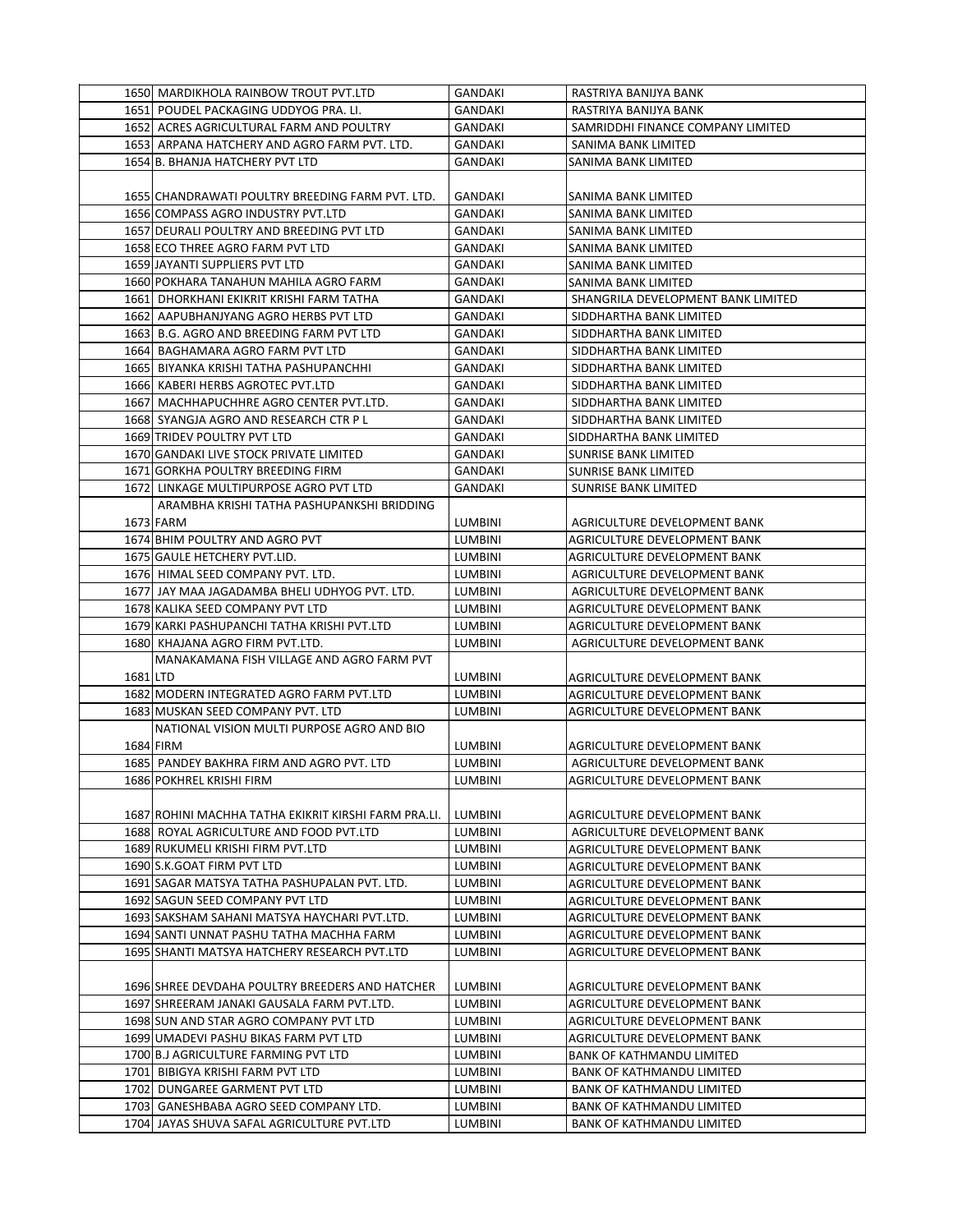|          | 1650 MARDIKHOLA RAINBOW TROUT PVT.LTD                | GANDAKI        | RASTRIYA BANIJYA BANK              |
|----------|------------------------------------------------------|----------------|------------------------------------|
|          | 1651 POUDEL PACKAGING UDDYOG PRA. LI.                | GANDAKI        | RASTRIYA BANIJYA BANK              |
|          | 1652 ACRES AGRICULTURAL FARM AND POULTRY             | <b>GANDAKI</b> | SAMRIDDHI FINANCE COMPANY LIMITED  |
|          | 1653 ARPANA HATCHERY AND AGRO FARM PVT. LTD.         | GANDAKI        | SANIMA BANK LIMITED                |
|          | 1654 B. BHANJA HATCHERY PVT LTD                      | GANDAKI        | SANIMA BANK LIMITED                |
|          |                                                      |                |                                    |
|          | 1655 CHANDRAWATI POULTRY BREEDING FARM PVT. LTD.     | GANDAKI        | SANIMA BANK LIMITED                |
|          | 1656 COMPASS AGRO INDUSTRY PVT.LTD                   | GANDAKI        | SANIMA BANK LIMITED                |
|          | 1657 DEURALI POULTRY AND BREEDING PVT LTD            | GANDAKI        | SANIMA BANK LIMITED                |
|          | 1658 ECO THREE AGRO FARM PVT LTD                     | GANDAKI        | SANIMA BANK LIMITED                |
|          | 1659 JAYANTI SUPPLIERS PVT LTD                       | <b>GANDAKI</b> | SANIMA BANK LIMITED                |
|          | 1660 POKHARA TANAHUN MAHILA AGRO FARM                | GANDAKI        | SANIMA BANK LIMITED                |
|          | 1661 DHORKHANI EKIKRIT KRISHI FARM TATHA             | GANDAKI        | SHANGRILA DEVELOPMENT BANK LIMITED |
|          | 1662 AAPUBHANJYANG AGRO HERBS PVT LTD                | GANDAKI        | SIDDHARTHA BANK LIMITED            |
|          | 1663 B.G. AGRO AND BREEDING FARM PVT LTD             | GANDAKI        | SIDDHARTHA BANK LIMITED            |
|          | 1664 BAGHAMARA AGRO FARM PVT LTD                     | GANDAKI        | SIDDHARTHA BANK LIMITED            |
|          | 1665 BIYANKA KRISHI TATHA PASHUPANCHHI               | GANDAKI        | SIDDHARTHA BANK LIMITED            |
|          | 1666 KABERI HERBS AGROTEC PVT.LTD                    | GANDAKI        | SIDDHARTHA BANK LIMITED            |
|          | 1667 MACHHAPUCHHRE AGRO CENTER PVT.LTD.              | GANDAKI        | SIDDHARTHA BANK LIMITED            |
|          | 1668 SYANGJA AGRO AND RESEARCH CTR P L               | <b>GANDAKI</b> | SIDDHARTHA BANK LIMITED            |
|          | 1669 TRIDEV POULTRY PVT LTD                          | GANDAKI        | SIDDHARTHA BANK LIMITED            |
|          | 1670 GANDAKI LIVE STOCK PRIVATE LIMITED              | GANDAKI        | SUNRISE BANK LIMITED               |
|          | 1671 GORKHA POULTRY BREEDING FIRM                    | GANDAKI        | SUNRISE BANK LIMITED               |
|          | 1672 LINKAGE MULTIPURPOSE AGRO PVT LTD               | GANDAKI        | SUNRISE BANK LIMITED               |
|          | ARAMBHA KRISHI TATHA PASHUPANKSHI BRIDDING           |                |                                    |
|          | 1673 FARM                                            | LUMBINI        | AGRICULTURE DEVELOPMENT BANK       |
|          | 1674 BHIM POULTRY AND AGRO PVT                       | LUMBINI        | AGRICULTURE DEVELOPMENT BANK       |
|          | 1675 GAULE HETCHERY PVT.LID.                         | <b>LUMBINI</b> | AGRICULTURE DEVELOPMENT BANK       |
|          | 1676 HIMAL SEED COMPANY PVT. LTD.                    | LUMBINI        | AGRICULTURE DEVELOPMENT BANK       |
|          | 1677 JAY MAA JAGADAMBA BHELI UDHYOG PVT. LTD.        | LUMBINI        | AGRICULTURE DEVELOPMENT BANK       |
|          | 1678 KALIKA SEED COMPANY PVT LTD                     | LUMBINI        | AGRICULTURE DEVELOPMENT BANK       |
|          | 1679 KARKI PASHUPANCHI TATHA KRISHI PVT.LTD          | LUMBINI        | AGRICULTURE DEVELOPMENT BANK       |
|          | 1680 KHAJANA AGRO FIRM PVT.LTD.                      | LUMBINI        | AGRICULTURE DEVELOPMENT BANK       |
|          | MANAKAMANA FISH VILLAGE AND AGRO FARM PVT            |                |                                    |
| 1681 LTD |                                                      | LUMBINI        | AGRICULTURE DEVELOPMENT BANK       |
|          | 1682 MODERN INTEGRATED AGRO FARM PVT.LTD             | LUMBINI        | AGRICULTURE DEVELOPMENT BANK       |
|          | 1683 MUSKAN SEED COMPANY PVT. LTD                    | LUMBINI        | AGRICULTURE DEVELOPMENT BANK       |
|          | NATIONAL VISION MULTI PURPOSE AGRO AND BIO           |                |                                    |
|          | 1684 FIRM                                            | LUMBINI        | AGRICULTURE DEVELOPMENT BANK       |
|          | 1685 PANDEY BAKHRA FIRM AND AGRO PVT. LTD            | LUMBINI        | AGRICULTURE DEVELOPMENT BANK       |
|          | 1686 POKHREL KRISHI FIRM                             | LUMBINI        | AGRICULTURE DEVELOPMENT BANK       |
|          |                                                      |                |                                    |
|          | 1687 ROHINI MACHHA TATHA EKIKRIT KIRSHI FARM PRA.LI. | <b>LUMBINI</b> | AGRICULTURE DEVELOPMENT BANK       |
|          | 1688 ROYAL AGRICULTURE AND FOOD PVT.LTD              | LUMBINI        | AGRICULTURE DEVELOPMENT BANK       |
|          | 1689 RUKUMELI KRISHI FIRM PVT.LTD                    | LUMBINI        | AGRICULTURE DEVELOPMENT BANK       |
|          | 1690 S.K.GOAT FIRM PVT LTD                           | <b>LUMBINI</b> | AGRICULTURE DEVELOPMENT BANK       |
|          | 1691 SAGAR MATSYA TATHA PASHUPALAN PVT. LTD.         | <b>LUMBINI</b> | AGRICULTURE DEVELOPMENT BANK       |
|          | 1692 SAGUN SEED COMPANY PVT LTD                      | <b>LUMBINI</b> | AGRICULTURE DEVELOPMENT BANK       |
|          | 1693 SAKSHAM SAHANI MATSYA HAYCHARI PVT.LTD.         | LUMBINI        | AGRICULTURE DEVELOPMENT BANK       |
|          | 1694 SANTI UNNAT PASHU TATHA MACHHA FARM             | LUMBINI        | AGRICULTURE DEVELOPMENT BANK       |
|          | 1695 SHANTI MATSYA HATCHERY RESEARCH PVT.LTD         | LUMBINI        | AGRICULTURE DEVELOPMENT BANK       |
|          |                                                      |                |                                    |
|          | 1696 SHREE DEVDAHA POULTRY BREEDERS AND HATCHER      | LUMBINI        | AGRICULTURE DEVELOPMENT BANK       |
|          | 1697 SHREERAM JANAKI GAUSALA FARM PVT.LTD.           | <b>LUMBINI</b> | AGRICULTURE DEVELOPMENT BANK       |
|          | 1698 SUN AND STAR AGRO COMPANY PVT LTD               | LUMBINI        | AGRICULTURE DEVELOPMENT BANK       |
|          | 1699 UMADEVI PASHU BIKAS FARM PVT LTD                | LUMBINI        | AGRICULTURE DEVELOPMENT BANK       |
|          | 1700 B.J AGRICULTURE FARMING PVT LTD                 | LUMBINI        | <b>BANK OF KATHMANDU LIMITED</b>   |
|          | 1701 BIBIGYA KRISHI FARM PVT LTD                     | LUMBINI        | <b>BANK OF KATHMANDU LIMITED</b>   |
|          | 1702 DUNGAREE GARMENT PVT LTD                        | LUMBINI        | <b>BANK OF KATHMANDU LIMITED</b>   |
|          | 1703 GANESHBABA AGRO SEED COMPANY LTD.               | <b>LUMBINI</b> | <b>BANK OF KATHMANDU LIMITED</b>   |
|          | 1704 JAYAS SHUVA SAFAL AGRICULTURE PVT.LTD           | LUMBINI        | <b>BANK OF KATHMANDU LIMITED</b>   |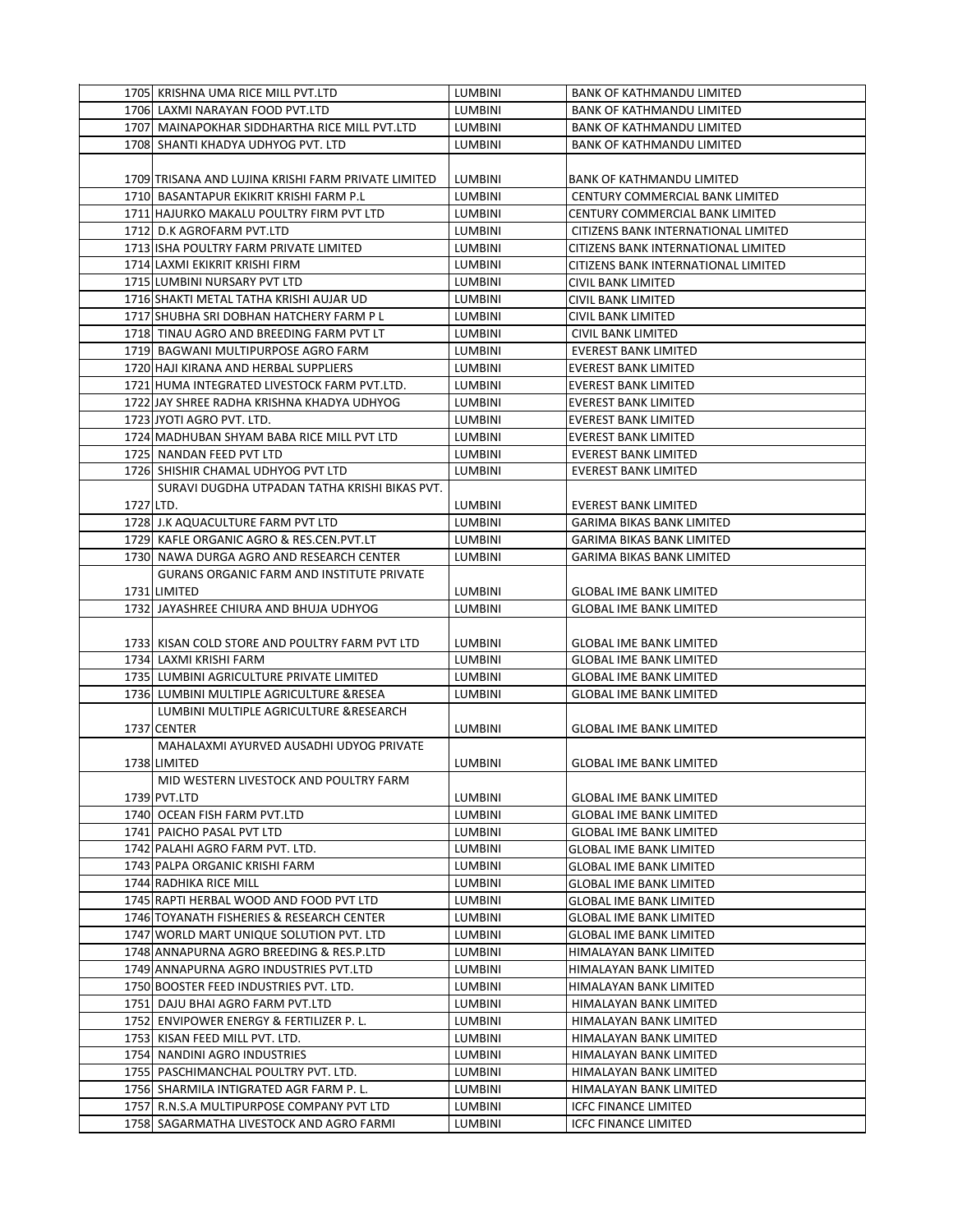|           | 1705 KRISHNA UMA RICE MILL PVT.LTD                  | <b>LUMBINI</b> | <b>BANK OF KATHMANDU LIMITED</b>    |
|-----------|-----------------------------------------------------|----------------|-------------------------------------|
|           | 1706 LAXMI NARAYAN FOOD PVT.LTD                     | <b>LUMBINI</b> | <b>BANK OF KATHMANDU LIMITED</b>    |
|           | 1707 MAINAPOKHAR SIDDHARTHA RICE MILL PVT.LTD       | <b>LUMBINI</b> | <b>BANK OF KATHMANDU LIMITED</b>    |
|           | 1708 SHANTI KHADYA UDHYOG PVT. LTD                  | <b>LUMBINI</b> | <b>BANK OF KATHMANDU LIMITED</b>    |
|           |                                                     |                |                                     |
|           | 1709 TRISANA AND LUJINA KRISHI FARM PRIVATE LIMITED | <b>LUMBINI</b> | <b>BANK OF KATHMANDU LIMITED</b>    |
|           | 1710 BASANTAPUR EKIKRIT KRISHI FARM P.L             | LUMBINI        | CENTURY COMMERCIAL BANK LIMITED     |
|           | 1711 HAJURKO MAKALU POULTRY FIRM PVT LTD            | LUMBINI        | CENTURY COMMERCIAL BANK LIMITED     |
|           | 1712 D.K AGROFARM PVT.LTD                           | <b>LUMBINI</b> | CITIZENS BANK INTERNATIONAL LIMITED |
|           | 1713 ISHA POULTRY FARM PRIVATE LIMITED              | <b>LUMBINI</b> | CITIZENS BANK INTERNATIONAL LIMITED |
|           | 1714 LAXMI EKIKRIT KRISHI FIRM                      | <b>LUMBINI</b> | CITIZENS BANK INTERNATIONAL LIMITED |
|           | 1715 LUMBINI NURSARY PVT LTD                        | LUMBINI        | CIVIL BANK LIMITED                  |
|           | 1716 SHAKTI METAL TATHA KRISHI AUJAR UD             | LUMBINI        | CIVIL BANK LIMITED                  |
|           | 1717 SHUBHA SRI DOBHAN HATCHERY FARM PL             | LUMBINI        | CIVIL BANK LIMITED                  |
|           | 1718 TINAU AGRO AND BREEDING FARM PVT LT            | <b>LUMBINI</b> | CIVIL BANK LIMITED                  |
|           | 1719 BAGWANI MULTIPURPOSE AGRO FARM                 | <b>LUMBINI</b> | <b>EVEREST BANK LIMITED</b>         |
|           | 1720 HAJI KIRANA AND HERBAL SUPPLIERS               | <b>LUMBINI</b> | <b>EVEREST BANK LIMITED</b>         |
|           | 1721 HUMA INTEGRATED LIVESTOCK FARM PVT.LTD.        | LUMBINI        | <b>EVEREST BANK LIMITED</b>         |
|           | 1722 JAY SHREE RADHA KRISHNA KHADYA UDHYOG          | LUMBINI        | <b>EVEREST BANK LIMITED</b>         |
|           | 1723 JYOTI AGRO PVT. LTD.                           | LUMBINI        | <b>EVEREST BANK LIMITED</b>         |
|           | 1724 MADHUBAN SHYAM BABA RICE MILL PVT LTD          | LUMBINI        | <b>EVEREST BANK LIMITED</b>         |
|           | 1725 NANDAN FEED PVT LTD                            | LUMBINI        | <b>EVEREST BANK LIMITED</b>         |
|           | 1726 SHISHIR CHAMAL UDHYOG PVT LTD                  | <b>LUMBINI</b> | <b>EVEREST BANK LIMITED</b>         |
|           | SURAVI DUGDHA UTPADAN TATHA KRISHI BIKAS PVT.       |                |                                     |
| 1727 LTD. |                                                     | LUMBINI        | <b>EVEREST BANK LIMITED</b>         |
|           | 1728 J.K AQUACULTURE FARM PVT LTD                   | <b>LUMBINI</b> | GARIMA BIKAS BANK LIMITED           |
|           | 1729 KAFLE ORGANIC AGRO & RES.CEN.PVT.LT            | LUMBINI        | GARIMA BIKAS BANK LIMITED           |
|           | 1730 NAWA DURGA AGRO AND RESEARCH CENTER            | <b>LUMBINI</b> | GARIMA BIKAS BANK LIMITED           |
|           | <b>GURANS ORGANIC FARM AND INSTITUTE PRIVATE</b>    |                |                                     |
|           | 1731 LIMITED                                        | LUMBINI        | <b>GLOBAL IME BANK LIMITED</b>      |
|           | 1732 JAYASHREE CHIURA AND BHUJA UDHYOG              | LUMBINI        | <b>GLOBAL IME BANK LIMITED</b>      |
|           |                                                     |                |                                     |
|           | 1733 KISAN COLD STORE AND POULTRY FARM PVT LTD      | LUMBINI        | <b>GLOBAL IME BANK LIMITED</b>      |
|           | 1734 LAXMI KRISHI FARM                              | LUMBINI        | <b>GLOBAL IME BANK LIMITED</b>      |
|           | 1735 LUMBINI AGRICULTURE PRIVATE LIMITED            | LUMBINI        | <b>GLOBAL IME BANK LIMITED</b>      |
|           | 1736 LUMBINI MULTIPLE AGRICULTURE & RESEA           | <b>LUMBINI</b> | <b>GLOBAL IME BANK LIMITED</b>      |
|           | LUMBINI MULTIPLE AGRICULTURE & RESEARCH             |                |                                     |
|           | 1737 CENTER                                         | <b>LUMBINI</b> | <b>GLOBAL IME BANK LIMITED</b>      |
|           | MAHALAXMI AYURVED AUSADHI UDYOG PRIVATE             |                |                                     |
|           | 1738 LIMITED                                        | <b>LUMBINI</b> | <b>GLOBAL IME BANK LIMITED</b>      |
|           | MID WESTERN LIVESTOCK AND POULTRY FARM              |                |                                     |
|           | 1739 PVT.LTD                                        | LUMBINI        | <b>GLOBAL IME BANK LIMITED</b>      |
|           | 1740 OCEAN FISH FARM PVT.LTD                        | LUMBINI        | <b>GLOBAL IME BANK LIMITED</b>      |
|           | 1741 PAICHO PASAL PVT LTD                           | LUMBINI        | <b>GLOBAL IME BANK LIMITED</b>      |
|           | 1742 PALAHI AGRO FARM PVT. LTD.                     | LUMBINI        | <b>GLOBAL IME BANK LIMITED</b>      |
|           | 1743 PALPA ORGANIC KRISHI FARM                      | LUMBINI        | <b>GLOBAL IME BANK LIMITED</b>      |
|           | 1744 RADHIKA RICE MILL                              | LUMBINI        | <b>GLOBAL IME BANK LIMITED</b>      |
|           | 1745 RAPTI HERBAL WOOD AND FOOD PVT LTD             | LUMBINI        | <b>GLOBAL IME BANK LIMITED</b>      |
|           | 1746 TOYANATH FISHERIES & RESEARCH CENTER           | LUMBINI        | <b>GLOBAL IME BANK LIMITED</b>      |
|           | 1747 WORLD MART UNIQUE SOLUTION PVT. LTD            | LUMBINI        | <b>GLOBAL IME BANK LIMITED</b>      |
|           | 1748 ANNAPURNA AGRO BREEDING & RES.P.LTD            | LUMBINI        | HIMALAYAN BANK LIMITED              |
|           | 1749 ANNAPURNA AGRO INDUSTRIES PVT.LTD              | LUMBINI        | HIMALAYAN BANK LIMITED              |
|           | 1750 BOOSTER FEED INDUSTRIES PVT. LTD.              | LUMBINI        | HIMALAYAN BANK LIMITED              |
|           | 1751 DAJU BHAI AGRO FARM PVT.LTD                    | LUMBINI        | HIMALAYAN BANK LIMITED              |
|           | 1752 ENVIPOWER ENERGY & FERTILIZER P.L.             | LUMBINI        | HIMALAYAN BANK LIMITED              |
|           | 1753 KISAN FEED MILL PVT. LTD.                      | LUMBINI        | HIMALAYAN BANK LIMITED              |
|           | 1754 NANDINI AGRO INDUSTRIES                        | LUMBINI        | HIMALAYAN BANK LIMITED              |
|           | 1755 PASCHIMANCHAL POULTRY PVT. LTD.                | LUMBINI        | HIMALAYAN BANK LIMITED              |
|           | 1756 SHARMILA INTIGRATED AGR FARM P.L.              | LUMBINI        | HIMALAYAN BANK LIMITED              |
|           | 1757 R.N.S.A MULTIPURPOSE COMPANY PVT LTD           | <b>LUMBINI</b> | <b>ICFC FINANCE LIMITED</b>         |
|           | 1758 SAGARMATHA LIVESTOCK AND AGRO FARMI            | LUMBINI        | <b>ICFC FINANCE LIMITED</b>         |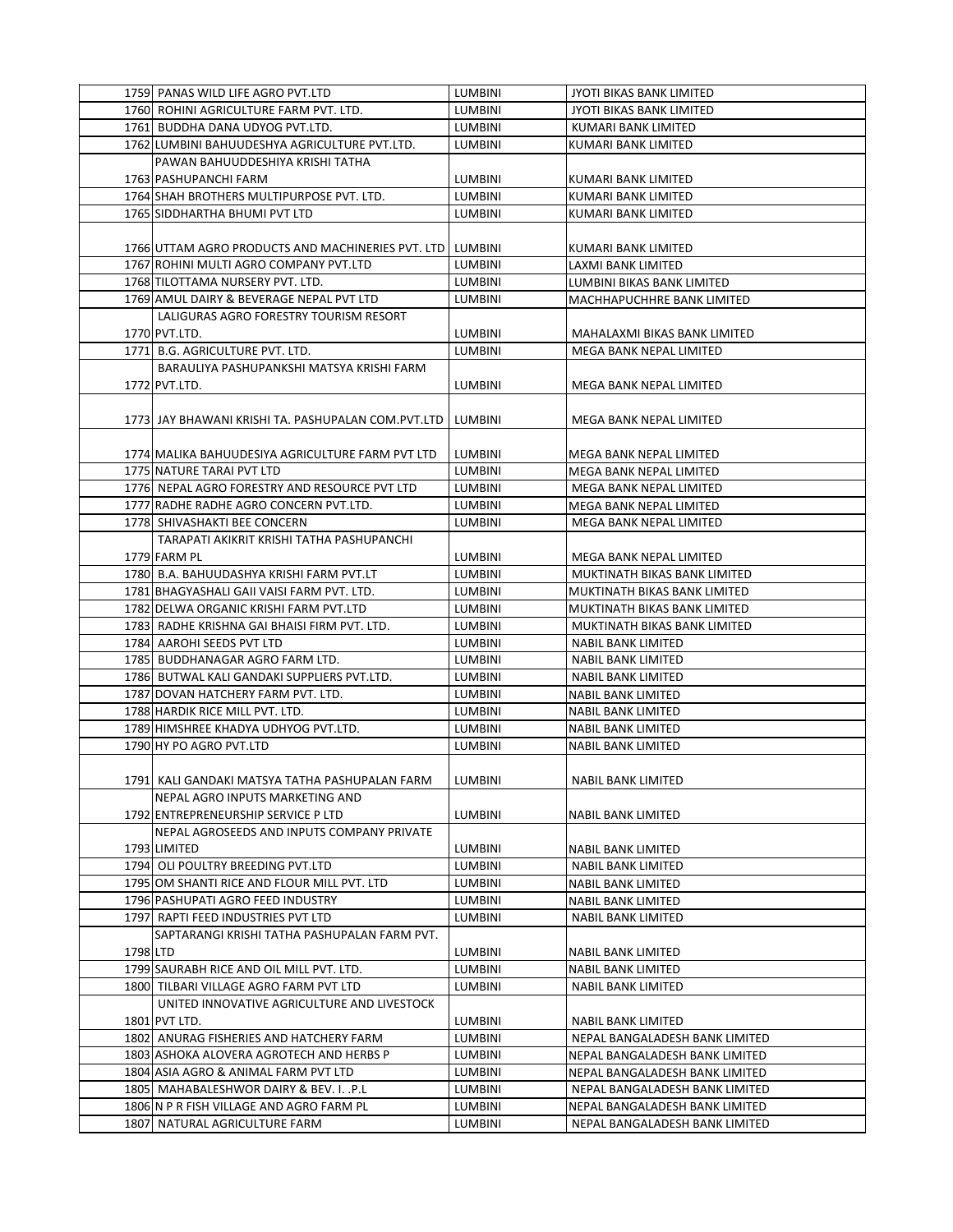|          | 1759 PANAS WILD LIFE AGRO PVT.LTD                         | LUMBINI        | JYOTI BIKAS BANK LIMITED        |
|----------|-----------------------------------------------------------|----------------|---------------------------------|
|          | 1760 ROHINI AGRICULTURE FARM PVT. LTD.                    | LUMBINI        | <b>JYOTI BIKAS BANK LIMITED</b> |
|          | 1761 BUDDHA DANA UDYOG PVT.LTD.                           | LUMBINI        | KUMARI BANK LIMITED             |
|          | 1762 LUMBINI BAHUUDESHYA AGRICULTURE PVT.LTD.             | <b>LUMBINI</b> | KUMARI BANK LIMITED             |
|          | PAWAN BAHUUDDESHIYA KRISHI TATHA                          |                |                                 |
|          | 1763 PASHUPANCHI FARM                                     | LUMBINI        | KUMARI BANK LIMITED             |
|          | 1764 SHAH BROTHERS MULTIPURPOSE PVT. LTD.                 | LUMBINI        | KUMARI BANK LIMITED             |
|          | 1765 SIDDHARTHA BHUMI PVT LTD                             | LUMBINI        |                                 |
|          |                                                           |                | KUMARI BANK LIMITED             |
|          |                                                           |                |                                 |
|          | 1766 UTTAM AGRO PRODUCTS AND MACHINERIES PVT. LTD LUMBINI |                | KUMARI BANK LIMITED             |
|          | 1767 ROHINI MULTI AGRO COMPANY PVT.LTD                    | LUMBINI        | LAXMI BANK LIMITED              |
|          | 1768 TILOTTAMA NURSERY PVT. LTD.                          | LUMBINI        | LUMBINI BIKAS BANK LIMITED      |
|          | 1769 AMUL DAIRY & BEVERAGE NEPAL PVT LTD                  | LUMBINI        | MACHHAPUCHHRE BANK LIMITED      |
|          | LALIGURAS AGRO FORESTRY TOURISM RESORT                    |                |                                 |
|          | 1770 PVT.LTD.                                             | LUMBINI        | MAHALAXMI BIKAS BANK LIMITED    |
|          | 1771 B.G. AGRICULTURE PVT. LTD.                           | LUMBINI        | MEGA BANK NEPAL LIMITED         |
|          | BARAULIYA PASHUPANKSHI MATSYA KRISHI FARM                 |                |                                 |
|          | 1772 PVT.LTD.                                             | <b>LUMBINI</b> | MEGA BANK NEPAL LIMITED         |
|          |                                                           |                |                                 |
|          | 1773 JAY BHAWANI KRISHI TA. PASHUPALAN COM.PVT.LTD        | LUMBINI        | MEGA BANK NEPAL LIMITED         |
|          |                                                           |                |                                 |
|          | 1774 MALIKA BAHUUDESIYA AGRICULTURE FARM PVT LTD          | <b>LUMBINI</b> | MEGA BANK NEPAL LIMITED         |
|          | 1775 NATURE TARAI PVT LTD                                 | LUMBINI        | MEGA BANK NEPAL LIMITED         |
|          | 1776 NEPAL AGRO FORESTRY AND RESOURCE PVT LTD             | <b>LUMBINI</b> | MEGA BANK NEPAL LIMITED         |
|          | 1777 RADHE RADHE AGRO CONCERN PVT.LTD.                    | LUMBINI        | MEGA BANK NEPAL LIMITED         |
|          | 1778 SHIVASHAKTI BEE CONCERN                              | <b>LUMBINI</b> | MEGA BANK NEPAL LIMITED         |
|          | TARAPATI AKIKRIT KRISHI TATHA PASHUPANCHI                 |                |                                 |
|          | 1779 FARM PL                                              | LUMBINI        | MEGA BANK NEPAL LIMITED         |
|          | 1780 B.A. BAHUUDASHYA KRISHI FARM PVT.LT                  | <b>LUMBINI</b> | MUKTINATH BIKAS BANK LIMITED    |
|          | 1781 BHAGYASHALI GAII VAISI FARM PVT. LTD.                | <b>LUMBINI</b> | MUKTINATH BIKAS BANK LIMITED    |
|          | 1782 DELWA ORGANIC KRISHI FARM PVT.LTD                    | LUMBINI        | MUKTINATH BIKAS BANK LIMITED    |
|          | 1783 RADHE KRISHNA GAI BHAISI FIRM PVT. LTD.              | <b>LUMBINI</b> | MUKTINATH BIKAS BANK LIMITED    |
|          | 1784 AAROHI SEEDS PVT LTD                                 | LUMBINI        | <b>NABIL BANK LIMITED</b>       |
|          |                                                           |                |                                 |
|          | 1785 BUDDHANAGAR AGRO FARM LTD.                           | LUMBINI        | NABIL BANK LIMITED              |
|          | 1786 BUTWAL KALI GANDAKI SUPPLIERS PVT.LTD.               | LUMBINI        | <b>NABIL BANK LIMITED</b>       |
|          | 1787 DOVAN HATCHERY FARM PVT. LTD.                        | LUMBINI        | <b>NABIL BANK LIMITED</b>       |
|          | 1788 HARDIK RICE MILL PVT. LTD.                           | LUMBINI        | NABIL BANK LIMITED              |
|          | 1789 HIMSHREE KHADYA UDHYOG PVT.LTD.                      | LUMBINI        | NABIL BANK LIMITED              |
|          | 1790 HY PO AGRO PVT.LTD                                   | LUMBINI        | NABIL BANK LIMITED              |
|          |                                                           |                |                                 |
|          | 1791  KALI GANDAKI MATSYA TATHA PASHUPALAN FARM           | LUMBINI        | NABIL BANK LIMITED              |
|          | NEPAL AGRO INPUTS MARKETING AND                           |                |                                 |
|          | 1792 ENTREPRENEURSHIP SERVICE P LTD                       | LUMBINI        | NABIL BANK LIMITED              |
|          | NEPAL AGROSEEDS AND INPUTS COMPANY PRIVATE                |                |                                 |
|          | 1793 LIMITED                                              | LUMBINI        | NABIL BANK LIMITED              |
|          | 1794 OLI POULTRY BREEDING PVT.LTD                         | LUMBINI        | NABIL BANK LIMITED              |
|          | 1795 OM SHANTI RICE AND FLOUR MILL PVT. LTD               | LUMBINI        | NABIL BANK LIMITED              |
|          | 1796 PASHUPATI AGRO FEED INDUSTRY                         | LUMBINI        | NABIL BANK LIMITED              |
|          | 1797 RAPTI FEED INDUSTRIES PVT LTD                        | LUMBINI        | NABIL BANK LIMITED              |
|          | SAPTARANGI KRISHI TATHA PASHUPALAN FARM PVT.              |                |                                 |
| 1798 LTD |                                                           | LUMBINI        | NABIL BANK LIMITED              |
|          | 1799 SAURABH RICE AND OIL MILL PVT. LTD.                  | LUMBINI        | NABIL BANK LIMITED              |
|          | 1800 TILBARI VILLAGE AGRO FARM PVT LTD                    | LUMBINI        | <b>NABIL BANK LIMITED</b>       |
|          | UNITED INNOVATIVE AGRICULTURE AND LIVESTOCK               |                |                                 |
|          | 1801 PVT LTD.                                             | LUMBINI        | NABIL BANK LIMITED              |
|          | 1802 ANURAG FISHERIES AND HATCHERY FARM                   | LUMBINI        | NEPAL BANGALADESH BANK LIMITED  |
|          | 1803 ASHOKA ALOVERA AGROTECH AND HERBS P                  | LUMBINI        | NEPAL BANGALADESH BANK LIMITED  |
|          | 1804 ASIA AGRO & ANIMAL FARM PVT LTD                      | LUMBINI        | NEPAL BANGALADESH BANK LIMITED  |
|          | 1805 MAHABALESHWOR DAIRY & BEV. I. .P.L                   | LUMBINI        | NEPAL BANGALADESH BANK LIMITED  |
|          | 1806 N P R FISH VILLAGE AND AGRO FARM PL                  | LUMBINI        | NEPAL BANGALADESH BANK LIMITED  |
|          |                                                           |                |                                 |
|          | 1807 NATURAL AGRICULTURE FARM                             | LUMBINI        | NEPAL BANGALADESH BANK LIMITED  |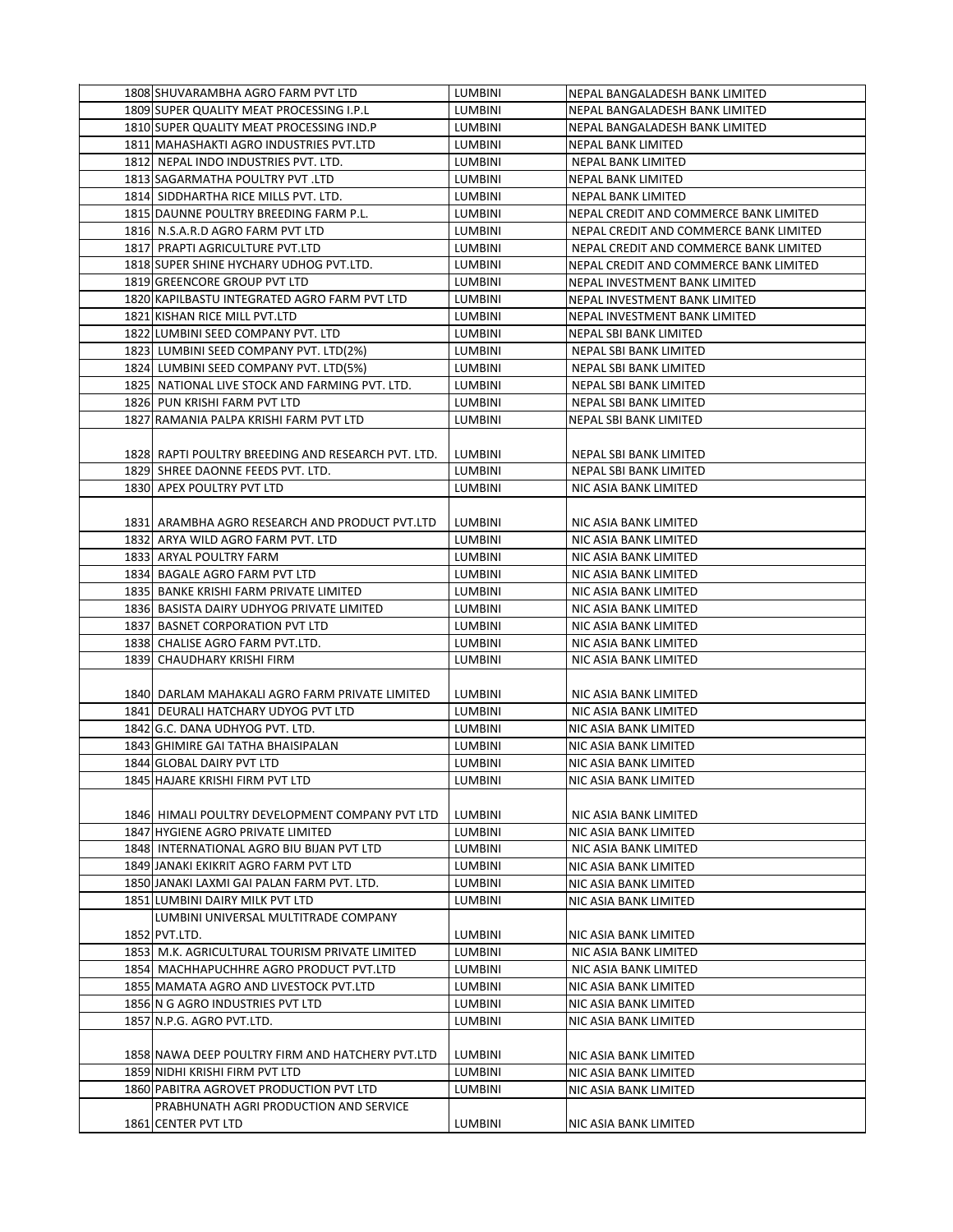| 1808 SHUVARAMBHA AGRO FARM PVT LTD                 | LUMBINI        | NEPAL BANGALADESH BANK LIMITED         |
|----------------------------------------------------|----------------|----------------------------------------|
| 1809 SUPER QUALITY MEAT PROCESSING I.P.L           | LUMBINI        | NEPAL BANGALADESH BANK LIMITED         |
| 1810 SUPER QUALITY MEAT PROCESSING IND.P           | <b>LUMBINI</b> | NEPAL BANGALADESH BANK LIMITED         |
| 1811 MAHASHAKTI AGRO INDUSTRIES PVT.LTD            | LUMBINI        | NEPAL BANK LIMITED                     |
| 1812 NEPAL INDO INDUSTRIES PVT. LTD.               | LUMBINI        | NEPAL BANK LIMITED                     |
| 1813 SAGARMATHA POULTRY PVT .LTD                   | LUMBINI        | NEPAL BANK LIMITED                     |
| 1814 SIDDHARTHA RICE MILLS PVT. LTD.               | <b>LUMBINI</b> | NEPAL BANK LIMITED                     |
| 1815 DAUNNE POULTRY BREEDING FARM P.L.             | LUMBINI        | NEPAL CREDIT AND COMMERCE BANK LIMITED |
| 1816 N.S.A.R.D AGRO FARM PVT LTD                   | LUMBINI        | NEPAL CREDIT AND COMMERCE BANK LIMITED |
| 1817 PRAPTI AGRICULTURE PVT.LTD                    | LUMBINI        | NEPAL CREDIT AND COMMERCE BANK LIMITED |
| 1818 SUPER SHINE HYCHARY UDHOG PVT.LTD.            | LUMBINI        | NEPAL CREDIT AND COMMERCE BANK LIMITED |
| 1819 GREENCORE GROUP PVT LTD                       | LUMBINI        | NEPAL INVESTMENT BANK LIMITED          |
| 1820 KAPILBASTU INTEGRATED AGRO FARM PVT LTD       | LUMBINI        | NEPAL INVESTMENT BANK LIMITED          |
| 1821 KISHAN RICE MILL PVT.LTD                      | LUMBINI        | NEPAL INVESTMENT BANK LIMITED          |
| 1822 LUMBINI SEED COMPANY PVT. LTD                 | LUMBINI        | NEPAL SBI BANK LIMITED                 |
| 1823 LUMBINI SEED COMPANY PVT. LTD(2%)             | <b>LUMBINI</b> | NEPAL SBI BANK LIMITED                 |
| 1824 LUMBINI SEED COMPANY PVT. LTD(5%)             | LUMBINI        | NEPAL SBI BANK LIMITED                 |
| 1825 NATIONAL LIVE STOCK AND FARMING PVT. LTD.     | LUMBINI        | NEPAL SBI BANK LIMITED                 |
| 1826 PUN KRISHI FARM PVT LTD                       | LUMBINI        | NEPAL SBI BANK LIMITED                 |
| 1827 RAMANIA PALPA KRISHI FARM PVT LTD             | LUMBINI        | NEPAL SBI BANK LIMITED                 |
|                                                    |                |                                        |
| 1828 RAPTI POULTRY BREEDING AND RESEARCH PVT. LTD. | LUMBINI        | NEPAL SBI BANK LIMITED                 |
| 1829 SHREE DAONNE FEEDS PVT. LTD.                  | <b>LUMBINI</b> | NEPAL SBI BANK LIMITED                 |
| 1830 APEX POULTRY PVT LTD                          | LUMBINI        | NIC ASIA BANK LIMITED                  |
|                                                    |                |                                        |
| 1831 ARAMBHA AGRO RESEARCH AND PRODUCT PVT.LTD     | LUMBINI        | NIC ASIA BANK LIMITED                  |
| 1832 ARYA WILD AGRO FARM PVT. LTD                  | LUMBINI        | NIC ASIA BANK LIMITED                  |
| 1833 ARYAL POULTRY FARM                            | <b>LUMBINI</b> | NIC ASIA BANK LIMITED                  |
| 1834 BAGALE AGRO FARM PVT LTD                      | <b>LUMBINI</b> | NIC ASIA BANK LIMITED                  |
| 1835 BANKE KRISHI FARM PRIVATE LIMITED             | LUMBINI        | NIC ASIA BANK LIMITED                  |
| 1836 BASISTA DAIRY UDHYOG PRIVATE LIMITED          | LUMBINI        | NIC ASIA BANK LIMITED                  |
| 1837 BASNET CORPORATION PVT LTD                    | LUMBINI        | NIC ASIA BANK LIMITED                  |
| 1838 CHALISE AGRO FARM PVT.LTD.                    | LUMBINI        | NIC ASIA BANK LIMITED                  |
| 1839 CHAUDHARY KRISHI FIRM                         | LUMBINI        | NIC ASIA BANK LIMITED                  |
|                                                    |                |                                        |
| 1840J DARLAM MAHAKALI AGRO FARM PRIVATE LIMITED    | LUMBINI        | NIC ASIA BANK LIMITED                  |
| 1841 DEURALI HATCHARY UDYOG PVT LTD                | <b>LUMBINI</b> | NIC ASIA BANK LIMITED                  |
| 1842 G.C. DANA UDHYOG PVT. LTD.                    | LUMBINI        | NIC ASIA BANK LIMITED                  |
| 1843 GHIMIRE GAI TATHA BHAISIPALAN                 | <b>LUMBINI</b> | NIC ASIA BANK LIMITED                  |
| 1844 GLOBAL DAIRY PVT LTD                          | LUMBINI        | NIC ASIA BANK LIMITED                  |
| 1845 HAJARE KRISHI FIRM PVT LTD                    | LUMBINI        | NIC ASIA BANK LIMITED                  |
|                                                    |                |                                        |
| 1846 HIMALI POULTRY DEVELOPMENT COMPANY PVT LTD    | <b>LUMBINI</b> | NIC ASIA BANK LIMITED                  |
| 1847 HYGIENE AGRO PRIVATE LIMITED                  | LUMBINI        | NIC ASIA BANK LIMITED                  |
| 1848 INTERNATIONAL AGRO BIU BIJAN PVT LTD          | LUMBINI        | NIC ASIA BANK LIMITED                  |
| 1849 JANAKI EKIKRIT AGRO FARM PVT LTD              | <b>LUMBINI</b> | NIC ASIA BANK LIMITED                  |
| 1850 JANAKI LAXMI GAI PALAN FARM PVT. LTD.         | <b>LUMBINI</b> | NIC ASIA BANK LIMITED                  |
| 1851 LUMBINI DAIRY MILK PVT LTD                    | <b>LUMBINI</b> | NIC ASIA BANK LIMITED                  |
| LUMBINI UNIVERSAL MULTITRADE COMPANY               |                |                                        |
| 1852 PVT.LTD.                                      | <b>LUMBINI</b> | NIC ASIA BANK LIMITED                  |
| 1853 M.K. AGRICULTURAL TOURISM PRIVATE LIMITED     | LUMBINI        | NIC ASIA BANK LIMITED                  |
| 1854 MACHHAPUCHHRE AGRO PRODUCT PVT.LTD            | LUMBINI        | NIC ASIA BANK LIMITED                  |
| 1855 MAMATA AGRO AND LIVESTOCK PVT.LTD             | LUMBINI        | NIC ASIA BANK LIMITED                  |
| 1856 N G AGRO INDUSTRIES PVT LTD                   | <b>LUMBINI</b> | NIC ASIA BANK LIMITED                  |
| 1857 N.P.G. AGRO PVT.LTD.                          | LUMBINI        | NIC ASIA BANK LIMITED                  |
|                                                    |                |                                        |
| 1858 NAWA DEEP POULTRY FIRM AND HATCHERY PVT.LTD   | LUMBINI        | NIC ASIA BANK LIMITED                  |
| 1859 NIDHI KRISHI FIRM PVT LTD                     | LUMBINI        | NIC ASIA BANK LIMITED                  |
| 1860 PABITRA AGROVET PRODUCTION PVT LTD            | LUMBINI        | NIC ASIA BANK LIMITED                  |
| PRABHUNATH AGRI PRODUCTION AND SERVICE             |                |                                        |
| 1861 CENTER PVT LTD                                | <b>LUMBINI</b> | NIC ASIA BANK LIMITED                  |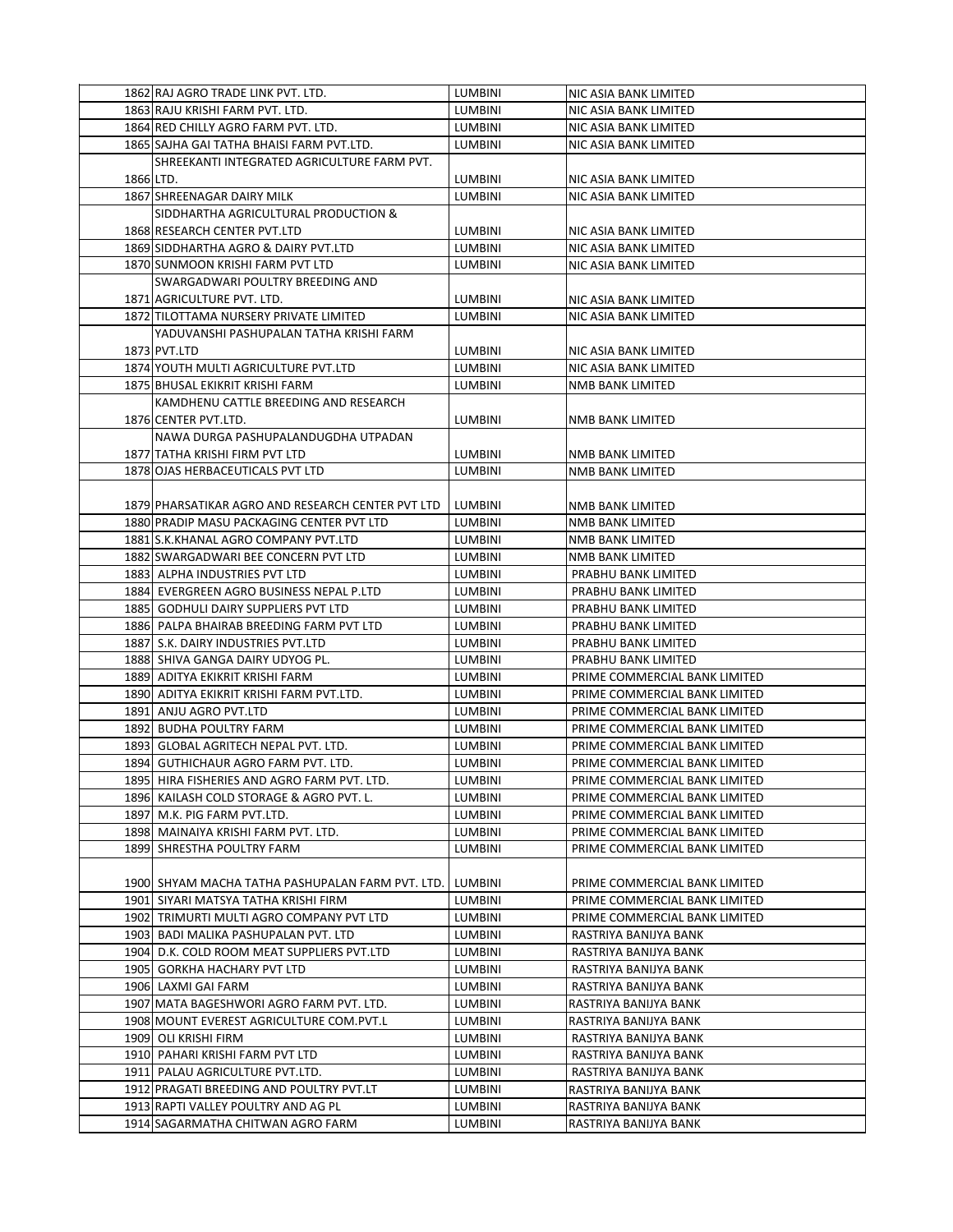|           | 1862 RAJ AGRO TRADE LINK PVT. LTD.                | <b>LUMBINI</b> | NIC ASIA BANK LIMITED         |
|-----------|---------------------------------------------------|----------------|-------------------------------|
|           | 1863 RAJU KRISHI FARM PVT. LTD.                   | <b>LUMBINI</b> | NIC ASIA BANK LIMITED         |
|           | 1864 RED CHILLY AGRO FARM PVT. LTD.               | <b>LUMBINI</b> | NIC ASIA BANK LIMITED         |
|           | 1865 SAJHA GAI TATHA BHAISI FARM PVT.LTD.         | <b>LUMBINI</b> | NIC ASIA BANK LIMITED         |
|           | SHREEKANTI INTEGRATED AGRICULTURE FARM PVT.       |                |                               |
| 1866 LTD. |                                                   | LUMBINI        | NIC ASIA BANK LIMITED         |
|           | 1867 SHREENAGAR DAIRY MILK                        | <b>LUMBINI</b> | NIC ASIA BANK LIMITED         |
|           | SIDDHARTHA AGRICULTURAL PRODUCTION &              |                |                               |
|           | 1868 RESEARCH CENTER PVT.LTD                      | LUMBINI        |                               |
|           | 1869 SIDDHARTHA AGRO & DAIRY PVT.LTD              | <b>LUMBINI</b> | NIC ASIA BANK LIMITED         |
|           |                                                   |                | NIC ASIA BANK LIMITED         |
|           | 1870 SUNMOON KRISHI FARM PVT LTD                  | <b>LUMBINI</b> | NIC ASIA BANK LIMITED         |
|           | SWARGADWARI POULTRY BREEDING AND                  |                |                               |
|           | 1871 AGRICULTURE PVT. LTD.                        | <b>LUMBINI</b> | NIC ASIA BANK LIMITED         |
|           | 1872 TILOTTAMA NURSERY PRIVATE LIMITED            | <b>LUMBINI</b> | NIC ASIA BANK LIMITED         |
|           | YADUVANSHI PASHUPALAN TATHA KRISHI FARM           |                |                               |
|           | 1873 PVT.LTD                                      | <b>LUMBINI</b> | NIC ASIA BANK LIMITED         |
|           | 1874 YOUTH MULTI AGRICULTURE PVT.LTD              | LUMBINI        | NIC ASIA BANK LIMITED         |
|           | 1875 BHUSAL EKIKRIT KRISHI FARM                   | LUMBINI        | NMB BANK LIMITED              |
|           | KAMDHENU CATTLE BREEDING AND RESEARCH             |                |                               |
|           | 1876 CENTER PVT.LTD.                              | <b>LUMBINI</b> | NMB BANK LIMITED              |
|           | NAWA DURGA PASHUPALANDUGDHA UTPADAN               |                |                               |
|           | 1877 TATHA KRISHI FIRM PVT LTD                    | LUMBINI        | NMB BANK LIMITED              |
|           | 1878 OJAS HERBACEUTICALS PVT LTD                  | <b>LUMBINI</b> | <b>NMB BANK LIMITED</b>       |
|           |                                                   |                |                               |
|           | 1879 PHARSATIKAR AGRO AND RESEARCH CENTER PVT LTD | LUMBINI        | NMB BANK LIMITED              |
|           | 1880 PRADIP MASU PACKAGING CENTER PVT LTD         | LUMBINI        | NMB BANK LIMITED              |
|           | 1881 S.K.KHANAL AGRO COMPANY PVT.LTD              | LUMBINI        | NMB BANK LIMITED              |
|           | 1882 SWARGADWARI BEE CONCERN PVT LTD              | LUMBINI        | NMB BANK LIMITED              |
|           | 1883 ALPHA INDUSTRIES PVT LTD                     | <b>LUMBINI</b> | PRABHU BANK LIMITED           |
|           | 1884 EVERGREEN AGRO BUSINESS NEPAL P.LTD          | LUMBINI        | PRABHU BANK LIMITED           |
|           | 1885 GODHULI DAIRY SUPPLIERS PVT LTD              | LUMBINI        | PRABHU BANK LIMITED           |
|           | 1886 PALPA BHAIRAB BREEDING FARM PVT LTD          | LUMBINI        | PRABHU BANK LIMITED           |
|           | 1887 S.K. DAIRY INDUSTRIES PVT.LTD                | LUMBINI        | PRABHU BANK LIMITED           |
|           | 1888 SHIVA GANGA DAIRY UDYOG PL.                  | LUMBINI        | PRABHU BANK LIMITED           |
|           | 1889 ADITYA EKIKRIT KRISHI FARM                   | <b>LUMBINI</b> | PRIME COMMERCIAL BANK LIMITED |
|           | 1890 ADITYA EKIKRIT KRISHI FARM PVT.LTD.          | <b>LUMBINI</b> | PRIME COMMERCIAL BANK LIMITED |
|           | 1891 ANJU AGRO PVT.LTD                            | LUMBINI        | PRIME COMMERCIAL BANK LIMITED |
|           | 1892 BUDHA POULTRY FARM                           | LUMBINI        | PRIME COMMERCIAL BANK LIMITED |
|           | 1893 GLOBAL AGRITECH NEPAL PVT. LTD.              | LUMBINI        | PRIME COMMERCIAL BANK LIMITED |
|           | 1894 GUTHICHAUR AGRO FARM PVT. LTD.               | <b>LUMBINI</b> | PRIME COMMERCIAL BANK LIMITED |
|           | 1895 HIRA FISHERIES AND AGRO FARM PVT. LTD.       | LUMBINI        | PRIME COMMERCIAL BANK LIMITED |
|           | 1896 KAILASH COLD STORAGE & AGRO PVT. L.          | <b>LUMBINI</b> | PRIME COMMERCIAL BANK LIMITED |
|           | 1897 M.K. PIG FARM PVT.LTD.                       | LUMBINI        | PRIME COMMERCIAL BANK LIMITED |
|           | 1898  MAINAIYA KRISHI FARM PVT. LTD.              | LUMBINI        | PRIME COMMERCIAL BANK LIMITED |
|           | 1899 SHRESTHA POULTRY FARM                        | <b>LUMBINI</b> | PRIME COMMERCIAL BANK LIMITED |
|           |                                                   |                |                               |
|           | 1900 SHYAM MACHA TATHA PASHUPALAN FARM PVT. LTD.  | LUMBINI        | PRIME COMMERCIAL BANK LIMITED |
|           | 1901 SIYARI MATSYA TATHA KRISHI FIRM              | LUMBINI        | PRIME COMMERCIAL BANK LIMITED |
|           |                                                   |                |                               |
|           | 1902 TRIMURTI MULTI AGRO COMPANY PVT LTD          | LUMBINI        | PRIME COMMERCIAL BANK LIMITED |
|           | 1903 BADI MALIKA PASHUPALAN PVT. LTD              | LUMBINI        | RASTRIYA BANIJYA BANK         |
|           | 1904 D.K. COLD ROOM MEAT SUPPLIERS PVT.LTD        | LUMBINI        | RASTRIYA BANIJYA BANK         |
|           | 1905 GORKHA HACHARY PVT LTD                       | LUMBINI        | RASTRIYA BANIJYA BANK         |
|           | 1906 LAXMI GAI FARM                               | LUMBINI        | RASTRIYA BANIJYA BANK         |
|           | 1907 MATA BAGESHWORI AGRO FARM PVT. LTD.          | LUMBINI        | RASTRIYA BANIJYA BANK         |
|           | 1908 MOUNT EVEREST AGRICULTURE COM.PVT.L          | LUMBINI        | RASTRIYA BANIJYA BANK         |
|           | 1909 OLI KRISHI FIRM                              | LUMBINI        | RASTRIYA BANIJYA BANK         |
|           | 1910 PAHARI KRISHI FARM PVT LTD                   | LUMBINI        | RASTRIYA BANIJYA BANK         |
|           | 1911 PALAU AGRICULTURE PVT.LTD.                   | LUMBINI        | RASTRIYA BANIJYA BANK         |
|           | 1912 PRAGATI BREEDING AND POULTRY PVT.LT          | LUMBINI        | RASTRIYA BANIJYA BANK         |
|           | 1913 RAPTI VALLEY POULTRY AND AG PL               | LUMBINI        | RASTRIYA BANIJYA BANK         |
|           | 1914 SAGARMATHA CHITWAN AGRO FARM                 | LUMBINI        | RASTRIYA BANIJYA BANK         |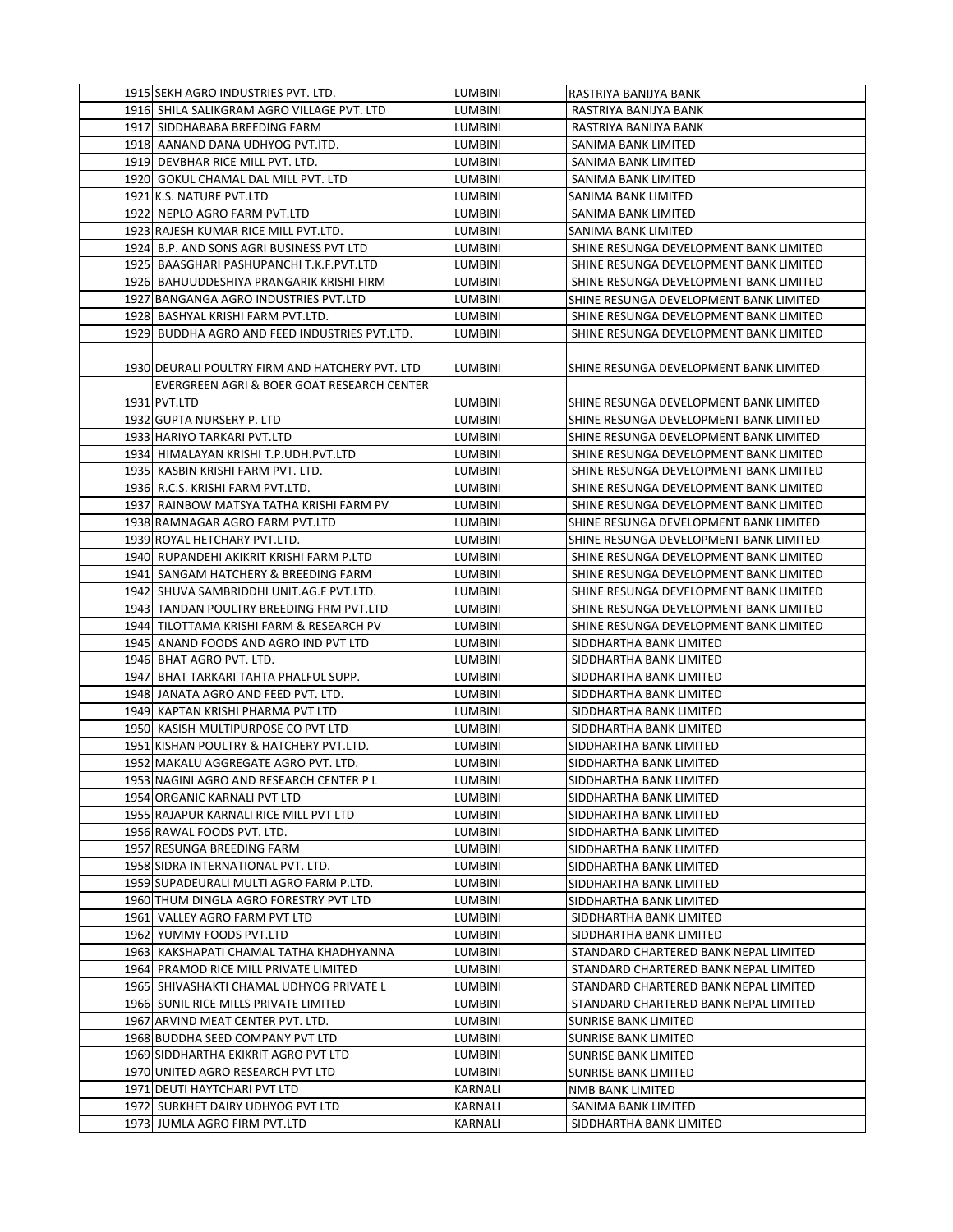| 1915 SEKH AGRO INDUSTRIES PVT. LTD.             | LUMBINI        | RASTRIYA BANIJYA BANK                                                          |
|-------------------------------------------------|----------------|--------------------------------------------------------------------------------|
| 1916 SHILA SALIKGRAM AGRO VILLAGE PVT. LTD      | <b>LUMBINI</b> | RASTRIYA BANIJYA BANK                                                          |
| 1917 SIDDHABABA BREEDING FARM                   | <b>LUMBINI</b> | RASTRIYA BANIJYA BANK                                                          |
| 1918 AANAND DANA UDHYOG PVT.ITD.                | <b>LUMBINI</b> | SANIMA BANK LIMITED                                                            |
| 1919 DEVBHAR RICE MILL PVT. LTD.                | LUMBINI        | SANIMA BANK LIMITED                                                            |
| 1920 GOKUL CHAMAL DAL MILL PVT. LTD             | LUMBINI        | SANIMA BANK LIMITED                                                            |
| 1921 K.S. NATURE PVT.LTD                        | LUMBINI        | SANIMA BANK LIMITED                                                            |
| 1922 NEPLO AGRO FARM PVT.LTD                    | LUMBINI        | SANIMA BANK LIMITED                                                            |
| 1923 RAJESH KUMAR RICE MILL PVT.LTD.            | <b>LUMBINI</b> | SANIMA BANK LIMITED                                                            |
| 1924 B.P. AND SONS AGRI BUSINESS PVT LTD        | <b>LUMBINI</b> | SHINE RESUNGA DEVELOPMENT BANK LIMITED                                         |
| 1925 BAASGHARI PASHUPANCHI T.K.F.PVT.LTD        | LUMBINI        | SHINE RESUNGA DEVELOPMENT BANK LIMITED                                         |
| 1926 BAHUUDDESHIYA PRANGARIK KRISHI FIRM        | LUMBINI        | SHINE RESUNGA DEVELOPMENT BANK LIMITED                                         |
| 1927 BANGANGA AGRO INDUSTRIES PVT.LTD           | <b>LUMBINI</b> | SHINE RESUNGA DEVELOPMENT BANK LIMITED                                         |
| 1928 BASHYAL KRISHI FARM PVT.LTD.               | LUMBINI        | SHINE RESUNGA DEVELOPMENT BANK LIMITED                                         |
| 1929 BUDDHA AGRO AND FEED INDUSTRIES PVT.LTD.   | LUMBINI        | SHINE RESUNGA DEVELOPMENT BANK LIMITED                                         |
|                                                 |                |                                                                                |
| 1930 DEURALI POULTRY FIRM AND HATCHERY PVT. LTD | <b>LUMBINI</b> |                                                                                |
|                                                 |                | SHINE RESUNGA DEVELOPMENT BANK LIMITED                                         |
| EVERGREEN AGRI & BOER GOAT RESEARCH CENTER      |                |                                                                                |
| 1931 PVT.LTD                                    | <b>LUMBINI</b> | SHINE RESUNGA DEVELOPMENT BANK LIMITED                                         |
| 1932 GUPTA NURSERY P. LTD                       | <b>LUMBINI</b> | SHINE RESUNGA DEVELOPMENT BANK LIMITED                                         |
| 1933 HARIYO TARKARI PVT.LTD                     | <b>LUMBINI</b> | SHINE RESUNGA DEVELOPMENT BANK LIMITED                                         |
| 1934 HIMALAYAN KRISHI T.P.UDH.PVT.LTD           | <b>LUMBINI</b> | SHINE RESUNGA DEVELOPMENT BANK LIMITED                                         |
| 1935 KASBIN KRISHI FARM PVT. LTD.               | <b>LUMBINI</b> | SHINE RESUNGA DEVELOPMENT BANK LIMITED                                         |
| 1936 R.C.S. KRISHI FARM PVT.LTD.                | LUMBINI        | SHINE RESUNGA DEVELOPMENT BANK LIMITED                                         |
| 1937 RAINBOW MATSYA TATHA KRISHI FARM PV        | <b>LUMBINI</b> | SHINE RESUNGA DEVELOPMENT BANK LIMITED                                         |
| 1938 RAMNAGAR AGRO FARM PVT.LTD                 | LUMBINI        | SHINE RESUNGA DEVELOPMENT BANK LIMITED                                         |
| 1939 ROYAL HETCHARY PVT.LTD.                    | <b>LUMBINI</b> | SHINE RESUNGA DEVELOPMENT BANK LIMITED                                         |
| 1940 RUPANDEHI AKIKRIT KRISHI FARM P.LTD        | <b>LUMBINI</b> | SHINE RESUNGA DEVELOPMENT BANK LIMITED                                         |
| 1941 SANGAM HATCHERY & BREEDING FARM            | LUMBINI        | SHINE RESUNGA DEVELOPMENT BANK LIMITED                                         |
| 1942 SHUVA SAMBRIDDHI UNIT.AG.F PVT.LTD.        | LUMBINI        | SHINE RESUNGA DEVELOPMENT BANK LIMITED                                         |
| 1943 TANDAN POULTRY BREEDING FRM PVT.LTD        | LUMBINI        | SHINE RESUNGA DEVELOPMENT BANK LIMITED                                         |
| 1944 TILOTTAMA KRISHI FARM & RESEARCH PV        | LUMBINI        | SHINE RESUNGA DEVELOPMENT BANK LIMITED                                         |
| 1945 ANAND FOODS AND AGRO IND PVT LTD           | <b>LUMBINI</b> | SIDDHARTHA BANK LIMITED                                                        |
| 1946 BHAT AGRO PVT. LTD.                        | <b>LUMBINI</b> | SIDDHARTHA BANK LIMITED                                                        |
| 1947 BHAT TARKARI TAHTA PHALFUL SUPP.           | <b>LUMBINI</b> | SIDDHARTHA BANK LIMITED                                                        |
| 1948 JANATA AGRO AND FEED PVT. LTD.             | LUMBINI        | SIDDHARTHA BANK LIMITED                                                        |
| 1949 KAPTAN KRISHI PHARMA PVT LTD               | LUMBINI        | SIDDHARTHA BANK LIMITED                                                        |
| 1950 KASISH MULTIPURPOSE CO PVT LTD             | LUMBINI        | SIDDHARTHA BANK LIMITED                                                        |
| 1951 KISHAN POULTRY & HATCHERY PVT.LTD.         | <b>LUMBINI</b> | SIDDHARTHA BANK LIMITED                                                        |
| 1952 MAKALU AGGREGATE AGRO PVT. LTD.            | <b>LUMBINI</b> | SIDDHARTHA BANK LIMITED                                                        |
| 1953 NAGINI AGRO AND RESEARCH CENTER P L        | LUMBINI        | SIDDHARTHA BANK LIMITED                                                        |
| 1954 ORGANIC KARNALI PVT LTD                    | LUMBINI        | SIDDHARTHA BANK LIMITED                                                        |
| 1955 RAJAPUR KARNALI RICE MILL PVT LTD          | LUMBINI        | SIDDHARTHA BANK LIMITED                                                        |
| 1956 RAWAL FOODS PVT. LTD.                      | LUMBINI        | SIDDHARTHA BANK LIMITED                                                        |
| 1957 RESUNGA BREEDING FARM                      | LUMBINI        | SIDDHARTHA BANK LIMITED                                                        |
| 1958 SIDRA INTERNATIONAL PVT. LTD.              | LUMBINI        | SIDDHARTHA BANK LIMITED                                                        |
| 1959 SUPADEURALI MULTI AGRO FARM P.LTD.         | <b>LUMBINI</b> | SIDDHARTHA BANK LIMITED                                                        |
| 1960 THUM DINGLA AGRO FORESTRY PVT LTD          | LUMBINI        | SIDDHARTHA BANK LIMITED                                                        |
| 1961 VALLEY AGRO FARM PVT LTD                   | LUMBINI        | SIDDHARTHA BANK LIMITED                                                        |
| 1962 YUMMY FOODS PVT.LTD                        | LUMBINI        | SIDDHARTHA BANK LIMITED                                                        |
|                                                 |                |                                                                                |
| 1963 KAKSHAPATI CHAMAL TATHA KHADHYANNA         | LUMBINI        | STANDARD CHARTERED BANK NEPAL LIMITED<br>STANDARD CHARTERED BANK NEPAL LIMITED |
| 1964 PRAMOD RICE MILL PRIVATE LIMITED           | LUMBINI        |                                                                                |
| 1965 SHIVASHAKTI CHAMAL UDHYOG PRIVATE L        | LUMBINI        | STANDARD CHARTERED BANK NEPAL LIMITED                                          |
| 1966 SUNIL RICE MILLS PRIVATE LIMITED           | LUMBINI        | STANDARD CHARTERED BANK NEPAL LIMITED                                          |
| 1967 ARVIND MEAT CENTER PVT. LTD.               | LUMBINI        | SUNRISE BANK LIMITED                                                           |
| 1968 BUDDHA SEED COMPANY PVT LTD                | LUMBINI        | SUNRISE BANK LIMITED                                                           |
| 1969 SIDDHARTHA EKIKRIT AGRO PVT LTD            | LUMBINI        | SUNRISE BANK LIMITED                                                           |
| 1970 UNITED AGRO RESEARCH PVT LTD               | LUMBINI        | <b>SUNRISE BANK LIMITED</b>                                                    |
| 1971 DEUTI HAYTCHARI PVT LTD                    | KARNALI        | NMB BANK LIMITED                                                               |
| 1972 SURKHET DAIRY UDHYOG PVT LTD               | KARNALI        | SANIMA BANK LIMITED                                                            |
| 1973 JUMLA AGRO FIRM PVT.LTD                    | KARNALI        | SIDDHARTHA BANK LIMITED                                                        |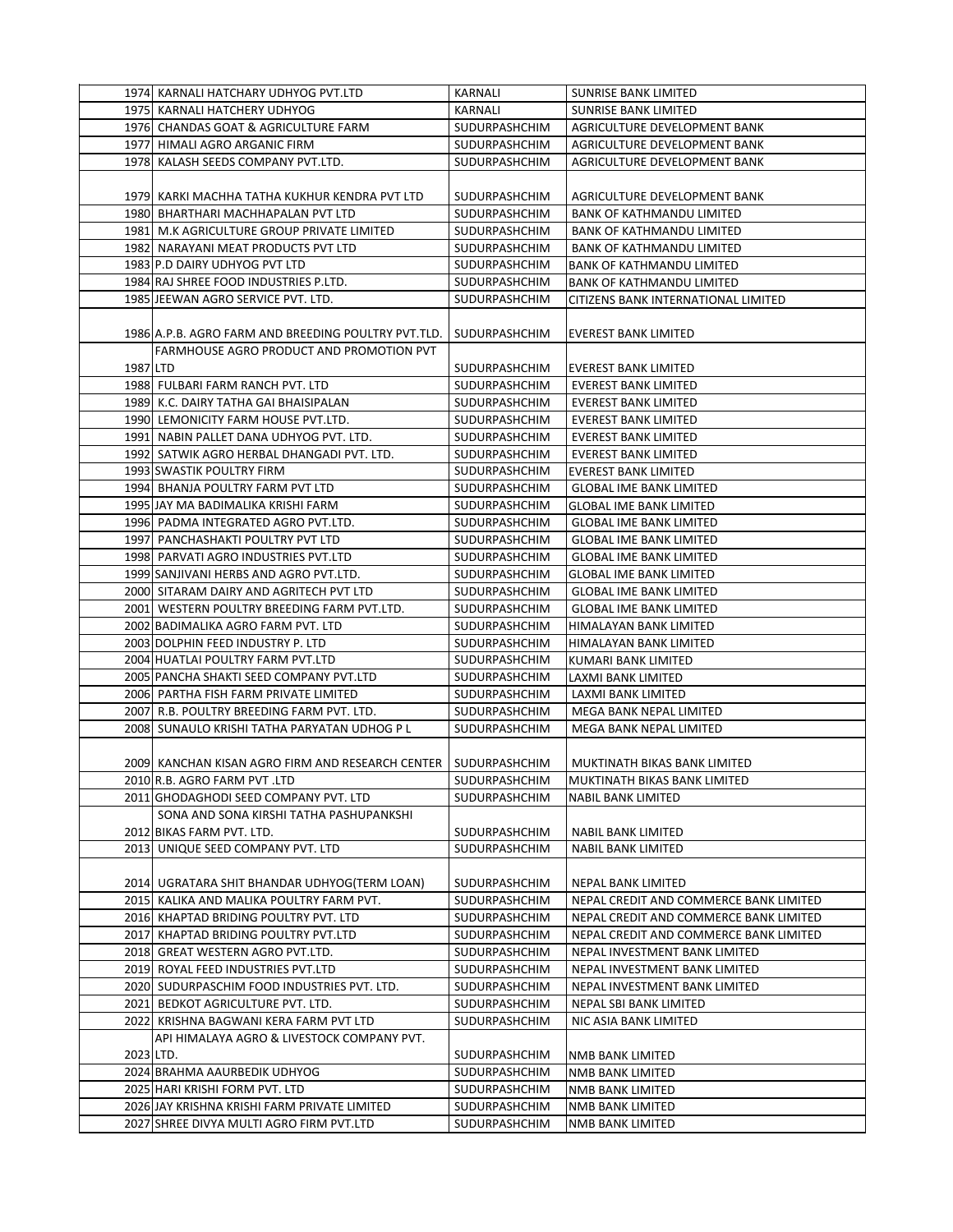|           | 1974 KARNALI HATCHARY UDHYOG PVT.LTD                                               | KARNALI                        | <b>SUNRISE BANK LIMITED</b>                                  |
|-----------|------------------------------------------------------------------------------------|--------------------------------|--------------------------------------------------------------|
|           | 1975 KARNALI HATCHERY UDHYOG                                                       | KARNALI                        | SUNRISE BANK LIMITED                                         |
|           | 1976 CHANDAS GOAT & AGRICULTURE FARM                                               | SUDURPASHCHIM                  | AGRICULTURE DEVELOPMENT BANK                                 |
|           | 1977 HIMALI AGRO ARGANIC FIRM                                                      | SUDURPASHCHIM                  | AGRICULTURE DEVELOPMENT BANK                                 |
|           | 1978 KALASH SEEDS COMPANY PVT.LTD.                                                 | SUDURPASHCHIM                  | AGRICULTURE DEVELOPMENT BANK                                 |
|           |                                                                                    |                                |                                                              |
|           | 1979 KARKI MACHHA TATHA KUKHUR KENDRA PVT LTD                                      | SUDURPASHCHIM                  | AGRICULTURE DEVELOPMENT BANK                                 |
|           | 1980 BHARTHARI MACHHAPALAN PVT LTD                                                 | SUDURPASHCHIM                  | <b>BANK OF KATHMANDU LIMITED</b>                             |
|           | 1981 M.K AGRICULTURE GROUP PRIVATE LIMITED                                         | SUDURPASHCHIM                  | <b>BANK OF KATHMANDU LIMITED</b>                             |
|           | 1982 NARAYANI MEAT PRODUCTS PVT LTD                                                | <b>SUDURPASHCHIM</b>           | <b>BANK OF KATHMANDU LIMITED</b>                             |
|           | 1983 P.D DAIRY UDHYOG PVT LTD                                                      | SUDURPASHCHIM                  | <b>BANK OF KATHMANDU LIMITED</b>                             |
|           | 1984 RAJ SHREE FOOD INDUSTRIES P.LTD.                                              | SUDURPASHCHIM                  | <b>BANK OF KATHMANDU LIMITED</b>                             |
|           | 1985 JEEWAN AGRO SERVICE PVT. LTD.                                                 | SUDURPASHCHIM                  | CITIZENS BANK INTERNATIONAL LIMITED                          |
|           |                                                                                    |                                |                                                              |
|           | 1986 A.P.B. AGRO FARM AND BREEDING POULTRY PVT.TLD.                                | SUDURPASHCHIM                  | EVEREST BANK LIMITED                                         |
|           | FARMHOUSE AGRO PRODUCT AND PROMOTION PVT                                           |                                |                                                              |
| 1987 LTD  |                                                                                    | SUDURPASHCHIM                  | <b>EVEREST BANK LIMITED</b>                                  |
|           | 1988 FULBARI FARM RANCH PVT. LTD                                                   | SUDURPASHCHIM                  | <b>EVEREST BANK LIMITED</b>                                  |
|           | 1989 K.C. DAIRY TATHA GAI BHAISIPALAN                                              | SUDURPASHCHIM                  | <b>EVEREST BANK LIMITED</b>                                  |
|           | 1990 LEMONICITY FARM HOUSE PVT.LTD.                                                | SUDURPASHCHIM                  | EVEREST BANK LIMITED                                         |
|           | 1991 NABIN PALLET DANA UDHYOG PVT. LTD.                                            | <b>SUDURPASHCHIM</b>           | <b>EVEREST BANK LIMITED</b>                                  |
|           | 1992 SATWIK AGRO HERBAL DHANGADI PVT. LTD.                                         | SUDURPASHCHIM                  | <b>EVEREST BANK LIMITED</b>                                  |
|           | 1993 SWASTIK POULTRY FIRM                                                          | SUDURPASHCHIM                  | <b>EVEREST BANK LIMITED</b>                                  |
|           | 1994 BHANJA POULTRY FARM PVT LTD                                                   | SUDURPASHCHIM                  | <b>GLOBAL IME BANK LIMITED</b>                               |
|           | 1995 JAY MA BADIMALIKA KRISHI FARM                                                 | SUDURPASHCHIM                  | <b>GLOBAL IME BANK LIMITED</b>                               |
|           | 1996 PADMA INTEGRATED AGRO PVT.LTD.                                                | SUDURPASHCHIM                  | <b>GLOBAL IME BANK LIMITED</b>                               |
|           | 1997 PANCHASHAKTI POULTRY PVT LTD                                                  | SUDURPASHCHIM                  | <b>GLOBAL IME BANK LIMITED</b>                               |
|           | 1998 PARVATI AGRO INDUSTRIES PVT.LTD                                               | SUDURPASHCHIM                  | <b>GLOBAL IME BANK LIMITED</b>                               |
|           | 1999 SANJIVANI HERBS AND AGRO PVT.LTD.                                             | SUDURPASHCHIM                  | <b>GLOBAL IME BANK LIMITED</b>                               |
|           | 2000 SITARAM DAIRY AND AGRITECH PVT LTD                                            | SUDURPASHCHIM                  | <b>GLOBAL IME BANK LIMITED</b>                               |
|           | 2001 WESTERN POULTRY BREEDING FARM PVT.LTD.                                        | SUDURPASHCHIM                  | <b>GLOBAL IME BANK LIMITED</b>                               |
|           | 2002 BADIMALIKA AGRO FARM PVT. LTD                                                 | SUDURPASHCHIM                  | HIMALAYAN BANK LIMITED                                       |
|           |                                                                                    |                                |                                                              |
|           | 2003 DOLPHIN FEED INDUSTRY P. LTD<br>2004 HUATLAI POULTRY FARM PVT.LTD             | SUDURPASHCHIM                  | HIMALAYAN BANK LIMITED                                       |
|           |                                                                                    | SUDURPASHCHIM                  | KUMARI BANK LIMITED                                          |
|           | 2005 PANCHA SHAKTI SEED COMPANY PVT.LTD                                            | SUDURPASHCHIM<br>SUDURPASHCHIM | LAXMI BANK LIMITED                                           |
|           | 2006 PARTHA FISH FARM PRIVATE LIMITED<br>2007 R.B. POULTRY BREEDING FARM PVT. LTD. | SUDURPASHCHIM                  | LAXMI BANK LIMITED<br>MEGA BANK NEPAL LIMITED                |
|           | 2008 SUNAULO KRISHI TATHA PARYATAN UDHOG P L                                       |                                |                                                              |
|           |                                                                                    | SUDURPASHCHIM                  | MEGA BANK NEPAL LIMITED                                      |
|           |                                                                                    | SUDURPASHCHIM                  |                                                              |
|           | 2009 KANCHAN KISAN AGRO FIRM AND RESEARCH CENTER                                   | SUDURPASHCHIM                  | MUKTINATH BIKAS BANK LIMITED<br>MUKTINATH BIKAS BANK LIMITED |
|           | 2010 R.B. AGRO FARM PVT .LTD                                                       |                                |                                                              |
|           | 2011 GHODAGHODI SEED COMPANY PVT. LTD                                              | SUDURPASHCHIM                  | <b>NABIL BANK LIMITED</b>                                    |
|           | SONA AND SONA KIRSHI TATHA PASHUPANKSHI                                            | SUDURPASHCHIM                  | <b>NABIL BANK LIMITED</b>                                    |
|           | 2012 BIKAS FARM PVT. LTD.<br>2013 UNIQUE SEED COMPANY PVT. LTD                     |                                |                                                              |
|           |                                                                                    | SUDURPASHCHIM                  | NABIL BANK LIMITED                                           |
|           | 2014 UGRATARA SHIT BHANDAR UDHYOG(TERM LOAN)                                       |                                |                                                              |
|           |                                                                                    | SUDURPASHCHIM                  | NEPAL BANK LIMITED                                           |
|           | 2015 KALIKA AND MALIKA POULTRY FARM PVT.                                           | SUDURPASHCHIM                  | NEPAL CREDIT AND COMMERCE BANK LIMITED                       |
|           | 2016 KHAPTAD BRIDING POULTRY PVT. LTD                                              | SUDURPASHCHIM                  | NEPAL CREDIT AND COMMERCE BANK LIMITED                       |
|           | 2017 KHAPTAD BRIDING POULTRY PVT.LTD                                               | SUDURPASHCHIM                  | NEPAL CREDIT AND COMMERCE BANK LIMITED                       |
|           | 2018 GREAT WESTERN AGRO PVT.LTD.                                                   | SUDURPASHCHIM                  | NEPAL INVESTMENT BANK LIMITED                                |
|           | 2019  ROYAL FEED INDUSTRIES PVT.LTD                                                | SUDURPASHCHIM                  | NEPAL INVESTMENT BANK LIMITED                                |
|           | 2020 SUDURPASCHIM FOOD INDUSTRIES PVT. LTD.                                        | SUDURPASHCHIM                  | NEPAL INVESTMENT BANK LIMITED                                |
|           | 2021 BEDKOT AGRICULTURE PVT. LTD.                                                  | SUDURPASHCHIM                  | NEPAL SBI BANK LIMITED                                       |
|           | 2022  KRISHNA BAGWANI KERA FARM PVT LTD                                            | SUDURPASHCHIM                  | NIC ASIA BANK LIMITED                                        |
|           | API HIMALAYA AGRO & LIVESTOCK COMPANY PVT.                                         |                                |                                                              |
| 2023 LTD. |                                                                                    | SUDURPASHCHIM                  | NMB BANK LIMITED                                             |
|           | 2024 BRAHMA AAURBEDIK UDHYOG                                                       | SUDURPASHCHIM                  | NMB BANK LIMITED                                             |
|           | 2025 HARI KRISHI FORM PVT. LTD                                                     | SUDURPASHCHIM                  | NMB BANK LIMITED                                             |
|           | 2026 JAY KRISHNA KRISHI FARM PRIVATE LIMITED                                       | SUDURPASHCHIM                  | NMB BANK LIMITED                                             |
|           | 2027 SHREE DIVYA MULTI AGRO FIRM PVT.LTD                                           | SUDURPASHCHIM                  | NMB BANK LIMITED                                             |